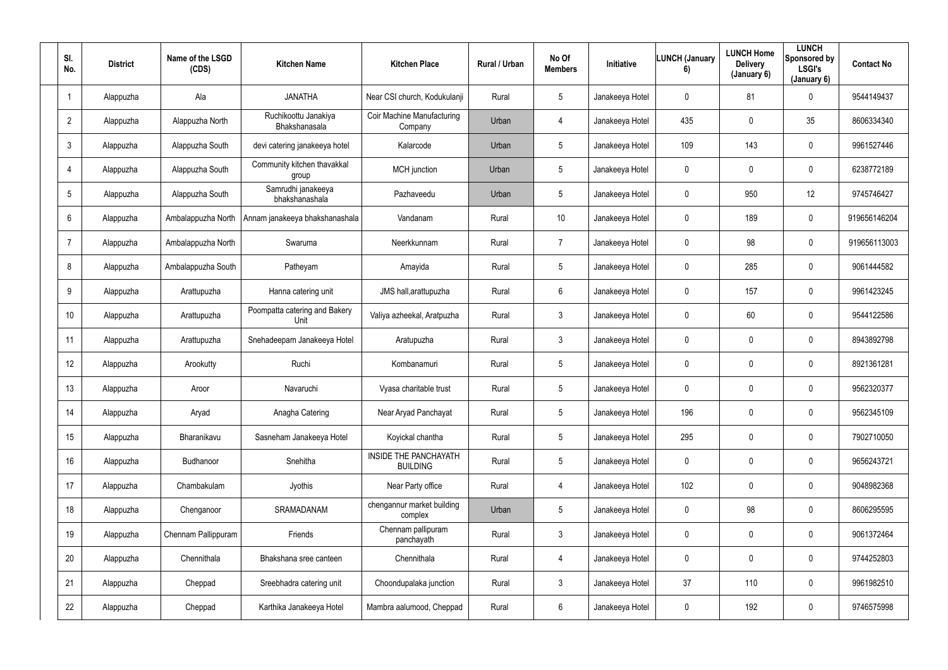| SI.<br>No.     | <b>District</b> | Name of the LSGD<br>(CDS) | <b>Kitchen Name</b>                   | <b>Kitchen Place</b>                            | Rural / Urban | No Of<br><b>Members</b> | Initiative      | <b>LUNCH (January</b><br>6) | <b>LUNCH Home</b><br><b>Delivery</b><br>(January 6) | <b>LUNCH</b><br>Sponsored by<br><b>LSGI's</b><br>(January 6) | <b>Contact No</b> |
|----------------|-----------------|---------------------------|---------------------------------------|-------------------------------------------------|---------------|-------------------------|-----------------|-----------------------------|-----------------------------------------------------|--------------------------------------------------------------|-------------------|
| -1             | Alappuzha       | Ala                       | <b>JANATHA</b>                        | Near CSI church, Kodukulanji                    | Rural         | $5\phantom{.0}$         | Janakeeya Hotel | $\mathbf 0$                 | 81                                                  | $\overline{0}$                                               | 9544149437        |
| $\overline{2}$ | Alappuzha       | Alappuzha North           | Ruchikoottu Janakiya<br>Bhakshanasala | Coir Machine Manufacturing<br>Company           | Urban         | 4                       | Janakeeya Hotel | 435                         | $\mathbf 0$                                         | 35 <sub>5</sub>                                              | 8606334340        |
| $\mathbf{3}$   | Alappuzha       | Alappuzha South           | devi catering janakeeya hotel         | Kalarcode                                       | Urban         | $5\phantom{.0}$         | Janakeeya Hotel | 109                         | 143                                                 | $\overline{0}$                                               | 9961527446        |
| 4              | Alappuzha       | Alappuzha South           | Community kitchen thavakkal<br>group  | MCH junction                                    | Urban         | 5                       | Janakeeya Hotel | $\mathbf 0$                 | $\mathbf 0$                                         | $\mathbf 0$                                                  | 6238772189        |
| 5              | Alappuzha       | Alappuzha South           | Samrudhi janakeeya<br>bhakshanashala  | Pazhaveedu                                      | Urban         | 5                       | Janakeeya Hotel | $\mathbf 0$                 | 950                                                 | 12                                                           | 9745746427        |
| 6              | Alappuzha       | Ambalappuzha North        | Annam janakeeya bhakshanashala        | Vandanam                                        | Rural         | 10                      | Janakeeya Hotel | $\mathbf 0$                 | 189                                                 | $\overline{0}$                                               | 919656146204      |
| $\overline{7}$ | Alappuzha       | Ambalappuzha North        | Swaruma                               | Neerkkunnam                                     | Rural         | $\overline{7}$          | Janakeeya Hotel | $\mathbf 0$                 | 98                                                  | $\overline{0}$                                               | 919656113003      |
| 8              | Alappuzha       | Ambalappuzha South        | Patheyam                              | Amayida                                         | Rural         | $5\phantom{.0}$         | Janakeeya Hotel | $\mathbf 0$                 | 285                                                 | $\overline{0}$                                               | 9061444582        |
| 9              | Alappuzha       | Arattupuzha               | Hanna catering unit                   | JMS hall, arattupuzha                           | Rural         | $6\phantom{.}$          | Janakeeya Hotel | $\mathbf 0$                 | 157                                                 | $\mathbf 0$                                                  | 9961423245        |
| 10             | Alappuzha       | Arattupuzha               | Poompatta catering and Bakery<br>Unit | Valiya azheekal, Aratpuzha                      | Rural         | $\mathfrak{Z}$          | Janakeeya Hotel | $\mathbf 0$                 | 60                                                  | $\mathbf 0$                                                  | 9544122586        |
| 11             | Alappuzha       | Arattupuzha               | Snehadeepam Janakeeya Hotel           | Aratupuzha                                      | Rural         | $\mathbf{3}$            | Janakeeya Hotel | $\mathbf 0$                 | $\mathbf 0$                                         | $\mathbf 0$                                                  | 8943892798        |
| 12             | Alappuzha       | Arookutty                 | Ruchi                                 | Kombanamuri                                     | Rural         | $5\phantom{.0}$         | Janakeeya Hotel | $\mathbf 0$                 | $\mathbf 0$                                         | $\mathbf 0$                                                  | 8921361281        |
| 13             | Alappuzha       | Aroor                     | Navaruchi                             | Vyasa charitable trust                          | Rural         | $5\phantom{.0}$         | Janakeeya Hotel | $\mathbf 0$                 | $\mathbf 0$                                         | $\mathbf 0$                                                  | 9562320377        |
| 14             | Alappuzha       | Aryad                     | Anagha Catering                       | Near Aryad Panchayat                            | Rural         | $5\phantom{.0}$         | Janakeeya Hotel | 196                         | $\mathbf 0$                                         | $\mathbf 0$                                                  | 9562345109        |
| 15             | Alappuzha       | Bharanikavu               | Sasneham Janakeeya Hotel              | Koyickal chantha                                | Rural         | $5\phantom{.0}$         | Janakeeya Hotel | 295                         | $\mathbf 0$                                         | $\overline{0}$                                               | 7902710050        |
| 16             | Alappuzha       | Budhanoor                 | Snehitha                              | <b>INSIDE THE PANCHAYATH</b><br><b>BUILDING</b> | Rural         | $5\phantom{.0}$         | Janakeeya Hotel | $\mathbf 0$                 | 0                                                   | $\overline{0}$                                               | 9656243721        |
| 17             | Alappuzha       | Chambakulam               | Jyothis                               | Near Party office                               | Rural         | $\overline{4}$          | Janakeeya Hotel | 102                         | 0                                                   | $\overline{0}$                                               | 9048982368        |
| 18             | Alappuzha       | Chenganoor                | SRAMADANAM                            | chengannur market building<br>complex           | Urban         | $5\phantom{.0}$         | Janakeeya Hotel | $\mathbf 0$                 | 98                                                  | $\overline{0}$                                               | 8606295595        |
| 19             | Alappuzha       | Chennam Pallippuram       | Friends                               | Chennam pallipuram<br>panchayath                | Rural         | $\mathfrak{Z}$          | Janakeeya Hotel | $\mathbf 0$                 | 0                                                   | $\overline{0}$                                               | 9061372464        |
| 20             | Alappuzha       | Chennithala               | Bhakshana sree canteen                | Chennithala                                     | Rural         | 4                       | Janakeeya Hotel | $\mathbf 0$                 | 0                                                   | $\overline{0}$                                               | 9744252803        |
| 21             | Alappuzha       | Cheppad                   | Sreebhadra catering unit              | Choondupalaka junction                          | Rural         | $\mathfrak{Z}$          | Janakeeya Hotel | 37                          | 110                                                 | $\overline{0}$                                               | 9961982510        |
| 22             | Alappuzha       | Cheppad                   | Karthika Janakeeya Hotel              | Mambra aalumood, Cheppad                        | Rural         | 6                       | Janakeeya Hotel | $\mathbf 0$                 | 192                                                 | $\mathbf 0$                                                  | 9746575998        |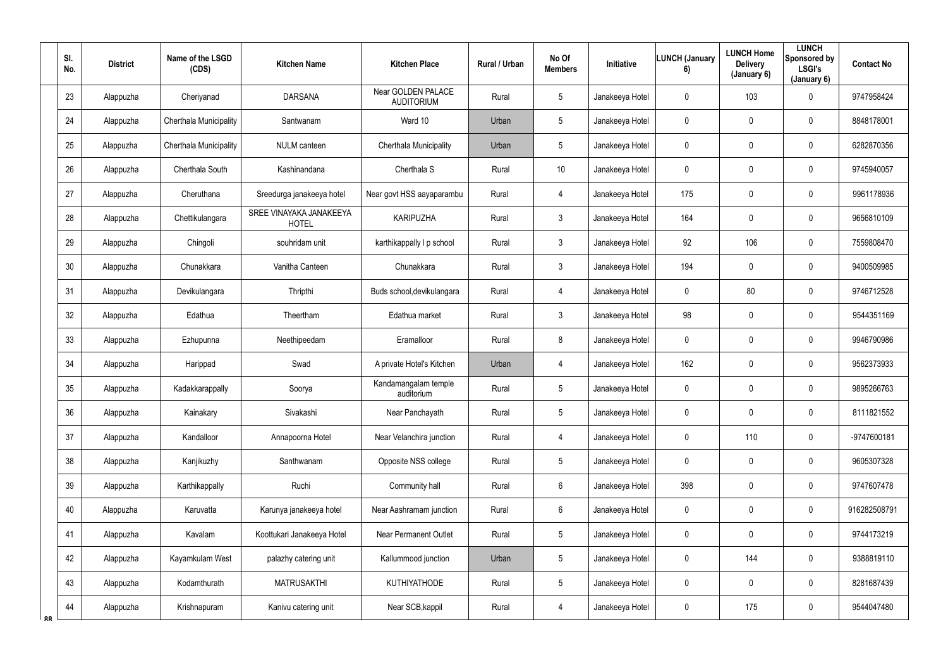|           | SI.<br>No.      | <b>District</b> | Name of the LSGD<br>(CDS) | <b>Kitchen Name</b>                     | <b>Kitchen Place</b>                           | Rural / Urban | No Of<br><b>Members</b> | <b>Initiative</b> | <b>LUNCH (January</b><br>6) | <b>LUNCH Home</b><br><b>Delivery</b><br>(January 6) | <b>LUNCH</b><br>Sponsored by<br>LSGI's<br>(January 6) | <b>Contact No</b> |
|-----------|-----------------|-----------------|---------------------------|-----------------------------------------|------------------------------------------------|---------------|-------------------------|-------------------|-----------------------------|-----------------------------------------------------|-------------------------------------------------------|-------------------|
|           | 23              | Alappuzha       | Cheriyanad                | <b>DARSANA</b>                          | <b>Near GOLDEN PALACE</b><br><b>AUDITORIUM</b> | Rural         | 5                       | Janakeeya Hotel   | $\mathbf 0$                 | 103                                                 | $\mathbf 0$                                           | 9747958424        |
|           | 24              | Alappuzha       | Cherthala Municipality    | Santwanam                               | Ward 10                                        | Urban         | $5\overline{)}$         | Janakeeya Hotel   | $\mathbf 0$                 | 0                                                   | $\overline{0}$                                        | 8848178001        |
|           | 25              | Alappuzha       | Cherthala Municipality    | <b>NULM</b> canteen                     | Cherthala Municipality                         | Urban         | 5                       | Janakeeya Hotel   | $\boldsymbol{0}$            | 0                                                   | $\mathbf 0$                                           | 6282870356        |
|           | 26              | Alappuzha       | Cherthala South           | Kashinandana                            | Cherthala S                                    | Rural         | 10                      | Janakeeya Hotel   | $\mathbf 0$                 | 0                                                   | $\mathbf 0$                                           | 9745940057        |
|           | 27              | Alappuzha       | Cheruthana                | Sreedurga janakeeya hotel               | Near govt HSS aayaparambu                      | Rural         | 4                       | Janakeeya Hotel   | 175                         | 0                                                   | $\mathbf 0$                                           | 9961178936        |
|           | 28              | Alappuzha       | Chettikulangara           | SREE VINAYAKA JANAKEEYA<br><b>HOTEL</b> | <b>KARIPUZHA</b>                               | Rural         | $\mathbf{3}$            | Janakeeya Hotel   | 164                         | 0                                                   | $\mathbf 0$                                           | 9656810109        |
|           | 29              | Alappuzha       | Chingoli                  | souhridam unit                          | karthikappally I p school                      | Rural         | $\mathbf{3}$            | Janakeeya Hotel   | 92                          | 106                                                 | $\mathbf 0$                                           | 7559808470        |
|           | 30 <sup>°</sup> | Alappuzha       | Chunakkara                | Vanitha Canteen                         | Chunakkara                                     | Rural         | $\mathbf{3}$            | Janakeeya Hotel   | 194                         | 0                                                   | $\mathbf 0$                                           | 9400509985        |
|           | 31              | Alappuzha       | Devikulangara             | Thripthi                                | Buds school, devikulangara                     | Rural         | 4                       | Janakeeya Hotel   | $\overline{0}$              | 80                                                  | $\mathbf 0$                                           | 9746712528        |
|           | 32              | Alappuzha       | Edathua                   | Theertham                               | Edathua market                                 | Rural         | $\mathfrak{Z}$          | Janakeeya Hotel   | 98                          | 0                                                   | $\mathbf 0$                                           | 9544351169        |
|           | 33              | Alappuzha       | Ezhupunna                 | Neethipeedam                            | Eramalloor                                     | Rural         | 8                       | Janakeeya Hotel   | $\overline{0}$              | 0                                                   | $\overline{0}$                                        | 9946790986        |
|           | 34              | Alappuzha       | Harippad                  | Swad                                    | A private Hotel's Kitchen                      | Urban         | 4                       | Janakeeya Hotel   | 162                         | 0                                                   | $\mathbf 0$                                           | 9562373933        |
|           | 35              | Alappuzha       | Kadakkarappally           | Soorya                                  | Kandamangalam temple<br>auditorium             | Rural         | 5                       | Janakeeya Hotel   | $\mathbf 0$                 | 0                                                   | $\overline{0}$                                        | 9895266763        |
|           | 36              | Alappuzha       | Kainakary                 | Sivakashi                               | Near Panchayath                                | Rural         | $5\phantom{.0}$         | Janakeeya Hotel   | $\mathbf 0$                 | $\mathbf 0$                                         | $\mathbf 0$                                           | 8111821552        |
|           | 37              | Alappuzha       | Kandalloor                | Annapoorna Hotel                        | Near Velanchira junction                       | Rural         | $\overline{4}$          | Janakeeya Hotel   | $\mathbf 0$                 | 110                                                 | $\overline{0}$                                        | -9747600181       |
|           | 38              | Alappuzha       | Kanjikuzhy                | Santhwanam                              | Opposite NSS college                           | Rural         | 5                       | Janakeeya Hotel   | $\mathbf 0$                 | 0                                                   | $\mathbf 0$                                           | 9605307328        |
|           | 39              | Alappuzha       | Karthikappally            | Ruchi                                   | Community hall                                 | Rural         | $6\overline{6}$         | Janakeeya Hotel   | 398                         | $\mathbf 0$                                         | $\mathbf 0$                                           | 9747607478        |
|           | 40              | Alappuzha       | Karuvatta                 | Karunya janakeeya hotel                 | Near Aashramam junction                        | Rural         | 6                       | Janakeeya Hotel   | $\mathbf 0$                 | 0                                                   | $\mathbf 0$                                           | 916282508791      |
|           | 41              | Alappuzha       | Kavalam                   | Koottukari Janakeeya Hotel              | <b>Near Permanent Outlet</b>                   | Rural         | 5                       | Janakeeya Hotel   | $\mathbf 0$                 | 0                                                   | $\overline{0}$                                        | 9744173219        |
|           | 42              | Alappuzha       | Kayamkulam West           | palazhy catering unit                   | Kallummood junction                            | Urban         | 5                       | Janakeeya Hotel   | $\mathbf 0$                 | 144                                                 | $\mathbf 0$                                           | 9388819110        |
|           | 43              | Alappuzha       | Kodamthurath              | <b>MATRUSAKTHI</b>                      | <b>KUTHIYATHODE</b>                            | Rural         | 5                       | Janakeeya Hotel   | $\mathbf 0$                 | $\pmb{0}$                                           | $\mathbf 0$                                           | 8281687439        |
| <b>RR</b> | 44              | Alappuzha       | Krishnapuram              | Kanivu catering unit                    | Near SCB, kappil                               | Rural         | $\overline{4}$          | Janakeeya Hotel   | $\mathbf 0$                 | 175                                                 | $\overline{0}$                                        | 9544047480        |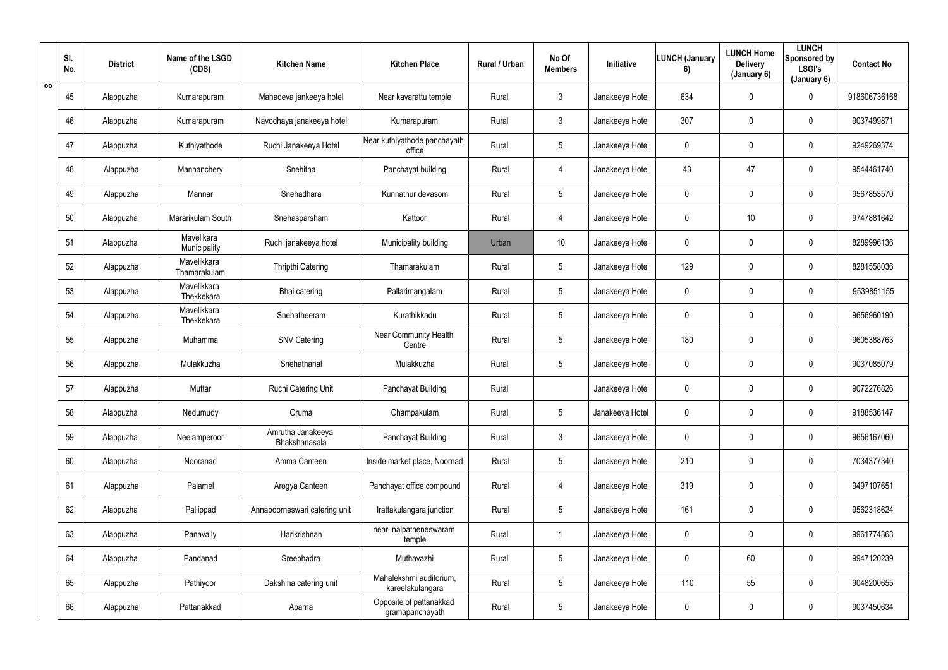| ŌŎ | SI.<br>No. | <b>District</b> | Name of the LSGD<br>(CDS)   | <b>Kitchen Name</b>                | <b>Kitchen Place</b>                        | Rural / Urban | No Of<br><b>Members</b> | Initiative      | <b>LUNCH (January</b><br>6) | <b>LUNCH Home</b><br><b>Delivery</b><br>(January 6) | <b>LUNCH</b><br>Sponsored by<br>LSGI's<br>(January 6) | <b>Contact No</b> |
|----|------------|-----------------|-----------------------------|------------------------------------|---------------------------------------------|---------------|-------------------------|-----------------|-----------------------------|-----------------------------------------------------|-------------------------------------------------------|-------------------|
|    | 45         | Alappuzha       | Kumarapuram                 | Mahadeva jankeeya hotel            | Near kavarattu temple                       | Rural         | $\mathbf{3}$            | Janakeeya Hotel | 634                         | $\mathbf 0$                                         | $\mathbf 0$                                           | 918606736168      |
|    | 46         | Alappuzha       | Kumarapuram                 | Navodhaya janakeeya hotel          | Kumarapuram                                 | Rural         | $\mathbf{3}$            | Janakeeya Hotel | 307                         | $\mathbf 0$                                         | $\overline{0}$                                        | 9037499871        |
|    | 47         | Alappuzha       | Kuthiyathode                | Ruchi Janakeeya Hotel              | Near kuthiyathode panchayath<br>office      | Rural         | 5                       | Janakeeya Hotel | $\mathbf 0$                 | $\mathbf 0$                                         | $\mathbf 0$                                           | 9249269374        |
|    | 48         | Alappuzha       | Mannanchery                 | Snehitha                           | Panchayat building                          | Rural         | 4                       | Janakeeya Hotel | 43                          | 47                                                  | $\overline{0}$                                        | 9544461740        |
|    | 49         | Alappuzha       | Mannar                      | Snehadhara                         | Kunnathur devasom                           | Rural         | $5\phantom{.0}$         | Janakeeya Hotel | $\overline{0}$              | $\mathbf 0$                                         | $\mathbf 0$                                           | 9567853570        |
|    | 50         | Alappuzha       | Mararikulam South           | Snehasparsham                      | Kattoor                                     | Rural         | 4                       | Janakeeya Hotel | $\overline{0}$              | 10                                                  | $\mathbf 0$                                           | 9747881642        |
|    | 51         | Alappuzha       | Mavelikara<br>Municipality  | Ruchi janakeeya hotel              | Municipality building                       | Urban         | 10                      | Janakeeya Hotel | $\mathbf 0$                 | $\mathbf 0$                                         | $\mathbf 0$                                           | 8289996136        |
|    | 52         | Alappuzha       | Mavelikkara<br>Thamarakulam | Thripthi Catering                  | Thamarakulam                                | Rural         | 5                       | Janakeeya Hotel | 129                         | $\mathbf 0$                                         | $\overline{0}$                                        | 8281558036        |
|    | 53         | Alappuzha       | Mavelikkara<br>Thekkekara   | Bhai catering                      | Pallarimangalam                             | Rural         | 5                       | Janakeeya Hotel | $\mathbf 0$                 | $\mathbf 0$                                         | $\overline{0}$                                        | 9539851155        |
|    | 54         | Alappuzha       | Mavelikkara<br>Thekkekara   | Snehatheeram                       | Kurathikkadu                                | Rural         | 5                       | Janakeeya Hotel | $\mathbf 0$                 | $\mathbf 0$                                         | $\overline{0}$                                        | 9656960190        |
|    | 55         | Alappuzha       | Muhamma                     | <b>SNV Catering</b>                | <b>Near Community Health</b><br>Centre      | Rural         | $5\overline{)}$         | Janakeeya Hotel | 180                         | $\mathbf 0$                                         | $\mathbf 0$                                           | 9605388763        |
|    | 56         | Alappuzha       | Mulakkuzha                  | Snehathanal                        | Mulakkuzha                                  | Rural         | 5                       | Janakeeya Hotel | $\mathbf 0$                 | $\mathbf 0$                                         | $\overline{0}$                                        | 9037085079        |
|    | 57         | Alappuzha       | Muttar                      | Ruchi Catering Unit                | Panchayat Building                          | Rural         |                         | Janakeeya Hotel | $\mathbf 0$                 | $\mathbf 0$                                         | $\overline{0}$                                        | 9072276826        |
|    | 58         | Alappuzha       | Nedumudy                    | Oruma                              | Champakulam                                 | Rural         | 5                       | Janakeeya Hotel | $\mathbf 0$                 | $\pmb{0}$                                           | $\mathbf 0$                                           | 9188536147        |
|    | 59         | Alappuzha       | Neelamperoor                | Amrutha Janakeeya<br>Bhakshanasala | Panchayat Building                          | Rural         | $\mathbf{3}$            | Janakeeya Hotel | $\mathbf 0$                 | 0                                                   | $\mathbf 0$                                           | 9656167060        |
|    | 60         | Alappuzha       | Nooranad                    | Amma Canteen                       | Inside market place, Noornad                | Rural         | $5\phantom{.0}$         | Janakeeya Hotel | 210                         | $\pmb{0}$                                           | $\mathbf 0$                                           | 7034377340        |
|    | 61         | Alappuzha       | Palamel                     | Arogya Canteen                     | Panchayat office compound                   | Rural         | $\overline{4}$          | Janakeeya Hotel | 319                         | $\mathbf 0$                                         | $\mathbf 0$                                           | 9497107651        |
|    | 62         | Alappuzha       | Pallippad                   | Annapoorneswari catering unit      | Irattakulangara junction                    | Rural         | 5                       | Janakeeya Hotel | 161                         | 0                                                   | $\mathbf 0$                                           | 9562318624        |
|    | 63         | Alappuzha       | Panavally                   | Harikrishnan                       | near nalpatheneswaram<br>temple             | Rural         | 1                       | Janakeeya Hotel | $\mathbf 0$                 | $\pmb{0}$                                           | $\mathbf 0$                                           | 9961774363        |
|    | 64         | Alappuzha       | Pandanad                    | Sreebhadra                         | Muthavazhi                                  | Rural         | $5\phantom{.0}$         | Janakeeya Hotel | $\mathbf 0$                 | 60                                                  | $\overline{0}$                                        | 9947120239        |
|    | 65         | Alappuzha       | Pathiyoor                   | Dakshina catering unit             | Mahalekshmi auditorium,<br>kareelakulangara | Rural         | $5\phantom{.0}$         | Janakeeya Hotel | 110                         | 55                                                  | $\mathbf 0$                                           | 9048200655        |
|    | 66         | Alappuzha       | Pattanakkad                 | Aparna                             | Opposite of pattanakkad<br>gramapanchayath  | Rural         | $5\phantom{.0}$         | Janakeeya Hotel | $\mathbf 0$                 | 0                                                   | $\overline{0}$                                        | 9037450634        |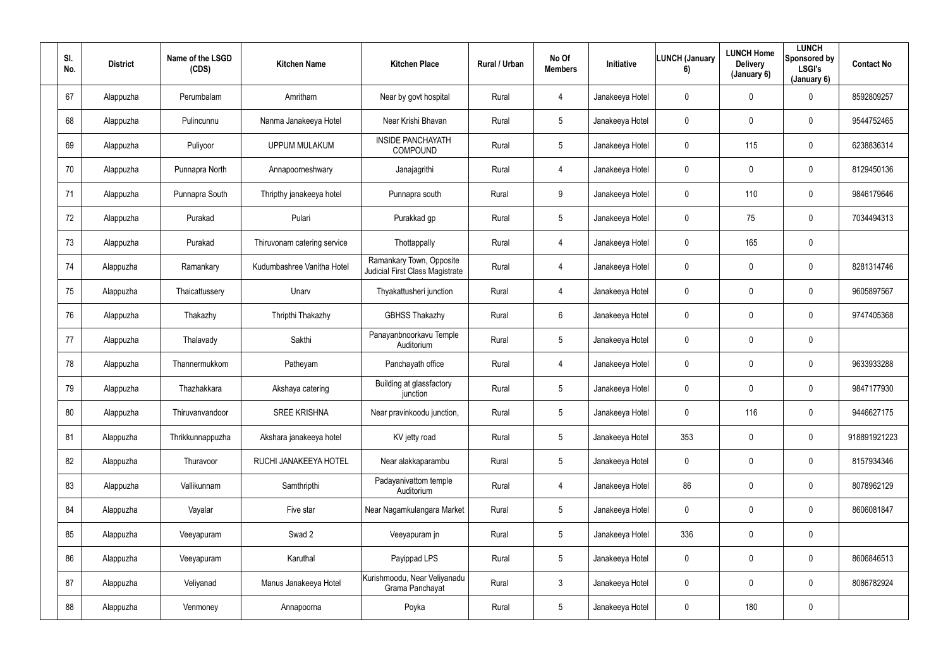| SI.<br>No. | <b>District</b> | Name of the LSGD<br>(CDS) | <b>Kitchen Name</b>         | <b>Kitchen Place</b>                                        | Rural / Urban | No Of<br><b>Members</b> | Initiative      | <b>LUNCH (January</b><br>6) | <b>LUNCH Home</b><br><b>Delivery</b><br>(January 6) | <b>LUNCH</b><br>Sponsored by<br><b>LSGI's</b><br>(January 6) | <b>Contact No</b> |
|------------|-----------------|---------------------------|-----------------------------|-------------------------------------------------------------|---------------|-------------------------|-----------------|-----------------------------|-----------------------------------------------------|--------------------------------------------------------------|-------------------|
| 67         | Alappuzha       | Perumbalam                | Amritham                    | Near by govt hospital                                       | Rural         | 4                       | Janakeeya Hotel | $\mathbf 0$                 | $\mathbf 0$                                         | $\mathbf 0$                                                  | 8592809257        |
| 68         | Alappuzha       | Pulincunnu                | Nanma Janakeeya Hotel       | Near Krishi Bhavan                                          | Rural         | $5\phantom{.0}$         | Janakeeya Hotel | $\mathbf 0$                 | $\mathbf 0$                                         | $\mathbf 0$                                                  | 9544752465        |
| 69         | Alappuzha       | Puliyoor                  | <b>UPPUM MULAKUM</b>        | <b>INSIDE PANCHAYATH</b><br><b>COMPOUND</b>                 | Rural         | 5                       | Janakeeya Hotel | $\mathbf 0$                 | 115                                                 | $\mathbf 0$                                                  | 6238836314        |
| 70         | Alappuzha       | Punnapra North            | Annapoorneshwary            | Janajagrithi                                                | Rural         | 4                       | Janakeeya Hotel | $\overline{0}$              | $\mathbf 0$                                         | $\overline{0}$                                               | 8129450136        |
| 71         | Alappuzha       | Punnapra South            | Thripthy janakeeya hotel    | Punnapra south                                              | Rural         | 9                       | Janakeeya Hotel | $\overline{0}$              | 110                                                 | $\mathbf 0$                                                  | 9846179646        |
| 72         | Alappuzha       | Purakad                   | Pulari                      | Purakkad gp                                                 | Rural         | 5                       | Janakeeya Hotel | $\overline{0}$              | 75                                                  | $\mathbf 0$                                                  | 7034494313        |
| 73         | Alappuzha       | Purakad                   | Thiruvonam catering service | Thottappally                                                | Rural         | 4                       | Janakeeya Hotel | $\overline{0}$              | 165                                                 | $\mathbf 0$                                                  |                   |
| 74         | Alappuzha       | Ramankary                 | Kudumbashree Vanitha Hotel  | Ramankary Town, Opposite<br>Judicial First Class Magistrate | Rural         | 4                       | Janakeeya Hotel | $\mathbf 0$                 | $\mathbf 0$                                         | $\mathbf 0$                                                  | 8281314746        |
| 75         | Alappuzha       | Thaicattussery            | Unarv                       | Thyakattusheri junction                                     | Rural         | 4                       | Janakeeya Hotel | $\mathbf 0$                 | $\mathbf 0$                                         | $\overline{0}$                                               | 9605897567        |
| 76         | Alappuzha       | Thakazhy                  | Thripthi Thakazhy           | <b>GBHSS Thakazhy</b>                                       | Rural         | 6                       | Janakeeya Hotel | $\mathbf 0$                 | $\mathbf 0$                                         | $\overline{0}$                                               | 9747405368        |
| 77         | Alappuzha       | Thalavady                 | Sakthi                      | Panayanbnoorkavu Temple<br>Auditorium                       | Rural         | $5\phantom{.0}$         | Janakeeya Hotel | $\mathbf 0$                 | $\mathbf 0$                                         | $\overline{0}$                                               |                   |
| 78         | Alappuzha       | Thannermukkom             | Patheyam                    | Panchayath office                                           | Rural         | 4                       | Janakeeya Hotel | $\overline{0}$              | $\mathbf 0$                                         | $\mathbf 0$                                                  | 9633933288        |
| 79         | Alappuzha       | Thazhakkara               | Akshaya catering            | Building at glassfactory<br>junction                        | Rural         | 5                       | Janakeeya Hotel | $\overline{0}$              | $\mathbf 0$                                         | $\overline{0}$                                               | 9847177930        |
| 80         | Alappuzha       | Thiruvanvandoor           | <b>SREE KRISHNA</b>         | Near pravinkoodu junction,                                  | Rural         | 5                       | Janakeeya Hotel | $\mathbf 0$                 | 116                                                 | $\mathbf 0$                                                  | 9446627175        |
| 81         | Alappuzha       | Thrikkunnappuzha          | Akshara janakeeya hotel     | KV jetty road                                               | Rural         | $5\phantom{.0}$         | Janakeeya Hotel | 353                         | $\mathbf 0$                                         | $\mathbf 0$                                                  | 918891921223      |
| 82         | Alappuzha       | Thuravoor                 | RUCHI JANAKEEYA HOTEL       | Near alakkaparambu                                          | Rural         | $5\phantom{.0}$         | Janakeeya Hotel | $\mathbf 0$                 | $\pmb{0}$                                           | $\mathbf 0$                                                  | 8157934346        |
| 83         | Alappuzha       | Vallikunnam               | Samthripthi                 | Padayanivattom temple<br>Auditorium                         | Rural         | $\overline{4}$          | Janakeeya Hotel | 86                          | $\mathbf 0$                                         | $\mathbf 0$                                                  | 8078962129        |
| 84         | Alappuzha       | Vayalar                   | Five star                   | Near Nagamkulangara Market                                  | Rural         | $5\phantom{.0}$         | Janakeeya Hotel | $\mathbf 0$                 | $\pmb{0}$                                           | $\mathbf 0$                                                  | 8606081847        |
| 85         | Alappuzha       | Veeyapuram                | Swad 2                      | Veeyapuram jn                                               | Rural         | 5                       | Janakeeya Hotel | 336                         | $\pmb{0}$                                           | $\mathbf 0$                                                  |                   |
| 86         | Alappuzha       | Veeyapuram                | Karuthal                    | Payippad LPS                                                | Rural         | $5\phantom{.0}$         | Janakeeya Hotel | $\mathbf 0$                 | $\pmb{0}$                                           | $\mathbf 0$                                                  | 8606846513        |
| 87         | Alappuzha       | Veliyanad                 | Manus Janakeeya Hotel       | Kurishmoodu, Near Veliyanadu<br>Grama Panchayat             | Rural         | $\mathbf{3}$            | Janakeeya Hotel | $\mathbf 0$                 | $\pmb{0}$                                           | $\mathbf 0$                                                  | 8086782924        |
| 88         | Alappuzha       | Venmoney                  | Annapoorna                  | Poyka                                                       | Rural         | $5\phantom{.0}$         | Janakeeya Hotel | $\mathbf 0$                 | 180                                                 | $\mathbf 0$                                                  |                   |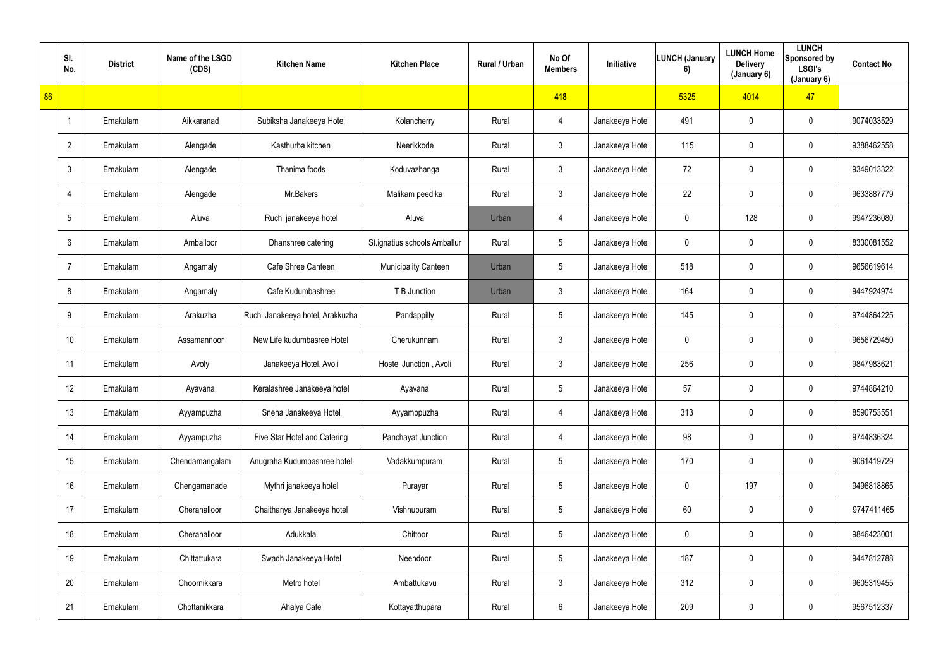|    | SI.<br>No.     | <b>District</b> | Name of the LSGD<br>(CDS) | <b>Kitchen Name</b>              | <b>Kitchen Place</b>         | Rural / Urban | No Of<br><b>Members</b> | Initiative      | <b>LUNCH (January</b><br>6) | <b>LUNCH Home</b><br><b>Delivery</b><br>(January 6) | <b>LUNCH</b><br>Sponsored by<br><b>LSGI's</b><br>(January 6) | <b>Contact No</b> |
|----|----------------|-----------------|---------------------------|----------------------------------|------------------------------|---------------|-------------------------|-----------------|-----------------------------|-----------------------------------------------------|--------------------------------------------------------------|-------------------|
| 86 |                |                 |                           |                                  |                              |               | 418                     |                 | 5325                        | 4014                                                | 47                                                           |                   |
|    | -1             | Ernakulam       | Aikkaranad                | Subiksha Janakeeya Hotel         | Kolancherry                  | Rural         | 4                       | Janakeeya Hotel | 491                         | $\mathbf 0$                                         | $\mathbf 0$                                                  | 9074033529        |
|    | $\overline{2}$ | Ernakulam       | Alengade                  | Kasthurba kitchen                | Neerikkode                   | Rural         | $\mathfrak{Z}$          | Janakeeya Hotel | 115                         | $\mathbf 0$                                         | $\mathbf 0$                                                  | 9388462558        |
|    | $\mathbf{3}$   | Ernakulam       | Alengade                  | Thanima foods                    | Koduvazhanga                 | Rural         | $\mathbf{3}$            | Janakeeya Hotel | 72                          | $\mathbf 0$                                         | $\mathbf 0$                                                  | 9349013322        |
|    | 4              | Ernakulam       | Alengade                  | Mr.Bakers                        | Malikam peedika              | Rural         | $\mathbf{3}$            | Janakeeya Hotel | 22                          | $\mathbf 0$                                         | $\mathbf 0$                                                  | 9633887779        |
|    | 5              | Ernakulam       | Aluva                     | Ruchi janakeeya hotel            | Aluva                        | Urban         | 4                       | Janakeeya Hotel | $\mathbf 0$                 | 128                                                 | $\mathbf 0$                                                  | 9947236080        |
|    | 6              | Ernakulam       | Amballoor                 | Dhanshree catering               | St.ignatius schools Amballur | Rural         | $5\phantom{.0}$         | Janakeeya Hotel | $\overline{0}$              | $\mathbf 0$                                         | $\overline{0}$                                               | 8330081552        |
|    | $\overline{7}$ | Ernakulam       | Angamaly                  | Cafe Shree Canteen               | Municipality Canteen         | Urban         | $5\phantom{.0}$         | Janakeeya Hotel | 518                         | $\mathbf 0$                                         | $\mathbf 0$                                                  | 9656619614        |
|    | 8              | Ernakulam       | Angamaly                  | Cafe Kudumbashree                | T B Junction                 | Urban         | 3                       | Janakeeya Hotel | 164                         | $\mathbf 0$                                         | $\mathbf 0$                                                  | 9447924974        |
|    | 9              | Ernakulam       | Arakuzha                  | Ruchi Janakeeya hotel, Arakkuzha | Pandappilly                  | Rural         | $5\phantom{.0}$         | Janakeeya Hotel | 145                         | $\mathbf 0$                                         | $\mathbf 0$                                                  | 9744864225        |
|    | 10             | Ernakulam       | Assamannoor               | New Life kudumbasree Hotel       | Cherukunnam                  | Rural         | $\mathbf{3}$            | Janakeeya Hotel | $\mathbf 0$                 | $\mathbf 0$                                         | $\mathbf 0$                                                  | 9656729450        |
|    | 11             | Ernakulam       | Avoly                     | Janakeeya Hotel, Avoli           | Hostel Junction, Avoli       | Rural         | 3 <sup>1</sup>          | Janakeeya Hotel | 256                         | $\mathbf 0$                                         | $\mathbf 0$                                                  | 9847983621        |
|    | 12             | Ernakulam       | Ayavana                   | Keralashree Janakeeya hotel      | Ayavana                      | Rural         | $5\phantom{.0}$         | Janakeeya Hotel | 57                          | $\mathbf 0$                                         | $\mathbf 0$                                                  | 9744864210        |
|    | 13             | Ernakulam       | Ayyampuzha                | Sneha Janakeeya Hotel            | Ayyamppuzha                  | Rural         | $\overline{4}$          | Janakeeya Hotel | 313                         | $\pmb{0}$                                           | $\overline{0}$                                               | 8590753551        |
|    | 14             | Ernakulam       | Ayyampuzha                | Five Star Hotel and Catering     | Panchayat Junction           | Rural         | 4                       | Janakeeya Hotel | 98                          | 0                                                   | $\overline{0}$                                               | 9744836324        |
|    | 15             | Ernakulam       | Chendamangalam            | Anugraha Kudumbashree hotel      | Vadakkumpuram                | Rural         | $5\phantom{.0}$         | Janakeeya Hotel | 170                         | $\pmb{0}$                                           | $\overline{0}$                                               | 9061419729        |
|    | 16             | Ernakulam       | Chengamanade              | Mythri janakeeya hotel           | Purayar                      | Rural         | $5\phantom{.0}$         | Janakeeya Hotel | $\mathbf 0$                 | 197                                                 | $\overline{0}$                                               | 9496818865        |
|    | 17             | Ernakulam       | Cheranalloor              | Chaithanya Janakeeya hotel       | Vishnupuram                  | Rural         | $5\phantom{.0}$         | Janakeeya Hotel | 60                          | 0                                                   | $\overline{0}$                                               | 9747411465        |
|    | 18             | Ernakulam       | Cheranalloor              | Adukkala                         | Chittoor                     | Rural         | $5\phantom{.0}$         | Janakeeya Hotel | $\mathbf 0$                 | $\pmb{0}$                                           | $\overline{0}$                                               | 9846423001        |
|    | 19             | Ernakulam       | Chittattukara             | Swadh Janakeeya Hotel            | Neendoor                     | Rural         | $5\phantom{.0}$         | Janakeeya Hotel | 187                         | $\pmb{0}$                                           | $\overline{0}$                                               | 9447812788        |
|    | 20             | Ernakulam       | Choornikkara              | Metro hotel                      | Ambattukavu                  | Rural         | $\mathbf{3}$            | Janakeeya Hotel | 312                         | 0                                                   | $\overline{0}$                                               | 9605319455        |
|    | 21             | Ernakulam       | Chottanikkara             | Ahalya Cafe                      | Kottayatthupara              | Rural         | 6                       | Janakeeya Hotel | 209                         | 0                                                   | $\overline{0}$                                               | 9567512337        |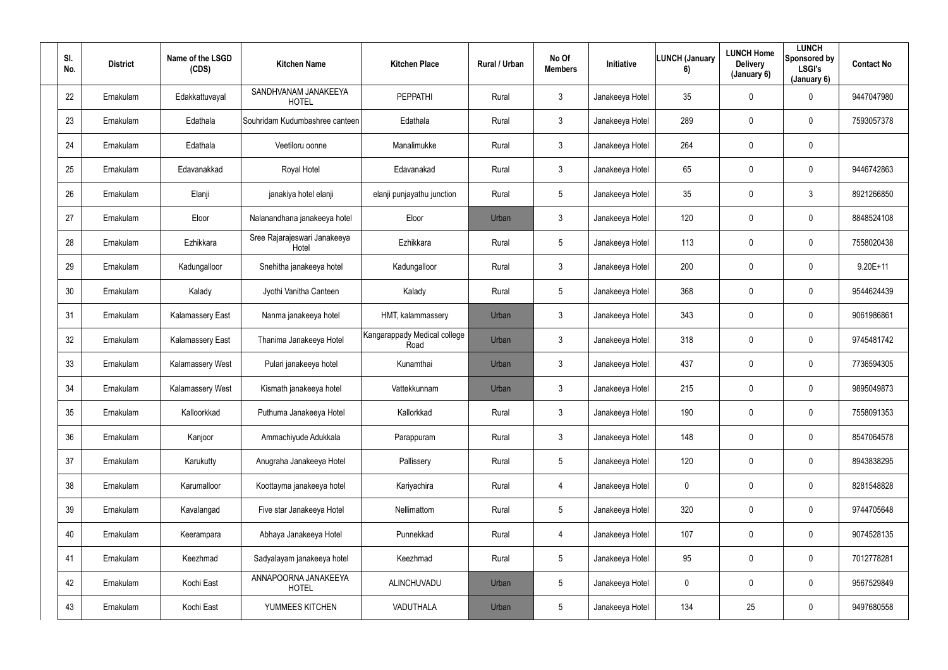| SI.<br>No. | <b>District</b> | Name of the LSGD<br>(CDS) | <b>Kitchen Name</b>                   | <b>Kitchen Place</b>                 | Rural / Urban | No Of<br><b>Members</b> | Initiative      | <b>LUNCH (January</b><br>6) | <b>LUNCH Home</b><br><b>Delivery</b><br>(January 6) | <b>LUNCH</b><br>Sponsored by<br><b>LSGI's</b><br>(January 6) | <b>Contact No</b> |
|------------|-----------------|---------------------------|---------------------------------------|--------------------------------------|---------------|-------------------------|-----------------|-----------------------------|-----------------------------------------------------|--------------------------------------------------------------|-------------------|
| 22         | Ernakulam       | Edakkattuvayal            | SANDHVANAM JANAKEEYA<br><b>HOTEL</b>  | PEPPATHI                             | Rural         | $\mathbf{3}$            | Janakeeya Hotel | 35                          | $\mathbf 0$                                         | $\mathbf 0$                                                  | 9447047980        |
| 23         | Ernakulam       | Edathala                  | Souhridam Kudumbashree canteen        | Edathala                             | Rural         | $\mathbf{3}$            | Janakeeya Hotel | 289                         | 0                                                   | $\overline{0}$                                               | 7593057378        |
| 24         | Ernakulam       | Edathala                  | Veetiloru oonne                       | Manalimukke                          | Rural         | $\mathbf{3}$            | Janakeeya Hotel | 264                         | 0                                                   | $\mathbf 0$                                                  |                   |
| 25         | Ernakulam       | Edavanakkad               | Royal Hotel                           | Edavanakad                           | Rural         | $\mathbf{3}$            | Janakeeya Hotel | 65                          | 0                                                   | $\overline{0}$                                               | 9446742863        |
| 26         | Ernakulam       | Elanji                    | janakiya hotel elanji                 | elanji punjayathu junction           | Rural         | $5\overline{)}$         | Janakeeya Hotel | 35                          | 0                                                   | $\mathbf{3}$                                                 | 8921266850        |
| 27         | Ernakulam       | Eloor                     | Nalanandhana janakeeya hotel          | Eloor                                | Urban         | $\mathbf{3}$            | Janakeeya Hotel | 120                         | 0                                                   | $\mathbf 0$                                                  | 8848524108        |
| 28         | Ernakulam       | Ezhikkara                 | Sree Rajarajeswari Janakeeya<br>Hotel | Ezhikkara                            | Rural         | $5\phantom{.0}$         | Janakeeya Hotel | 113                         | 0                                                   | $\mathbf 0$                                                  | 7558020438        |
| 29         | Ernakulam       | Kadungalloor              | Snehitha janakeeya hotel              | Kadungalloor                         | Rural         | $\mathbf{3}$            | Janakeeya Hotel | 200                         | 0                                                   | $\overline{0}$                                               | 9.20E+11          |
| 30         | Ernakulam       | Kalady                    | Jyothi Vanitha Canteen                | Kalady                               | Rural         | $5\phantom{.0}$         | Janakeeya Hotel | 368                         | 0                                                   | $\overline{0}$                                               | 9544624439        |
| 31         | Ernakulam       | <b>Kalamassery East</b>   | Nanma janakeeya hotel                 | HMT, kalammassery                    | Urban         | $\mathbf{3}$            | Janakeeya Hotel | 343                         | 0                                                   | $\overline{0}$                                               | 9061986861        |
| 32         | Ernakulam       | Kalamassery East          | Thanima Janakeeya Hotel               | Kangarappady Medical college<br>Road | Urban         | $\mathbf{3}$            | Janakeeya Hotel | 318                         | 0                                                   | $\mathbf 0$                                                  | 9745481742        |
| 33         | Ernakulam       | Kalamassery West          | Pulari janakeeya hotel                | Kunamthai                            | Urban         | $\mathbf{3}$            | Janakeeya Hotel | 437                         | $\mathbf 0$                                         | $\mathbf 0$                                                  | 7736594305        |
| 34         | Ernakulam       | Kalamassery West          | Kismath janakeeya hotel               | Vattekkunnam                         | Urban         | $\mathbf{3}$            | Janakeeya Hotel | 215                         | 0                                                   | $\overline{0}$                                               | 9895049873        |
| 35         | Ernakulam       | Kalloorkkad               | Puthuma Janakeeya Hotel               | Kallorkkad                           | Rural         | $\mathbf{3}$            | Janakeeya Hotel | 190                         | 0                                                   | $\mathbf 0$                                                  | 7558091353        |
| 36         | Ernakulam       | Kanjoor                   | Ammachiyude Adukkala                  | Parappuram                           | Rural         | $\mathbf{3}$            | Janakeeya Hotel | 148                         | 0                                                   | $\mathbf 0$                                                  | 8547064578        |
| 37         | Ernakulam       | Karukutty                 | Anugraha Janakeeya Hotel              | Pallissery                           | Rural         | $5\overline{)}$         | Janakeeya Hotel | 120                         | 0                                                   | $\mathbf 0$                                                  | 8943838295        |
| 38         | Ernakulam       | Karumalloor               | Koottayma janakeeya hotel             | Kariyachira                          | Rural         | $\overline{4}$          | Janakeeya Hotel | $\pmb{0}$                   | $\mathbf 0$                                         | $\mathbf 0$                                                  | 8281548828        |
| 39         | Ernakulam       | Kavalangad                | Five star Janakeeya Hotel             | Nellimattom                          | Rural         | $5\phantom{.0}$         | Janakeeya Hotel | 320                         | 0                                                   | $\mathbf 0$                                                  | 9744705648        |
| 40         | Ernakulam       | Keerampara                | Abhaya Janakeeya Hotel                | Punnekkad                            | Rural         | $\overline{4}$          | Janakeeya Hotel | 107                         | $\mathbf 0$                                         | $\mathbf 0$                                                  | 9074528135        |
| 41         | Ernakulam       | Keezhmad                  | Sadyalayam janakeeya hotel            | Keezhmad                             | Rural         | $5\phantom{.0}$         | Janakeeya Hotel | 95                          | 0                                                   | $\mathbf 0$                                                  | 7012778281        |
| 42         | Ernakulam       | Kochi East                | ANNAPOORNA JANAKEEYA<br><b>HOTEL</b>  | ALINCHUVADU                          | Urban         | $5\phantom{.0}$         | Janakeeya Hotel | $\pmb{0}$                   | 0                                                   | $\mathbf 0$                                                  | 9567529849        |
| 43         | Ernakulam       | Kochi East                | YUMMEES KITCHEN                       | VADUTHALA                            | Urban         | $5\overline{)}$         | Janakeeya Hotel | 134                         | 25                                                  | $\overline{0}$                                               | 9497680558        |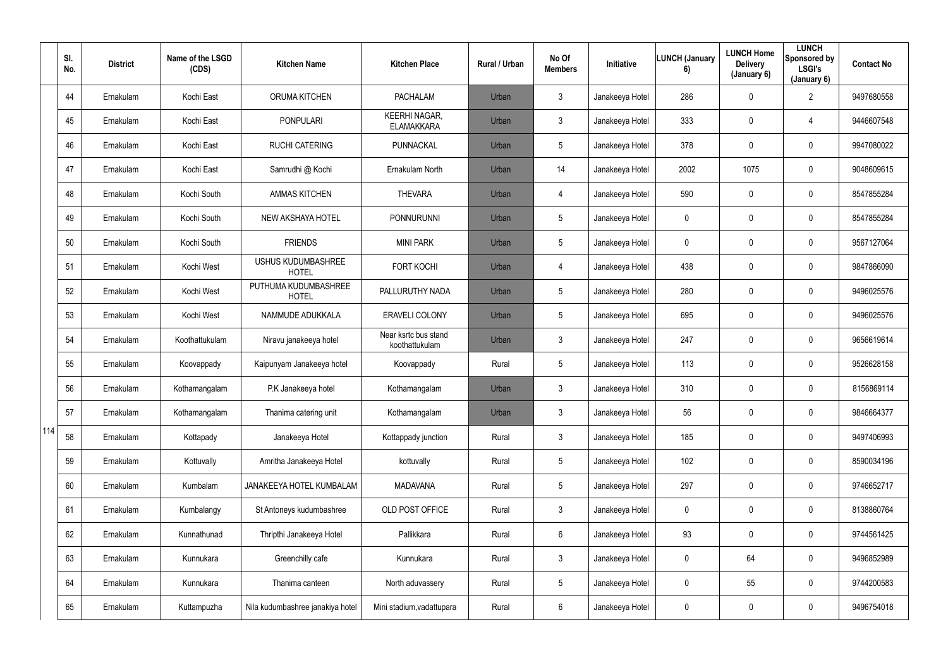|     | SI.<br>No. | <b>District</b> | Name of the LSGD<br>(CDS) | <b>Kitchen Name</b>                       | <b>Kitchen Place</b>                      | Rural / Urban | No Of<br><b>Members</b> | Initiative      | <b>LUNCH (January</b><br>6) | <b>LUNCH Home</b><br><b>Delivery</b><br>(January 6) | <b>LUNCH</b><br>Sponsored by<br><b>LSGI's</b><br>(January 6) | <b>Contact No</b> |
|-----|------------|-----------------|---------------------------|-------------------------------------------|-------------------------------------------|---------------|-------------------------|-----------------|-----------------------------|-----------------------------------------------------|--------------------------------------------------------------|-------------------|
|     | 44         | Ernakulam       | Kochi East                | <b>ORUMA KITCHEN</b>                      | <b>PACHALAM</b>                           | Urban         | $\mathfrak{Z}$          | Janakeeya Hotel | 286                         | $\mathbf 0$                                         | $\overline{2}$                                               | 9497680558        |
|     | 45         | Ernakulam       | Kochi East                | <b>PONPULARI</b>                          | <b>KEERHI NAGAR,</b><br><b>ELAMAKKARA</b> | Urban         | $\mathfrak{Z}$          | Janakeeya Hotel | 333                         | $\mathbf 0$                                         | 4                                                            | 9446607548        |
|     | 46         | Ernakulam       | Kochi East                | <b>RUCHI CATERING</b>                     | <b>PUNNACKAL</b>                          | Urban         | $5\phantom{.0}$         | Janakeeya Hotel | 378                         | $\mathbf 0$                                         | $\mathbf 0$                                                  | 9947080022        |
|     | 47         | Ernakulam       | Kochi East                | Samrudhi @ Kochi                          | Ernakulam North                           | Urban         | 14                      | Janakeeya Hotel | 2002                        | 1075                                                | $\mathbf 0$                                                  | 9048609615        |
|     | 48         | Ernakulam       | Kochi South               | <b>AMMAS KITCHEN</b>                      | <b>THEVARA</b>                            | Urban         | $\overline{4}$          | Janakeeya Hotel | 590                         | $\mathbf 0$                                         | $\mathbf 0$                                                  | 8547855284        |
|     | 49         | Ernakulam       | Kochi South               | <b>NEW AKSHAYA HOTEL</b>                  | <b>PONNURUNNI</b>                         | Urban         | $5\phantom{.0}$         | Janakeeya Hotel | $\mathbf 0$                 | $\mathbf 0$                                         | $\mathbf 0$                                                  | 8547855284        |
|     | 50         | Ernakulam       | Kochi South               | <b>FRIENDS</b>                            | <b>MINI PARK</b>                          | Urban         | $5\phantom{.0}$         | Janakeeya Hotel | $\overline{0}$              | $\mathbf 0$                                         | $\mathbf 0$                                                  | 9567127064        |
|     | 51         | Ernakulam       | Kochi West                | <b>USHUS KUDUMBASHREE</b><br><b>HOTEL</b> | <b>FORT KOCHI</b>                         | Urban         | $\overline{4}$          | Janakeeya Hotel | 438                         | $\mathbf 0$                                         | $\mathbf 0$                                                  | 9847866090        |
|     | 52         | Ernakulam       | Kochi West                | PUTHUMA KUDUMBASHREE<br><b>HOTEL</b>      | PALLURUTHY NADA                           | Urban         | 5                       | Janakeeya Hotel | 280                         | $\mathbf 0$                                         | $\bf{0}$                                                     | 9496025576        |
|     | 53         | Ernakulam       | Kochi West                | NAMMUDE ADUKKALA                          | ERAVELI COLONY                            | Urban         | $5\phantom{.0}$         | Janakeeya Hotel | 695                         | $\mathbf 0$                                         | $\mathbf 0$                                                  | 9496025576        |
|     | 54         | Ernakulam       | Koothattukulam            | Niravu janakeeya hotel                    | Near ksrtc bus stand<br>koothattukulam    | Urban         | $\mathbf{3}$            | Janakeeya Hotel | 247                         | $\mathbf 0$                                         | $\mathbf 0$                                                  | 9656619614        |
|     | 55         | Ernakulam       | Koovappady                | Kaipunyam Janakeeya hotel                 | Koovappady                                | Rural         | $5\phantom{.0}$         | Janakeeya Hotel | 113                         | $\mathbf 0$                                         | $\mathbf 0$                                                  | 9526628158        |
|     | 56         | Ernakulam       | Kothamangalam             | P.K Janakeeya hotel                       | Kothamangalam                             | Urban         | $\mathbf{3}$            | Janakeeya Hotel | 310                         | $\mathbf 0$                                         | $\mathbf 0$                                                  | 8156869114        |
|     | 57         | Ernakulam       | Kothamangalam             | Thanima catering unit                     | Kothamangalam                             | Urban         | 3                       | Janakeeya Hotel | 56                          | 0                                                   | $\mathbf 0$                                                  | 9846664377        |
| 114 | 58         | Ernakulam       | Kottapady                 | Janakeeya Hotel                           | Kottappady junction                       | Rural         | $\mathbf{3}$            | Janakeeya Hotel | 185                         | 0                                                   | $\overline{0}$                                               | 9497406993        |
|     | 59         | Ernakulam       | Kottuvally                | Amritha Janakeeya Hotel                   | kottuvally                                | Rural         | $5\phantom{.0}$         | Janakeeya Hotel | 102                         | 0                                                   | $\overline{0}$                                               | 8590034196        |
|     | 60         | Ernakulam       | Kumbalam                  | JANAKEEYA HOTEL KUMBALAM                  | <b>MADAVANA</b>                           | Rural         | $5\phantom{.0}$         | Janakeeya Hotel | 297                         | 0                                                   | $\overline{0}$                                               | 9746652717        |
|     | 61         | Ernakulam       | Kumbalangy                | St Antoneys kudumbashree                  | OLD POST OFFICE                           | Rural         | $\mathbf{3}$            | Janakeeya Hotel | $\mathbf 0$                 | 0                                                   | $\overline{0}$                                               | 8138860764        |
|     | 62         | Ernakulam       | Kunnathunad               | Thripthi Janakeeya Hotel                  | Pallikkara                                | Rural         | $6\phantom{.}6$         | Janakeeya Hotel | 93                          | 0                                                   | $\overline{0}$                                               | 9744561425        |
|     | 63         | Ernakulam       | Kunnukara                 | Greenchilly cafe                          | Kunnukara                                 | Rural         | $\mathfrak{Z}$          | Janakeeya Hotel | $\mathbf 0$                 | 64                                                  | $\overline{0}$                                               | 9496852989        |
|     | 64         | Ernakulam       | Kunnukara                 | Thanima canteen                           | North aduvassery                          | Rural         | $5\overline{)}$         | Janakeeya Hotel | $\mathbf 0$                 | 55                                                  | $\overline{0}$                                               | 9744200583        |
|     | 65         | Ernakulam       | Kuttampuzha               | Nila kudumbashree janakiya hotel          | Mini stadium, vadattupara                 | Rural         | 6                       | Janakeeya Hotel | $\overline{0}$              | 0                                                   | $\overline{0}$                                               | 9496754018        |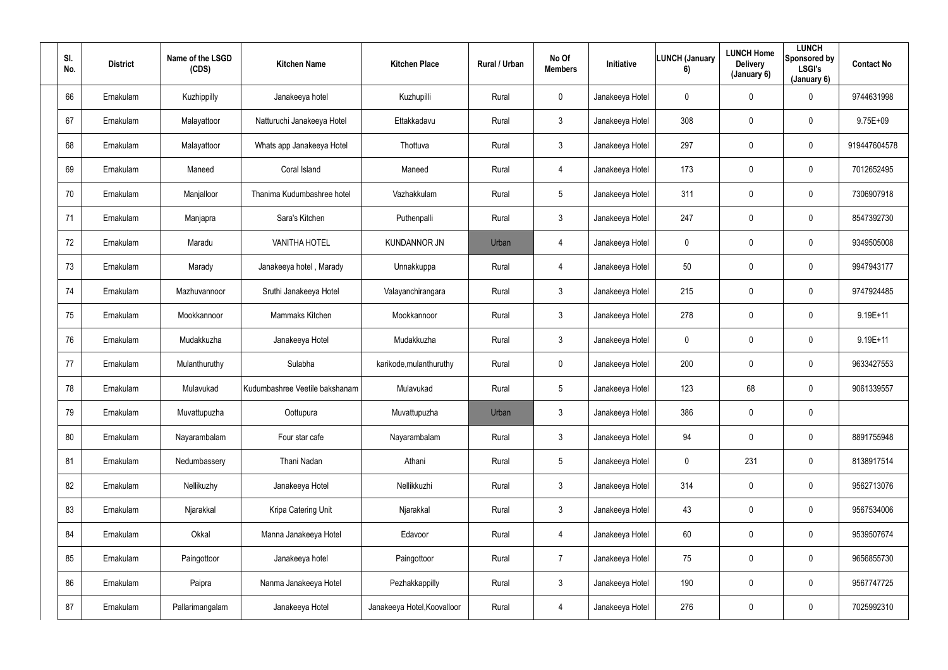| SI.<br>No. | <b>District</b> | Name of the LSGD<br>(CDS) | <b>Kitchen Name</b>            | <b>Kitchen Place</b>        | Rural / Urban | No Of<br><b>Members</b> | Initiative      | <b>LUNCH (January</b><br>6) | <b>LUNCH Home</b><br><b>Delivery</b><br>(January 6) | <b>LUNCH</b><br>Sponsored by<br><b>LSGI's</b><br>(January 6) | <b>Contact No</b> |
|------------|-----------------|---------------------------|--------------------------------|-----------------------------|---------------|-------------------------|-----------------|-----------------------------|-----------------------------------------------------|--------------------------------------------------------------|-------------------|
| 66         | Ernakulam       | Kuzhippilly               | Janakeeya hotel                | Kuzhupilli                  | Rural         | $\mathbf 0$             | Janakeeya Hotel | $\mathbf 0$                 | $\mathbf 0$                                         | $\mathbf 0$                                                  | 9744631998        |
| 67         | Ernakulam       | Malayattoor               | Natturuchi Janakeeya Hotel     | Ettakkadavu                 | Rural         | $\mathbf{3}$            | Janakeeya Hotel | 308                         | 0                                                   | $\mathbf 0$                                                  | 9.75E+09          |
| 68         | Ernakulam       | Malayattoor               | Whats app Janakeeya Hotel      | Thottuva                    | Rural         | $\mathbf{3}$            | Janakeeya Hotel | 297                         | 0                                                   | $\mathbf 0$                                                  | 919447604578      |
| 69         | Ernakulam       | Maneed                    | Coral Island                   | Maneed                      | Rural         | $\overline{4}$          | Janakeeya Hotel | 173                         | 0                                                   | $\overline{0}$                                               | 7012652495        |
| 70         | Ernakulam       | Manjalloor                | Thanima Kudumbashree hotel     | Vazhakkulam                 | Rural         | $5\phantom{.0}$         | Janakeeya Hotel | 311                         | 0                                                   | $\mathbf 0$                                                  | 7306907918        |
| 71         | Ernakulam       | Manjapra                  | Sara's Kitchen                 | Puthenpalli                 | Rural         | $\mathbf{3}$            | Janakeeya Hotel | 247                         | 0                                                   | $\mathbf 0$                                                  | 8547392730        |
| 72         | Ernakulam       | Maradu                    | <b>VANITHA HOTEL</b>           | <b>KUNDANNOR JN</b>         | Urban         | $\overline{4}$          | Janakeeya Hotel | $\mathbf 0$                 | 0                                                   | $\mathbf 0$                                                  | 9349505008        |
| 73         | Ernakulam       | Marady                    | Janakeeya hotel, Marady        | Unnakkuppa                  | Rural         | $\overline{4}$          | Janakeeya Hotel | 50                          | 0                                                   | $\mathbf 0$                                                  | 9947943177        |
| 74         | Ernakulam       | Mazhuvannoor              | Sruthi Janakeeya Hotel         | Valayanchirangara           | Rural         | $\mathbf{3}$            | Janakeeya Hotel | 215                         | 0                                                   | $\overline{0}$                                               | 9747924485        |
| 75         | Ernakulam       | Mookkannoor               | Mammaks Kitchen                | Mookkannoor                 | Rural         | $\mathbf{3}$            | Janakeeya Hotel | 278                         | 0                                                   | $\overline{0}$                                               | 9.19E+11          |
| 76         | Ernakulam       | Mudakkuzha                | Janakeeya Hotel                | Mudakkuzha                  | Rural         | $\mathbf{3}$            | Janakeeya Hotel | $\mathbf 0$                 | 0                                                   | $\mathbf 0$                                                  | $9.19E + 11$      |
| 77         | Ernakulam       | Mulanthuruthy             | Sulabha                        | karikode, mulanthuruthy     | Rural         | $\mathbf 0$             | Janakeeya Hotel | 200                         | 0                                                   | $\mathbf 0$                                                  | 9633427553        |
| 78         | Ernakulam       | Mulavukad                 | Kudumbashree Veetile bakshanam | Mulavukad                   | Rural         | $5\phantom{.0}$         | Janakeeya Hotel | 123                         | 68                                                  | $\overline{0}$                                               | 9061339557        |
| 79         | Ernakulam       | Muvattupuzha              | Oottupura                      | Muvattupuzha                | Urban         | $\mathbf{3}$            | Janakeeya Hotel | 386                         | $\mathbf 0$                                         | $\mathbf 0$                                                  |                   |
| 80         | Ernakulam       | Nayarambalam              | Four star cafe                 | Nayarambalam                | Rural         | $\mathbf{3}$            | Janakeeya Hotel | 94                          | 0                                                   | $\mathbf 0$                                                  | 8891755948        |
| 81         | Ernakulam       | Nedumbassery              | Thani Nadan                    | Athani                      | Rural         | $5\phantom{.0}$         | Janakeeya Hotel | $\pmb{0}$                   | 231                                                 | $\mathbf 0$                                                  | 8138917514        |
| 82         | Ernakulam       | Nellikuzhy                | Janakeeya Hotel                | Nellikkuzhi                 | Rural         | $\mathbf{3}$            | Janakeeya Hotel | 314                         | $\mathbf 0$                                         | $\mathbf 0$                                                  | 9562713076        |
| 83         | Ernakulam       | Njarakkal                 | Kripa Catering Unit            | Njarakkal                   | Rural         | $\mathbf{3}$            | Janakeeya Hotel | 43                          | 0                                                   | $\mathbf 0$                                                  | 9567534006        |
| 84         | Ernakulam       | Okkal                     | Manna Janakeeya Hotel          | Edavoor                     | Rural         | $\overline{4}$          | Janakeeya Hotel | 60                          | 0                                                   | $\mathbf 0$                                                  | 9539507674        |
| 85         | Ernakulam       | Paingottoor               | Janakeeya hotel                | Paingottoor                 | Rural         | $\overline{7}$          | Janakeeya Hotel | 75                          | 0                                                   | $\mathbf 0$                                                  | 9656855730        |
| 86         | Ernakulam       | Paipra                    | Nanma Janakeeya Hotel          | Pezhakkappilly              | Rural         | $\mathbf{3}$            | Janakeeya Hotel | 190                         | 0                                                   | $\mathbf 0$                                                  | 9567747725        |
| 87         | Ernakulam       | Pallarimangalam           | Janakeeya Hotel                | Janakeeya Hotel, Koovalloor | Rural         | $\overline{4}$          | Janakeeya Hotel | 276                         | 0                                                   | $\mathbf 0$                                                  | 7025992310        |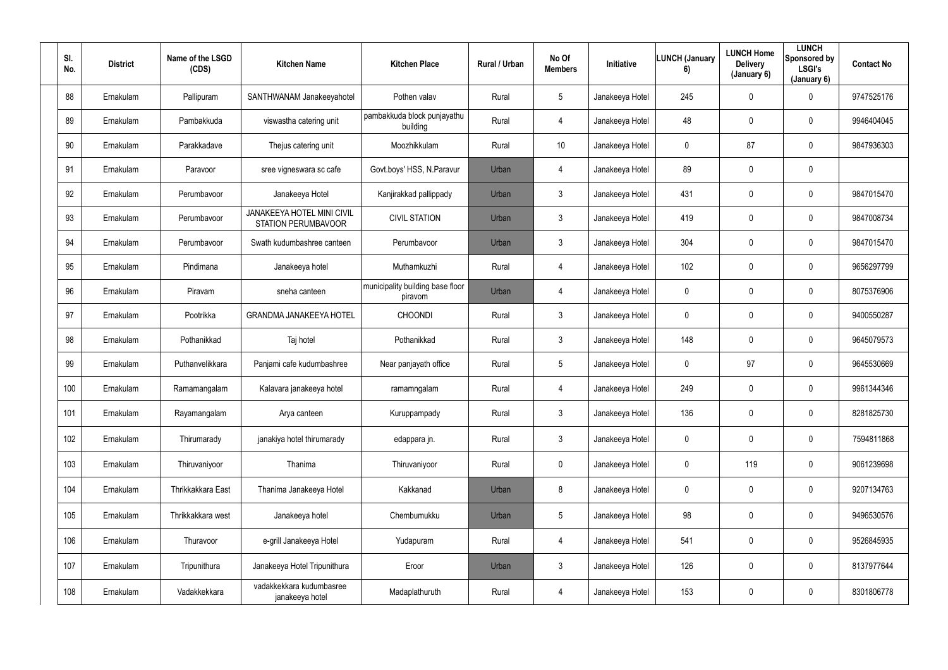| SI.<br>No. | <b>District</b> | Name of the LSGD<br>(CDS) | <b>Kitchen Name</b>                                             | <b>Kitchen Place</b>                        | Rural / Urban | No Of<br><b>Members</b> | Initiative      | <b>LUNCH (January</b><br>6) | <b>LUNCH Home</b><br><b>Delivery</b><br>(January 6) | <b>LUNCH</b><br>Sponsored by<br><b>LSGI's</b><br>(January 6) | <b>Contact No</b> |
|------------|-----------------|---------------------------|-----------------------------------------------------------------|---------------------------------------------|---------------|-------------------------|-----------------|-----------------------------|-----------------------------------------------------|--------------------------------------------------------------|-------------------|
| 88         | Ernakulam       | Pallipuram                | SANTHWANAM Janakeeyahotel                                       | Pothen valav                                | Rural         | $5\overline{)}$         | Janakeeya Hotel | 245                         | $\mathbf 0$                                         | $\mathbf 0$                                                  | 9747525176        |
| 89         | Ernakulam       | Pambakkuda                | viswastha catering unit                                         | pambakkuda block punjayathu<br>building     | Rural         | $\overline{4}$          | Janakeeya Hotel | 48                          | 0                                                   | $\overline{0}$                                               | 9946404045        |
| 90         | Ernakulam       | Parakkadave               | Thejus catering unit                                            | Moozhikkulam                                | Rural         | 10                      | Janakeeya Hotel | $\mathbf 0$                 | 87                                                  | $\overline{0}$                                               | 9847936303        |
| 91         | Ernakulam       | Paravoor                  | sree vigneswara sc cafe                                         | Govt.boys' HSS, N.Paravur                   | Urban         | 4                       | Janakeeya Hotel | 89                          | 0                                                   | $\mathbf 0$                                                  |                   |
| 92         | Ernakulam       | Perumbavoor               | Janakeeya Hotel                                                 | Kanjirakkad pallippady                      | Urban         | $\mathbf{3}$            | Janakeeya Hotel | 431                         | 0                                                   | $\mathbf 0$                                                  | 9847015470        |
| 93         | Ernakulam       | Perumbavoor               | <b>JANAKEEYA HOTEL MINI CIVIL</b><br><b>STATION PERUMBAVOOR</b> | <b>CIVIL STATION</b>                        | Urban         | $\mathbf{3}$            | Janakeeya Hotel | 419                         | 0                                                   | $\mathbf 0$                                                  | 9847008734        |
| 94         | Ernakulam       | Perumbavoor               | Swath kudumbashree canteen                                      | Perumbavoor                                 | Urban         | 3                       | Janakeeya Hotel | 304                         | 0                                                   | $\mathbf 0$                                                  | 9847015470        |
| 95         | Ernakulam       | Pindimana                 | Janakeeya hotel                                                 | Muthamkuzhi                                 | Rural         | 4                       | Janakeeya Hotel | 102                         | 0                                                   | $\mathbf 0$                                                  | 9656297799        |
| 96         | Ernakulam       | Piravam                   | sneha canteen                                                   | municipality building base floor<br>piravom | Urban         | 4                       | Janakeeya Hotel | $\mathbf 0$                 | 0                                                   | $\mathbf 0$                                                  | 8075376906        |
| 97         | Ernakulam       | Pootrikka                 | <b>GRANDMA JANAKEEYA HOTEL</b>                                  | <b>CHOONDI</b>                              | Rural         | $\mathbf{3}$            | Janakeeya Hotel | $\mathbf 0$                 | 0                                                   | $\mathbf 0$                                                  | 9400550287        |
| 98         | Ernakulam       | Pothanikkad               | Taj hotel                                                       | Pothanikkad                                 | Rural         | $3\phantom{.0}$         | Janakeeya Hotel | 148                         | $\mathbf 0$                                         | $\mathbf 0$                                                  | 9645079573        |
| 99         | Ernakulam       | Puthanvelikkara           | Panjami cafe kudumbashree                                       | Near panjayath office                       | Rural         | $5\phantom{.0}$         | Janakeeya Hotel | $\mathbf 0$                 | 97                                                  | $\mathbf 0$                                                  | 9645530669        |
| 100        | Ernakulam       | Ramamangalam              | Kalavara janakeeya hotel                                        | ramamngalam                                 | Rural         | 4                       | Janakeeya Hotel | 249                         | 0                                                   | $\overline{0}$                                               | 9961344346        |
| 101        | Ernakulam       | Rayamangalam              | Arya canteen                                                    | Kuruppampady                                | Rural         | $\mathbf{3}$            | Janakeeya Hotel | 136                         | 0                                                   | $\mathbf 0$                                                  | 8281825730        |
| 102        | Ernakulam       | Thirumarady               | janakiya hotel thirumarady                                      | edappara jn.                                | Rural         | 3 <sup>1</sup>          | Janakeeya Hotel | $\pmb{0}$                   | 0                                                   | $\mathbf 0$                                                  | 7594811868        |
| 103        | Ernakulam       | Thiruvaniyoor             | Thanima                                                         | Thiruvaniyoor                               | Rural         | $\mathbf 0$             | Janakeeya Hotel | $\boldsymbol{0}$            | 119                                                 | $\mathbf 0$                                                  | 9061239698        |
| 104        | Ernakulam       | Thrikkakkara East         | Thanima Janakeeya Hotel                                         | Kakkanad                                    | Urban         | 8                       | Janakeeya Hotel | $\mathbf 0$                 | 0                                                   | $\mathbf 0$                                                  | 9207134763        |
| 105        | Ernakulam       | Thrikkakkara west         | Janakeeya hotel                                                 | Chembumukku                                 | Urban         | $5\overline{)}$         | Janakeeya Hotel | 98                          | 0                                                   | $\mathbf 0$                                                  | 9496530576        |
| 106        | Ernakulam       | Thuravoor                 | e-grill Janakeeya Hotel                                         | Yudapuram                                   | Rural         | $\overline{4}$          | Janakeeya Hotel | 541                         | 0                                                   | $\mathbf 0$                                                  | 9526845935        |
| 107        | Ernakulam       | Tripunithura              | Janakeeya Hotel Tripunithura                                    | Eroor                                       | Urban         | $\mathbf{3}$            | Janakeeya Hotel | 126                         | 0                                                   | $\mathbf 0$                                                  | 8137977644        |
| 108        | Ernakulam       | Vadakkekkara              | vadakkekkara kudumbasree<br>janakeeya hotel                     | Madaplathuruth                              | Rural         | $\overline{4}$          | Janakeeya Hotel | 153                         | 0                                                   | $\mathbf 0$                                                  | 8301806778        |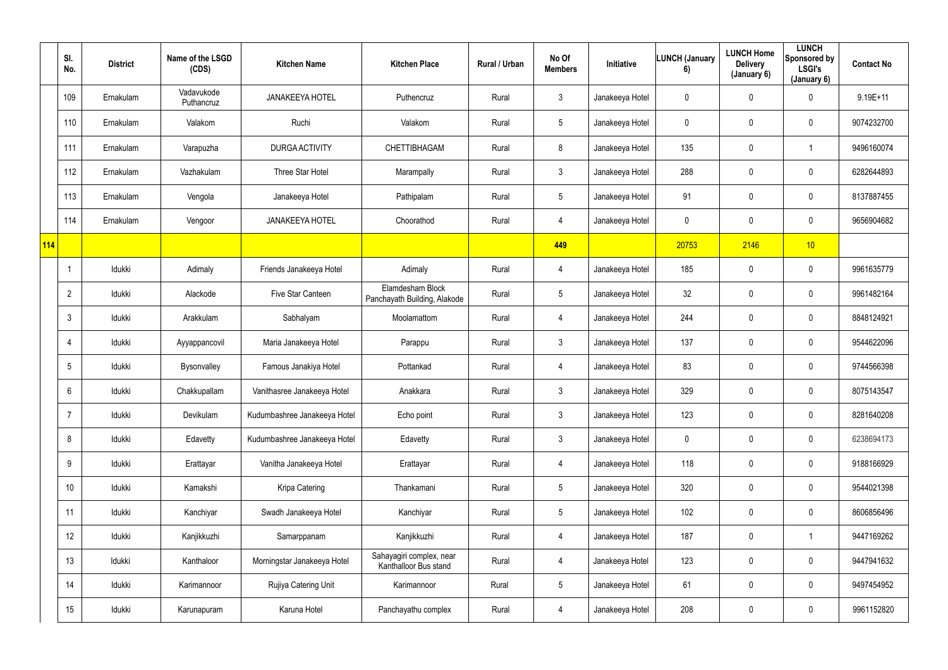|     | SI.<br>No.      | <b>District</b> | Name of the LSGD<br>(CDS) | <b>Kitchen Name</b>          | <b>Kitchen Place</b>                              | Rural / Urban | No Of<br><b>Members</b> | Initiative      | <b>LUNCH (January</b><br>6) | <b>LUNCH Home</b><br><b>Delivery</b><br>(January 6) | <b>LUNCH</b><br>Sponsored by<br><b>LSGI's</b><br>(January 6) | <b>Contact No</b> |
|-----|-----------------|-----------------|---------------------------|------------------------------|---------------------------------------------------|---------------|-------------------------|-----------------|-----------------------------|-----------------------------------------------------|--------------------------------------------------------------|-------------------|
|     | 109             | Ernakulam       | Vadavukode<br>Puthancruz  | <b>JANAKEEYA HOTEL</b>       | Puthencruz                                        | Rural         | 3 <sup>1</sup>          | Janakeeya Hotel | $\mathbf 0$                 | 0                                                   | $\pmb{0}$                                                    | $9.19E + 11$      |
|     | 110             | Ernakulam       | Valakom                   | Ruchi                        | Valakom                                           | Rural         | $5\phantom{.0}$         | Janakeeya Hotel | $\mathbf{0}$                | $\mathbf 0$                                         | $\pmb{0}$                                                    | 9074232700        |
|     | 111             | Ernakulam       | Varapuzha                 | <b>DURGA ACTIVITY</b>        | CHETTIBHAGAM                                      | Rural         | 8                       | Janakeeya Hotel | 135                         | 0                                                   |                                                              | 9496160074        |
|     | 112             | Ernakulam       | Vazhakulam                | Three Star Hotel             | Marampally                                        | Rural         | $\mathfrak{Z}$          | Janakeeya Hotel | 288                         | 0                                                   | $\mathbf 0$                                                  | 6282644893        |
|     | 113             | Ernakulam       | Vengola                   | Janakeeya Hotel              | Pathipalam                                        | Rural         | 5                       | Janakeeya Hotel | 91                          | $\mathbf 0$                                         | $\mathbf 0$                                                  | 8137887455        |
|     | 114             | Ernakulam       | Vengoor                   | <b>JANAKEEYA HOTEL</b>       | Choorathod                                        | Rural         | 4                       | Janakeeya Hotel | $\mathbf 0$                 | 0                                                   | $\mathbf 0$                                                  | 9656904682        |
| 114 |                 |                 |                           |                              |                                                   |               | 449                     |                 | 20753                       | 2146                                                | 10 <sub>1</sub>                                              |                   |
|     |                 | Idukki          | Adimaly                   | Friends Janakeeya Hotel      | Adimaly                                           | Rural         | 4                       | Janakeeya Hotel | 185                         | 0                                                   | $\mathbf 0$                                                  | 9961635779        |
|     | $\overline{2}$  | Idukki          | Alackode                  | Five Star Canteen            | Elamdesham Block<br>Panchayath Building, Alakode  | Rural         | $5\phantom{.0}$         | Janakeeya Hotel | 32                          | 0                                                   | $\pmb{0}$                                                    | 9961482164        |
|     | -3              | Idukki          | Arakkulam                 | Sabhalyam                    | Moolamattom                                       | Rural         | 4                       | Janakeeya Hotel | 244                         | 0                                                   | $\mathbf 0$                                                  | 8848124921        |
|     |                 | Idukki          | Ayyappancovil             | Maria Janakeeya Hotel        | Parappu                                           | Rural         | $\mathfrak{Z}$          | Janakeeya Hotel | 137                         | $\mathbf 0$                                         | $\mathbf 0$                                                  | 9544622096        |
|     | 5               | Idukki          | <b>Bysonvalley</b>        | Famous Janakiya Hotel        | Pottankad                                         | Rural         | 4                       | Janakeeya Hotel | 83                          | $\mathbf 0$                                         | $\mathbf 0$                                                  | 9744566398        |
|     | 6               | Idukki          | Chakkupallam              | Vanithasree Janakeeya Hotel  | Anakkara                                          | Rural         | $\mathfrak{Z}$          | Janakeeya Hotel | 329                         | 0                                                   | $\pmb{0}$                                                    | 8075143547        |
|     |                 | Idukki          | Devikulam                 | Kudumbashree Janakeeya Hotel | Echo point                                        | Rural         | $\mathfrak{Z}$          | Janakeeya Hotel | 123                         | $\mathbf 0$                                         | $\overline{0}$                                               | 8281640208        |
|     | 8               | Idukki          | Edavetty                  | Kudumbashree Janakeeya Hotel | Edavetty                                          | Rural         | $\mathfrak{Z}$          | Janakeeya Hotel | $\mathbf 0$                 | $\pmb{0}$                                           | $\overline{0}$                                               | 6238694173        |
|     | 9               | Idukki          | Erattayar                 | Vanitha Janakeeya Hotel      | Erattayar                                         | Rural         | $\overline{4}$          | Janakeeya Hotel | 118                         | $\pmb{0}$                                           | $\overline{0}$                                               | 9188166929        |
|     | 10 <sup>°</sup> | Idukki          | Kamakshi                  | Kripa Catering               | Thankamani                                        | Rural         | 5 <sup>5</sup>          | Janakeeya Hotel | 320                         | 0                                                   | $\overline{0}$                                               | 9544021398        |
|     | 11              | Idukki          | Kanchiyar                 | Swadh Janakeeya Hotel        | Kanchiyar                                         | Rural         | $5\overline{)}$         | Janakeeya Hotel | 102                         | 0                                                   | $\overline{0}$                                               | 8606856496        |
|     | 12              | Idukki          | Kanjikkuzhi               | Samarppanam                  | Kanjikkuzhi                                       | Rural         | 4                       | Janakeeya Hotel | 187                         | $\mathbf 0$                                         | $\mathbf{1}$                                                 | 9447169262        |
|     | 13              | Idukki          | Kanthaloor                | Morningstar Janakeeya Hotel  | Sahayagiri complex, near<br>Kanthalloor Bus stand | Rural         | 4                       | Janakeeya Hotel | 123                         | 0                                                   | $\overline{0}$                                               | 9447941632        |
|     | 14              | Idukki          | Karimannoor               | Rujiya Catering Unit         | Karimannoor                                       | Rural         | 5 <sub>5</sub>          | Janakeeya Hotel | 61                          | 0                                                   | $\overline{0}$                                               | 9497454952        |
|     | 15              | Idukki          | Karunapuram               | Karuna Hotel                 | Panchayathu complex                               | Rural         | 4                       | Janakeeya Hotel | 208                         | 0                                                   | $\overline{0}$                                               | 9961152820        |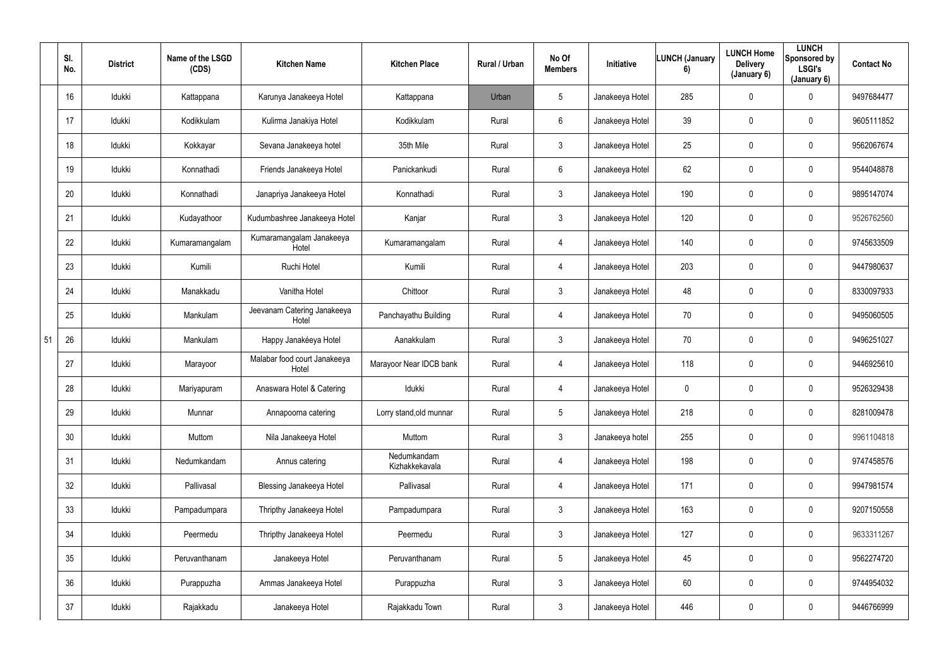|    | SI.<br>No. | <b>District</b> | Name of the LSGD<br>(CDS) | <b>Kitchen Name</b>                   | <b>Kitchen Place</b>          | Rural / Urban | No Of<br><b>Members</b> | <b>Initiative</b> | <b>LUNCH (January</b><br>6) | <b>LUNCH Home</b><br><b>Delivery</b><br>(January 6) | <b>LUNCH</b><br>Sponsored by<br>LSGI's<br>(January 6) | <b>Contact No</b> |
|----|------------|-----------------|---------------------------|---------------------------------------|-------------------------------|---------------|-------------------------|-------------------|-----------------------------|-----------------------------------------------------|-------------------------------------------------------|-------------------|
|    | 16         | Idukki          | Kattappana                | Karunya Janakeeya Hotel               | Kattappana                    | Urban         | $5\phantom{.0}$         | Janakeeya Hotel   | 285                         | 0                                                   | $\mathbf 0$                                           | 9497684477        |
|    | 17         | Idukki          | Kodikkulam                | Kulirma Janakiya Hotel                | Kodikkulam                    | Rural         | $6^{\circ}$             | Janakeeya Hotel   | 39                          | 0                                                   | $\mathbf 0$                                           | 9605111852        |
|    | 18         | Idukki          | Kokkayar                  | Sevana Janakeeya hotel                | 35th Mile                     | Rural         | $3\phantom{.0}$         | Janakeeya Hotel   | 25                          | 0                                                   | $\mathbf 0$                                           | 9562067674        |
|    | 19         | Idukki          | Konnathadi                | Friends Janakeeya Hotel               | Panickankudi                  | Rural         | $6^{\circ}$             | Janakeeya Hotel   | 62                          | 0                                                   | $\mathbf 0$                                           | 9544048878        |
|    | 20         | Idukki          | Konnathadi                | Janapriya Janakeeya Hotel             | Konnathadi                    | Rural         | $3\phantom{.0}$         | Janakeeya Hotel   | 190                         | 0                                                   | $\mathbf 0$                                           | 9895147074        |
|    | 21         | Idukki          | Kudayathoor               | Kudumbashree Janakeeya Hotel          | Kanjar                        | Rural         | $\mathbf{3}$            | Janakeeya Hotel   | 120                         | 0                                                   | $\mathbf 0$                                           | 9526762560        |
|    | 22         | Idukki          | Kumaramangalam            | Kumaramangalam Janakeeya<br>Hotel     | Kumaramangalam                | Rural         | 4                       | Janakeeya Hotel   | 140                         | 0                                                   | $\mathbf 0$                                           | 9745633509        |
|    | 23         | Idukki          | Kumili                    | Ruchi Hotel                           | Kumili                        | Rural         | 4                       | Janakeeya Hotel   | 203                         | 0                                                   | $\mathbf 0$                                           | 9447980637        |
|    | 24         | Idukki          | Manakkadu                 | Vanitha Hotel                         | Chittoor                      | Rural         | $3\phantom{.0}$         | Janakeeya Hotel   | 48                          | 0                                                   | $\mathbf 0$                                           | 8330097933        |
|    | 25         | Idukki          | Mankulam                  | Jeevanam Catering Janakeeya<br>Hotel  | Panchayathu Building          | Rural         | 4                       | Janakeeya Hotel   | 70                          | 0                                                   | $\overline{0}$                                        | 9495060505        |
| 51 | 26         | Idukki          | Mankulam                  | Happy Janakéeya Hotel                 | Aanakkulam                    | Rural         | $\mathbf{3}$            | Janakeeya Hotel   | 70                          | 0                                                   | $\mathbf 0$                                           | 9496251027        |
|    | 27         | Idukki          | Marayoor                  | Malabar food court Janakeeya<br>Hotel | Marayoor Near IDCB bank       | Rural         | 4                       | Janakeeya Hotel   | 118                         | 0                                                   | $\mathbf 0$                                           | 9446925610        |
|    | 28         | Idukki          | Mariyapuram               | Anaswara Hotel & Catering             | Idukki                        | Rural         | 4                       | Janakeeya Hotel   | $\mathbf 0$                 | 0                                                   | $\overline{0}$                                        | 9526329438        |
|    | 29         | Idukki          | Munnar                    | Annapoorna catering                   | Lorry stand, old munnar       | Rural         | $5\phantom{.0}$         | Janakeeya Hotel   | 218                         | $\mathbf 0$                                         | $\mathbf 0$                                           | 8281009478        |
|    | 30         | Idukki          | Muttom                    | Nila Janakeeya Hotel                  | Muttom                        | Rural         | $\mathfrak{Z}$          | Janakeeya hotel   | 255                         | $\mathbf 0$                                         | $\overline{0}$                                        | 9961104818        |
|    | 31         | Idukki          | Nedumkandam               | Annus catering                        | Nedumkandam<br>Kizhakkekavala | Rural         | $\overline{4}$          | Janakeeya Hotel   | 198                         | $\pmb{0}$                                           | $\mathbf 0$                                           | 9747458576        |
|    | 32         | Idukki          | Pallivasal                | <b>Blessing Janakeeya Hotel</b>       | Pallivasal                    | Rural         | $\overline{4}$          | Janakeeya Hotel   | 171                         | $\mathbf 0$                                         | $\mathbf 0$                                           | 9947981574        |
|    | 33         | Idukki          | Pampadumpara              | Thripthy Janakeeya Hotel              | Pampadumpara                  | Rural         | 3 <sup>1</sup>          | Janakeeya Hotel   | 163                         | 0                                                   | $\mathbf 0$                                           | 9207150558        |
|    | 34         | Idukki          | Peermedu                  | Thripthy Janakeeya Hotel              | Peermedu                      | Rural         | 3 <sup>1</sup>          | Janakeeya Hotel   | 127                         | $\mathbf 0$                                         | $\overline{0}$                                        | 9633311267        |
|    | 35         | Idukki          | Peruvanthanam             | Janakeeya Hotel                       | Peruvanthanam                 | Rural         | 5 <sub>5</sub>          | Janakeeya Hotel   | 45                          | $\pmb{0}$                                           | $\mathbf 0$                                           | 9562274720        |
|    | 36         | Idukki          | Purappuzha                | Ammas Janakeeya Hotel                 | Purappuzha                    | Rural         | $\mathfrak{Z}$          | Janakeeya Hotel   | 60                          | 0                                                   | $\mathbf 0$                                           | 9744954032        |
|    | 37         | Idukki          | Rajakkadu                 | Janakeeya Hotel                       | Rajakkadu Town                | Rural         | 3 <sup>1</sup>          | Janakeeya Hotel   | 446                         | 0                                                   | $\overline{0}$                                        | 9446766999        |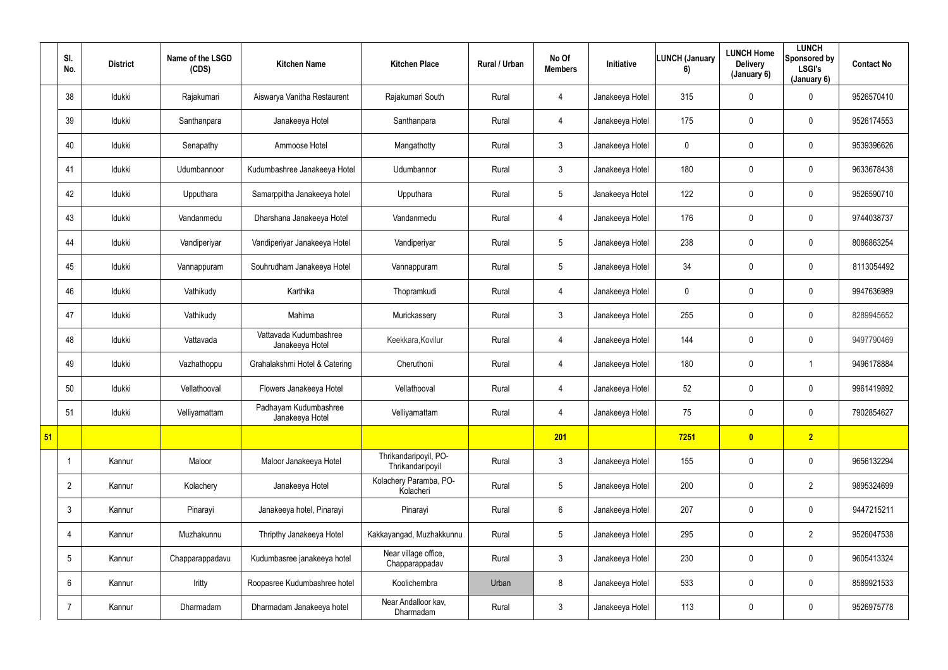|    | SI.<br>No.     | <b>District</b> | Name of the LSGD<br>(CDS) | <b>Kitchen Name</b>                       | <b>Kitchen Place</b>                      | Rural / Urban | No Of<br><b>Members</b> | <b>Initiative</b> | LUNCH (January<br>6) | <b>LUNCH Home</b><br><b>Delivery</b><br>(January 6) | <b>LUNCH</b><br>Sponsored by<br><b>LSGI's</b><br>(January 6) | <b>Contact No</b> |
|----|----------------|-----------------|---------------------------|-------------------------------------------|-------------------------------------------|---------------|-------------------------|-------------------|----------------------|-----------------------------------------------------|--------------------------------------------------------------|-------------------|
|    | 38             | Idukki          | Rajakumari                | Aiswarya Vanitha Restaurent               | Rajakumari South                          | Rural         | 4                       | Janakeeya Hotel   | 315                  | $\mathbf 0$                                         | $\mathbf 0$                                                  | 9526570410        |
|    | 39             | Idukki          | Santhanpara               | Janakeeya Hotel                           | Santhanpara                               | Rural         | 4                       | Janakeeya Hotel   | 175                  | $\overline{0}$                                      | $\mathbf 0$                                                  | 9526174553        |
|    | 40             | Idukki          | Senapathy                 | Ammoose Hotel                             | Mangathotty                               | Rural         | $\mathbf{3}$            | Janakeeya Hotel   | $\mathbf 0$          | $\mathbf 0$                                         | $\overline{0}$                                               | 9539396626        |
|    | 41             | Idukki          | Udumbannoor               | Kudumbashree Janakeeya Hotel              | Udumbannor                                | Rural         | 3                       | Janakeeya Hotel   | 180                  | $\mathbf 0$                                         | $\pmb{0}$                                                    | 9633678438        |
|    | 42             | Idukki          | Upputhara                 | Samarppitha Janakeeya hotel               | Upputhara                                 | Rural         | 5                       | Janakeeya Hotel   | 122                  | $\mathbf 0$                                         | $\mathbf 0$                                                  | 9526590710        |
|    | 43             | Idukki          | Vandanmedu                | Dharshana Janakeeya Hotel                 | Vandanmedu                                | Rural         | 4                       | Janakeeya Hotel   | 176                  | $\mathbf 0$                                         | $\pmb{0}$                                                    | 9744038737        |
|    | 44             | Idukki          | Vandiperiyar              | Vandiperiyar Janakeeya Hotel              | Vandiperiyar                              | Rural         | $5\phantom{.0}$         | Janakeeya Hotel   | 238                  | $\mathbf 0$                                         | $\overline{0}$                                               | 8086863254        |
|    | 45             | Idukki          | Vannappuram               | Souhrudham Janakeeya Hotel                | Vannappuram                               | Rural         | 5                       | Janakeeya Hotel   | 34                   | $\mathbf 0$                                         | $\mathbf 0$                                                  | 8113054492        |
|    | 46             | Idukki          | Vathikudy                 | Karthika                                  | Thopramkudi                               | Rural         | 4                       | Janakeeya Hotel   | $\mathbf 0$          | $\mathbf 0$                                         | $\pmb{0}$                                                    | 9947636989        |
|    | 47             | Idukki          | Vathikudy                 | Mahima                                    | Murickassery                              | Rural         | 3                       | Janakeeya Hotel   | 255                  | $\mathbf 0$                                         | $\pmb{0}$                                                    | 8289945652        |
|    | 48             | Idukki          | Vattavada                 | Vattavada Kudumbashree<br>Janakeeya Hotel | Keekkara, Kovilur                         | Rural         | 4                       | Janakeeya Hotel   | 144                  | $\overline{0}$                                      | $\pmb{0}$                                                    | 9497790469        |
|    | 49             | Idukki          | Vazhathoppu               | Grahalakshmi Hotel & Catering             | Cheruthoni                                | Rural         | 4                       | Janakeeya Hotel   | 180                  | $\mathbf 0$                                         | 1                                                            | 9496178884        |
|    | 50             | Idukki          | Vellathooval              | Flowers Janakeeya Hotel                   | Vellathooval                              | Rural         | 4                       | Janakeeya Hotel   | 52                   | $\mathbf 0$                                         | $\pmb{0}$                                                    | 9961419892        |
|    | 51             | Idukki          | Velliyamattam             | Padhayam Kudumbashree<br>Janakeeya Hotel  | Velliyamattam                             | Rural         | 4                       | Janakeeya Hotel   | 75                   | $\mathbf 0$                                         | $\overline{0}$                                               | 7902854627        |
| 51 |                |                 |                           |                                           |                                           |               | 201                     |                   | 7251                 | $\overline{\mathbf{0}}$                             | 2 <sup>7</sup>                                               |                   |
|    | -1             | Kannur          | Maloor                    | Maloor Janakeeya Hotel                    | Thrikandaripoyil, PO-<br>Thrikandaripoyil | Rural         | $\mathbf{3}$            | Janakeeya Hotel   | 155                  | $\mathbf 0$                                         | $\overline{0}$                                               | 9656132294        |
|    | $\overline{2}$ | Kannur          | Kolachery                 | Janakeeya Hotel                           | Kolachery Paramba, PO-<br>Kolacheri       | Rural         | $5\phantom{.0}$         | Janakeeya Hotel   | 200                  | $\mathbf 0$                                         | $\overline{2}$                                               | 9895324699        |
|    | 3              | Kannur          | Pinarayi                  | Janakeeya hotel, Pinarayi                 | Pinarayi                                  | Rural         | $6\phantom{.0}$         | Janakeeya Hotel   | 207                  | $\pmb{0}$                                           | $\overline{0}$                                               | 9447215211        |
|    | $\overline{4}$ | Kannur          | Muzhakunnu                | Thripthy Janakeeya Hotel                  | Kakkayangad, Muzhakkunnu                  | Rural         | $5\phantom{.0}$         | Janakeeya Hotel   | 295                  | $\mathbf 0$                                         | $\overline{2}$                                               | 9526047538        |
|    | 5              | Kannur          | Chapparappadavu           | Kudumbasree janakeeya hotel               | Near village office,<br>Chapparappadav    | Rural         | 3 <sup>1</sup>          | Janakeeya Hotel   | 230                  | $\pmb{0}$                                           | $\overline{0}$                                               | 9605413324        |
|    | 6              | Kannur          | Iritty                    | Roopasree Kudumbashree hotel              | Koolichembra                              | Urban         | 8                       | Janakeeya Hotel   | 533                  | $\mathbf 0$                                         | $\overline{0}$                                               | 8589921533        |
|    |                | Kannur          | Dharmadam                 | Dharmadam Janakeeya hotel                 | Near Andalloor kav,<br>Dharmadam          | Rural         | $3\phantom{.0}$         | Janakeeya Hotel   | 113                  | $\pmb{0}$                                           | $\pmb{0}$                                                    | 9526975778        |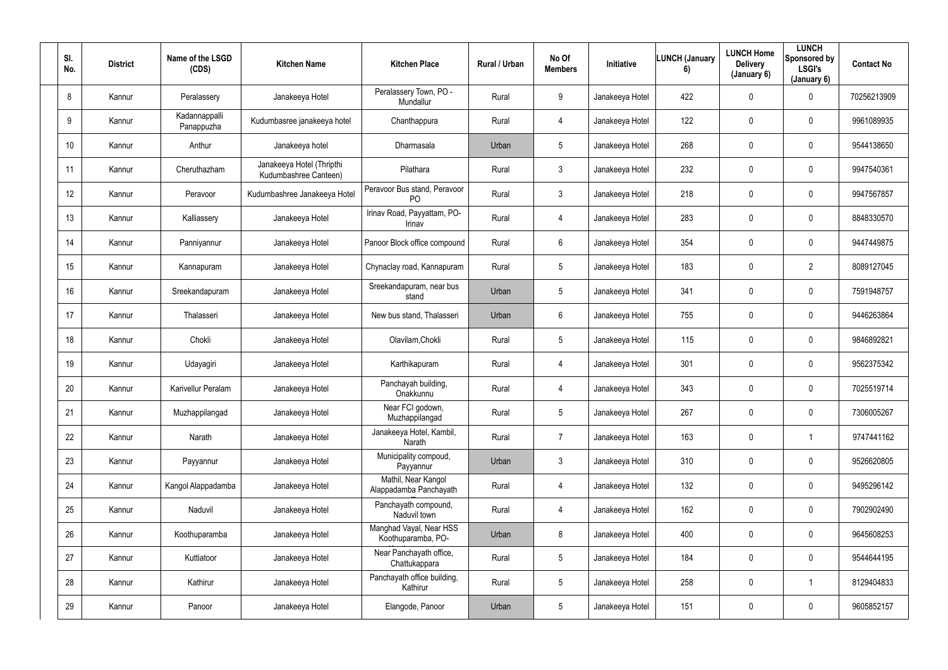| SI.<br>No.      | <b>District</b> | Name of the LSGD<br>(CDS)   | <b>Kitchen Name</b>                                | <b>Kitchen Place</b>                           | Rural / Urban | No Of<br><b>Members</b> | Initiative      | <b>LUNCH (January</b><br>6) | <b>LUNCH Home</b><br><b>Delivery</b><br>(January 6) | <b>LUNCH</b><br>Sponsored by<br><b>LSGI's</b><br>(January 6) | <b>Contact No</b> |
|-----------------|-----------------|-----------------------------|----------------------------------------------------|------------------------------------------------|---------------|-------------------------|-----------------|-----------------------------|-----------------------------------------------------|--------------------------------------------------------------|-------------------|
| 8               | Kannur          | Peralassery                 | Janakeeya Hotel                                    | Peralassery Town, PO -<br>Mundallur            | Rural         | 9                       | Janakeeya Hotel | 422                         | 0                                                   | $\mathbf 0$                                                  | 70256213909       |
| 9               | Kannur          | Kadannappalli<br>Panappuzha | Kudumbasree janakeeya hotel                        | Chanthappura                                   | Rural         | 4                       | Janakeeya Hotel | 122                         | 0                                                   | $\mathbf 0$                                                  | 9961089935        |
| 10 <sup>°</sup> | Kannur          | Anthur                      | Janakeeya hotel                                    | Dharmasala                                     | Urban         | $5\overline{)}$         | Janakeeya Hotel | 268                         | 0                                                   | $\mathbf 0$                                                  | 9544138650        |
| 11              | Kannur          | Cheruthazham                | Janakeeya Hotel (Thripthi<br>Kudumbashree Canteen) | Pilathara                                      | Rural         | $\mathfrak{Z}$          | Janakeeya Hotel | 232                         | 0                                                   | $\mathbf 0$                                                  | 9947540361        |
| 12              | Kannur          | Peravoor                    | Kudumbashree Janakeeya Hotel                       | Peravoor Bus stand, Peravoor<br>P <sub>O</sub> | Rural         | $\mathbf{3}$            | Janakeeya Hotel | 218                         | 0                                                   | $\mathbf 0$                                                  | 9947567857        |
| 13              | Kannur          | Kalliassery                 | Janakeeya Hotel                                    | Irinav Road, Payyattam, PO-<br>Irinav          | Rural         | 4                       | Janakeeya Hotel | 283                         | $\mathbf 0$                                         | $\mathbf 0$                                                  | 8848330570        |
| 14              | Kannur          | Panniyannur                 | Janakeeya Hotel                                    | Panoor Block office compound                   | Rural         | 6                       | Janakeeya Hotel | 354                         | 0                                                   | $\mathbf 0$                                                  | 9447449875        |
| 15              | Kannur          | Kannapuram                  | Janakeeya Hotel                                    | Chynaclay road, Kannapuram                     | Rural         | 5 <sup>5</sup>          | Janakeeya Hotel | 183                         | 0                                                   | $\overline{2}$                                               | 8089127045        |
| 16              | Kannur          | Sreekandapuram              | Janakeeya Hotel                                    | Sreekandapuram, near bus<br>stand              | Urban         | 5 <sup>5</sup>          | Janakeeya Hotel | 341                         | 0                                                   | $\mathbf 0$                                                  | 7591948757        |
| 17              | Kannur          | Thalasseri                  | Janakeeya Hotel                                    | New bus stand, Thalasseri                      | Urban         | 6                       | Janakeeya Hotel | 755                         | 0                                                   | $\mathbf 0$                                                  | 9446263864        |
| 18              | Kannur          | Chokli                      | Janakeeya Hotel                                    | Olavilam, Chokli                               | Rural         | 5 <sup>5</sup>          | Janakeeya Hotel | 115                         | 0                                                   | $\mathbf 0$                                                  | 9846892821        |
| 19              | Kannur          | Udayagiri                   | Janakeeya Hotel                                    | Karthikapuram                                  | Rural         | 4                       | Janakeeya Hotel | 301                         | $\mathbf 0$                                         | $\mathbf 0$                                                  | 9562375342        |
| 20              | Kannur          | Karivellur Peralam          | Janakeeya Hotel                                    | Panchayah building,<br>Onakkunnu               | Rural         | 4                       | Janakeeya Hotel | 343                         | 0                                                   | $\mathbf 0$                                                  | 7025519714        |
| 21              | Kannur          | Muzhappilangad              | Janakeeya Hotel                                    | Near FCI godown,<br>Muzhappilangad             | Rural         | $5\overline{)}$         | Janakeeya Hotel | 267                         | 0                                                   | $\mathbf 0$                                                  | 7306005267        |
| 22              | Kannur          | Narath                      | Janakeeya Hotel                                    | Janakeeya Hotel, Kambil,<br>Narath             | Rural         | $\overline{7}$          | Janakeeya Hotel | 163                         | 0                                                   |                                                              | 9747441162        |
| 23              | Kannur          | Payyannur                   | Janakeeya Hotel                                    | Municipality compoud,<br>Payyannur             | Urban         | 3 <sup>1</sup>          | Janakeeya Hotel | 310                         | 0                                                   | $\mathbf 0$                                                  | 9526620805        |
| 24              | Kannur          | Kangol Alappadamba          | Janakeeya Hotel                                    | Mathil, Near Kangol<br>Alappadamba Panchayath  | Rural         | $\overline{4}$          | Janakeeya Hotel | 132                         | 0                                                   | $\mathbf 0$                                                  | 9495296142        |
| 25              | Kannur          | Naduvil                     | Janakeeya Hotel                                    | Panchayath compound,<br>Naduvil town           | Rural         | $\overline{4}$          | Janakeeya Hotel | 162                         | 0                                                   | $\mathbf 0$                                                  | 7902902490        |
| 26              | Kannur          | Koothuparamba               | Janakeeya Hotel                                    | Manghad Vayal, Near HSS<br>Koothuparamba, PO-  | Urban         | 8                       | Janakeeya Hotel | 400                         | 0                                                   | $\mathbf 0$                                                  | 9645608253        |
| 27              | Kannur          | Kuttiatoor                  | Janakeeya Hotel                                    | Near Panchayath office,<br>Chattukappara       | Rural         | 5 <sub>5</sub>          | Janakeeya Hotel | 184                         | 0                                                   | $\mathbf 0$                                                  | 9544644195        |
| 28              | Kannur          | Kathirur                    | Janakeeya Hotel                                    | Panchayath office building,<br>Kathirur        | Rural         | $5\overline{)}$         | Janakeeya Hotel | 258                         | 0                                                   |                                                              | 8129404833        |
| 29              | Kannur          | Panoor                      | Janakeeya Hotel                                    | Elangode, Panoor                               | Urban         | $5\overline{)}$         | Janakeeya Hotel | 151                         | 0                                                   | $\overline{0}$                                               | 9605852157        |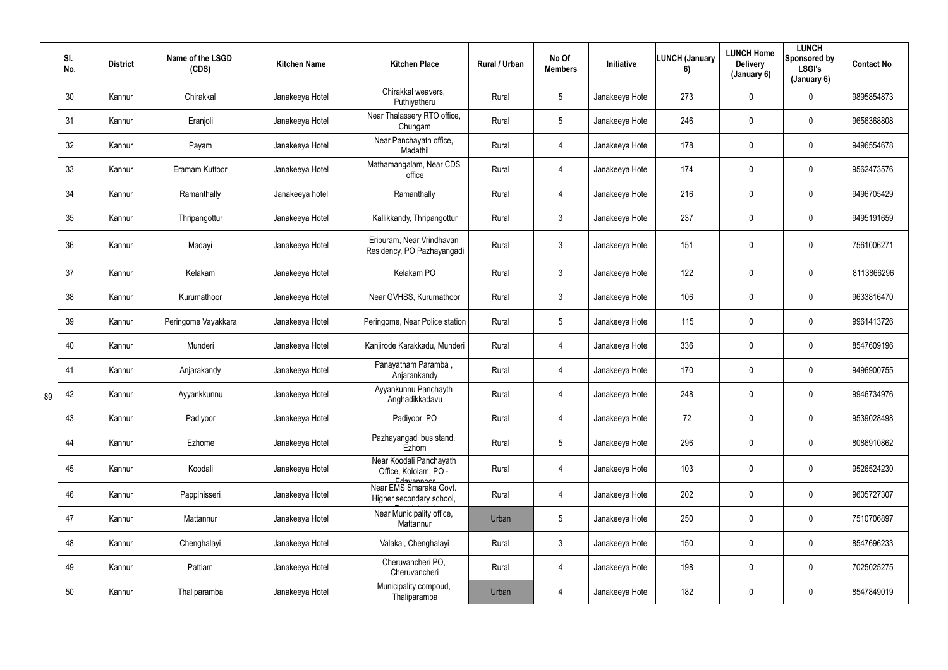|    | SI.<br>No. | <b>District</b> | Name of the LSGD<br>(CDS) | <b>Kitchen Name</b> | <b>Kitchen Place</b>                                           | Rural / Urban | No Of<br><b>Members</b> | Initiative      | <b>LUNCH (January</b><br>6) | <b>LUNCH Home</b><br><b>Delivery</b><br>(January 6) | <b>LUNCH</b><br>Sponsored by<br><b>LSGI's</b><br>(January 6) | <b>Contact No</b> |
|----|------------|-----------------|---------------------------|---------------------|----------------------------------------------------------------|---------------|-------------------------|-----------------|-----------------------------|-----------------------------------------------------|--------------------------------------------------------------|-------------------|
|    | 30         | Kannur          | Chirakkal                 | Janakeeya Hotel     | Chirakkal weavers,<br>Puthiyatheru                             | Rural         | $5\overline{)}$         | Janakeeya Hotel | 273                         | $\mathbf 0$                                         | $\mathbf 0$                                                  | 9895854873        |
|    | 31         | Kannur          | Eranjoli                  | Janakeeya Hotel     | Near Thalassery RTO office,<br>Chungam                         | Rural         | $5\overline{)}$         | Janakeeya Hotel | 246                         | 0                                                   | $\mathbf 0$                                                  | 9656368808        |
|    | 32         | Kannur          | Payam                     | Janakeeya Hotel     | Near Panchayath office,<br>Madathil                            | Rural         | 4                       | Janakeeya Hotel | 178                         | 0                                                   | $\overline{0}$                                               | 9496554678        |
|    | 33         | Kannur          | Eramam Kuttoor            | Janakeeya Hotel     | Mathamangalam, Near CDS<br>office                              | Rural         | 4                       | Janakeeya Hotel | 174                         | 0                                                   | $\mathbf 0$                                                  | 9562473576        |
|    | 34         | Kannur          | Ramanthally               | Janakeeya hotel     | Ramanthally                                                    | Rural         | 4                       | Janakeeya Hotel | 216                         | 0                                                   | $\overline{0}$                                               | 9496705429        |
|    | 35         | Kannur          | Thripangottur             | Janakeeya Hotel     | Kallikkandy, Thripangottur                                     | Rural         | 3                       | Janakeeya Hotel | 237                         | $\mathbf 0$                                         | $\overline{0}$                                               | 9495191659        |
|    | 36         | Kannur          | Madayi                    | Janakeeya Hotel     | Eripuram, Near Vrindhavan<br>Residency, PO Pazhayangadi        | Rural         | $\mathfrak{Z}$          | Janakeeya Hotel | 151                         | 0                                                   | $\pmb{0}$                                                    | 7561006271        |
|    | 37         | Kannur          | Kelakam                   | Janakeeya Hotel     | Kelakam PO                                                     | Rural         | 3 <sup>1</sup>          | Janakeeya Hotel | 122                         | 0                                                   | $\overline{0}$                                               | 8113866296        |
|    | 38         | Kannur          | Kurumathoor               | Janakeeya Hotel     | Near GVHSS, Kurumathoor                                        | Rural         | 3 <sup>1</sup>          | Janakeeya Hotel | 106                         | 0                                                   | $\overline{0}$                                               | 9633816470        |
|    | 39         | Kannur          | Peringome Vayakkara       | Janakeeya Hotel     | Peringome, Near Police station                                 | Rural         | 5 <sup>5</sup>          | Janakeeya Hotel | 115                         | 0                                                   | $\mathbf 0$                                                  | 9961413726        |
|    | 40         | Kannur          | Munderi                   | Janakeeya Hotel     | Kanjirode Karakkadu, Munderi                                   | Rural         | 4                       | Janakeeya Hotel | 336                         | 0                                                   | $\overline{0}$                                               | 8547609196        |
|    | 41         | Kannur          | Anjarakandy               | Janakeeya Hotel     | Panayatham Paramba,<br>Anjarankandy                            | Rural         | 4                       | Janakeeya Hotel | 170                         | 0                                                   | $\mathbf 0$                                                  | 9496900755        |
| 89 | 42         | Kannur          | Ayyankkunnu               | Janakeeya Hotel     | Ayyankunnu Panchayth<br>Anghadikkadavu                         | Rural         |                         | Janakeeya Hotel | 248                         | $\mathbf 0$                                         | $\boldsymbol{0}$                                             | 9946734976        |
|    | 43         | Kannur          | Padiyoor                  | Janakeeya Hotel     | Padiyoor PO                                                    | Rural         | 4                       | Janakeeya Hotel | 72                          | 0                                                   | $\overline{0}$                                               | 9539028498        |
|    | 44         | Kannur          | Ezhome                    | Janakeeya Hotel     | Pazhayangadi bus stand,<br>Ezhom                               | Rural         | $5\phantom{.0}$         | Janakeeya Hotel | 296                         | 0                                                   | $\overline{0}$                                               | 8086910862        |
|    | 45         | Kannur          | Koodali                   | Janakeeya Hotel     | Near Koodali Panchayath<br>Office, Kololam, PO -<br>Edavannoor | Rural         | 4                       | Janakeeya Hotel | 103                         | 0                                                   | $\overline{0}$                                               | 9526524230        |
|    | 46         | Kannur          | Pappinisseri              | Janakeeya Hotel     | Near EMS Smaraka Govt.<br>Higher secondary school,             | Rural         | 4                       | Janakeeya Hotel | 202                         | $\pmb{0}$                                           | $\overline{0}$                                               | 9605727307        |
|    | 47         | Kannur          | Mattannur                 | Janakeeya Hotel     | Near Municipality office,<br>Mattannur                         | Urban         | $5\phantom{.0}$         | Janakeeya Hotel | 250                         | 0                                                   | $\overline{0}$                                               | 7510706897        |
|    | 48         | Kannur          | Chenghalayi               | Janakeeya Hotel     | Valakai, Chenghalayi                                           | Rural         | 3 <sup>1</sup>          | Janakeeya Hotel | 150                         | 0                                                   | $\overline{0}$                                               | 8547696233        |
|    | 49         | Kannur          | Pattiam                   | Janakeeya Hotel     | Cheruvancheri PO,<br>Cheruvancheri                             | Rural         | $\overline{4}$          | Janakeeya Hotel | 198                         | 0                                                   | $\overline{0}$                                               | 7025025275        |
|    | 50         | Kannur          | Thaliparamba              | Janakeeya Hotel     | Municipality compoud,<br>Thaliparamba                          | Urban         | 4                       | Janakeeya Hotel | 182                         | $\pmb{0}$                                           | $\boldsymbol{0}$                                             | 8547849019        |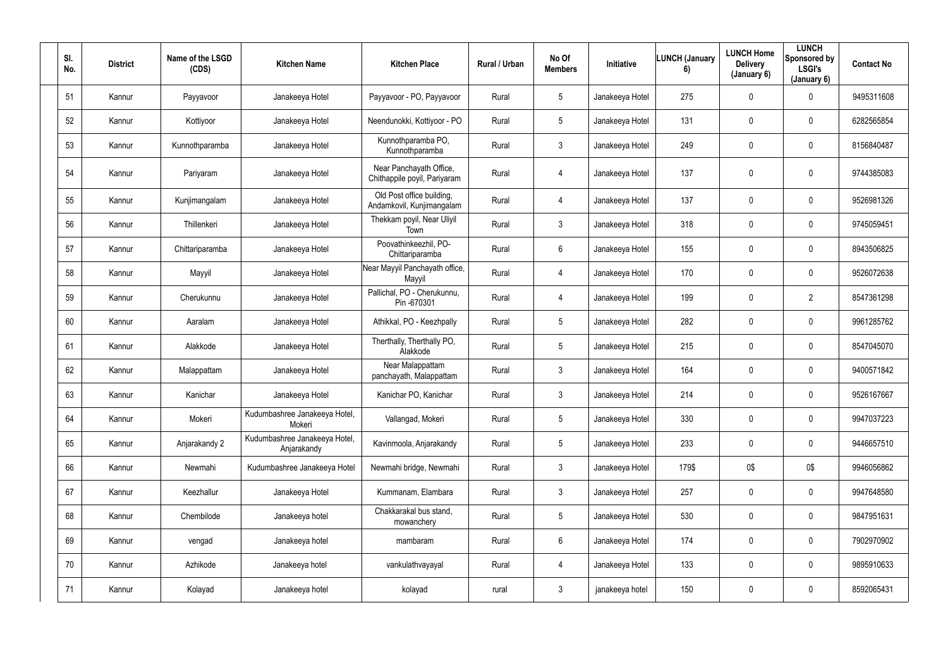| SI.<br>No. | <b>District</b> | Name of the LSGD<br>(CDS) | <b>Kitchen Name</b>                          | <b>Kitchen Place</b>                                    | Rural / Urban | No Of<br><b>Members</b> | Initiative      | <b>LUNCH (January</b><br>6) | <b>LUNCH Home</b><br><b>Delivery</b><br>(January 6) | <b>LUNCH</b><br>Sponsored by<br><b>LSGI's</b><br>(January 6) | <b>Contact No</b> |
|------------|-----------------|---------------------------|----------------------------------------------|---------------------------------------------------------|---------------|-------------------------|-----------------|-----------------------------|-----------------------------------------------------|--------------------------------------------------------------|-------------------|
| 51         | Kannur          | Payyavoor                 | Janakeeya Hotel                              | Payyavoor - PO, Payyavoor                               | Rural         | 5                       | Janakeeya Hotel | 275                         | 0                                                   | $\mathbf 0$                                                  | 9495311608        |
| 52         | Kannur          | Kottiyoor                 | Janakeeya Hotel                              | Neendunokki, Kottiyoor - PO                             | Rural         | 5                       | Janakeeya Hotel | 131                         | 0                                                   | $\mathbf 0$                                                  | 6282565854        |
| 53         | Kannur          | Kunnothparamba            | Janakeeya Hotel                              | Kunnothparamba PO,<br>Kunnothparamba                    | Rural         | $3\phantom{.0}$         | Janakeeya Hotel | 249                         | 0                                                   | $\mathbf 0$                                                  | 8156840487        |
| 54         | Kannur          | Pariyaram                 | Janakeeya Hotel                              | Near Panchayath Office,<br>Chithappile poyil, Pariyaram | Rural         | 4                       | Janakeeya Hotel | 137                         | 0                                                   | $\mathbf 0$                                                  | 9744385083        |
| 55         | Kannur          | Kunjimangalam             | Janakeeya Hotel                              | Old Post office building,<br>Andamkovil, Kunjimangalam  | Rural         | 4                       | Janakeeya Hotel | 137                         | 0                                                   | $\mathbf 0$                                                  | 9526981326        |
| 56         | Kannur          | Thillenkeri               | Janakeeya Hotel                              | Thekkam poyil, Near Uliyil<br>Town                      | Rural         | $\mathfrak{Z}$          | Janakeeya Hotel | 318                         | $\boldsymbol{0}$                                    | $\mathbf 0$                                                  | 9745059451        |
| 57         | Kannur          | Chittariparamba           | Janakeeya Hotel                              | Poovathinkeezhil, PO-<br>Chittariparamba                | Rural         | 6                       | Janakeeya Hotel | 155                         | 0                                                   | $\overline{0}$                                               | 8943506825        |
| 58         | Kannur          | Mayyil                    | Janakeeya Hotel                              | Near Mayyil Panchayath office,<br>Mayyil                | Rural         | 4                       | Janakeeya Hotel | 170                         | 0                                                   | $\mathbf 0$                                                  | 9526072638        |
| 59         | Kannur          | Cherukunnu                | Janakeeya Hotel                              | Pallichal, PO - Cherukunnu,<br>Pin-670301               | Rural         | 4                       | Janakeeya Hotel | 199                         | 0                                                   | $\overline{2}$                                               | 8547361298        |
| 60         | Kannur          | Aaralam                   | Janakeeya Hotel                              | Athikkal, PO - Keezhpally                               | Rural         | 5                       | Janakeeya Hotel | 282                         | 0                                                   | $\mathbf 0$                                                  | 9961285762        |
| 61         | Kannur          | Alakkode                  | Janakeeya Hotel                              | Therthally, Therthally PO,<br>Alakkode                  | Rural         | 5                       | Janakeeya Hotel | 215                         | 0                                                   | $\mathbf 0$                                                  | 8547045070        |
| 62         | Kannur          | Malappattam               | Janakeeya Hotel                              | Near Malappattam<br>panchayath, Malappattam             | Rural         | $\mathbf{3}$            | Janakeeya Hotel | 164                         | 0                                                   | $\mathbf 0$                                                  | 9400571842        |
| 63         | Kannur          | Kanichar                  | Janakeeya Hotel                              | Kanichar PO, Kanichar                                   | Rural         | 3                       | Janakeeya Hotel | 214                         | 0                                                   | $\pmb{0}$                                                    | 9526167667        |
| 64         | Kannur          | Mokeri                    | Kudumbashree Janakeeya Hotel,<br>Mokeri      | Vallangad, Mokeri                                       | Rural         | $5\phantom{.0}$         | Janakeeya Hotel | 330                         | $\overline{0}$                                      | $\mathbf 0$                                                  | 9947037223        |
| 65         | Kannur          | Anjarakandy 2             | Kudumbashree Janakeeya Hotel,<br>Anjarakandy | Kavinmoola, Anjarakandy                                 | Rural         | 5                       | Janakeeya Hotel | 233                         | 0                                                   | $\overline{0}$                                               | 9446657510        |
| 66         | Kannur          | Newmahi                   | Kudumbashree Janakeeya Hotel                 | Newmahi bridge, Newmahi                                 | Rural         | 3 <sup>1</sup>          | Janakeeya Hotel | 179\$                       | 0\$                                                 | 0\$                                                          | 9946056862        |
| 67         | Kannur          | Keezhallur                | Janakeeya Hotel                              | Kummanam, Elambara                                      | Rural         | $\mathfrak{Z}$          | Janakeeya Hotel | 257                         | $\pmb{0}$                                           | $\mathbf 0$                                                  | 9947648580        |
| 68         | Kannur          | Chembilode                | Janakeeya hotel                              | Chakkarakal bus stand,<br>mowanchery                    | Rural         | $5\phantom{.0}$         | Janakeeya Hotel | 530                         | $\pmb{0}$                                           | $\mathbf 0$                                                  | 9847951631        |
| 69         | Kannur          | vengad                    | Janakeeya hotel                              | mambaram                                                | Rural         | $6\overline{6}$         | Janakeeya Hotel | 174                         | $\pmb{0}$                                           | $\mathbf 0$                                                  | 7902970902        |
| 70         | Kannur          | Azhikode                  | Janakeeya hotel                              | vankulathvayayal                                        | Rural         | $\overline{4}$          | Janakeeya Hotel | 133                         | 0                                                   | $\mathbf 0$                                                  | 9895910633        |
| 71         | Kannur          | Kolayad                   | Janakeeya hotel                              | kolayad                                                 | rural         | $\mathfrak{Z}$          | janakeeya hotel | 150                         | 0                                                   | $\overline{0}$                                               | 8592065431        |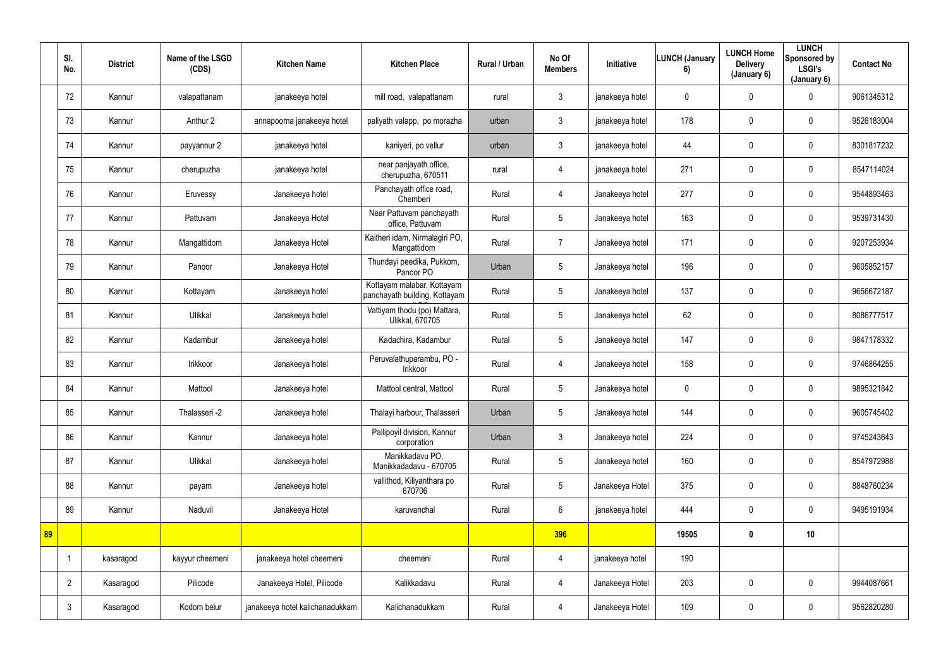|    | SI.<br>No.     | <b>District</b> | Name of the LSGD<br>(CDS) | <b>Kitchen Name</b>             | <b>Kitchen Place</b>                                        | Rural / Urban | No Of<br><b>Members</b> | Initiative      | <b>LUNCH (January</b><br>6) | <b>LUNCH Home</b><br><b>Delivery</b><br>(January 6) | <b>LUNCH</b><br>Sponsored by<br><b>LSGI's</b><br>(January 6) | <b>Contact No</b> |
|----|----------------|-----------------|---------------------------|---------------------------------|-------------------------------------------------------------|---------------|-------------------------|-----------------|-----------------------------|-----------------------------------------------------|--------------------------------------------------------------|-------------------|
|    | 72             | Kannur          | valapattanam              | janakeeya hotel                 | mill road, valapattanam                                     | rural         | $\mathbf{3}$            | janakeeya hotel | $\overline{0}$              | $\mathbf 0$                                         | $\mathbf 0$                                                  | 9061345312        |
|    | 73             | Kannur          | Anthur 2                  | annapoorna janakeeya hotel      | paliyath valapp, po morazha                                 | urban         | $\mathbf{3}$            | janakeeya hotel | 178                         | $\pmb{0}$                                           | $\overline{0}$                                               | 9526183004        |
|    | 74             | Kannur          | payyannur 2               | janakeeya hotel                 | kaniyeri, po vellur                                         | urban         | $\mathbf{3}$            | janakeeya hotel | 44                          | 0                                                   | $\mathbf 0$                                                  | 8301817232        |
|    | 75             | Kannur          | cherupuzha                | janakeeya hotel                 | near panjayath office,<br>cherupuzha, 670511                | rural         | 4                       | janakeeya hotel | 271                         | 0                                                   | $\overline{0}$                                               | 8547114024        |
|    | 76             | Kannur          | Eruvessy                  | Janakeeya hotel                 | Panchayath office road,<br>Chemberi                         | Rural         | 4                       | Janakeeya hotel | 277                         | $\pmb{0}$                                           | $\overline{0}$                                               | 9544893463        |
|    | 77             | Kannur          | Pattuvam                  | Janakeeya Hotel                 | Near Pattuvam panchayath<br>office, Pattuvam                | Rural         | $5\overline{)}$         | Janakeeya hotel | 163                         | $\mathbf 0$                                         | $\mathbf 0$                                                  | 9539731430        |
|    | 78             | Kannur          | Mangattidom               | Janakeeya Hotel                 | Kaitheri idam, Nirmalagiri PO,<br>Mangattidom               | Rural         | $\overline{7}$          | Janakeeya hotel | 171                         | $\mathbf 0$                                         | $\overline{0}$                                               | 9207253934        |
|    | 79             | Kannur          | Panoor                    | Janakeeya Hotel                 | Thundayi peedika, Pukkom,<br>Panoor PO                      | Urban         | 5 <sup>5</sup>          | Janakeeya hotel | 196                         | $\pmb{0}$                                           | $\overline{0}$                                               | 9605852157        |
|    | 80             | Kannur          | Kottayam                  | Janakeeya hotel                 | Kottayam malabar, Kottayam<br>panchayath building, Kottayam | Rural         | 5 <sup>5</sup>          | Janakeeya hotel | 137                         | 0                                                   | $\mathbf 0$                                                  | 9656672187        |
|    | 81             | Kannur          | Ulikkal                   | Janakeeya hotel                 | Vattiyam thodu (po) Mattara,<br><b>Ulikkal, 670705</b>      | Rural         | 5 <sup>5</sup>          | Janakeeya hotel | 62                          | $\pmb{0}$                                           | $\overline{0}$                                               | 8086777517        |
|    | 82             | Kannur          | Kadambur                  | Janakeeya hotel                 | Kadachira, Kadambur                                         | Rural         | 5 <sup>5</sup>          | Janakeeya hotel | 147                         | $\mathbf 0$                                         | $\mathbf 0$                                                  | 9847178332        |
|    | 83             | Kannur          | Irikkoor                  | Janakeeya hotel                 | Peruvalathuparambu, PO -<br>Irikkoor                        | Rural         | 4                       | Janakeeya hotel | 158                         | $\pmb{0}$                                           | $\overline{0}$                                               | 9746864255        |
|    | 84             | Kannur          | Mattool                   | Janakeeya hotel                 | Mattool central, Mattool                                    | Rural         | 5                       | Janakeeya hotel | 0                           | 0                                                   | $\mathbf 0$                                                  | 9895321842        |
|    | 85             | Kannur          | Thalasseri -2             | Janakeeya hotel                 | Thalayi harbour, Thalasseri                                 | Urban         | $5\overline{)}$         | Janakeeya hotel | 144                         | $\mathbf 0$                                         | $\mathbf 0$                                                  | 9605745402        |
|    | 86             | Kannur          | Kannur                    | Janakeeya hotel                 | Pallipoyil division, Kannur<br>corporation                  | Urban         | 3 <sup>1</sup>          | Janakeeya hotel | 224                         | 0                                                   | $\mathbf 0$                                                  | 9745243643        |
|    | 87             | Kannur          | Ulikkal                   | Janakeeya hotel                 | Manikkadavu PO,<br>Manikkadadavu - 670705                   | Rural         | 5 <sup>5</sup>          | Janakeeya hotel | 160                         | $\pmb{0}$                                           | $\mathbf 0$                                                  | 8547972988        |
|    | 88             | Kannur          | payam                     | Janakeeya hotel                 | vallithod, Kiliyanthara po<br>670706                        | Rural         | 5 <sup>5</sup>          | Janakeeya Hotel | 375                         | $\pmb{0}$                                           | $\overline{0}$                                               | 8848760234        |
|    | 89             | Kannur          | Naduvil                   | Janakeeya Hotel                 | karuvanchal                                                 | Rural         | $6\overline{6}$         | janakeeya hotel | 444                         | $\pmb{0}$                                           | $\mathbf 0$                                                  | 9495191934        |
| 89 |                |                 |                           |                                 |                                                             |               | 396                     |                 | 19505                       | $\mathbf 0$                                         | 10                                                           |                   |
|    |                | kasaragod       | kayyur cheemeni           | janakeeya hotel cheemeni        | cheemeni                                                    | Rural         | $\overline{4}$          | janakeeya hotel | 190                         |                                                     |                                                              |                   |
|    | $\overline{2}$ | Kasaragod       | Pilicode                  | Janakeeya Hotel, Pilicode       | Kalikkadavu                                                 | Rural         | $\overline{4}$          | Janakeeya Hotel | 203                         | $\pmb{0}$                                           | $\overline{0}$                                               | 9944087661        |
|    | $\mathbf{3}$   | Kasaragod       | Kodom belur               | janakeeya hotel kalichanadukkam | Kalichanadukkam                                             | Rural         | 4                       | Janakeeya Hotel | 109                         | $\pmb{0}$                                           | $\overline{0}$                                               | 9562820280        |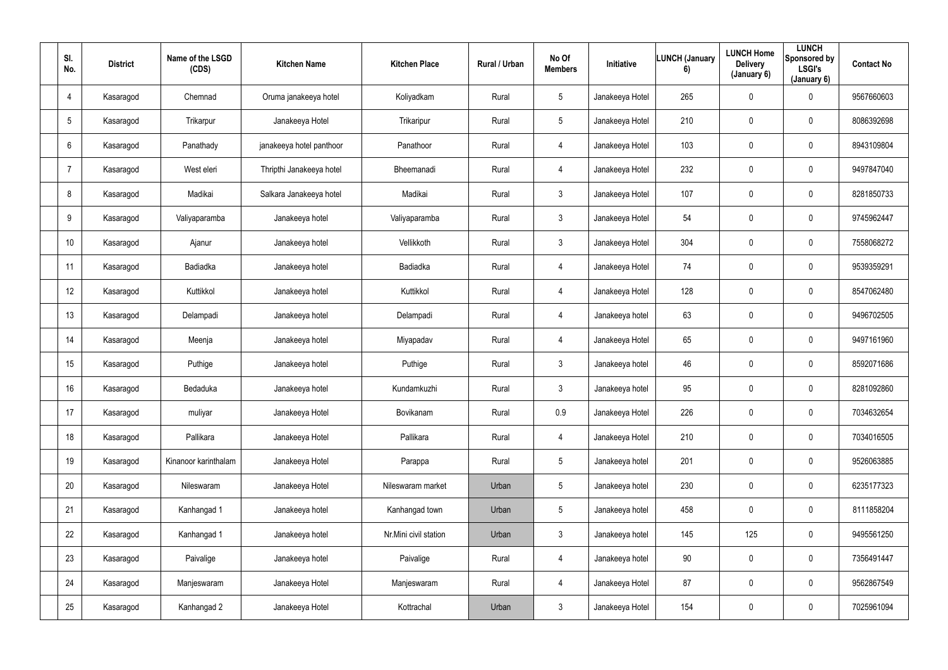| SI.<br>No.      | <b>District</b> | Name of the LSGD<br>(CDS) | <b>Kitchen Name</b>      | <b>Kitchen Place</b>  | Rural / Urban | No Of<br><b>Members</b> | Initiative      | <b>LUNCH (January</b><br>6) | <b>LUNCH Home</b><br><b>Delivery</b><br>(January 6) | <b>LUNCH</b><br>Sponsored by<br><b>LSGI's</b><br>(January 6) | <b>Contact No</b> |
|-----------------|-----------------|---------------------------|--------------------------|-----------------------|---------------|-------------------------|-----------------|-----------------------------|-----------------------------------------------------|--------------------------------------------------------------|-------------------|
| 4               | Kasaragod       | Chemnad                   | Oruma janakeeya hotel    | Koliyadkam            | Rural         | $5\overline{)}$         | Janakeeya Hotel | 265                         | $\mathbf 0$                                         | $\mathbf 0$                                                  | 9567660603        |
| $5\phantom{.0}$ | Kasaragod       | Trikarpur                 | Janakeeya Hotel          | Trikaripur            | Rural         | $5\overline{)}$         | Janakeeya Hotel | 210                         | $\mathbf 0$                                         | $\overline{0}$                                               | 8086392698        |
| $6\phantom{.}6$ | Kasaragod       | Panathady                 | janakeeya hotel panthoor | Panathoor             | Rural         | 4                       | Janakeeya Hotel | 103                         | $\mathbf 0$                                         | $\overline{0}$                                               | 8943109804        |
|                 | Kasaragod       | West eleri                | Thripthi Janakeeya hotel | Bheemanadi            | Rural         | 4                       | Janakeeya Hotel | 232                         | $\mathbf 0$                                         | $\overline{0}$                                               | 9497847040        |
| 8               | Kasaragod       | Madikai                   | Salkara Janakeeya hotel  | Madikai               | Rural         | $\mathbf{3}$            | Janakeeya Hotel | 107                         | $\mathbf 0$                                         | $\mathbf 0$                                                  | 8281850733        |
| 9               | Kasaragod       | Valiyaparamba             | Janakeeya hotel          | Valiyaparamba         | Rural         | 3 <sup>5</sup>          | Janakeeya Hotel | 54                          | $\mathbf 0$                                         | $\mathbf 0$                                                  | 9745962447        |
| 10              | Kasaragod       | Ajanur                    | Janakeeya hotel          | Vellikkoth            | Rural         | $\mathbf{3}$            | Janakeeya Hotel | 304                         | $\mathbf 0$                                         | $\overline{0}$                                               | 7558068272        |
| 11              | Kasaragod       | Badiadka                  | Janakeeya hotel          | Badiadka              | Rural         | $\overline{4}$          | Janakeeya Hotel | 74                          | $\mathbf 0$                                         | $\overline{0}$                                               | 9539359291        |
| 12              | Kasaragod       | Kuttikkol                 | Janakeeya hotel          | Kuttikkol             | Rural         | 4                       | Janakeeya Hotel | 128                         | $\mathbf 0$                                         | $\mathbf 0$                                                  | 8547062480        |
| 13              | Kasaragod       | Delampadi                 | Janakeeya hotel          | Delampadi             | Rural         | 4                       | Janakeeya hotel | 63                          | 0                                                   | $\mathbf 0$                                                  | 9496702505        |
| 14              | Kasaragod       | Meenja                    | Janakeeya hotel          | Miyapadav             | Rural         | 4                       | Janakeeya Hotel | 65                          | $\mathbf 0$                                         | $\overline{0}$                                               | 9497161960        |
| 15              | Kasaragod       | Puthige                   | Janakeeya hotel          | Puthige               | Rural         | 3 <sup>5</sup>          | Janakeeya hotel | 46                          | $\mathbf 0$                                         | $\overline{0}$                                               | 8592071686        |
| 16              | Kasaragod       | Bedaduka                  | Janakeeya hotel          | Kundamkuzhi           | Rural         | $\mathfrak{Z}$          | Janakeeya hotel | 95                          | $\mathbf 0$                                         | $\mathbf 0$                                                  | 8281092860        |
| 17              | Kasaragod       | muliyar                   | Janakeeya Hotel          | Bovikanam             | Rural         | 0.9                     | Janakeeya Hotel | 226                         | $\mathbf 0$                                         | $\overline{0}$                                               | 7034632654        |
| 18              | Kasaragod       | Pallikara                 | Janakeeya Hotel          | Pallikara             | Rural         | 4                       | Janakeeya Hotel | 210                         | $\pmb{0}$                                           | $\overline{0}$                                               | 7034016505        |
| 19              | Kasaragod       | Kinanoor karinthalam      | Janakeeya Hotel          | Parappa               | Rural         | $5\overline{)}$         | Janakeeya hotel | 201                         | $\boldsymbol{0}$                                    | $\overline{0}$                                               | 9526063885        |
| 20              | Kasaragod       | Nileswaram                | Janakeeya Hotel          | Nileswaram market     | Urban         | $5\overline{)}$         | Janakeeya hotel | 230                         | $\mathbf 0$                                         | $\overline{0}$                                               | 6235177323        |
| 21              | Kasaragod       | Kanhangad 1               | Janakeeya hotel          | Kanhangad town        | Urban         | $5\overline{)}$         | Janakeeya hotel | 458                         | $\mathbf 0$                                         | $\overline{0}$                                               | 8111858204        |
| 22              | Kasaragod       | Kanhangad 1               | Janakeeya hotel          | Nr.Mini civil station | Urban         | $\mathbf{3}$            | Janakeeya hotel | 145                         | 125                                                 | $\overline{0}$                                               | 9495561250        |
| 23              | Kasaragod       | Paivalige                 | Janakeeya hotel          | Paivalige             | Rural         | $\overline{4}$          | Janakeeya hotel | 90                          | $\mathbf 0$                                         | $\overline{0}$                                               | 7356491447        |
| 24              | Kasaragod       | Manjeswaram               | Janakeeya Hotel          | Manjeswaram           | Rural         | 4                       | Janakeeya Hotel | 87                          | $\boldsymbol{0}$                                    | $\overline{0}$                                               | 9562867549        |
| 25              | Kasaragod       | Kanhangad 2               | Janakeeya Hotel          | Kottrachal            | Urban         | 3 <sup>1</sup>          | Janakeeya Hotel | 154                         | $\boldsymbol{0}$                                    | $\overline{0}$                                               | 7025961094        |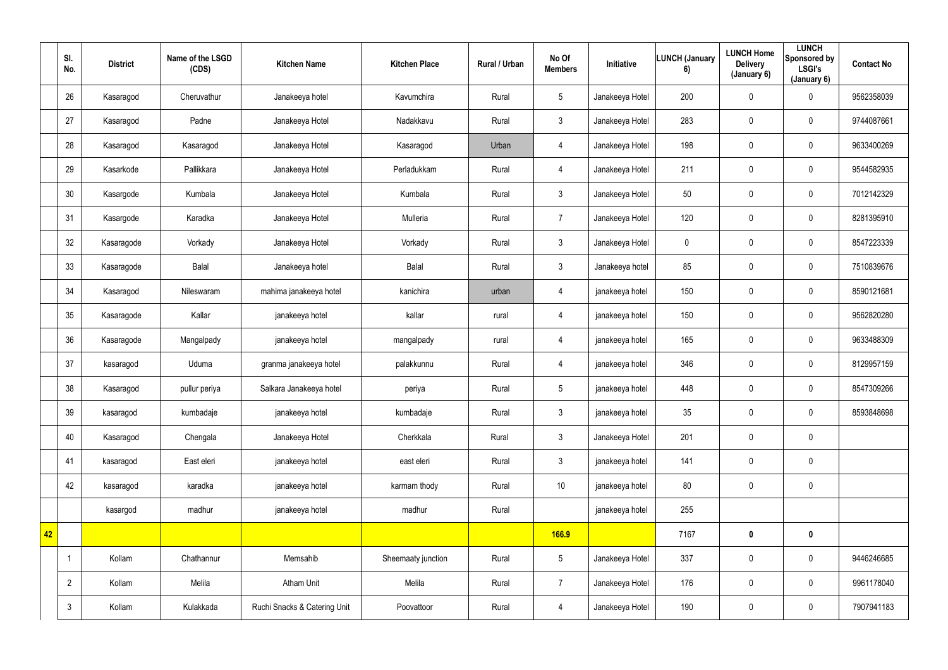|    | SI.<br>No.     | <b>District</b> | Name of the LSGD<br>(CDS) | <b>Kitchen Name</b>          | <b>Kitchen Place</b> | Rural / Urban | No Of<br><b>Members</b> | Initiative      | <b>LUNCH (January</b><br>6) | <b>LUNCH Home</b><br><b>Delivery</b><br>(January 6) | <b>LUNCH</b><br><b>Sponsored by</b><br><b>LSGI's</b><br>(January 6) | <b>Contact No</b> |
|----|----------------|-----------------|---------------------------|------------------------------|----------------------|---------------|-------------------------|-----------------|-----------------------------|-----------------------------------------------------|---------------------------------------------------------------------|-------------------|
|    | 26             | Kasaragod       | Cheruvathur               | Janakeeya hotel              | Kavumchira           | Rural         | $5\overline{)}$         | Janakeeya Hotel | 200                         | $\mathbf 0$                                         | $\mathbf 0$                                                         | 9562358039        |
|    | 27             | Kasaragod       | Padne                     | Janakeeya Hotel              | Nadakkavu            | Rural         | $\mathbf{3}$            | Janakeeya Hotel | 283                         | $\pmb{0}$                                           | $\overline{0}$                                                      | 9744087661        |
|    | 28             | Kasaragod       | Kasaragod                 | Janakeeya Hotel              | Kasaragod            | Urban         | 4                       | Janakeeya Hotel | 198                         | 0                                                   | $\mathbf 0$                                                         | 9633400269        |
|    | 29             | Kasarkode       | Pallikkara                | Janakeeya Hotel              | Perladukkam          | Rural         | 4                       | Janakeeya Hotel | 211                         | 0                                                   | $\mathbf 0$                                                         | 9544582935        |
|    | 30             | Kasargode       | Kumbala                   | Janakeeya Hotel              | Kumbala              | Rural         | 3 <sup>1</sup>          | Janakeeya Hotel | 50                          | $\pmb{0}$                                           | $\mathbf 0$                                                         | 7012142329        |
|    | 31             | Kasargode       | Karadka                   | Janakeeya Hotel              | Mulleria             | Rural         | $\overline{7}$          | Janakeeya Hotel | 120                         | $\mathbf 0$                                         | $\mathbf 0$                                                         | 8281395910        |
|    | 32             | Kasaragode      | Vorkady                   | Janakeeya Hotel              | Vorkady              | Rural         | 3 <sup>1</sup>          | Janakeeya Hotel | $\mathbf 0$                 | $\mathbf 0$                                         | $\mathbf 0$                                                         | 8547223339        |
|    | 33             | Kasaragode      | Balal                     | Janakeeya hotel              | Balal                | Rural         | 3 <sup>1</sup>          | Janakeeya hotel | 85                          | $\pmb{0}$                                           | $\mathbf 0$                                                         | 7510839676        |
|    | 34             | Kasaragod       | Nileswaram                | mahima janakeeya hotel       | kanichira            | urban         | 4                       | janakeeya hotel | 150                         | $\pmb{0}$                                           | $\overline{0}$                                                      | 8590121681        |
|    | 35             | Kasaragode      | Kallar                    | janakeeya hotel              | kallar               | rural         | 4                       | janakeeya hotel | 150                         | $\pmb{0}$                                           | $\mathbf 0$                                                         | 9562820280        |
|    | 36             | Kasaragode      | Mangalpady                | janakeeya hotel              | mangalpady           | rural         | 4                       | janakeeya hotel | 165                         | $\pmb{0}$                                           | $\overline{0}$                                                      | 9633488309        |
|    | 37             | kasaragod       | Uduma                     | granma janakeeya hotel       | palakkunnu           | Rural         | 4                       | janakeeya hotel | 346                         | $\pmb{0}$                                           | $\overline{0}$                                                      | 8129957159        |
|    | 38             | Kasaragod       | pullur periya             | Salkara Janakeeya hotel      | periya               | Rural         | 5                       | janakeeya hotel | 448                         | 0                                                   | $\mathbf 0$                                                         | 8547309266        |
|    | 39             | kasaragod       | kumbadaje                 | janakeeya hotel              | kumbadaje            | Rural         | 3 <sup>1</sup>          | janakeeya hotel | 35                          | $\mathbf 0$                                         | $\mathbf 0$                                                         | 8593848698        |
|    | 40             | Kasaragod       | Chengala                  | Janakeeya Hotel              | Cherkkala            | Rural         | 3 <sup>1</sup>          | Janakeeya Hotel | 201                         | $\mathbf 0$                                         | $\overline{0}$                                                      |                   |
|    | 41             | kasaragod       | East eleri                | janakeeya hotel              | east eleri           | Rural         | 3 <sup>7</sup>          | janakeeya hotel | 141                         | $\mathbf 0$                                         | $\overline{0}$                                                      |                   |
|    | 42             | kasaragod       | karadka                   | janakeeya hotel              | karmam thody         | Rural         | 10 <sup>°</sup>         | janakeeya hotel | 80                          | $\mathbf 0$                                         | $\overline{0}$                                                      |                   |
|    |                | kasargod        | madhur                    | janakeeya hotel              | madhur               | Rural         |                         | janakeeya hotel | 255                         |                                                     |                                                                     |                   |
| 42 |                |                 |                           |                              |                      |               | <b>166.9</b>            |                 | 7167                        | $\pmb{0}$                                           | $\mathbf 0$                                                         |                   |
|    |                | Kollam          | Chathannur                | Memsahib                     | Sheemaaty junction   | Rural         | 5 <sub>5</sub>          | Janakeeya Hotel | 337                         | $\mathbf 0$                                         | $\overline{0}$                                                      | 9446246685        |
|    | $\overline{2}$ | Kollam          | Melila                    | Atham Unit                   | Melila               | Rural         | $\overline{7}$          | Janakeeya Hotel | 176                         | $\pmb{0}$                                           | $\overline{0}$                                                      | 9961178040        |
|    | $\mathbf{3}$   | Kollam          | Kulakkada                 | Ruchi Snacks & Catering Unit | Poovattoor           | Rural         | $\overline{4}$          | Janakeeya Hotel | 190                         | $\mathbf 0$                                         | $\overline{0}$                                                      | 7907941183        |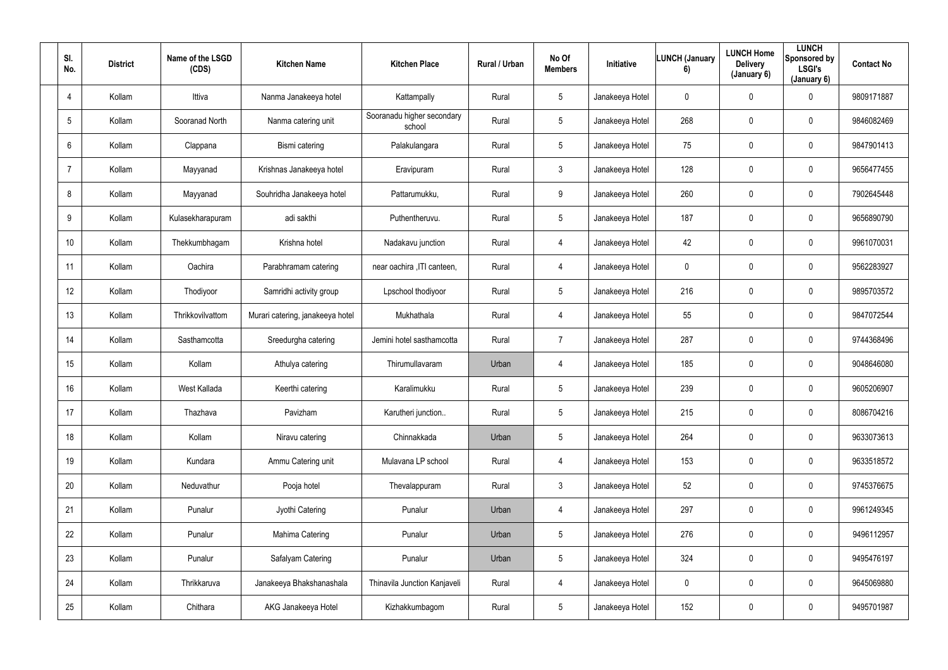| SI.<br>No.     | <b>District</b> | Name of the LSGD<br>(CDS) | <b>Kitchen Name</b>              | <b>Kitchen Place</b>                 | Rural / Urban | No Of<br><b>Members</b> | Initiative      | <b>LUNCH (January</b><br>6) | <b>LUNCH Home</b><br><b>Delivery</b><br>(January 6) | <b>LUNCH</b><br>Sponsored by<br><b>LSGI's</b><br>(January 6) | <b>Contact No</b> |
|----------------|-----------------|---------------------------|----------------------------------|--------------------------------------|---------------|-------------------------|-----------------|-----------------------------|-----------------------------------------------------|--------------------------------------------------------------|-------------------|
| $\overline{4}$ | Kollam          | Ittiva                    | Nanma Janakeeya hotel            | Kattampally                          | Rural         | 5 <sup>5</sup>          | Janakeeya Hotel | $\mathbf 0$                 | $\mathbf 0$                                         | $\mathbf 0$                                                  | 9809171887        |
| 5              | Kollam          | Sooranad North            | Nanma catering unit              | Sooranadu higher secondary<br>school | Rural         | 5 <sup>5</sup>          | Janakeeya Hotel | 268                         | 0                                                   | $\mathbf 0$                                                  | 9846082469        |
| 6              | Kollam          | Clappana                  | Bismi catering                   | Palakulangara                        | Rural         | 5 <sup>5</sup>          | Janakeeya Hotel | 75                          | 0                                                   | $\overline{0}$                                               | 9847901413        |
| $\overline{7}$ | Kollam          | Mayyanad                  | Krishnas Janakeeya hotel         | Eravipuram                           | Rural         | 3 <sup>1</sup>          | Janakeeya Hotel | 128                         | 0                                                   | $\mathbf 0$                                                  | 9656477455        |
| 8              | Kollam          | Mayyanad                  | Souhridha Janakeeya hotel        | Pattarumukku,                        | Rural         | 9                       | Janakeeya Hotel | 260                         | 0                                                   | $\mathbf 0$                                                  | 7902645448        |
| 9              | Kollam          | Kulasekharapuram          | adi sakthi                       | Puthentheruvu.                       | Rural         | 5 <sup>5</sup>          | Janakeeya Hotel | 187                         | 0                                                   | $\mathbf 0$                                                  | 9656890790        |
| 10             | Kollam          | Thekkumbhagam             | Krishna hotel                    | Nadakavu junction                    | Rural         | 4                       | Janakeeya Hotel | 42                          | 0                                                   | $\mathbf 0$                                                  | 9961070031        |
| 11             | Kollam          | Oachira                   | Parabhramam catering             | near oachira , ITI canteen,          | Rural         | 4                       | Janakeeya Hotel | $\mathbf 0$                 | 0                                                   | $\mathbf 0$                                                  | 9562283927        |
| 12             | Kollam          | Thodiyoor                 | Samridhi activity group          | Lpschool thodiyoor                   | Rural         | 5 <sup>5</sup>          | Janakeeya Hotel | 216                         | 0                                                   | $\mathbf 0$                                                  | 9895703572        |
| 13             | Kollam          | Thrikkovilvattom          | Murari catering, janakeeya hotel | Mukhathala                           | Rural         | 4                       | Janakeeya Hotel | 55                          | 0                                                   | $\mathbf 0$                                                  | 9847072544        |
| 14             | Kollam          | Sasthamcotta              | Sreedurgha catering              | Jemini hotel sasthamcotta            | Rural         | $\overline{7}$          | Janakeeya Hotel | 287                         | 0                                                   | $\mathbf 0$                                                  | 9744368496        |
| 15             | Kollam          | Kollam                    | Athulya catering                 | Thirumullavaram                      | Urban         | 4                       | Janakeeya Hotel | 185                         | 0                                                   | $\mathbf 0$                                                  | 9048646080        |
| 16             | Kollam          | West Kallada              | Keerthi catering                 | Karalimukku                          | Rural         | $5\phantom{.0}$         | Janakeeya Hotel | 239                         | 0                                                   | $\overline{0}$                                               | 9605206907        |
| 17             | Kollam          | Thazhava                  | Pavizham                         | Karutheri junction                   | Rural         | $5\overline{)}$         | Janakeeya Hotel | 215                         | 0                                                   | $\mathbf 0$                                                  | 8086704216        |
| 18             | Kollam          | Kollam                    | Niravu catering                  | Chinnakkada                          | Urban         | $5\overline{)}$         | Janakeeya Hotel | 264                         | 0                                                   | $\mathbf 0$                                                  | 9633073613        |
| 19             | Kollam          | Kundara                   | Ammu Catering unit               | Mulavana LP school                   | Rural         | $\overline{4}$          | Janakeeya Hotel | 153                         | 0                                                   | $\mathbf 0$                                                  | 9633518572        |
| 20             | Kollam          | Neduvathur                | Pooja hotel                      | Thevalappuram                        | Rural         | 3 <sup>1</sup>          | Janakeeya Hotel | 52                          | 0                                                   | $\mathbf 0$                                                  | 9745376675        |
| 21             | Kollam          | Punalur                   | Jyothi Catering                  | Punalur                              | Urban         | $\overline{4}$          | Janakeeya Hotel | 297                         | 0                                                   | $\mathbf 0$                                                  | 9961249345        |
| 22             | Kollam          | Punalur                   | Mahima Catering                  | Punalur                              | Urban         | $5\phantom{.0}$         | Janakeeya Hotel | 276                         | 0                                                   | $\mathbf 0$                                                  | 9496112957        |
| 23             | Kollam          | Punalur                   | Safalyam Catering                | Punalur                              | Urban         | 5 <sub>5</sub>          | Janakeeya Hotel | 324                         | 0                                                   | $\mathbf 0$                                                  | 9495476197        |
| 24             | Kollam          | Thrikkaruva               | Janakeeya Bhakshanashala         | <b>Thinavila Junction Kanjaveli</b>  | Rural         | $\overline{4}$          | Janakeeya Hotel | $\mathbf 0$                 | 0                                                   | $\mathbf 0$                                                  | 9645069880        |
| 25             | Kollam          | Chithara                  | AKG Janakeeya Hotel              | Kizhakkumbagom                       | Rural         | 5 <sub>5</sub>          | Janakeeya Hotel | 152                         | 0                                                   | $\overline{0}$                                               | 9495701987        |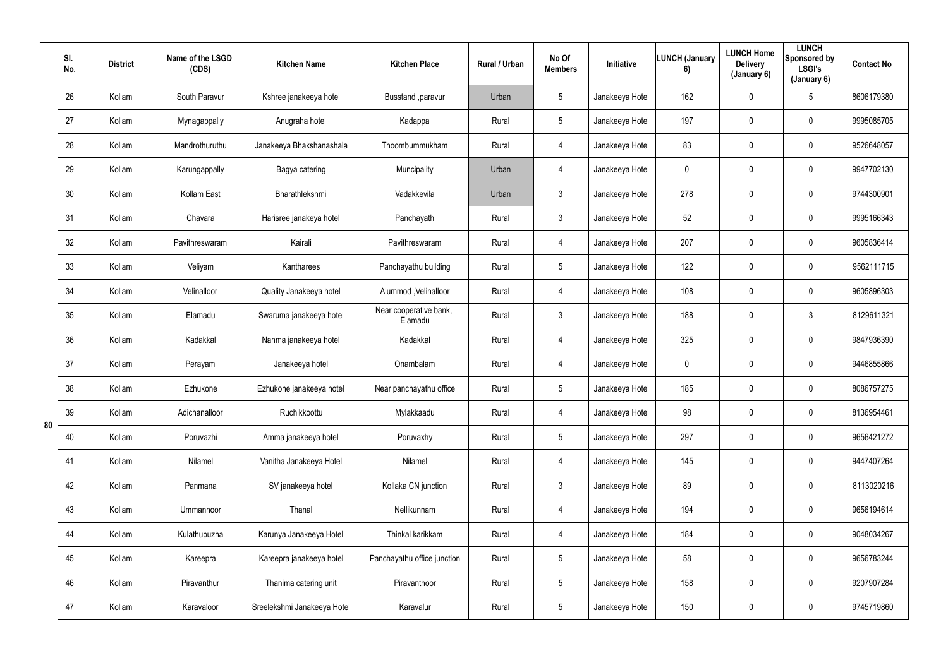|    | SI.<br>No. | <b>District</b> | Name of the LSGD<br>(CDS) | <b>Kitchen Name</b>         | <b>Kitchen Place</b>              | Rural / Urban | No Of<br><b>Members</b> | Initiative      | <b>LUNCH (January</b><br>6) | <b>LUNCH Home</b><br><b>Delivery</b><br>(January 6) | <b>LUNCH</b><br>Sponsored by<br><b>LSGI's</b><br>(January 6) | <b>Contact No</b> |
|----|------------|-----------------|---------------------------|-----------------------------|-----------------------------------|---------------|-------------------------|-----------------|-----------------------------|-----------------------------------------------------|--------------------------------------------------------------|-------------------|
|    | 26         | Kollam          | South Paravur             | Kshree janakeeya hotel      | Busstand , paravur                | Urban         | $5\phantom{.0}$         | Janakeeya Hotel | 162                         | $\mathbf 0$                                         | $5\overline{)}$                                              | 8606179380        |
|    | 27         | Kollam          | Mynagappally              | Anugraha hotel              | Kadappa                           | Rural         | $5\phantom{.0}$         | Janakeeya Hotel | 197                         | $\mathbf 0$                                         | $\mathbf 0$                                                  | 9995085705        |
|    | 28         | Kollam          | Mandrothuruthu            | Janakeeya Bhakshanashala    | Thoombummukham                    | Rural         | 4                       | Janakeeya Hotel | 83                          | $\mathbf 0$                                         | $\mathbf 0$                                                  | 9526648057        |
|    | 29         | Kollam          | Karungappally             | Bagya catering              | Muncipality                       | Urban         | 4                       | Janakeeya Hotel | $\mathbf 0$                 | $\mathbf 0$                                         | $\mathbf 0$                                                  | 9947702130        |
|    | 30         | Kollam          | Kollam East               | Bharathlekshmi              | Vadakkevila                       | Urban         | $\mathbf{3}$            | Janakeeya Hotel | 278                         | $\mathbf 0$                                         | $\mathbf 0$                                                  | 9744300901        |
|    | 31         | Kollam          | Chavara                   | Harisree janakeya hotel     | Panchayath                        | Rural         | $\mathbf{3}$            | Janakeeya Hotel | 52                          | 0                                                   | $\mathbf 0$                                                  | 9995166343        |
|    | 32         | Kollam          | Pavithreswaram            | Kairali                     | Pavithreswaram                    | Rural         | 4                       | Janakeeya Hotel | 207                         | $\mathbf 0$                                         | $\mathbf 0$                                                  | 9605836414        |
|    | 33         | Kollam          | Veliyam                   | Kantharees                  | Panchayathu building              | Rural         | $5\phantom{.0}$         | Janakeeya Hotel | 122                         | 0                                                   | $\mathbf 0$                                                  | 9562111715        |
|    | 34         | Kollam          | Velinalloor               | Quality Janakeeya hotel     | Alummod, Velinalloor              | Rural         | 4                       | Janakeeya Hotel | 108                         | 0                                                   | $\overline{0}$                                               | 9605896303        |
|    | 35         | Kollam          | Elamadu                   | Swaruma janakeeya hotel     | Near cooperative bank,<br>Elamadu | Rural         | $\mathbf{3}$            | Janakeeya Hotel | 188                         | $\mathbf 0$                                         | $\mathbf{3}$                                                 | 8129611321        |
|    | 36         | Kollam          | Kadakkal                  | Nanma janakeeya hotel       | Kadakkal                          | Rural         | 4                       | Janakeeya Hotel | 325                         | $\mathbf 0$                                         | $\mathbf 0$                                                  | 9847936390        |
|    | 37         | Kollam          | Perayam                   | Janakeeya hotel             | Onambalam                         | Rural         | 4                       | Janakeeya Hotel | $\overline{0}$              | $\mathbf 0$                                         | $\mathbf 0$                                                  | 9446855866        |
|    | 38         | Kollam          | Ezhukone                  | Ezhukone janakeeya hotel    | Near panchayathu office           | Rural         | $5\phantom{.0}$         | Janakeeya Hotel | 185                         | $\mathbf 0$                                         | $\mathbf 0$                                                  | 8086757275        |
| 80 | 39         | Kollam          | Adichanalloor             | Ruchikkoottu                | Mylakkaadu                        | Rural         | $\overline{4}$          | Janakeeya Hotel | 98                          | $\pmb{0}$                                           | $\mathbf 0$                                                  | 8136954461        |
|    | 40         | Kollam          | Poruvazhi                 | Amma janakeeya hotel        | Poruvaxhy                         | Rural         | $5\phantom{.0}$         | Janakeeya Hotel | 297                         | $\mathbf 0$                                         | $\overline{0}$                                               | 9656421272        |
|    | 41         | Kollam          | Nilamel                   | Vanitha Janakeeya Hotel     | Nilamel                           | Rural         | 4                       | Janakeeya Hotel | 145                         | $\pmb{0}$                                           | $\mathbf 0$                                                  | 9447407264        |
|    | 42         | Kollam          | Panmana                   | SV janakeeya hotel          | Kollaka CN junction               | Rural         | $\mathbf{3}$            | Janakeeya Hotel | 89                          | $\mathbf 0$                                         | $\overline{0}$                                               | 8113020216        |
|    | 43         | Kollam          | Ummannoor                 | Thanal                      | Nellikunnam                       | Rural         | $\overline{4}$          | Janakeeya Hotel | 194                         | 0                                                   | $\overline{0}$                                               | 9656194614        |
|    | 44         | Kollam          | Kulathupuzha              | Karunya Janakeeya Hotel     | Thinkal karikkam                  | Rural         | $\overline{4}$          | Janakeeya Hotel | 184                         | $\pmb{0}$                                           | $\overline{0}$                                               | 9048034267        |
|    | 45         | Kollam          | Kareepra                  | Kareepra janakeeya hotel    | Panchayathu office junction       | Rural         | $5\phantom{.0}$         | Janakeeya Hotel | 58                          | $\pmb{0}$                                           | $\overline{0}$                                               | 9656783244        |
|    | 46         | Kollam          | Piravanthur               | Thanima catering unit       | Piravanthoor                      | Rural         | $5\overline{)}$         | Janakeeya Hotel | 158                         | 0                                                   | $\mathbf 0$                                                  | 9207907284        |
|    | 47         | Kollam          | Karavaloor                | Sreelekshmi Janakeeya Hotel | Karavalur                         | Rural         | $5\phantom{.0}$         | Janakeeya Hotel | 150                         | $\boldsymbol{0}$                                    | $\overline{0}$                                               | 9745719860        |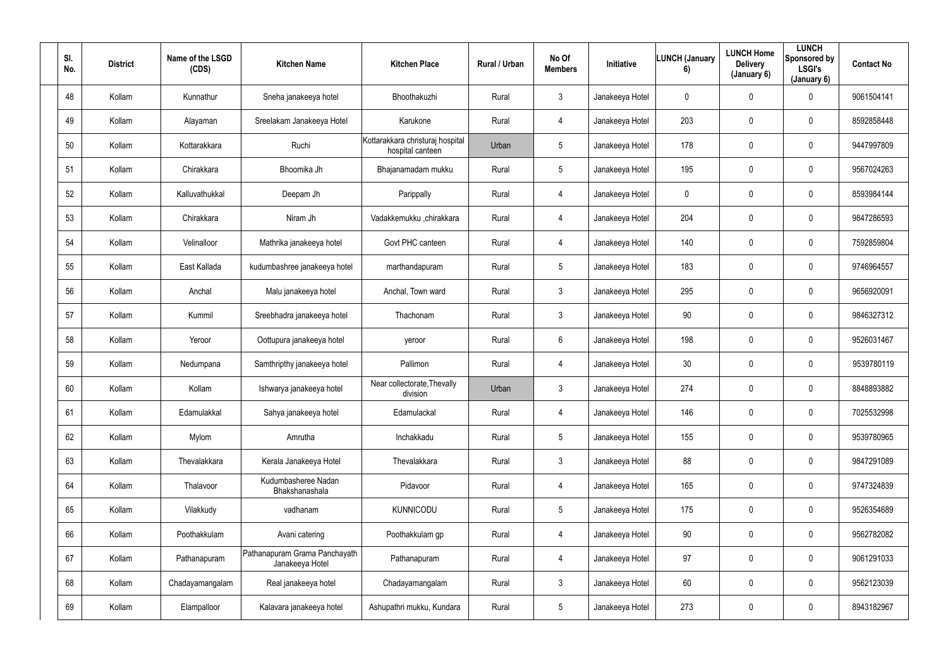| SI.<br>No. | <b>District</b> | Name of the LSGD<br>(CDS) | <b>Kitchen Name</b>                              | <b>Kitchen Place</b>                                 | Rural / Urban | No Of<br><b>Members</b> | Initiative      | <b>LUNCH (January</b><br>6) | <b>LUNCH Home</b><br><b>Delivery</b><br>(January 6) | <b>LUNCH</b><br>Sponsored by<br><b>LSGI's</b><br>(January 6) | <b>Contact No</b> |
|------------|-----------------|---------------------------|--------------------------------------------------|------------------------------------------------------|---------------|-------------------------|-----------------|-----------------------------|-----------------------------------------------------|--------------------------------------------------------------|-------------------|
| 48         | Kollam          | Kunnathur                 | Sneha janakeeya hotel                            | Bhoothakuzhi                                         | Rural         | $\mathbf{3}$            | Janakeeya Hotel | $\mathbf 0$                 | $\mathbf 0$                                         | $\mathbf 0$                                                  | 9061504141        |
| 49         | Kollam          | Alayaman                  | Sreelakam Janakeeya Hotel                        | Karukone                                             | Rural         | 4                       | Janakeeya Hotel | 203                         | 0                                                   | $\mathbf 0$                                                  | 8592858448        |
| $50\,$     | Kollam          | Kottarakkara              | Ruchi                                            | Kottarakkara christuraj hospital<br>hospital canteen | Urban         | $5\overline{)}$         | Janakeeya Hotel | 178                         | 0                                                   | $\mathbf 0$                                                  | 9447997809        |
| 51         | Kollam          | Chirakkara                | Bhoomika Jh                                      | Bhajanamadam mukku                                   | Rural         | 5 <sub>5</sub>          | Janakeeya Hotel | 195                         | 0                                                   | $\mathbf 0$                                                  | 9567024263        |
| 52         | Kollam          | Kalluvathukkal            | Deepam Jh                                        | Parippally                                           | Rural         | 4                       | Janakeeya Hotel | $\mathbf 0$                 | 0                                                   | $\mathbf 0$                                                  | 8593984144        |
| 53         | Kollam          | Chirakkara                | Niram Jh                                         | Vadakkemukku ,chirakkara                             | Rural         | 4                       | Janakeeya Hotel | 204                         | 0                                                   | $\mathbf 0$                                                  | 9847286593        |
| 54         | Kollam          | Velinalloor               | Mathrika janakeeya hotel                         | Govt PHC canteen                                     | Rural         | 4                       | Janakeeya Hotel | 140                         | 0                                                   | $\mathbf 0$                                                  | 7592859804        |
| 55         | Kollam          | East Kallada              | kudumbashree janakeeya hotel                     | marthandapuram                                       | Rural         | 5 <sub>5</sub>          | Janakeeya Hotel | 183                         | 0                                                   | $\mathbf 0$                                                  | 9746964557        |
| 56         | Kollam          | Anchal                    | Malu janakeeya hotel                             | Anchal, Town ward                                    | Rural         | 3 <sup>1</sup>          | Janakeeya Hotel | 295                         | 0                                                   | $\overline{0}$                                               | 9656920091        |
| 57         | Kollam          | Kummil                    | Sreebhadra janakeeya hotel                       | Thachonam                                            | Rural         | 3 <sup>1</sup>          | Janakeeya Hotel | 90                          | 0                                                   | $\overline{0}$                                               | 9846327312        |
| 58         | Kollam          | Yeroor                    | Oottupura janakeeya hotel                        | yeroor                                               | Rural         | $6\overline{6}$         | Janakeeya Hotel | 198                         | 0                                                   | $\mathbf 0$                                                  | 9526031467        |
| 59         | Kollam          | Nedumpana                 | Samthripthy janakeeya hotel                      | Pallimon                                             | Rural         | 4                       | Janakeeya Hotel | 30                          | 0                                                   | $\mathbf 0$                                                  | 9539780119        |
| 60         | Kollam          | Kollam                    | Ishwarya janakeeya hotel                         | Near collectorate, Thevally<br>division              | Urban         | $\mathfrak{Z}$          | Janakeeya Hotel | 274                         | 0                                                   | $\overline{0}$                                               | 8848893882        |
| 61         | Kollam          | Edamulakkal               | Sahya janakeeya hotel                            | Edamulackal                                          | Rural         | $\overline{4}$          | Janakeeya Hotel | 146                         | 0                                                   | $\mathbf 0$                                                  | 7025532998        |
| 62         | Kollam          | Mylom                     | Amrutha                                          | Inchakkadu                                           | Rural         | $5\overline{)}$         | Janakeeya Hotel | 155                         | $\mathbf 0$                                         | $\mathbf 0$                                                  | 9539780965        |
| 63         | Kollam          | Thevalakkara              | Kerala Janakeeya Hotel                           | Thevalakkara                                         | Rural         | $\mathfrak{Z}$          | Janakeeya Hotel | 88                          | 0                                                   | $\mathbf 0$                                                  | 9847291089        |
| 64         | Kollam          | Thalavoor                 | Kudumbasheree Nadan<br>Bhakshanashala            | Pidavoor                                             | Rural         | $\overline{4}$          | Janakeeya Hotel | 165                         | 0                                                   | $\mathbf 0$                                                  | 9747324839        |
| 65         | Kollam          | Vilakkudy                 | vadhanam                                         | <b>KUNNICODU</b>                                     | Rural         | $5\phantom{.0}$         | Janakeeya Hotel | 175                         | 0                                                   | $\mathbf 0$                                                  | 9526354689        |
| 66         | Kollam          | Poothakkulam              | Avani catering                                   | Poothakkulam gp                                      | Rural         | $\overline{4}$          | Janakeeya Hotel | $90\,$                      | 0                                                   | $\mathbf 0$                                                  | 9562782082        |
| 67         | Kollam          | Pathanapuram              | Pathanapuram Grama Panchayath<br>Janakeeya Hotel | Pathanapuram                                         | Rural         | $\overline{4}$          | Janakeeya Hotel | 97                          | 0                                                   | $\mathbf 0$                                                  | 9061291033        |
| 68         | Kollam          | Chadayamangalam           | Real janakeeya hotel                             | Chadayamangalam                                      | Rural         | $\mathbf{3}$            | Janakeeya Hotel | 60                          | 0                                                   | $\mathbf 0$                                                  | 9562123039        |
| 69         | Kollam          | Elampalloor               | Kalavara janakeeya hotel                         | Ashupathri mukku, Kundara                            | Rural         | 5 <sub>5</sub>          | Janakeeya Hotel | 273                         | 0                                                   | $\mathbf 0$                                                  | 8943182967        |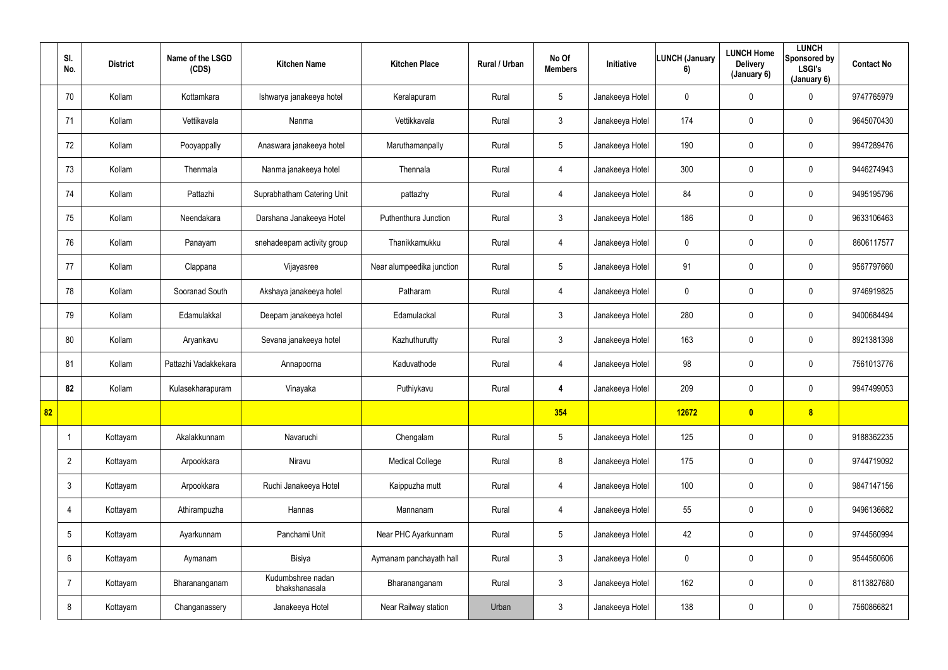|    | SI.<br>No.      | <b>District</b> | Name of the LSGD<br>(CDS) | <b>Kitchen Name</b>                | <b>Kitchen Place</b>      | Rural / Urban | No Of<br><b>Members</b> | Initiative      | LUNCH (January<br>6) | <b>LUNCH Home</b><br><b>Delivery</b><br>(January 6) | <b>LUNCH</b><br>Sponsored by<br><b>LSGI's</b><br>(January 6) | <b>Contact No</b> |
|----|-----------------|-----------------|---------------------------|------------------------------------|---------------------------|---------------|-------------------------|-----------------|----------------------|-----------------------------------------------------|--------------------------------------------------------------|-------------------|
|    | 70              | Kollam          | Kottamkara                | Ishwarya janakeeya hotel           | Keralapuram               | Rural         | $5\overline{)}$         | Janakeeya Hotel | $\mathbf 0$          | $\overline{0}$                                      | $\mathbf 0$                                                  | 9747765979        |
|    | 71              | Kollam          | Vettikavala               | Nanma                              | Vettikkavala              | Rural         | $\mathbf{3}$            | Janakeeya Hotel | 174                  | $\mathbf 0$                                         | $\overline{0}$                                               | 9645070430        |
|    | 72              | Kollam          | Pooyappally               | Anaswara janakeeya hotel           | Maruthamanpally           | Rural         | $5\phantom{.0}$         | Janakeeya Hotel | 190                  | $\mathbf 0$                                         | $\overline{0}$                                               | 9947289476        |
|    | 73              | Kollam          | Thenmala                  | Nanma janakeeya hotel              | Thennala                  | Rural         | $\overline{4}$          | Janakeeya Hotel | 300                  | $\overline{0}$                                      | $\pmb{0}$                                                    | 9446274943        |
|    | 74              | Kollam          | Pattazhi                  | Suprabhatham Catering Unit         | pattazhy                  | Rural         | $\overline{4}$          | Janakeeya Hotel | 84                   | $\mathbf 0$                                         | $\mathbf 0$                                                  | 9495195796        |
|    | 75              | Kollam          | Neendakara                | Darshana Janakeeya Hotel           | Puthenthura Junction      | Rural         | $\mathbf{3}$            | Janakeeya Hotel | 186                  | $\overline{0}$                                      | $\overline{0}$                                               | 9633106463        |
|    | 76              | Kollam          | Panayam                   | snehadeepam activity group         | Thanikkamukku             | Rural         | 4                       | Janakeeya Hotel | $\mathbf 0$          | $\mathbf 0$                                         | $\mathbf 0$                                                  | 8606117577        |
|    | 77              | Kollam          | Clappana                  | Vijayasree                         | Near alumpeedika junction | Rural         | $5\overline{)}$         | Janakeeya Hotel | 91                   | $\mathbf 0$                                         | $\overline{0}$                                               | 9567797660        |
|    | 78              | Kollam          | Sooranad South            | Akshaya janakeeya hotel            | Patharam                  | Rural         | 4                       | Janakeeya Hotel | $\mathbf 0$          | $\mathbf 0$                                         | $\pmb{0}$                                                    | 9746919825        |
|    | 79              | Kollam          | Edamulakkal               | Deepam janakeeya hotel             | Edamulackal               | Rural         | 3 <sup>1</sup>          | Janakeeya Hotel | 280                  | $\mathbf 0$                                         | $\pmb{0}$                                                    | 9400684494        |
|    | 80              | Kollam          | Aryankavu                 | Sevana janakeeya hotel             | Kazhuthurutty             | Rural         | 3 <sup>1</sup>          | Janakeeya Hotel | 163                  | $\overline{0}$                                      | $\mathbf 0$                                                  | 8921381398        |
|    | 81              | Kollam          | Pattazhi Vadakkekara      | Annapoorna                         | Kaduvathode               | Rural         | 4                       | Janakeeya Hotel | 98                   | $\overline{0}$                                      | $\mathbf 0$                                                  | 7561013776        |
|    | 82              | Kollam          | Kulasekharapuram          | Vinayaka                           | Puthiykavu                | Rural         | 4                       | Janakeeya Hotel | 209                  | $\mathbf 0$                                         | $\mathbf 0$                                                  | 9947499053        |
| 82 |                 |                 |                           |                                    |                           |               | 354                     |                 | 12672                | $\bullet$                                           | 8                                                            |                   |
|    | -1              | Kottayam        | Akalakkunnam              | Navaruchi                          | Chengalam                 | Rural         | $5\overline{)}$         | Janakeeya Hotel | 125                  | $\mathbf 0$                                         | $\overline{0}$                                               | 9188362235        |
|    | $\overline{2}$  | Kottayam        | Arpookkara                | Niravu                             | <b>Medical College</b>    | Rural         | 8                       | Janakeeya Hotel | 175                  | $\mathbf 0$                                         | $\overline{0}$                                               | 9744719092        |
|    | $\mathfrak{Z}$  | Kottayam        | Arpookkara                | Ruchi Janakeeya Hotel              | Kaippuzha mutt            | Rural         | 4                       | Janakeeya Hotel | 100                  | $\mathbf 0$                                         | $\mathbf 0$                                                  | 9847147156        |
|    | $\overline{4}$  | Kottayam        | Athirampuzha              | Hannas                             | Mannanam                  | Rural         | $\overline{4}$          | Janakeeya Hotel | 55                   | $\pmb{0}$                                           | $\mathbf 0$                                                  | 9496136682        |
|    | $5\phantom{.0}$ | Kottayam        | Ayarkunnam                | Panchami Unit                      | Near PHC Ayarkunnam       | Rural         | $5\phantom{.0}$         | Janakeeya Hotel | 42                   | $\pmb{0}$                                           | $\overline{0}$                                               | 9744560994        |
|    | $6\phantom{.}$  | Kottayam        | Aymanam                   | Bisiya                             | Aymanam panchayath hall   | Rural         | 3 <sup>1</sup>          | Janakeeya Hotel | $\overline{0}$       | $\mathbf 0$                                         | $\overline{0}$                                               | 9544560606        |
|    | $\overline{7}$  | Kottayam        | Bharananganam             | Kudumbshree nadan<br>bhakshanasala | Bharananganam             | Rural         | $\mathbf{3}$            | Janakeeya Hotel | 162                  | $\pmb{0}$                                           | $\overline{0}$                                               | 8113827680        |
|    | 8               | Kottayam        | Changanassery             | Janakeeya Hotel                    | Near Railway station      | Urban         | 3 <sup>1</sup>          | Janakeeya Hotel | 138                  | $\pmb{0}$                                           | $\pmb{0}$                                                    | 7560866821        |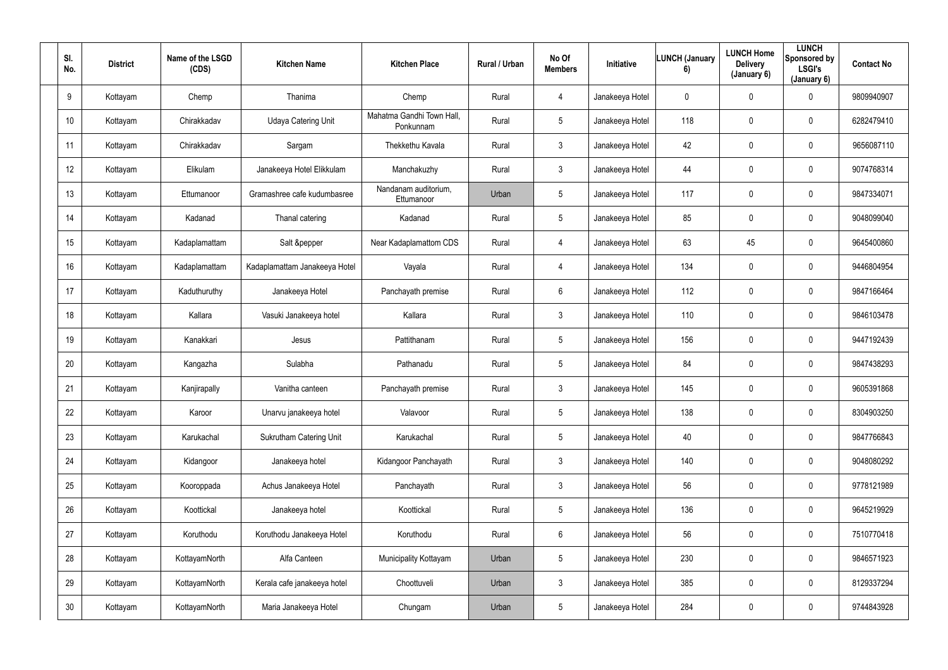| SI.<br>No.      | <b>District</b> | Name of the LSGD<br>(CDS) | <b>Kitchen Name</b>            | <b>Kitchen Place</b>                   | Rural / Urban | No Of<br><b>Members</b> | Initiative      | <b>LUNCH (January</b><br>6) | <b>LUNCH Home</b><br><b>Delivery</b><br>(January 6) | <b>LUNCH</b><br>Sponsored by<br><b>LSGI's</b><br>(January 6) | <b>Contact No</b> |
|-----------------|-----------------|---------------------------|--------------------------------|----------------------------------------|---------------|-------------------------|-----------------|-----------------------------|-----------------------------------------------------|--------------------------------------------------------------|-------------------|
| 9               | Kottayam        | Chemp                     | Thanima                        | Chemp                                  | Rural         | 4                       | Janakeeya Hotel | $\mathbf 0$                 | 0                                                   | $\mathbf 0$                                                  | 9809940907        |
| 10              | Kottayam        | Chirakkadav               | <b>Udaya Catering Unit</b>     | Mahatma Gandhi Town Hall,<br>Ponkunnam | Rural         | $5\phantom{.0}$         | Janakeeya Hotel | 118                         | 0                                                   | $\overline{0}$                                               | 6282479410        |
| 11              | Kottayam        | Chirakkadav               | Sargam                         | Thekkethu Kavala                       | Rural         | $\mathbf{3}$            | Janakeeya Hotel | 42                          | 0                                                   | $\overline{0}$                                               | 9656087110        |
| 12              | Kottayam        | Elikulam                  | Janakeeya Hotel Elikkulam      | Manchakuzhy                            | Rural         | $\mathbf{3}$            | Janakeeya Hotel | 44                          | 0                                                   | $\overline{0}$                                               | 9074768314        |
| 13              | Kottayam        | Ettumanoor                | Gramashree cafe kudumbasree    | Nandanam auditorium,<br>Ettumanoor     | Urban         | $5\phantom{.0}$         | Janakeeya Hotel | 117                         | 0                                                   | $\mathbf 0$                                                  | 9847334071        |
| 14              | Kottayam        | Kadanad                   | Thanal catering                | Kadanad                                | Rural         | $5\overline{)}$         | Janakeeya Hotel | 85                          | 0                                                   | $\mathbf 0$                                                  | 9048099040        |
| 15              | Kottayam        | Kadaplamattam             | Salt &pepper                   | Near Kadaplamattom CDS                 | Rural         | 4                       | Janakeeya Hotel | 63                          | 45                                                  | $\overline{0}$                                               | 9645400860        |
| 16              | Kottayam        | Kadaplamattam             | Kadaplamattam Janakeeya Hotel  | Vayala                                 | Rural         | 4                       | Janakeeya Hotel | 134                         | 0                                                   | $\overline{0}$                                               | 9446804954        |
| 17              | Kottayam        | Kaduthuruthy              | Janakeeya Hotel                | Panchayath premise                     | Rural         | 6                       | Janakeeya Hotel | 112                         | 0                                                   | $\overline{0}$                                               | 9847166464        |
| 18              | Kottayam        | Kallara                   | Vasuki Janakeeya hotel         | Kallara                                | Rural         | $\mathbf{3}$            | Janakeeya Hotel | 110                         | 0                                                   | $\overline{0}$                                               | 9846103478        |
| 19              | Kottayam        | Kanakkari                 | Jesus                          | Pattithanam                            | Rural         | 5 <sub>5</sub>          | Janakeeya Hotel | 156                         | 0                                                   | $\mathbf 0$                                                  | 9447192439        |
| 20              | Kottayam        | Kangazha                  | Sulabha                        | Pathanadu                              | Rural         | $5\overline{)}$         | Janakeeya Hotel | 84                          | 0                                                   | $\mathbf 0$                                                  | 9847438293        |
| 21              | Kottayam        | Kanjirapally              | Vanitha canteen                | Panchayath premise                     | Rural         | $\mathbf{3}$            | Janakeeya Hotel | 145                         | 0                                                   | $\overline{0}$                                               | 9605391868        |
| 22              | Kottayam        | Karoor                    | Unarvu janakeeya hotel         | Valavoor                               | Rural         | $5\phantom{.0}$         | Janakeeya Hotel | 138                         | 0                                                   | $\mathbf 0$                                                  | 8304903250        |
| 23              | Kottayam        | Karukachal                | <b>Sukrutham Catering Unit</b> | Karukachal                             | Rural         | $5\phantom{.0}$         | Janakeeya Hotel | 40                          | 0                                                   | $\mathbf 0$                                                  | 9847766843        |
| 24              | Kottayam        | Kidangoor                 | Janakeeya hotel                | Kidangoor Panchayath                   | Rural         | 3                       | Janakeeya Hotel | 140                         | 0                                                   | $\mathbf 0$                                                  | 9048080292        |
| 25              | Kottayam        | Kooroppada                | Achus Janakeeya Hotel          | Panchayath                             | Rural         | 3 <sup>1</sup>          | Janakeeya Hotel | 56                          | 0                                                   | $\mathbf 0$                                                  | 9778121989        |
| 26              | Kottayam        | Koottickal                | Janakeeya hotel                | Koottickal                             | Rural         | $5\phantom{.0}$         | Janakeeya Hotel | 136                         | 0                                                   | $\mathbf 0$                                                  | 9645219929        |
| 27              | Kottayam        | Koruthodu                 | Koruthodu Janakeeya Hotel      | Koruthodu                              | Rural         | $6\overline{6}$         | Janakeeya Hotel | 56                          | 0                                                   | $\mathbf 0$                                                  | 7510770418        |
| 28              | Kottayam        | KottayamNorth             | Alfa Canteen                   | Municipality Kottayam                  | Urban         | $5\phantom{.0}$         | Janakeeya Hotel | 230                         | 0                                                   | $\mathbf 0$                                                  | 9846571923        |
| 29              | Kottayam        | KottayamNorth             | Kerala cafe janakeeya hotel    | Choottuveli                            | Urban         | 3                       | Janakeeya Hotel | 385                         | $\pmb{0}$                                           | $\mathbf 0$                                                  | 8129337294        |
| 30 <sup>°</sup> | Kottayam        | KottayamNorth             | Maria Janakeeya Hotel          | Chungam                                | Urban         | $5\phantom{.0}$         | Janakeeya Hotel | 284                         | 0                                                   | $\overline{0}$                                               | 9744843928        |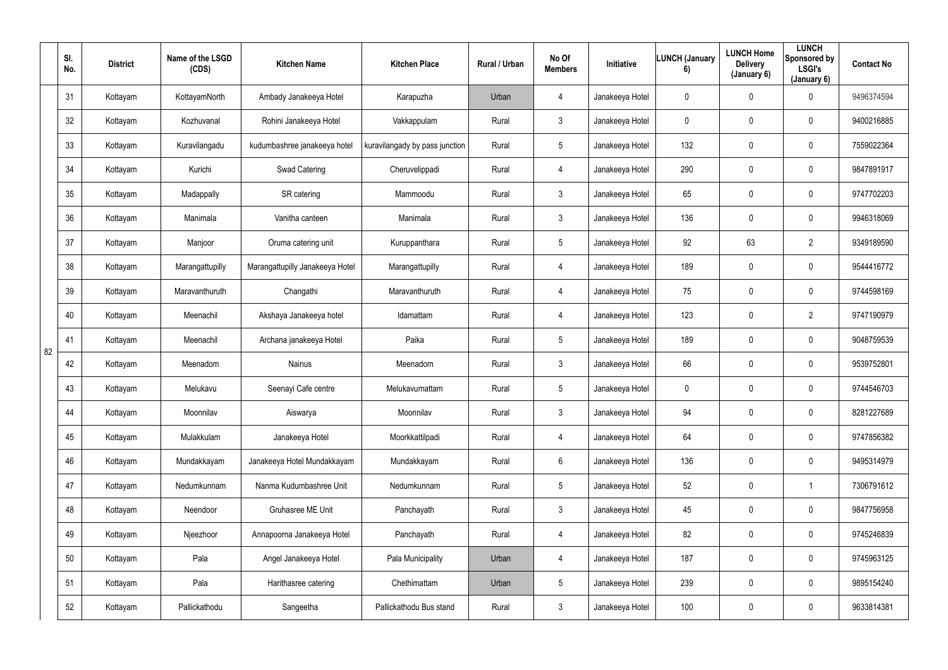|    | SI.<br>No. | <b>District</b> | Name of the LSGD<br>(CDS) | <b>Kitchen Name</b>             | <b>Kitchen Place</b>           | Rural / Urban | No Of<br><b>Members</b> | <b>Initiative</b> | <b>LUNCH (January</b><br>6) | <b>LUNCH Home</b><br><b>Delivery</b><br>(January 6) | <b>LUNCH</b><br>Sponsored by<br>LSGI's<br>(January 6) | <b>Contact No</b> |
|----|------------|-----------------|---------------------------|---------------------------------|--------------------------------|---------------|-------------------------|-------------------|-----------------------------|-----------------------------------------------------|-------------------------------------------------------|-------------------|
|    | 31         | Kottayam        | KottayamNorth             | Ambady Janakeeya Hotel          | Karapuzha                      | Urban         | 4                       | Janakeeya Hotel   | $\mathbf 0$                 | 0                                                   | $\mathbf 0$                                           | 9496374594        |
|    | 32         | Kottayam        | Kozhuvanal                | Rohini Janakeeya Hotel          | Vakkappulam                    | Rural         | $\mathbf{3}$            | Janakeeya Hotel   | $\mathbf 0$                 | 0                                                   | $\mathbf 0$                                           | 9400216885        |
|    | 33         | Kottayam        | Kuravilangadu             | kudumbashree janakeeya hotel    | kuravilangady by pass junction | Rural         | 5                       | Janakeeya Hotel   | 132                         | 0                                                   | $\mathbf 0$                                           | 7559022364        |
|    | 34         | Kottayam        | Kurichi                   | Swad Catering                   | Cheruvelippadi                 | Rural         | 4                       | Janakeeya Hotel   | 290                         | 0                                                   | $\mathbf 0$                                           | 9847891917        |
|    | 35         | Kottayam        | Madappally                | SR catering                     | Mammoodu                       | Rural         | $3\phantom{.0}$         | Janakeeya Hotel   | 65                          | 0                                                   | $\mathbf 0$                                           | 9747702203        |
|    | 36         | Kottayam        | Manimala                  | Vanitha canteen                 | Manimala                       | Rural         | $\mathbf{3}$            | Janakeeya Hotel   | 136                         | 0                                                   | $\mathbf 0$                                           | 9946318069        |
|    | 37         | Kottayam        | Manjoor                   | Oruma catering unit             | Kuruppanthara                  | Rural         | $5\phantom{.0}$         | Janakeeya Hotel   | 92                          | 63                                                  | $\overline{2}$                                        | 9349189590        |
|    | 38         | Kottayam        | Marangattupilly           | Marangattupilly Janakeeya Hotel | Marangattupilly                | Rural         | 4                       | Janakeeya Hotel   | 189                         | 0                                                   | $\mathbf 0$                                           | 9544416772        |
|    | 39         | Kottayam        | Maravanthuruth            | Changathi                       | Maravanthuruth                 | Rural         | 4                       | Janakeeya Hotel   | 75                          | 0                                                   | $\mathbf 0$                                           | 9744598169        |
|    | 40         | Kottayam        | Meenachil                 | Akshaya Janakeeya hotel         | Idamattam                      | Rural         | 4                       | Janakeeya Hotel   | 123                         | 0                                                   | $\overline{2}$                                        | 9747190979        |
| 82 | 41         | Kottayam        | Meenachil                 | Archana janakeeya Hotel         | Paika                          | Rural         | $5\overline{)}$         | Janakeeya Hotel   | 189                         | 0                                                   | $\mathbf 0$                                           | 9048759539        |
|    | 42         | Kottayam        | Meenadom                  | Nainus                          | Meenadom                       | Rural         | $3\phantom{.0}$         | Janakeeya Hotel   | 66                          | 0                                                   | $\mathbf 0$                                           | 9539752801        |
|    | 43         | Kottayam        | Melukavu                  | Seenayi Cafe centre             | Melukavumattam                 | Rural         | 5                       | Janakeeya Hotel   | $\mathbf 0$                 | 0                                                   | $\overline{0}$                                        | 9744546703        |
|    | 44         | Kottayam        | Moonnilav                 | Aiswarya                        | Moonnilav                      | Rural         | $\mathfrak{Z}$          | Janakeeya Hotel   | 94                          | $\mathbf 0$                                         | $\mathbf 0$                                           | 8281227689        |
|    | 45         | Kottayam        | Mulakkulam                | Janakeeya Hotel                 | Moorkkattilpadi                | Rural         | $\overline{4}$          | Janakeeya Hotel   | 64                          | $\mathbf 0$                                         | $\overline{0}$                                        | 9747856382        |
|    | 46         | Kottayam        | Mundakkayam               | Janakeeya Hotel Mundakkayam     | Mundakkayam                    | Rural         | $6\overline{6}$         | Janakeeya Hotel   | 136                         | 0                                                   | $\mathbf 0$                                           | 9495314979        |
|    | 47         | Kottayam        | Nedumkunnam               | Nanma Kudumbashree Unit         | Nedumkunnam                    | Rural         | $5\phantom{.0}$         | Janakeeya Hotel   | 52                          | $\mathbf 0$                                         | $\overline{1}$                                        | 7306791612        |
|    | 48         | Kottayam        | Neendoor                  | Gruhasree ME Unit               | Panchayath                     | Rural         | $3\phantom{.0}$         | Janakeeya Hotel   | 45                          | 0                                                   | $\mathbf 0$                                           | 9847756958        |
|    | 49         | Kottayam        | Njeezhoor                 | Annapoorna Janakeeya Hotel      | Panchayath                     | Rural         | $\overline{4}$          | Janakeeya Hotel   | 82                          | $\mathbf 0$                                         | $\overline{0}$                                        | 9745246839        |
|    | 50         | Kottayam        | Pala                      | Angel Janakeeya Hotel           | Pala Municipality              | Urban         | $\overline{4}$          | Janakeeya Hotel   | 187                         | 0                                                   | $\mathbf 0$                                           | 9745963125        |
|    | 51         | Kottayam        | Pala                      | Harithasree catering            | Chethimattam                   | Urban         | 5                       | Janakeeya Hotel   | 239                         | 0                                                   | $\mathbf 0$                                           | 9895154240        |
|    | 52         | Kottayam        | Pallickathodu             | Sangeetha                       | Pallickathodu Bus stand        | Rural         | 3 <sup>1</sup>          | Janakeeya Hotel   | 100                         | 0                                                   | $\overline{0}$                                        | 9633814381        |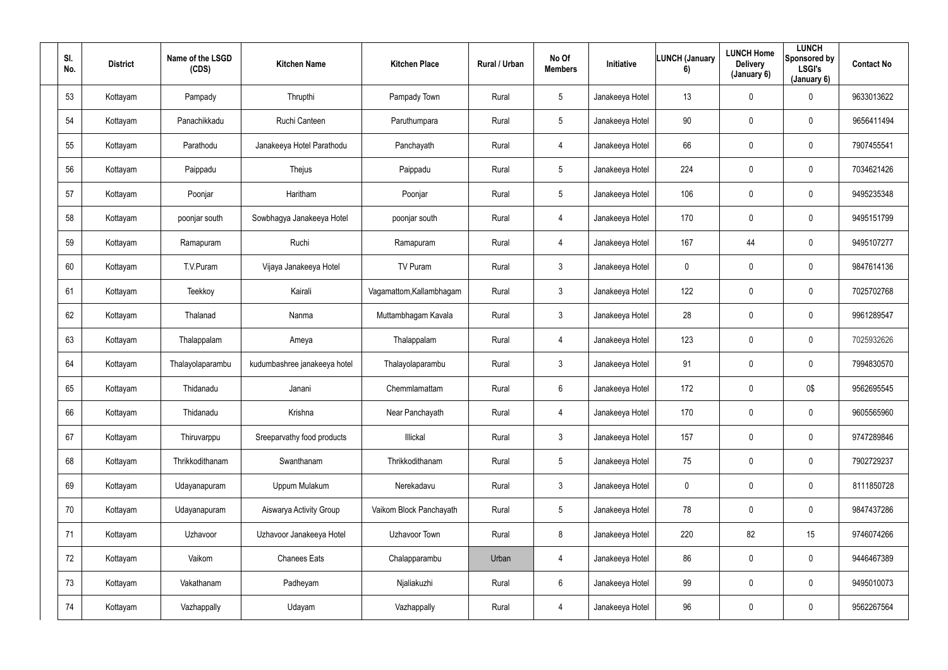| SI.<br>No. | <b>District</b> | Name of the LSGD<br>(CDS) | <b>Kitchen Name</b>          | <b>Kitchen Place</b>     | Rural / Urban | No Of<br><b>Members</b> | Initiative      | <b>LUNCH (January</b><br>6) | <b>LUNCH Home</b><br><b>Delivery</b><br>(January 6) | <b>LUNCH</b><br>Sponsored by<br>LSGI's<br>(January 6) | <b>Contact No</b> |
|------------|-----------------|---------------------------|------------------------------|--------------------------|---------------|-------------------------|-----------------|-----------------------------|-----------------------------------------------------|-------------------------------------------------------|-------------------|
| 53         | Kottayam        | Pampady                   | Thrupthi                     | Pampady Town             | Rural         | $5\overline{)}$         | Janakeeya Hotel | 13                          | 0                                                   | $\mathbf 0$                                           | 9633013622        |
| 54         | Kottayam        | Panachikkadu              | Ruchi Canteen                | Paruthumpara             | Rural         | $5\phantom{.0}$         | Janakeeya Hotel | 90                          | 0                                                   | $\overline{0}$                                        | 9656411494        |
| 55         | Kottayam        | Parathodu                 | Janakeeya Hotel Parathodu    | Panchayath               | Rural         | 4                       | Janakeeya Hotel | 66                          | 0                                                   | $\mathbf 0$                                           | 7907455541        |
| 56         | Kottayam        | Paippadu                  | Thejus                       | Paippadu                 | Rural         | $5\overline{)}$         | Janakeeya Hotel | 224                         | 0                                                   | $\mathbf 0$                                           | 7034621426        |
| 57         | Kottayam        | Poonjar                   | Haritham                     | Poonjar                  | Rural         | $5\overline{)}$         | Janakeeya Hotel | 106                         | 0                                                   | $\mathbf 0$                                           | 9495235348        |
| 58         | Kottayam        | poonjar south             | Sowbhagya Janakeeya Hotel    | poonjar south            | Rural         | 4                       | Janakeeya Hotel | 170                         | 0                                                   | $\mathbf 0$                                           | 9495151799        |
| 59         | Kottayam        | Ramapuram                 | Ruchi                        | Ramapuram                | Rural         | 4                       | Janakeeya Hotel | 167                         | 44                                                  | $\mathbf 0$                                           | 9495107277        |
| 60         | Kottayam        | T.V.Puram                 | Vijaya Janakeeya Hotel       | TV Puram                 | Rural         | 3 <sup>1</sup>          | Janakeeya Hotel | $\mathbf 0$                 | 0                                                   | $\mathbf 0$                                           | 9847614136        |
| 61         | Kottayam        | Teekkoy                   | Kairali                      | Vagamattom, Kallambhagam | Rural         | $\mathbf{3}$            | Janakeeya Hotel | 122                         | 0                                                   | $\mathbf 0$                                           | 7025702768        |
| 62         | Kottayam        | Thalanad                  | Nanma                        | Muttambhagam Kavala      | Rural         | $\mathbf{3}$            | Janakeeya Hotel | 28                          | 0                                                   | $\mathbf 0$                                           | 9961289547        |
| 63         | Kottayam        | Thalappalam               | Ameya                        | Thalappalam              | Rural         | 4                       | Janakeeya Hotel | 123                         | $\mathbf 0$                                         | $\mathbf 0$                                           | 7025932626        |
| 64         | Kottayam        | Thalayolaparambu          | kudumbashree janakeeya hotel | Thalayolaparambu         | Rural         | $\mathbf{3}$            | Janakeeya Hotel | 91                          | 0                                                   | $\mathbf 0$                                           | 7994830570        |
| 65         | Kottayam        | Thidanadu                 | Janani                       | Chemmlamattam            | Rural         | $6\phantom{.0}$         | Janakeeya Hotel | 172                         | 0                                                   | 0\$                                                   | 9562695545        |
| 66         | Kottayam        | Thidanadu                 | Krishna                      | Near Panchayath          | Rural         | $\overline{4}$          | Janakeeya Hotel | 170                         | $\mathbf 0$                                         | $\mathbf 0$                                           | 9605565960        |
| 67         | Kottayam        | Thiruvarppu               | Sreeparvathy food products   | Illickal                 | Rural         | 3                       | Janakeeya Hotel | 157                         | 0                                                   | $\mathbf 0$                                           | 9747289846        |
| 68         | Kottayam        | Thrikkodithanam           | Swanthanam                   | Thrikkodithanam          | Rural         | $5\overline{)}$         | Janakeeya Hotel | 75                          | 0                                                   | $\mathbf 0$                                           | 7902729237        |
| 69         | Kottayam        | Udayanapuram              | Uppum Mulakum                | Nerekadavu               | Rural         | 3 <sup>1</sup>          | Janakeeya Hotel | $\pmb{0}$                   | $\mathbf 0$                                         | $\mathbf 0$                                           | 8111850728        |
| 70         | Kottayam        | Udayanapuram              | Aiswarya Activity Group      | Vaikom Block Panchayath  | Rural         | $5\phantom{.0}$         | Janakeeya Hotel | 78                          | 0                                                   | $\mathbf 0$                                           | 9847437286        |
| 71         | Kottayam        | Uzhavoor                  | Uzhavoor Janakeeya Hotel     | Uzhavoor Town            | Rural         | 8                       | Janakeeya Hotel | 220                         | 82                                                  | 15                                                    | 9746074266        |
| 72         | Kottayam        | Vaikom                    | <b>Chanees Eats</b>          | Chalapparambu            | Urban         | $\overline{4}$          | Janakeeya Hotel | 86                          | $\pmb{0}$                                           | $\mathbf 0$                                           | 9446467389        |
| 73         | Kottayam        | Vakathanam                | Padheyam                     | Njaliakuzhi              | Rural         | $6\overline{6}$         | Janakeeya Hotel | 99                          | 0                                                   | $\mathbf 0$                                           | 9495010073        |
| 74         | Kottayam        | Vazhappally               | Udayam                       | Vazhappally              | Rural         | 4                       | Janakeeya Hotel | 96                          | $\pmb{0}$                                           | $\mathbf 0$                                           | 9562267564        |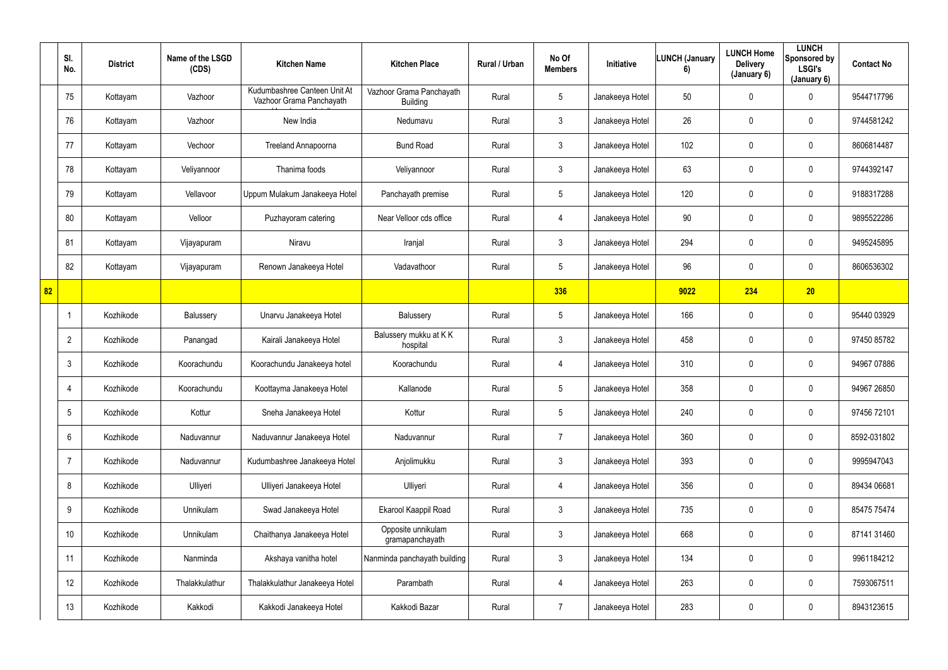|    | SI.<br>No.      | <b>District</b> | Name of the LSGD<br>(CDS) | <b>Kitchen Name</b>                                      | <b>Kitchen Place</b>                        | Rural / Urban | No Of<br><b>Members</b> | Initiative      | <b>LUNCH (January</b><br>6) | <b>LUNCH Home</b><br><b>Delivery</b><br>(January 6) | <b>LUNCH</b><br>Sponsored by<br>LSGI's<br>(January 6) | <b>Contact No</b> |
|----|-----------------|-----------------|---------------------------|----------------------------------------------------------|---------------------------------------------|---------------|-------------------------|-----------------|-----------------------------|-----------------------------------------------------|-------------------------------------------------------|-------------------|
|    | 75              | Kottayam        | Vazhoor                   | Kudumbashree Canteen Unit At<br>Vazhoor Grama Panchayath | Vazhoor Grama Panchayath<br><b>Building</b> | Rural         | 5 <sup>5</sup>          | Janakeeya Hotel | 50                          | $\mathbf 0$                                         | $\mathbf 0$                                           | 9544717796        |
|    | 76              | Kottayam        | Vazhoor                   | New India                                                | Nedumavu                                    | Rural         | $\mathfrak{Z}$          | Janakeeya Hotel | 26                          | 0                                                   | $\mathbf 0$                                           | 9744581242        |
|    | 77              | Kottayam        | Vechoor                   | Treeland Annapoorna                                      | <b>Bund Road</b>                            | Rural         | $\mathfrak{Z}$          | Janakeeya Hotel | 102                         | $\mathbf 0$                                         | $\mathbf 0$                                           | 8606814487        |
|    | 78              | Kottayam        | Veliyannoor               | Thanima foods                                            | Veliyannoor                                 | Rural         | $\mathfrak{Z}$          | Janakeeya Hotel | 63                          | $\mathbf 0$                                         | $\mathbf 0$                                           | 9744392147        |
|    | 79              | Kottayam        | Vellavoor                 | Uppum Mulakum Janakeeya Hotel                            | Panchayath premise                          | Rural         | $5\phantom{.0}$         | Janakeeya Hotel | 120                         | $\mathbf 0$                                         | $\mathbf 0$                                           | 9188317288        |
|    | 80              | Kottayam        | Velloor                   | Puzhayoram catering                                      | Near Velloor cds office                     | Rural         | 4                       | Janakeeya Hotel | 90                          | $\mathbf 0$                                         | $\mathbf 0$                                           | 9895522286        |
|    | 81              | Kottayam        | Vijayapuram               | Niravu                                                   | Iranjal                                     | Rural         | $\mathfrak{Z}$          | Janakeeya Hotel | 294                         | $\mathbf 0$                                         | $\mathbf 0$                                           | 9495245895        |
|    | 82              | Kottayam        | Vijayapuram               | Renown Janakeeya Hotel                                   | Vadavathoor                                 | Rural         | $5\phantom{.0}$         | Janakeeya Hotel | 96                          | $\mathbf 0$                                         | $\mathbf 0$                                           | 8606536302        |
| 82 |                 |                 |                           |                                                          |                                             |               | 336                     |                 | 9022                        | 234                                                 | 20                                                    |                   |
|    |                 | Kozhikode       | Balussery                 | Unarvu Janakeeya Hotel                                   | Balussery                                   | Rural         | 5                       | Janakeeya Hotel | 166                         | 0                                                   | $\mathbf 0$                                           | 95440 03929       |
|    | $\overline{2}$  | Kozhikode       | Panangad                  | Kairali Janakeeya Hotel                                  | Balussery mukku at KK<br>hospital           | Rural         | 3 <sup>1</sup>          | Janakeeya Hotel | 458                         | $\mathbf 0$                                         | $\mathbf 0$                                           | 97450 85782       |
|    | $\mathbf{3}$    | Kozhikode       | Koorachundu               | Koorachundu Janakeeya hotel                              | Koorachundu                                 | Rural         | 4                       | Janakeeya Hotel | 310                         | 0                                                   | $\mathbf 0$                                           | 94967 07886       |
|    | $\overline{4}$  | Kozhikode       | Koorachundu               | Koottayma Janakeeya Hotel                                | Kallanode                                   | Rural         | $5\phantom{.0}$         | Janakeeya Hotel | 358                         | $\mathbf 0$                                         | $\mathbf 0$                                           | 94967 26850       |
|    | $5\phantom{.0}$ | Kozhikode       | Kottur                    | Sneha Janakeeya Hotel                                    | Kottur                                      | Rural         | $5\phantom{.0}$         | Janakeeya Hotel | 240                         | $\mathbf 0$                                         | $\mathbf 0$                                           | 97456 72101       |
|    | $6^{\circ}$     | Kozhikode       | Naduvannur                | Naduvannur Janakeeya Hotel                               | Naduvannur                                  | Rural         | $\overline{7}$          | Janakeeya Hotel | 360                         | $\mathbf 0$                                         | $\mathbf 0$                                           | 8592-031802       |
|    | $\overline{7}$  | Kozhikode       | Naduvannur                | Kudumbashree Janakeeya Hotel                             | Anjolimukku                                 | Rural         | $\mathbf{3}$            | Janakeeya Hotel | 393                         | $\mathbf 0$                                         | $\mathbf 0$                                           | 9995947043        |
|    | 8               | Kozhikode       | Ulliyeri                  | Ulliyeri Janakeeya Hotel                                 | Ulliyeri                                    | Rural         | 4                       | Janakeeya Hotel | 356                         | $\overline{0}$                                      | $\mathbf 0$                                           | 89434 06681       |
|    | 9               | Kozhikode       | Unnikulam                 | Swad Janakeeya Hotel                                     | Ekarool Kaappil Road                        | Rural         | $\mathbf{3}$            | Janakeeya Hotel | 735                         | $\mathbf 0$                                         | $\mathbf 0$                                           | 85475 75474       |
|    | 10              | Kozhikode       | Unnikulam                 | Chaithanya Janakeeya Hotel                               | Opposite unnikulam<br>gramapanchayath       | Rural         | $\mathfrak{Z}$          | Janakeeya Hotel | 668                         | $\pmb{0}$                                           | $\mathbf 0$                                           | 87141 31460       |
|    | 11              | Kozhikode       | Nanminda                  | Akshaya vanitha hotel                                    | Nanminda panchayath building                | Rural         | 3 <sup>1</sup>          | Janakeeya Hotel | 134                         | $\mathbf 0$                                         | $\mathbf 0$                                           | 9961184212        |
|    | 12              | Kozhikode       | Thalakkulathur            | Thalakkulathur Janakeeya Hotel                           | Parambath                                   | Rural         | $\overline{4}$          | Janakeeya Hotel | 263                         | $\pmb{0}$                                           | $\mathbf 0$                                           | 7593067511        |
|    | 13              | Kozhikode       | Kakkodi                   | Kakkodi Janakeeya Hotel                                  | Kakkodi Bazar                               | Rural         | $\overline{7}$          | Janakeeya Hotel | 283                         | $\overline{0}$                                      | $\overline{0}$                                        | 8943123615        |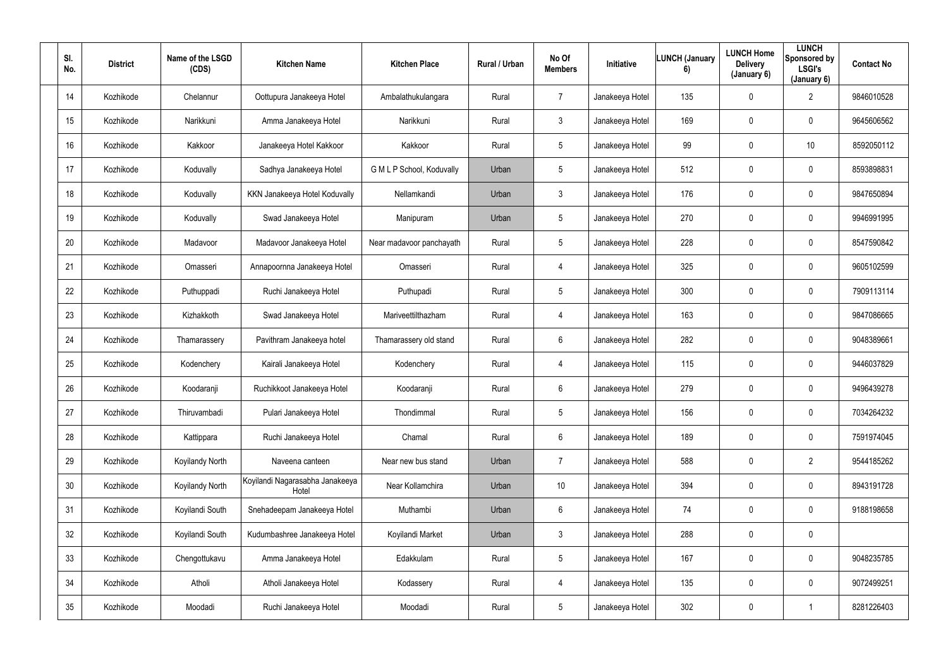| SI.<br>No. | <b>District</b> | Name of the LSGD<br>(CDS) | <b>Kitchen Name</b>                      | <b>Kitchen Place</b>      | Rural / Urban | No Of<br><b>Members</b> | Initiative      | <b>LUNCH (January</b><br>6) | <b>LUNCH Home</b><br><b>Delivery</b><br>(January 6) | <b>LUNCH</b><br>Sponsored by<br>LSGI's<br>(January 6) | <b>Contact No</b> |
|------------|-----------------|---------------------------|------------------------------------------|---------------------------|---------------|-------------------------|-----------------|-----------------------------|-----------------------------------------------------|-------------------------------------------------------|-------------------|
| 14         | Kozhikode       | Chelannur                 | Oottupura Janakeeya Hotel                | Ambalathukulangara        | Rural         | $\overline{7}$          | Janakeeya Hotel | 135                         | $\mathbf 0$                                         | $\overline{2}$                                        | 9846010528        |
| 15         | Kozhikode       | Narikkuni                 | Amma Janakeeya Hotel                     | Narikkuni                 | Rural         | $\mathbf{3}$            | Janakeeya Hotel | 169                         | 0                                                   | $\mathbf 0$                                           | 9645606562        |
| 16         | Kozhikode       | Kakkoor                   | Janakeeya Hotel Kakkoor                  | Kakkoor                   | Rural         | $5\phantom{.0}$         | Janakeeya Hotel | 99                          | 0                                                   | 10 <sup>1</sup>                                       | 8592050112        |
| 17         | Kozhikode       | Koduvally                 | Sadhya Janakeeya Hotel                   | G M L P School, Koduvally | Urban         | $5\phantom{.0}$         | Janakeeya Hotel | 512                         | 0                                                   | $\mathbf 0$                                           | 8593898831        |
| 18         | Kozhikode       | Koduvally                 | KKN Janakeeya Hotel Koduvally            | Nellamkandi               | Urban         | $\mathbf{3}$            | Janakeeya Hotel | 176                         | 0                                                   | $\mathbf 0$                                           | 9847650894        |
| 19         | Kozhikode       | Koduvally                 | Swad Janakeeya Hotel                     | Manipuram                 | Urban         | $5\phantom{.0}$         | Janakeeya Hotel | 270                         | 0                                                   | $\mathbf 0$                                           | 9946991995        |
| 20         | Kozhikode       | Madavoor                  | Madavoor Janakeeya Hotel                 | Near madavoor panchayath  | Rural         | $5\phantom{.0}$         | Janakeeya Hotel | 228                         | 0                                                   | $\mathbf 0$                                           | 8547590842        |
| 21         | Kozhikode       | Omasseri                  | Annapoornna Janakeeya Hotel              | Omasseri                  | Rural         | $\overline{4}$          | Janakeeya Hotel | 325                         | 0                                                   | $\mathbf 0$                                           | 9605102599        |
| 22         | Kozhikode       | Puthuppadi                | Ruchi Janakeeya Hotel                    | Puthupadi                 | Rural         | $5\phantom{.0}$         | Janakeeya Hotel | 300                         | 0                                                   | $\overline{0}$                                        | 7909113114        |
| 23         | Kozhikode       | Kizhakkoth                | Swad Janakeeya Hotel                     | Mariveettilthazham        | Rural         | $\overline{4}$          | Janakeeya Hotel | 163                         | 0                                                   | $\mathbf 0$                                           | 9847086665        |
| 24         | Kozhikode       | Thamarassery              | Pavithram Janakeeya hotel                | Thamarassery old stand    | Rural         | $6^{\circ}$             | Janakeeya Hotel | 282                         | 0                                                   | $\mathbf 0$                                           | 9048389661        |
| 25         | Kozhikode       | Kodenchery                | Kairali Janakeeya Hotel                  | Kodenchery                | Rural         | $\overline{4}$          | Janakeeya Hotel | 115                         | 0                                                   | $\mathbf 0$                                           | 9446037829        |
| 26         | Kozhikode       | Koodaranji                | Ruchikkoot Janakeeya Hotel               | Koodaranji                | Rural         | $6\phantom{.}6$         | Janakeeya Hotel | 279                         | 0                                                   | $\overline{0}$                                        | 9496439278        |
| 27         | Kozhikode       | Thiruvambadi              | Pulari Janakeeya Hotel                   | Thondimmal                | Rural         | $5\phantom{.0}$         | Janakeeya Hotel | 156                         | 0                                                   | $\mathbf 0$                                           | 7034264232        |
| 28         | Kozhikode       | Kattippara                | Ruchi Janakeeya Hotel                    | Chamal                    | Rural         | $6\phantom{.}$          | Janakeeya Hotel | 189                         | 0                                                   | $\mathbf 0$                                           | 7591974045        |
| 29         | Kozhikode       | Koyilandy North           | Naveena canteen                          | Near new bus stand        | Urban         | $\overline{7}$          | Janakeeya Hotel | 588                         | 0                                                   | $\overline{2}$                                        | 9544185262        |
| 30         | Kozhikode       | Koyilandy North           | Koyilandi Nagarasabha Janakeeya<br>Hotel | Near Kollamchira          | Urban         | 10                      | Janakeeya Hotel | 394                         | $\mathbf 0$                                         | $\mathbf 0$                                           | 8943191728        |
| 31         | Kozhikode       | Koyilandi South           | Snehadeepam Janakeeya Hotel              | Muthambi                  | Urban         | $6\phantom{.0}$         | Janakeeya Hotel | 74                          | 0                                                   | $\mathbf 0$                                           | 9188198658        |
| 32         | Kozhikode       | Koyilandi South           | Kudumbashree Janakeeya Hotel             | Koyilandi Market          | Urban         | $\mathbf{3}$            | Janakeeya Hotel | 288                         | $\mathbf 0$                                         | $\mathbf 0$                                           |                   |
| 33         | Kozhikode       | Chengottukavu             | Amma Janakeeya Hotel                     | Edakkulam                 | Rural         | $5\phantom{.0}$         | Janakeeya Hotel | 167                         | 0                                                   | $\mathbf 0$                                           | 9048235785        |
| 34         | Kozhikode       | Atholi                    | Atholi Janakeeya Hotel                   | Kodassery                 | Rural         | $\overline{4}$          | Janakeeya Hotel | 135                         | 0                                                   | $\mathbf 0$                                           | 9072499251        |
| $35\,$     | Kozhikode       | Moodadi                   | Ruchi Janakeeya Hotel                    | Moodadi                   | Rural         | $5\phantom{.0}$         | Janakeeya Hotel | 302                         | $\pmb{0}$                                           |                                                       | 8281226403        |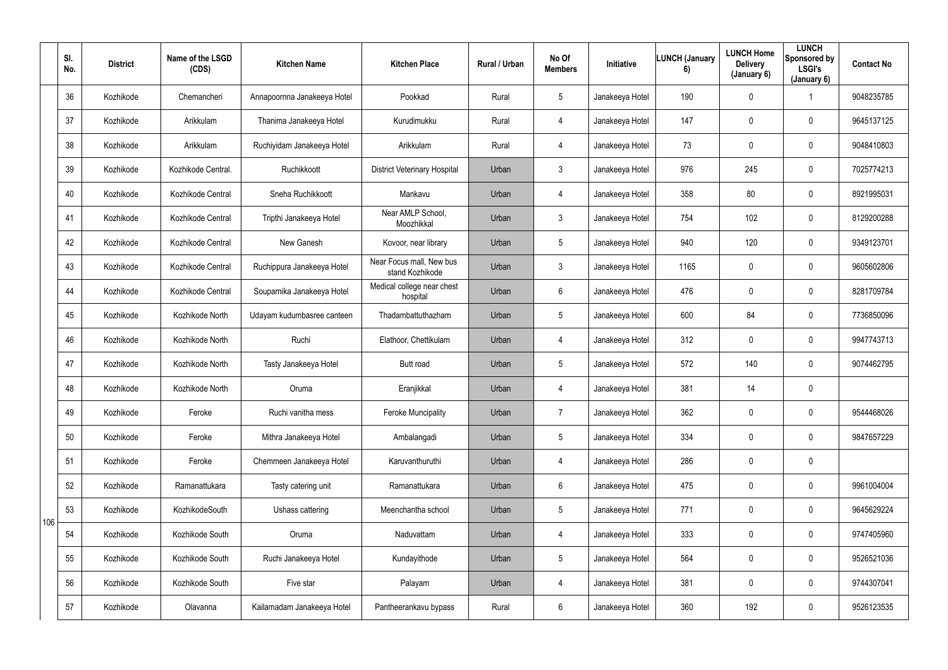|     | SI.<br>No. | <b>District</b> | Name of the LSGD<br>(CDS) | <b>Kitchen Name</b>         | <b>Kitchen Place</b>                        | Rural / Urban | No Of<br><b>Members</b> | Initiative      | <b>LUNCH (January</b><br>6) | <b>LUNCH Home</b><br><b>Delivery</b><br>(January 6) | <b>LUNCH</b><br>Sponsored by<br><b>LSGI's</b><br>(January 6) | <b>Contact No</b> |
|-----|------------|-----------------|---------------------------|-----------------------------|---------------------------------------------|---------------|-------------------------|-----------------|-----------------------------|-----------------------------------------------------|--------------------------------------------------------------|-------------------|
|     | 36         | Kozhikode       | Chemancheri               | Annapoornna Janakeeya Hotel | Pookkad                                     | Rural         | 5 <sup>5</sup>          | Janakeeya Hotel | 190                         | $\mathbf 0$                                         |                                                              | 9048235785        |
|     | 37         | Kozhikode       | Arikkulam                 | Thanima Janakeeya Hotel     | Kurudimukku                                 | Rural         | 4                       | Janakeeya Hotel | 147                         | 0                                                   | $\mathbf 0$                                                  | 9645137125        |
|     | 38         | Kozhikode       | Arikkulam                 | Ruchiyidam Janakeeya Hotel  | Arikkulam                                   | Rural         | 4                       | Janakeeya Hotel | 73                          | 0                                                   | $\mathbf 0$                                                  | 9048410803        |
|     | 39         | Kozhikode       | Kozhikode Central.        | Ruchikkoott                 | <b>District Veterinary Hospital</b>         | Urban         | $\mathfrak{Z}$          | Janakeeya Hotel | 976                         | 245                                                 | $\pmb{0}$                                                    | 7025774213        |
|     | 40         | Kozhikode       | Kozhikode Central         | Sneha Ruchikkoott           | Mankavu                                     | Urban         | 4                       | Janakeeya Hotel | 358                         | 80                                                  | $\mathbf 0$                                                  | 8921995031        |
|     | 41         | Kozhikode       | Kozhikode Central         | Tripthi Janakeeya Hotel     | Near AMLP School,<br>Moozhikkal             | Urban         | $\mathfrak{Z}$          | Janakeeya Hotel | 754                         | 102                                                 | $\mathbf 0$                                                  | 8129200288        |
|     | 42         | Kozhikode       | Kozhikode Central         | New Ganesh                  | Kovoor, near library                        | Urban         | $5\phantom{.0}$         | Janakeeya Hotel | 940                         | 120                                                 | $\overline{0}$                                               | 9349123701        |
|     | 43         | Kozhikode       | Kozhikode Central         | Ruchippura Janakeeya Hotel  | Near Focus mall, New bus<br>stand Kozhikode | Urban         | $\mathfrak{Z}$          | Janakeeya Hotel | 1165                        | 0                                                   | $\mathbf 0$                                                  | 9605602806        |
|     | 44         | Kozhikode       | Kozhikode Central         | Souparnika Janakeeya Hotel  | Medical college near chest<br>hospital      | Urban         | 6                       | Janakeeya Hotel | 476                         | 0                                                   | $\mathbf 0$                                                  | 8281709784        |
|     | 45         | Kozhikode       | Kozhikode North           | Udayam kudumbasree canteen  | Thadambattuthazham                          | Urban         | 5                       | Janakeeya Hotel | 600                         | 84                                                  | $\mathbf 0$                                                  | 7736850096        |
|     | 46         | Kozhikode       | Kozhikode North           | Ruchi                       | Elathoor, Chettikulam                       | Urban         | 4                       | Janakeeya Hotel | 312                         | $\mathbf 0$                                         | $\mathbf 0$                                                  | 9947743713        |
|     | 47         | Kozhikode       | Kozhikode North           | Tasty Janakeeya Hotel       | Butt road                                   | Urban         | 5 <sub>5</sub>          | Janakeeya Hotel | 572                         | 140                                                 | $\mathbf 0$                                                  | 9074462795        |
|     | 48         | Kozhikode       | Kozhikode North           | Oruma                       | Eranjikkal                                  | Urban         | 4                       | Janakeeya Hotel | 381                         | 14                                                  | $\mathbf 0$                                                  |                   |
|     | 49         | Kozhikode       | Feroke                    | Ruchi vanitha mess          | <b>Feroke Muncipality</b>                   | Urban         | $\overline{7}$          | Janakeeya Hotel | 362                         | 0                                                   | $\mathbf 0$                                                  | 9544468026        |
|     | 50         | Kozhikode       | Feroke                    | Mithra Janakeeya Hotel      | Ambalangadi                                 | Urban         | $5\phantom{.0}$         | Janakeeya Hotel | 334                         | 0                                                   | $\overline{0}$                                               | 9847657229        |
|     | 51         | Kozhikode       | Feroke                    | Chemmeen Janakeeya Hotel    | Karuvanthuruthi                             | Urban         | 4                       | Janakeeya Hotel | 286                         | $\pmb{0}$                                           | $\mathbf 0$                                                  |                   |
|     | 52         | Kozhikode       | Ramanattukara             | Tasty catering unit         | Ramanattukara                               | Urban         | $6\phantom{.}6$         | Janakeeya Hotel | 475                         | 0                                                   | $\overline{0}$                                               | 9961004004        |
| 106 | 53         | Kozhikode       | KozhikodeSouth            | Ushass cattering            | Meenchantha school                          | Urban         | $5\phantom{.0}$         | Janakeeya Hotel | 771                         | 0                                                   | $\overline{0}$                                               | 9645629224        |
|     | 54         | Kozhikode       | Kozhikode South           | Oruma                       | Naduvattam                                  | Urban         | 4                       | Janakeeya Hotel | 333                         | 0                                                   | $\overline{0}$                                               | 9747405960        |
|     | 55         | Kozhikode       | Kozhikode South           | Ruchi Janakeeya Hotel       | Kundayithode                                | Urban         | $5\phantom{.0}$         | Janakeeya Hotel | 564                         | 0                                                   | $\pmb{0}$                                                    | 9526521036        |
|     | 56         | Kozhikode       | Kozhikode South           | Five star                   | Palayam                                     | Urban         | 4                       | Janakeeya Hotel | 381                         | 0                                                   | $\mathbf 0$                                                  | 9744307041        |
|     | 57         | Kozhikode       | Olavanna                  | Kailamadam Janakeeya Hotel  | Pantheerankavu bypass                       | Rural         | $6\overline{6}$         | Janakeeya Hotel | 360                         | 192                                                 | $\boldsymbol{0}$                                             | 9526123535        |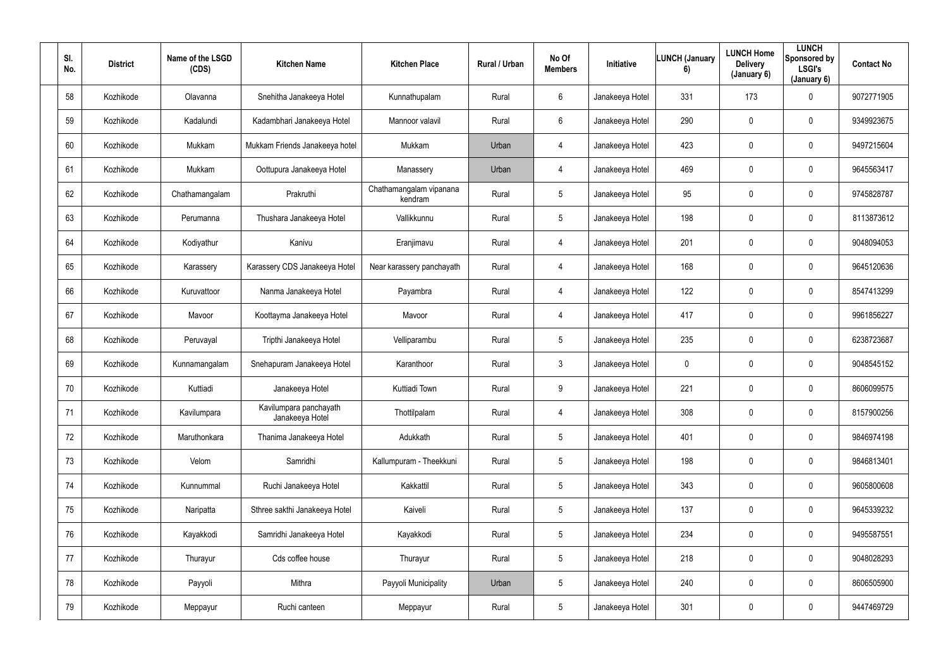| SI.<br>No. | <b>District</b> | Name of the LSGD<br>(CDS) | <b>Kitchen Name</b>                       | <b>Kitchen Place</b>               | Rural / Urban | No Of<br><b>Members</b> | Initiative      | <b>LUNCH (January</b><br>6) | <b>LUNCH Home</b><br><b>Delivery</b><br>(January 6) | <b>LUNCH</b><br>Sponsored by<br><b>LSGI's</b><br>(January 6) | <b>Contact No</b> |
|------------|-----------------|---------------------------|-------------------------------------------|------------------------------------|---------------|-------------------------|-----------------|-----------------------------|-----------------------------------------------------|--------------------------------------------------------------|-------------------|
| 58         | Kozhikode       | Olavanna                  | Snehitha Janakeeya Hotel                  | Kunnathupalam                      | Rural         | $6^{\circ}$             | Janakeeya Hotel | 331                         | 173                                                 | $\mathbf 0$                                                  | 9072771905        |
| 59         | Kozhikode       | Kadalundi                 | Kadambhari Janakeeya Hotel                | Mannoor valavil                    | Rural         | $6^{\circ}$             | Janakeeya Hotel | 290                         | 0                                                   | $\mathbf 0$                                                  | 9349923675        |
| 60         | Kozhikode       | Mukkam                    | Mukkam Friends Janakeeya hotel            | Mukkam                             | Urban         | $\overline{4}$          | Janakeeya Hotel | 423                         | 0                                                   | $\mathbf 0$                                                  | 9497215604        |
| 61         | Kozhikode       | Mukkam                    | Oottupura Janakeeya Hotel                 | Manassery                          | Urban         | 4                       | Janakeeya Hotel | 469                         | 0                                                   | $\mathbf 0$                                                  | 9645563417        |
| 62         | Kozhikode       | Chathamangalam            | Prakruthi                                 | Chathamangalam vipanana<br>kendram | Rural         | $5\overline{)}$         | Janakeeya Hotel | 95                          | 0                                                   | $\mathbf 0$                                                  | 9745828787        |
| 63         | Kozhikode       | Perumanna                 | Thushara Janakeeya Hotel                  | Vallikkunnu                        | Rural         | $5\overline{)}$         | Janakeeya Hotel | 198                         | 0                                                   | $\mathbf 0$                                                  | 8113873612        |
| 64         | Kozhikode       | Kodiyathur                | Kanivu                                    | Eranjimavu                         | Rural         | 4                       | Janakeeya Hotel | 201                         | 0                                                   | $\mathbf 0$                                                  | 9048094053        |
| 65         | Kozhikode       | Karassery                 | Karassery CDS Janakeeya Hotel             | Near karassery panchayath          | Rural         | 4                       | Janakeeya Hotel | 168                         | 0                                                   | $\mathbf 0$                                                  | 9645120636        |
| 66         | Kozhikode       | Kuruvattoor               | Nanma Janakeeya Hotel                     | Payambra                           | Rural         | 4                       | Janakeeya Hotel | 122                         | 0                                                   | $\mathbf 0$                                                  | 8547413299        |
| 67         | Kozhikode       | Mavoor                    | Koottayma Janakeeya Hotel                 | Mavoor                             | Rural         | 4                       | Janakeeya Hotel | 417                         | 0                                                   | $\mathbf 0$                                                  | 9961856227        |
| 68         | Kozhikode       | Peruvayal                 | Tripthi Janakeeya Hotel                   | Velliparambu                       | Rural         | $5\overline{)}$         | Janakeeya Hotel | 235                         | 0                                                   | $\mathbf 0$                                                  | 6238723687        |
| 69         | Kozhikode       | Kunnamangalam             | Snehapuram Janakeeya Hotel                | Karanthoor                         | Rural         | $\mathbf{3}$            | Janakeeya Hotel | $\mathbf 0$                 | 0                                                   | $\mathbf 0$                                                  | 9048545152        |
| 70         | Kozhikode       | Kuttiadi                  | Janakeeya Hotel                           | Kuttiadi Town                      | Rural         | 9                       | Janakeeya Hotel | 221                         | 0                                                   | $\overline{0}$                                               | 8606099575        |
| 71         | Kozhikode       | Kavilumpara               | Kavilumpara panchayath<br>Janakeeya Hotel | Thottilpalam                       | Rural         | $\overline{4}$          | Janakeeya Hotel | 308                         | 0                                                   | $\mathbf 0$                                                  | 8157900256        |
| 72         | Kozhikode       | Maruthonkara              | Thanima Janakeeya Hotel                   | Adukkath                           | Rural         | $5\phantom{.0}$         | Janakeeya Hotel | 401                         | 0                                                   | $\mathbf 0$                                                  | 9846974198        |
| 73         | Kozhikode       | Velom                     | Samridhi                                  | Kallumpuram - Theekkuni            | Rural         | $5\phantom{.0}$         | Janakeeya Hotel | 198                         | 0                                                   | $\mathbf 0$                                                  | 9846813401        |
| 74         | Kozhikode       | Kunnummal                 | Ruchi Janakeeya Hotel                     | Kakkattil                          | Rural         | 5 <sup>5</sup>          | Janakeeya Hotel | 343                         | 0                                                   | $\mathbf 0$                                                  | 9605800608        |
| 75         | Kozhikode       | Naripatta                 | Sthree sakthi Janakeeya Hotel             | Kaiveli                            | Rural         | $5\phantom{.0}$         | Janakeeya Hotel | 137                         | 0                                                   | $\mathbf 0$                                                  | 9645339232        |
| 76         | Kozhikode       | Kayakkodi                 | Samridhi Janakeeya Hotel                  | Kayakkodi                          | Rural         | $5\phantom{.0}$         | Janakeeya Hotel | 234                         | 0                                                   | $\mathbf 0$                                                  | 9495587551        |
| 77         | Kozhikode       | Thurayur                  | Cds coffee house                          | Thurayur                           | Rural         | $5\overline{)}$         | Janakeeya Hotel | 218                         | $\pmb{0}$                                           | $\mathbf 0$                                                  | 9048028293        |
| 78         | Kozhikode       | Payyoli                   | Mithra                                    | Payyoli Municipality               | Urban         | $5\overline{)}$         | Janakeeya Hotel | 240                         | 0                                                   | $\mathbf 0$                                                  | 8606505900        |
| 79         | Kozhikode       | Meppayur                  | Ruchi canteen                             | Meppayur                           | Rural         | $5\overline{)}$         | Janakeeya Hotel | 301                         | 0                                                   | $\mathbf 0$                                                  | 9447469729        |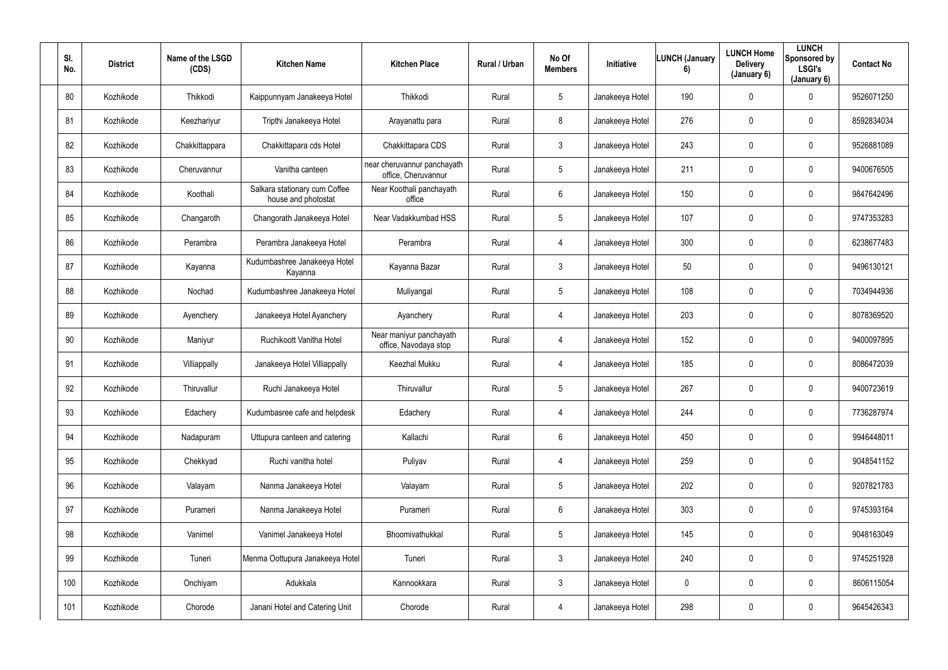| SI.<br>No. | <b>District</b> | Name of the LSGD<br>(CDS) | <b>Kitchen Name</b>                                  | <b>Kitchen Place</b>                               | Rural / Urban | No Of<br><b>Members</b> | Initiative      | <b>LUNCH (January</b><br>6) | <b>LUNCH Home</b><br><b>Delivery</b><br>(January 6) | <b>LUNCH</b><br>Sponsored by<br><b>LSGI's</b><br>(January 6) | <b>Contact No</b> |
|------------|-----------------|---------------------------|------------------------------------------------------|----------------------------------------------------|---------------|-------------------------|-----------------|-----------------------------|-----------------------------------------------------|--------------------------------------------------------------|-------------------|
| 80         | Kozhikode       | Thikkodi                  | Kaippunnyam Janakeeya Hotel                          | Thikkodi                                           | Rural         | $5\overline{)}$         | Janakeeya Hotel | 190                         | $\mathbf 0$                                         | $\mathbf 0$                                                  | 9526071250        |
| 81         | Kozhikode       | Keezhariyur               | Tripthi Janakeeya Hotel                              | Arayanattu para                                    | Rural         | 8                       | Janakeeya Hotel | 276                         | 0                                                   | $\overline{0}$                                               | 8592834034        |
| 82         | Kozhikode       | Chakkittappara            | Chakkittapara cds Hotel                              | Chakkittapara CDS                                  | Rural         | $\mathbf{3}$            | Janakeeya Hotel | 243                         | 0                                                   | $\overline{0}$                                               | 9526881089        |
| 83         | Kozhikode       | Cheruvannur               | Vanitha canteen                                      | near cheruvannur panchayath<br>office, Cheruvannur | Rural         | $5\phantom{.0}$         | Janakeeya Hotel | 211                         | 0                                                   | 0                                                            | 9400676505        |
| 84         | Kozhikode       | Koothali                  | Salkara stationary cum Coffee<br>house and photostat | Near Koothali panchayath<br>office                 | Rural         | $6^{\circ}$             | Janakeeya Hotel | 150                         | 0                                                   | $\mathbf 0$                                                  | 9847642496        |
| 85         | Kozhikode       | Changaroth                | Changorath Janakeeya Hotel                           | Near Vadakkumbad HSS                               | Rural         | 5 <sup>5</sup>          | Janakeeya Hotel | 107                         | 0                                                   | $\mathbf 0$                                                  | 9747353283        |
| 86         | Kozhikode       | Perambra                  | Perambra Janakeeya Hotel                             | Perambra                                           | Rural         | 4                       | Janakeeya Hotel | 300                         | 0                                                   | $\mathbf 0$                                                  | 6238677483        |
| 87         | Kozhikode       | Kayanna                   | Kudumbashree Janakeeya Hotel<br>Kayanna              | Kayanna Bazar                                      | Rural         | $\mathbf{3}$            | Janakeeya Hotel | 50                          | 0                                                   | $\overline{0}$                                               | 9496130121        |
| 88         | Kozhikode       | Nochad                    | Kudumbashree Janakeeya Hotel                         | Muliyangal                                         | Rural         | 5 <sub>5</sub>          | Janakeeya Hotel | 108                         | 0                                                   | $\overline{0}$                                               | 7034944936        |
| 89         | Kozhikode       | Ayenchery                 | Janakeeya Hotel Ayanchery                            | Ayanchery                                          | Rural         | 4                       | Janakeeya Hotel | 203                         | 0                                                   | $\overline{0}$                                               | 8078369520        |
| 90         | Kozhikode       | Maniyur                   | Ruchikoott Vanitha Hotel                             | Near maniyur panchayath<br>office, Navodaya stop   | Rural         | 4                       | Janakeeya Hotel | 152                         | 0                                                   | $\mathbf 0$                                                  | 9400097895        |
| 91         | Kozhikode       | Villiappally              | Janakeeya Hotel Villiappally                         | <b>Keezhal Mukku</b>                               | Rural         | 4                       | Janakeeya Hotel | 185                         | 0                                                   | $\mathbf 0$                                                  | 8086472039        |
| 92         | Kozhikode       | Thiruvallur               | Ruchi Janakeeya Hotel                                | Thiruvallur                                        | Rural         | $5\phantom{.0}$         | Janakeeya Hotel | 267                         | 0                                                   | $\overline{0}$                                               | 9400723619        |
| 93         | Kozhikode       | Edachery                  | Kudumbasree cafe and helpdesk                        | Edachery                                           | Rural         | $\overline{4}$          | Janakeeya Hotel | 244                         | 0                                                   | $\mathbf 0$                                                  | 7736287974        |
| 94         | Kozhikode       | Nadapuram                 | Uttupura canteen and catering                        | Kallachi                                           | Rural         | 6                       | Janakeeya Hotel | 450                         | 0                                                   | $\mathbf 0$                                                  | 9946448011        |
| 95         | Kozhikode       | Chekkyad                  | Ruchi vanitha hotel                                  | Puliyav                                            | Rural         | $\overline{4}$          | Janakeeya Hotel | 259                         | 0                                                   | $\mathbf 0$                                                  | 9048541152        |
| 96         | Kozhikode       | Valayam                   | Nanma Janakeeya Hotel                                | Valayam                                            | Rural         | $5\phantom{.0}$         | Janakeeya Hotel | 202                         | 0                                                   | $\mathbf 0$                                                  | 9207821783        |
| 97         | Kozhikode       | Purameri                  | Nanma Janakeeya Hotel                                | Purameri                                           | Rural         | $6\phantom{.}$          | Janakeeya Hotel | 303                         | 0                                                   | $\mathbf 0$                                                  | 9745393164        |
| 98         | Kozhikode       | Vanimel                   | Vanimel Janakeeya Hotel                              | Bhoomivathukkal                                    | Rural         | $5\phantom{.0}$         | Janakeeya Hotel | 145                         | 0                                                   | $\mathbf 0$                                                  | 9048163049        |
| 99         | Kozhikode       | Tuneri                    | Menma Oottupura Janakeeya Hotel                      | Tuneri                                             | Rural         | 3 <sup>1</sup>          | Janakeeya Hotel | 240                         | 0                                                   | $\mathbf 0$                                                  | 9745251928        |
| 100        | Kozhikode       | Onchiyam                  | Adukkala                                             | Kannookkara                                        | Rural         | 3                       | Janakeeya Hotel | $\mathbf 0$                 | 0                                                   | $\mathbf 0$                                                  | 8606115054        |
| 101        | Kozhikode       | Chorode                   | Janani Hotel and Catering Unit                       | Chorode                                            | Rural         | 4                       | Janakeeya Hotel | 298                         | 0                                                   | $\overline{0}$                                               | 9645426343        |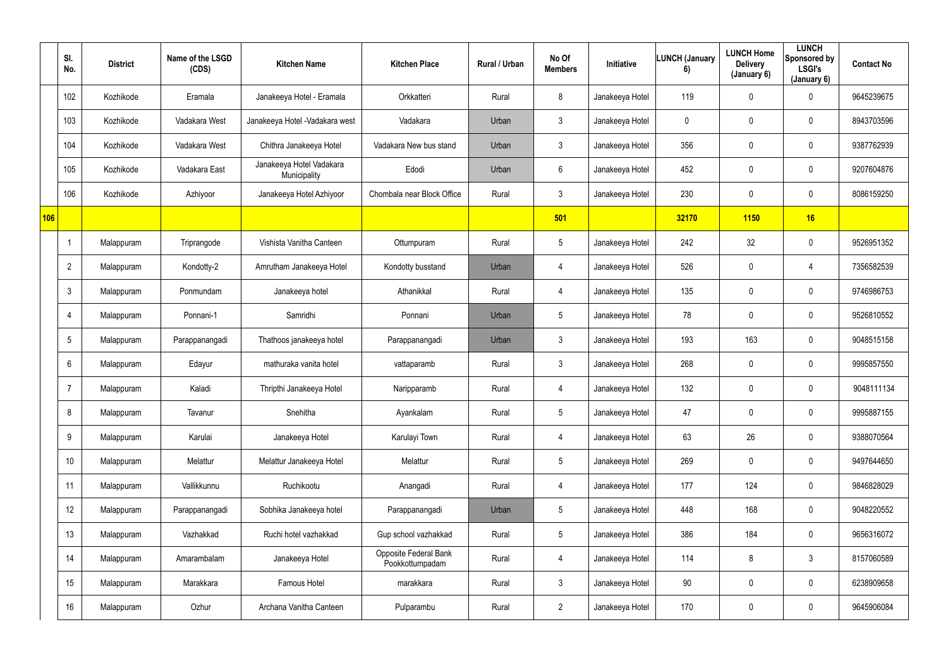|     | SI.<br>No.     | <b>District</b> | Name of the LSGD<br>(CDS) | <b>Kitchen Name</b>                      | <b>Kitchen Place</b>                            | Rural / Urban | No Of<br><b>Members</b> | Initiative      | <b>LUNCH (January</b><br>6) | <b>LUNCH Home</b><br><b>Delivery</b><br>(January 6) | <b>LUNCH</b><br>Sponsored by<br><b>LSGI's</b><br>(January 6) | <b>Contact No</b> |
|-----|----------------|-----------------|---------------------------|------------------------------------------|-------------------------------------------------|---------------|-------------------------|-----------------|-----------------------------|-----------------------------------------------------|--------------------------------------------------------------|-------------------|
|     | 102            | Kozhikode       | Eramala                   | Janakeeya Hotel - Eramala                | Orkkatteri                                      | Rural         | 8                       | Janakeeya Hotel | 119                         | $\mathbf 0$                                         | $\mathbf 0$                                                  | 9645239675        |
|     | 103            | Kozhikode       | Vadakara West             | Janakeeya Hotel - Vadakara west          | Vadakara                                        | Urban         | $\mathfrak{Z}$          | Janakeeya Hotel | $\mathbf 0$                 | 0                                                   | $\mathbf 0$                                                  | 8943703596        |
|     | 104            | Kozhikode       | Vadakara West             | Chithra Janakeeya Hotel                  | Vadakara New bus stand                          | Urban         | $\mathfrak{Z}$          | Janakeeya Hotel | 356                         | 0                                                   | $\mathbf 0$                                                  | 9387762939        |
|     | 105            | Kozhikode       | Vadakara East             | Janakeeya Hotel Vadakara<br>Municipality | Edodi                                           | Urban         | 6                       | Janakeeya Hotel | 452                         | 0                                                   | $\pmb{0}$                                                    | 9207604876        |
|     | 106            | Kozhikode       | Azhiyoor                  | Janakeeya Hotel Azhiyoor                 | Chombala near Block Office                      | Rural         | $\mathfrak{Z}$          | Janakeeya Hotel | 230                         | 0                                                   | $\mathbf 0$                                                  | 8086159250        |
| 106 |                |                 |                           |                                          |                                                 |               | 501                     |                 | 32170                       | 1150                                                | 16                                                           |                   |
|     |                | Malappuram      | Triprangode               | Vishista Vanitha Canteen                 | Ottumpuram                                      | Rural         | $5\phantom{.0}$         | Janakeeya Hotel | 242                         | 32                                                  | $\mathbf 0$                                                  | 9526951352        |
|     | $\overline{2}$ | Malappuram      | Kondotty-2                | Amrutham Janakeeya Hotel                 | Kondotty busstand                               | Urban         | 4                       | Janakeeya Hotel | 526                         | 0                                                   | 4                                                            | 7356582539        |
|     | 3              | Malappuram      | Ponmundam                 | Janakeeya hotel                          | Athanikkal                                      | Rural         | 4                       | Janakeeya Hotel | 135                         | 0                                                   | $\mathbf 0$                                                  | 9746986753        |
|     | 4              | Malappuram      | Ponnani-1                 | Samridhi                                 | Ponnani                                         | Urban         | $5\phantom{.0}$         | Janakeeya Hotel | 78                          | 0                                                   | $\pmb{0}$                                                    | 9526810552        |
|     | 5              | Malappuram      | Parappanangadi            | Thathoos janakeeya hotel                 | Parappanangadi                                  | Urban         | 3 <sup>1</sup>          | Janakeeya Hotel | 193                         | 163                                                 | $\mathbf 0$                                                  | 9048515158        |
|     | 6              | Malappuram      | Edayur                    | mathuraka vanita hotel                   | vattaparamb                                     | Rural         | $\mathfrak{Z}$          | Janakeeya Hotel | 268                         | 0                                                   | $\mathbf 0$                                                  | 9995857550        |
|     |                | Malappuram      | Kaladi                    | Thripthi Janakeeya Hotel                 | Naripparamb                                     | Rural         | 4                       | Janakeeya Hotel | 132                         | 0                                                   | $\pmb{0}$                                                    | 9048111134        |
|     | 8              | Malappuram      | Tavanur                   | Snehitha                                 | Ayankalam                                       | Rural         | $5\phantom{.0}$         | Janakeeya Hotel | 47                          | $\mathbf 0$                                         | $\mathbf 0$                                                  | 9995887155        |
|     | 9              | Malappuram      | Karulai                   | Janakeeya Hotel                          | Karulayi Town                                   | Rural         | 4                       | Janakeeya Hotel | 63                          | 26                                                  | $\overline{0}$                                               | 9388070564        |
|     | 10             | Malappuram      | Melattur                  | Melattur Janakeeya Hotel                 | Melattur                                        | Rural         | $5\overline{)}$         | Janakeeya Hotel | 269                         | 0                                                   | $\overline{0}$                                               | 9497644650        |
|     | 11             | Malappuram      | Vallikkunnu               | Ruchikootu                               | Anangadi                                        | Rural         | 4                       | Janakeeya Hotel | 177                         | 124                                                 | $\overline{0}$                                               | 9846828029        |
|     | 12             | Malappuram      | Parappanangadi            | Sobhika Janakeeya hotel                  | Parappanangadi                                  | Urban         | $5\phantom{.0}$         | Janakeeya Hotel | 448                         | 168                                                 | $\overline{0}$                                               | 9048220552        |
|     | 13             | Malappuram      | Vazhakkad                 | Ruchi hotel vazhakkad                    | Gup school vazhakkad                            | Rural         | $5\phantom{.0}$         | Janakeeya Hotel | 386                         | 184                                                 | $\overline{0}$                                               | 9656316072        |
|     | 14             | Malappuram      | Amarambalam               | Janakeeya Hotel                          | <b>Opposite Federal Bank</b><br>Pookkottumpadam | Rural         | 4                       | Janakeeya Hotel | 114                         | 8                                                   | $\mathbf{3}$                                                 | 8157060589        |
|     | 15             | Malappuram      | Marakkara                 | Famous Hotel                             | marakkara                                       | Rural         | 3 <sup>1</sup>          | Janakeeya Hotel | 90                          | 0                                                   | $\overline{0}$                                               | 6238909658        |
|     | 16             | Malappuram      | Ozhur                     | Archana Vanitha Canteen                  | Pulparambu                                      | Rural         | $2^{\circ}$             | Janakeeya Hotel | 170                         | 0                                                   | $\overline{0}$                                               | 9645906084        |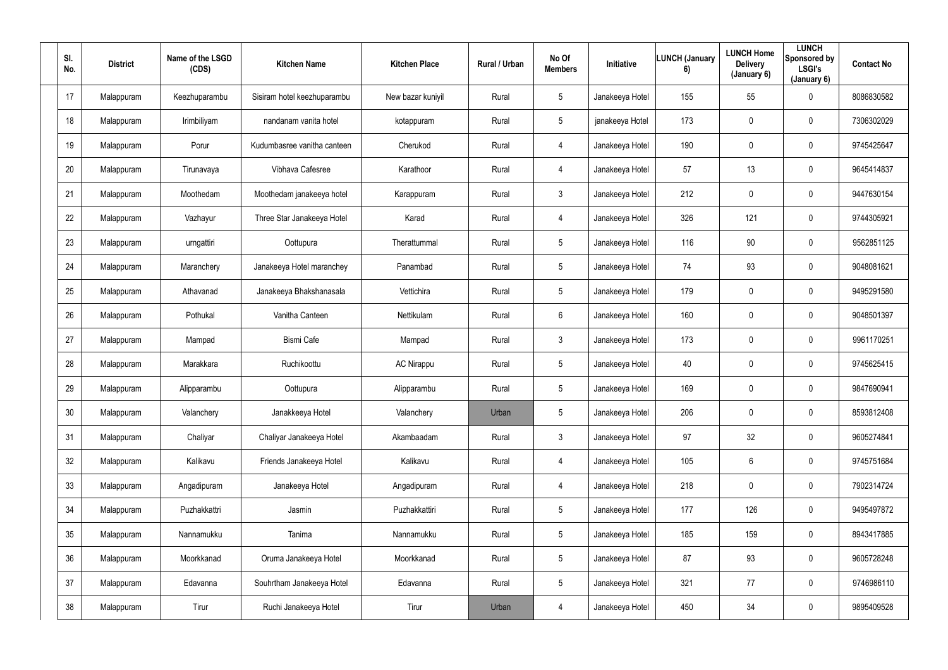| SI.<br>No.      | <b>District</b> | Name of the LSGD<br>(CDS) | <b>Kitchen Name</b>         | <b>Kitchen Place</b> | Rural / Urban | No Of<br><b>Members</b> | Initiative      | <b>LUNCH (January</b><br>6) | <b>LUNCH Home</b><br><b>Delivery</b><br>(January 6) | <b>LUNCH</b><br>Sponsored by<br><b>LSGI's</b><br>(January 6) | <b>Contact No</b> |
|-----------------|-----------------|---------------------------|-----------------------------|----------------------|---------------|-------------------------|-----------------|-----------------------------|-----------------------------------------------------|--------------------------------------------------------------|-------------------|
| 17              | Malappuram      | Keezhuparambu             | Sisiram hotel keezhuparambu | New bazar kuniyil    | Rural         | $5\overline{)}$         | Janakeeya Hotel | 155                         | 55                                                  | $\mathbf 0$                                                  | 8086830582        |
| 18              | Malappuram      | Irimbiliyam               | nandanam vanita hotel       | kotappuram           | Rural         | $5\overline{)}$         | janakeeya Hotel | 173                         | 0                                                   | $\mathbf 0$                                                  | 7306302029        |
| 19              | Malappuram      | Porur                     | Kudumbasree vanitha canteen | Cherukod             | Rural         | 4                       | Janakeeya Hotel | 190                         | 0                                                   | $\mathbf 0$                                                  | 9745425647        |
| 20              | Malappuram      | Tirunavaya                | Vibhava Cafesree            | Karathoor            | Rural         | 4                       | Janakeeya Hotel | 57                          | 13                                                  | $\overline{0}$                                               | 9645414837        |
| 21              | Malappuram      | Moothedam                 | Moothedam janakeeya hotel   | Karappuram           | Rural         | $\mathbf{3}$            | Janakeeya Hotel | 212                         | 0                                                   | $\mathbf 0$                                                  | 9447630154        |
| 22              | Malappuram      | Vazhayur                  | Three Star Janakeeya Hotel  | Karad                | Rural         | 4                       | Janakeeya Hotel | 326                         | 121                                                 | $\mathbf 0$                                                  | 9744305921        |
| 23              | Malappuram      | urngattiri                | Oottupura                   | Therattummal         | Rural         | $5\phantom{.0}$         | Janakeeya Hotel | 116                         | 90                                                  | $\mathbf 0$                                                  | 9562851125        |
| 24              | Malappuram      | Maranchery                | Janakeeya Hotel maranchey   | Panambad             | Rural         | $5\phantom{.0}$         | Janakeeya Hotel | 74                          | 93                                                  | $\mathbf 0$                                                  | 9048081621        |
| 25              | Malappuram      | Athavanad                 | Janakeeya Bhakshanasala     | Vettichira           | Rural         | 5 <sub>5</sub>          | Janakeeya Hotel | 179                         | 0                                                   | $\overline{0}$                                               | 9495291580        |
| 26              | Malappuram      | Pothukal                  | Vanitha Canteen             | Nettikulam           | Rural         | 6                       | Janakeeya Hotel | 160                         | 0                                                   | $\overline{0}$                                               | 9048501397        |
| 27              | Malappuram      | Mampad                    | <b>Bismi Cafe</b>           | Mampad               | Rural         | $\mathbf{3}$            | Janakeeya Hotel | 173                         | 0                                                   | $\mathbf 0$                                                  | 9961170251        |
| 28              | Malappuram      | Marakkara                 | Ruchikoottu                 | <b>AC Nirappu</b>    | Rural         | $5\overline{)}$         | Janakeeya Hotel | 40                          | 0                                                   | $\mathbf 0$                                                  | 9745625415        |
| 29              | Malappuram      | Alipparambu               | Oottupura                   | Alipparambu          | Rural         | $5\phantom{.0}$         | Janakeeya Hotel | 169                         | 0                                                   | $\overline{0}$                                               | 9847690941        |
| 30 <sup>°</sup> | Malappuram      | Valanchery                | Janakkeeya Hotel            | Valanchery           | Urban         | $5\phantom{.0}$         | Janakeeya Hotel | 206                         | 0                                                   | $\mathbf 0$                                                  | 8593812408        |
| 31              | Malappuram      | Chaliyar                  | Chaliyar Janakeeya Hotel    | Akambaadam           | Rural         | $\mathbf{3}$            | Janakeeya Hotel | 97                          | 32 <sub>2</sub>                                     | $\mathbf 0$                                                  | 9605274841        |
| 32              | Malappuram      | Kalikavu                  | Friends Janakeeya Hotel     | Kalikavu             | Rural         | 4                       | Janakeeya Hotel | 105                         | 6                                                   | $\mathbf 0$                                                  | 9745751684        |
| 33              | Malappuram      | Angadipuram               | Janakeeya Hotel             | Angadipuram          | Rural         | $\overline{4}$          | Janakeeya Hotel | 218                         | 0                                                   | $\mathbf 0$                                                  | 7902314724        |
| 34              | Malappuram      | Puzhakkattri              | Jasmin                      | Puzhakkattiri        | Rural         | $5\phantom{.0}$         | Janakeeya Hotel | 177                         | 126                                                 | $\mathbf 0$                                                  | 9495497872        |
| 35              | Malappuram      | Nannamukku                | Tanima                      | Nannamukku           | Rural         | $5\phantom{.0}$         | Janakeeya Hotel | 185                         | 159                                                 | $\mathbf 0$                                                  | 8943417885        |
| 36              | Malappuram      | Moorkkanad                | Oruma Janakeeya Hotel       | Moorkkanad           | Rural         | $5\overline{)}$         | Janakeeya Hotel | 87                          | 93                                                  | $\mathbf 0$                                                  | 9605728248        |
| 37              | Malappuram      | Edavanna                  | Souhrtham Janakeeya Hotel   | Edavanna             | Rural         | $5\phantom{.0}$         | Janakeeya Hotel | 321                         | 77                                                  | $\mathbf 0$                                                  | 9746986110        |
| 38              | Malappuram      | Tirur                     | Ruchi Janakeeya Hotel       | Tirur                | Urban         | 4                       | Janakeeya Hotel | 450                         | 34                                                  | $\mathbf 0$                                                  | 9895409528        |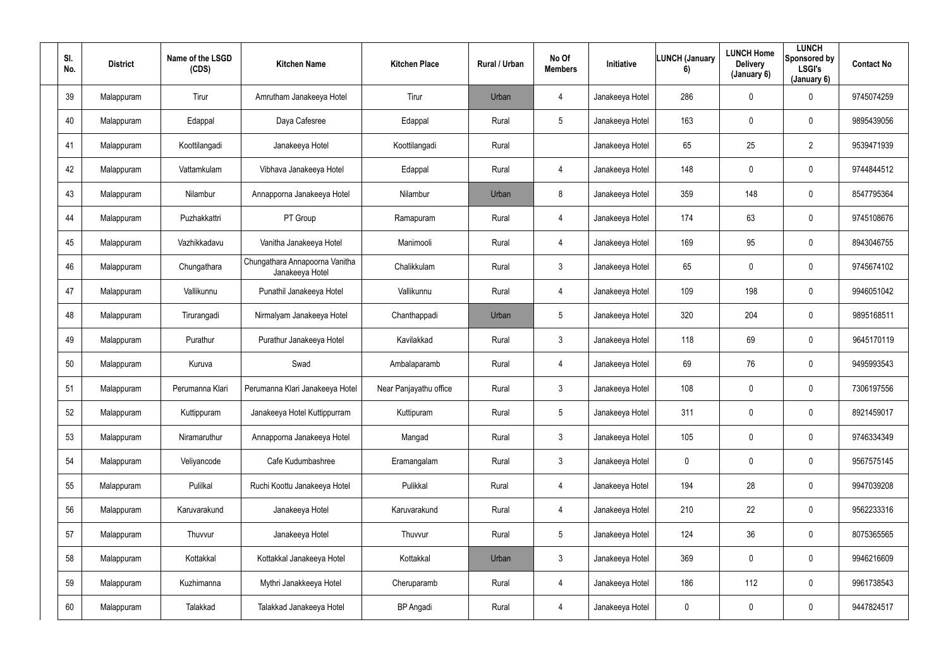| SI.<br>No. | <b>District</b> | Name of the LSGD<br>(CDS) | <b>Kitchen Name</b>                               | <b>Kitchen Place</b>   | Rural / Urban | No Of<br><b>Members</b> | Initiative      | <b>LUNCH (January</b><br>6) | <b>LUNCH Home</b><br><b>Delivery</b><br>(January 6) | <b>LUNCH</b><br>Sponsored by<br><b>LSGI's</b><br>(January 6) | <b>Contact No</b> |
|------------|-----------------|---------------------------|---------------------------------------------------|------------------------|---------------|-------------------------|-----------------|-----------------------------|-----------------------------------------------------|--------------------------------------------------------------|-------------------|
| 39         | Malappuram      | Tirur                     | Amrutham Janakeeya Hotel                          | Tirur                  | Urban         | $\overline{4}$          | Janakeeya Hotel | 286                         | 0                                                   | $\mathbf 0$                                                  | 9745074259        |
| 40         | Malappuram      | Edappal                   | Daya Cafesree                                     | Edappal                | Rural         | $5\phantom{.0}$         | Janakeeya Hotel | 163                         | 0                                                   | $\overline{0}$                                               | 9895439056        |
| 41         | Malappuram      | Koottilangadi             | Janakeeya Hotel                                   | Koottilangadi          | Rural         |                         | Janakeeya Hotel | 65                          | 25                                                  | $\overline{2}$                                               | 9539471939        |
| 42         | Malappuram      | Vattamkulam               | Vibhava Janakeeya Hotel                           | Edappal                | Rural         | 4                       | Janakeeya Hotel | 148                         | 0                                                   | $\overline{0}$                                               | 9744844512        |
| 43         | Malappuram      | Nilambur                  | Annapporna Janakeeya Hotel                        | Nilambur               | Urban         | 8                       | Janakeeya Hotel | 359                         | 148                                                 | $\mathbf 0$                                                  | 8547795364        |
| 44         | Malappuram      | Puzhakkattri              | PT Group                                          | Ramapuram              | Rural         | $\overline{4}$          | Janakeeya Hotel | 174                         | 63                                                  | $\mathbf 0$                                                  | 9745108676        |
| 45         | Malappuram      | Vazhikkadavu              | Vanitha Janakeeya Hotel                           | Manimooli              | Rural         | 4                       | Janakeeya Hotel | 169                         | 95                                                  | $\mathbf 0$                                                  | 8943046755        |
| 46         | Malappuram      | Chungathara               | Chungathara Annapoorna Vanitha<br>Janakeeya Hotel | Chalikkulam            | Rural         | $\mathbf{3}$            | Janakeeya Hotel | 65                          | 0                                                   | $\overline{0}$                                               | 9745674102        |
| 47         | Malappuram      | Vallikunnu                | Punathil Janakeeya Hotel                          | Vallikunnu             | Rural         | 4                       | Janakeeya Hotel | 109                         | 198                                                 | $\overline{0}$                                               | 9946051042        |
| 48         | Malappuram      | Tirurangadi               | Nirmalyam Janakeeya Hotel                         | Chanthappadi           | Urban         | $5\phantom{.0}$         | Janakeeya Hotel | 320                         | 204                                                 | $\overline{0}$                                               | 9895168511        |
| 49         | Malappuram      | Purathur                  | Purathur Janakeeya Hotel                          | Kavilakkad             | Rural         | $\mathbf{3}$            | Janakeeya Hotel | 118                         | 69                                                  | $\mathbf 0$                                                  | 9645170119        |
| 50         | Malappuram      | Kuruva                    | Swad                                              | Ambalaparamb           | Rural         | 4                       | Janakeeya Hotel | 69                          | 76                                                  | $\mathbf 0$                                                  | 9495993543        |
| 51         | Malappuram      | Perumanna Klari           | Perumanna Klari Janakeeya Hotel                   | Near Panjayathu office | Rural         | $\mathbf{3}$            | Janakeeya Hotel | 108                         | 0                                                   | $\overline{0}$                                               | 7306197556        |
| 52         | Malappuram      | Kuttippuram               | Janakeeya Hotel Kuttippurram                      | Kuttipuram             | Rural         | $5\phantom{.0}$         | Janakeeya Hotel | 311                         | 0                                                   | $\mathbf 0$                                                  | 8921459017        |
| 53         | Malappuram      | Niramaruthur              | Annapporna Janakeeya Hotel                        | Mangad                 | Rural         | $\mathbf{3}$            | Janakeeya Hotel | 105                         | $\pmb{0}$                                           | $\mathbf 0$                                                  | 9746334349        |
| 54         | Malappuram      | Veliyancode               | Cafe Kudumbashree                                 | Eramangalam            | Rural         | 3                       | Janakeeya Hotel | $\mathbf 0$                 | 0                                                   | $\mathbf 0$                                                  | 9567575145        |
| 55         | Malappuram      | Pulilkal                  | Ruchi Koottu Janakeeya Hotel                      | Pulikkal               | Rural         | $\overline{4}$          | Janakeeya Hotel | 194                         | 28                                                  | $\mathbf 0$                                                  | 9947039208        |
| 56         | Malappuram      | Karuvarakund              | Janakeeya Hotel                                   | Karuvarakund           | Rural         | $\overline{4}$          | Janakeeya Hotel | 210                         | 22                                                  | $\mathbf 0$                                                  | 9562233316        |
| 57         | Malappuram      | Thuvvur                   | Janakeeya Hotel                                   | Thuvvur                | Rural         | $5\phantom{.0}$         | Janakeeya Hotel | 124                         | 36                                                  | $\mathbf 0$                                                  | 8075365565        |
| 58         | Malappuram      | Kottakkal                 | Kottakkal Janakeeya Hotel                         | Kottakkal              | Urban         | $\mathbf{3}$            | Janakeeya Hotel | 369                         | 0                                                   | $\mathbf 0$                                                  | 9946216609        |
| 59         | Malappuram      | Kuzhimanna                | Mythri Janakkeeya Hotel                           | Cheruparamb            | Rural         | $\overline{4}$          | Janakeeya Hotel | 186                         | 112                                                 | $\mathbf 0$                                                  | 9961738543        |
| 60         | Malappuram      | Talakkad                  | Talakkad Janakeeya Hotel                          | <b>BP</b> Angadi       | Rural         | 4                       | Janakeeya Hotel | $\boldsymbol{0}$            | 0                                                   | $\overline{0}$                                               | 9447824517        |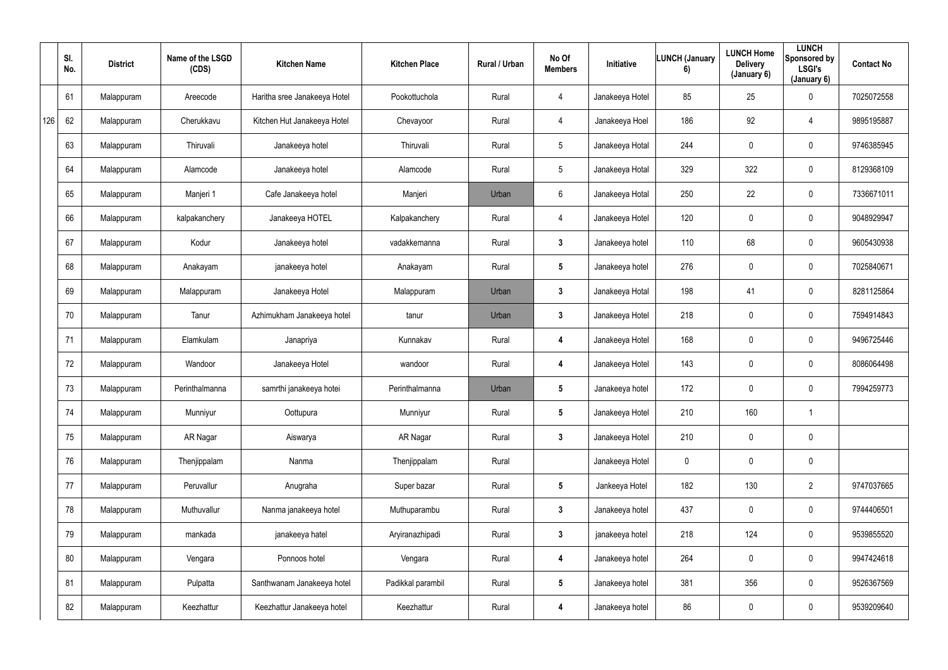|     | SI.<br>No. | <b>District</b> | Name of the LSGD<br>(CDS) | <b>Kitchen Name</b>          | <b>Kitchen Place</b> | Rural / Urban | No Of<br><b>Members</b> | Initiative      | <b>LUNCH (January</b><br>6) | <b>LUNCH Home</b><br><b>Delivery</b><br>(January 6) | <b>LUNCH</b><br>Sponsored by<br><b>LSGI's</b><br>(January 6) | <b>Contact No</b> |
|-----|------------|-----------------|---------------------------|------------------------------|----------------------|---------------|-------------------------|-----------------|-----------------------------|-----------------------------------------------------|--------------------------------------------------------------|-------------------|
|     | 61         | Malappuram      | Areecode                  | Haritha sree Janakeeya Hotel | Pookottuchola        | Rural         | 4                       | Janakeeya Hotel | 85                          | 25                                                  | $\mathbf 0$                                                  | 7025072558        |
| 126 | 62         | Malappuram      | Cherukkavu                | Kitchen Hut Janakeeya Hotel  | Chevayoor            | Rural         | 4                       | Janakeeya Hoel  | 186                         | 92                                                  | 4                                                            | 9895195887        |
|     | 63         | Malappuram      | Thiruvali                 | Janakeeya hotel              | Thiruvali            | Rural         | $5\phantom{.0}$         | Janakeeya Hotal | 244                         | 0                                                   | $\mathbf 0$                                                  | 9746385945        |
|     | 64         | Malappuram      | Alamcode                  | Janakeeya hotel              | Alamcode             | Rural         | $5\phantom{.0}$         | Janakeeya Hotal | 329                         | 322                                                 | $\overline{0}$                                               | 8129368109        |
|     | 65         | Malappuram      | Manjeri 1                 | Cafe Janakeeya hotel         | Manjeri              | Urban         | $6\phantom{.0}$         | Janakeeya Hotal | 250                         | 22                                                  | $\mathbf 0$                                                  | 7336671011        |
|     | 66         | Malappuram      | kalpakanchery             | Janakeeya HOTEL              | Kalpakanchery        | Rural         | 4                       | Janakeeya Hotel | 120                         | $\mathbf 0$                                         | $\overline{0}$                                               | 9048929947        |
|     | 67         | Malappuram      | Kodur                     | Janakeeya hotel              | vadakkemanna         | Rural         | $3\phantom{a}$          | Janakeeya hotel | 110                         | 68                                                  | $\mathbf 0$                                                  | 9605430938        |
|     | 68         | Malappuram      | Anakayam                  | janakeeya hotel              | Anakayam             | Rural         | $5\phantom{.0}$         | Janakeeya hotel | 276                         | 0                                                   | $\overline{0}$                                               | 7025840671        |
|     | 69         | Malappuram      | Malappuram                | Janakeeya Hotel              | Malappuram           | Urban         | $\mathbf{3}$            | Janakeeya Hotal | 198                         | 41                                                  | $\mathbf 0$                                                  | 8281125864        |
|     | 70         | Malappuram      | Tanur                     | Azhimukham Janakeeya hotel   | tanur                | Urban         | $\mathbf{3}$            | Janakeeya Hotel | 218                         | 0                                                   | $\mathbf 0$                                                  | 7594914843        |
|     | 71         | Malappuram      | Elamkulam                 | Janapriya                    | Kunnakav             | Rural         | 4                       | Janakeeya Hotel | 168                         | $\mathbf 0$                                         | $\overline{0}$                                               | 9496725446        |
|     | 72         | Malappuram      | Wandoor                   | Janakeeya Hotel              | wandoor              | Rural         | 4                       | Janakeeya Hotel | 143                         | 0                                                   | $\overline{0}$                                               | 8086064498        |
|     | 73         | Malappuram      | Perinthalmanna            | samrthi janakeeya hotei      | Perinthalmanna       | Urban         | $5\phantom{.0}$         | Janakeeya hotel | 172                         | 0                                                   | $\mathbf 0$                                                  | 7994259773        |
|     | 74         | Malappuram      | Munniyur                  | Oottupura                    | Munniyur             | Rural         | $5\phantom{.0}$         | Janakeeya Hotel | 210                         | 160                                                 |                                                              |                   |
|     | 75         | Malappuram      | AR Nagar                  | Aiswarya                     | AR Nagar             | Rural         | $\mathbf{3}$            | Janakeeya Hotel | 210                         | $\mathbf 0$                                         | $\overline{0}$                                               |                   |
|     | 76         | Malappuram      | Thenjippalam              | Nanma                        | Thenjippalam         | Rural         |                         | Janakeeya Hotel | $\mathbf 0$                 | $\mathbf 0$                                         | $\overline{0}$                                               |                   |
|     | 77         | Malappuram      | Peruvallur                | Anugraha                     | Super bazar          | Rural         | 5 <sub>5</sub>          | Jankeeya Hotel  | 182                         | 130                                                 | $\overline{2}$                                               | 9747037665        |
|     | 78         | Malappuram      | Muthuvallur               | Nanma janakeeya hotel        | Muthuparambu         | Rural         | 3 <sup>1</sup>          | Janakeeya hotel | 437                         | $\mathbf 0$                                         | $\overline{0}$                                               | 9744406501        |
|     | 79         | Malappuram      | mankada                   | janakeeya hatel              | Aryiranazhipadi      | Rural         | $\mathbf{3}$            | janakeeya hotel | 218                         | 124                                                 | $\overline{0}$                                               | 9539855520        |
|     | 80         | Malappuram      | Vengara                   | Ponnoos hotel                | Vengara              | Rural         | 4                       | Janakeeya hotel | 264                         | 0                                                   | $\overline{0}$                                               | 9947424618        |
|     | 81         | Malappuram      | Pulpatta                  | Santhwanam Janakeeya hotel   | Padikkal parambil    | Rural         | 5 <sub>5</sub>          | Janakeeya hotel | 381                         | 356                                                 | $\overline{0}$                                               | 9526367569        |
|     | 82         | Malappuram      | Keezhattur                | Keezhattur Janakeeya hotel   | Keezhattur           | Rural         | 4                       | Janakeeya hotel | 86                          | $\pmb{0}$                                           | $\pmb{0}$                                                    | 9539209640        |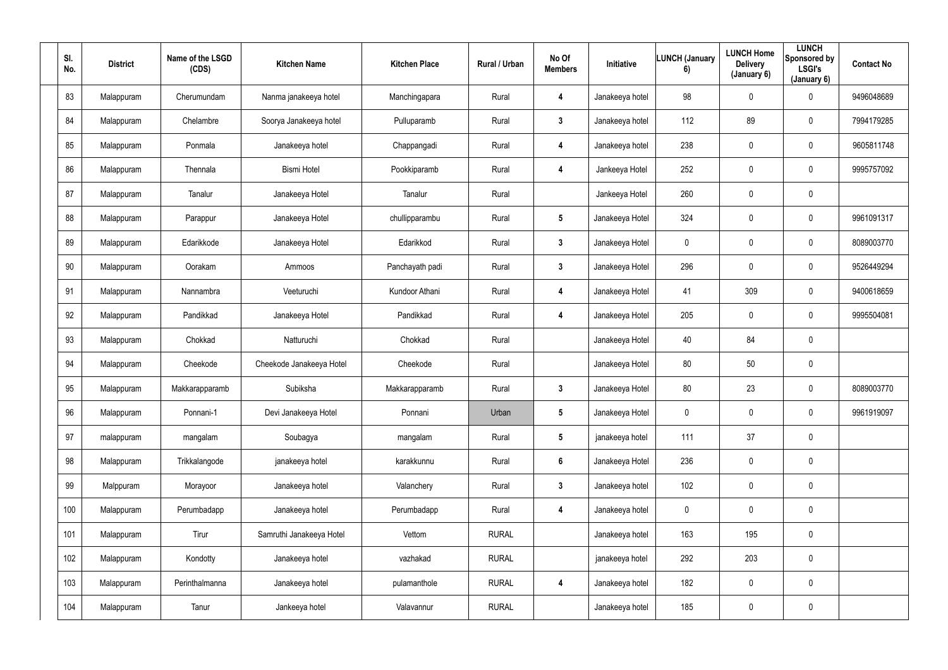| SI.<br>No. | <b>District</b> | Name of the LSGD<br>(CDS) | <b>Kitchen Name</b>      | <b>Kitchen Place</b> | Rural / Urban | No Of<br><b>Members</b> | Initiative      | <b>LUNCH (January</b><br>6) | <b>LUNCH Home</b><br><b>Delivery</b><br>(January 6) | <b>LUNCH</b><br>Sponsored by<br><b>LSGI's</b><br>(January 6) | <b>Contact No</b> |
|------------|-----------------|---------------------------|--------------------------|----------------------|---------------|-------------------------|-----------------|-----------------------------|-----------------------------------------------------|--------------------------------------------------------------|-------------------|
| 83         | Malappuram      | Cherumundam               | Nanma janakeeya hotel    | Manchingapara        | Rural         | 4                       | Janakeeya hotel | 98                          | 0                                                   | $\mathbf 0$                                                  | 9496048689        |
| 84         | Malappuram      | Chelambre                 | Soorya Janakeeya hotel   | Pulluparamb          | Rural         | $\mathbf{3}$            | Janakeeya hotel | 112                         | 89                                                  | $\overline{0}$                                               | 7994179285        |
| 85         | Malappuram      | Ponmala                   | Janakeeya hotel          | Chappangadi          | Rural         | 4                       | Janakeeya hotel | 238                         | 0                                                   | $\mathbf 0$                                                  | 9605811748        |
| 86         | Malappuram      | Thennala                  | <b>Bismi Hotel</b>       | Pookkiparamb         | Rural         | 4                       | Jankeeya Hotel  | 252                         | 0                                                   | $\mathbf 0$                                                  | 9995757092        |
| 87         | Malappuram      | Tanalur                   | Janakeeya Hotel          | Tanalur              | Rural         |                         | Jankeeya Hotel  | 260                         | 0                                                   | $\mathbf 0$                                                  |                   |
| 88         | Malappuram      | Parappur                  | Janakeeya Hotel          | chullipparambu       | Rural         | $5\phantom{.0}$         | Janakeeya Hotel | 324                         | 0                                                   | $\mathbf 0$                                                  | 9961091317        |
| 89         | Malappuram      | Edarikkode                | Janakeeya Hotel          | Edarikkod            | Rural         | $\mathbf{3}$            | Janakeeya Hotel | $\mathbf 0$                 | 0                                                   | $\mathbf 0$                                                  | 8089003770        |
| 90         | Malappuram      | Oorakam                   | Ammoos                   | Panchayath padi      | Rural         | $3\phantom{a}$          | Janakeeya Hotel | 296                         | 0                                                   | $\mathbf 0$                                                  | 9526449294        |
| 91         | Malappuram      | Nannambra                 | Veeturuchi               | Kundoor Athani       | Rural         | 4                       | Janakeeya Hotel | 41                          | 309                                                 | $\overline{0}$                                               | 9400618659        |
| 92         | Malappuram      | Pandikkad                 | Janakeeya Hotel          | Pandikkad            | Rural         | 4                       | Janakeeya Hotel | 205                         | 0                                                   | $\mathbf 0$                                                  | 9995504081        |
| 93         | Malappuram      | Chokkad                   | Natturuchi               | Chokkad              | Rural         |                         | Janakeeya Hotel | 40                          | 84                                                  | $\mathbf 0$                                                  |                   |
| 94         | Malappuram      | Cheekode                  | Cheekode Janakeeya Hotel | Cheekode             | Rural         |                         | Janakeeya Hotel | 80                          | $50\,$                                              | $\mathbf 0$                                                  |                   |
| 95         | Malappuram      | Makkarapparamb            | Subiksha                 | Makkarapparamb       | Rural         | $\mathbf{3}$            | Janakeeya Hotel | 80                          | 23                                                  | $\overline{0}$                                               | 8089003770        |
| 96         | Malappuram      | Ponnani-1                 | Devi Janakeeya Hotel     | Ponnani              | Urban         | $5\phantom{.0}$         | Janakeeya Hotel | $\pmb{0}$                   | $\mathbf 0$                                         | $\mathbf 0$                                                  | 9961919097        |
| 97         | malappuram      | mangalam                  | Soubagya                 | mangalam             | Rural         | $5\phantom{.0}$         | janakeeya hotel | 111                         | 37                                                  | $\overline{0}$                                               |                   |
| 98         | Malappuram      | Trikkalangode             | janakeeya hotel          | karakkunnu           | Rural         | $6\phantom{.}6$         | Janakeeya Hotel | 236                         | 0                                                   | $\mathbf 0$                                                  |                   |
| 99         | Malppuram       | Morayoor                  | Janakeeya hotel          | Valanchery           | Rural         | 3 <sup>1</sup>          | Janakeeya hotel | 102                         | $\mathbf 0$                                         | $\mathbf 0$                                                  |                   |
| 100        | Malappuram      | Perumbadapp               | Janakeeya hotel          | Perumbadapp          | Rural         | 4                       | Janakeeya hotel | $\boldsymbol{0}$            | 0                                                   | $\mathbf 0$                                                  |                   |
| 101        | Malappuram      | Tirur                     | Samruthi Janakeeya Hotel | Vettom               | <b>RURAL</b>  |                         | Janakeeya hotel | 163                         | 195                                                 | $\mathbf 0$                                                  |                   |
| 102        | Malappuram      | Kondotty                  | Janakeeya hotel          | vazhakad             | <b>RURAL</b>  |                         | janakeeya hotel | 292                         | 203                                                 | $\mathbf 0$                                                  |                   |
| 103        | Malappuram      | Perinthalmanna            | Janakeeya hotel          | pulamanthole         | <b>RURAL</b>  | 4                       | Janakeeya hotel | 182                         | 0                                                   | $\mathbf 0$                                                  |                   |
| 104        | Malappuram      | Tanur                     | Jankeeya hotel           | Valavannur           | <b>RURAL</b>  |                         | Janakeeya hotel | 185                         | $\pmb{0}$                                           | $\mathbf 0$                                                  |                   |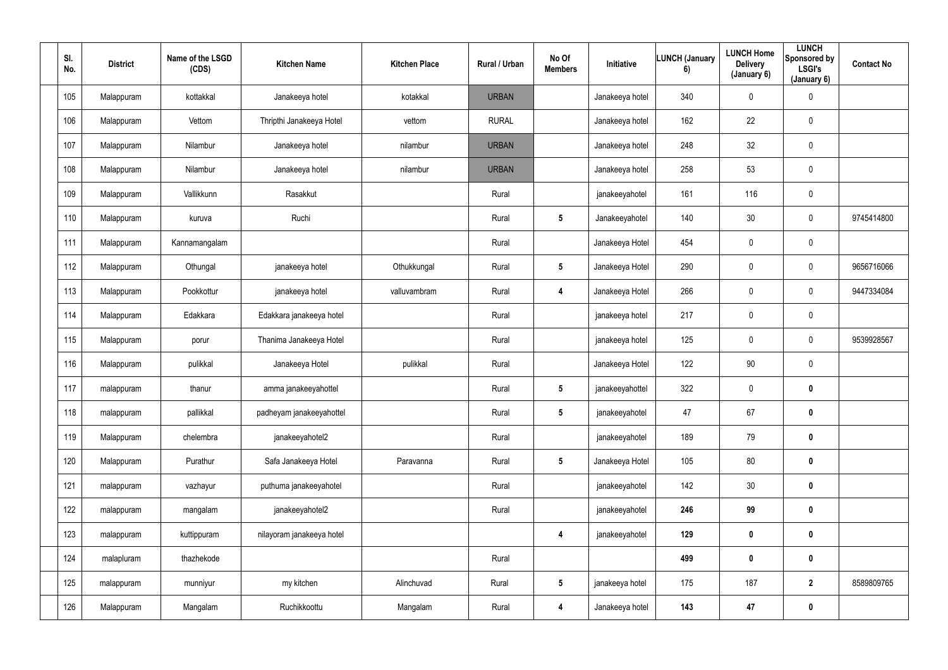| SI.<br>No. | <b>District</b> | Name of the LSGD<br>(CDS) | <b>Kitchen Name</b>       | <b>Kitchen Place</b> | Rural / Urban | No Of<br><b>Members</b> | Initiative      | <b>LUNCH (January</b><br>6) | <b>LUNCH Home</b><br><b>Delivery</b><br>(January 6) | <b>LUNCH</b><br>Sponsored by<br><b>LSGI's</b><br>(January 6) | <b>Contact No</b> |
|------------|-----------------|---------------------------|---------------------------|----------------------|---------------|-------------------------|-----------------|-----------------------------|-----------------------------------------------------|--------------------------------------------------------------|-------------------|
| 105        | Malappuram      | kottakkal                 | Janakeeya hotel           | kotakkal             | <b>URBAN</b>  |                         | Janakeeya hotel | 340                         | $\mathbf 0$                                         | $\pmb{0}$                                                    |                   |
| 106        | Malappuram      | Vettom                    | Thripthi Janakeeya Hotel  | vettom               | <b>RURAL</b>  |                         | Janakeeya hotel | 162                         | 22                                                  | $\overline{0}$                                               |                   |
| 107        | Malappuram      | Nilambur                  | Janakeeya hotel           | nilambur             | <b>URBAN</b>  |                         | Janakeeya hotel | 248                         | 32                                                  | $\overline{0}$                                               |                   |
| 108        | Malappuram      | Nilambur                  | Janakeeya hotel           | nilambur             | <b>URBAN</b>  |                         | Janakeeya hotel | 258                         | 53                                                  | $\mathbf 0$                                                  |                   |
| 109        | Malappuram      | Vallikkunn                | Rasakkut                  |                      | Rural         |                         | janakeeyahotel  | 161                         | 116                                                 | $\overline{0}$                                               |                   |
| 110        | Malappuram      | kuruva                    | Ruchi                     |                      | Rural         | $5\phantom{.0}$         | Janakeeyahotel  | 140                         | 30                                                  | $\overline{0}$                                               | 9745414800        |
| 111        | Malappuram      | Kannamangalam             |                           |                      | Rural         |                         | Janakeeya Hotel | 454                         | $\overline{0}$                                      | $\overline{0}$                                               |                   |
| 112        | Malappuram      | Othungal                  | janakeeya hotel           | Othukkungal          | Rural         | $5\phantom{.0}$         | Janakeeya Hotel | 290                         | $\mathbf 0$                                         | $\overline{0}$                                               | 9656716066        |
| 113        | Malappuram      | Pookkottur                | janakeeya hotel           | valluvambram         | Rural         | 4                       | Janakeeya Hotel | 266                         | $\mathbf 0$                                         | $\mathbf 0$                                                  | 9447334084        |
| 114        | Malappuram      | Edakkara                  | Edakkara janakeeya hotel  |                      | Rural         |                         | janakeeya hotel | 217                         | $\mathbf 0$                                         | $\pmb{0}$                                                    |                   |
| 115        | Malappuram      | porur                     | Thanima Janakeeya Hotel   |                      | Rural         |                         | janakeeya hotel | 125                         | $\pmb{0}$                                           | $\mathbf 0$                                                  | 9539928567        |
| 116        | Malappuram      | pulikkal                  | Janakeeya Hotel           | pulikkal             | Rural         |                         | Janakeeya Hotel | 122                         | $90\,$                                              | $\overline{0}$                                               |                   |
| 117        | malappuram      | thanur                    | amma janakeeyahottel      |                      | Rural         | $5\phantom{.0}$         | janakeeyahottel | 322                         | $\mathbf 0$                                         | $\boldsymbol{0}$                                             |                   |
| 118        | malappuram      | pallikkal                 | padheyam janakeeyahottel  |                      | Rural         | $5\phantom{.0}$         | janakeeyahotel  | 47                          | 67                                                  | $\mathbf 0$                                                  |                   |
| 119        | Malappuram      | chelembra                 | janakeeyahotel2           |                      | Rural         |                         | janakeeyahotel  | 189                         | 79                                                  | $\mathbf 0$                                                  |                   |
| 120        | Malappuram      | Purathur                  | Safa Janakeeya Hotel      | Paravanna            | Rural         | $5\phantom{.0}$         | Janakeeya Hotel | 105                         | 80                                                  | $\mathbf 0$                                                  |                   |
| 121        | malappuram      | vazhayur                  | puthuma janakeeyahotel    |                      | Rural         |                         | janakeeyahotel  | 142                         | $30\,$                                              | $\mathbf 0$                                                  |                   |
| 122        | malappuram      | mangalam                  | janakeeyahotel2           |                      | Rural         |                         | janakeeyahotel  | 246                         | 99                                                  | $\bm{0}$                                                     |                   |
| 123        | malappuram      | kuttippuram               | nilayoram janakeeya hotel |                      |               | $\overline{\mathbf{4}}$ | janakeeyahotel  | 129                         | $\pmb{0}$                                           | $\mathbf 0$                                                  |                   |
| 124        | malapluram      | thazhekode                |                           |                      | Rural         |                         |                 | 499                         | $\pmb{0}$                                           | $\mathbf 0$                                                  |                   |
| 125        | malappuram      | munniyur                  | my kitchen                | Alinchuvad           | Rural         | $5\phantom{.0}$         | janakeeya hotel | 175                         | 187                                                 | $\overline{2}$                                               | 8589809765        |
| 126        | Malappuram      | Mangalam                  | Ruchikkoottu              | Mangalam             | Rural         | 4                       | Janakeeya hotel | 143                         | 47                                                  | $\bm{0}$                                                     |                   |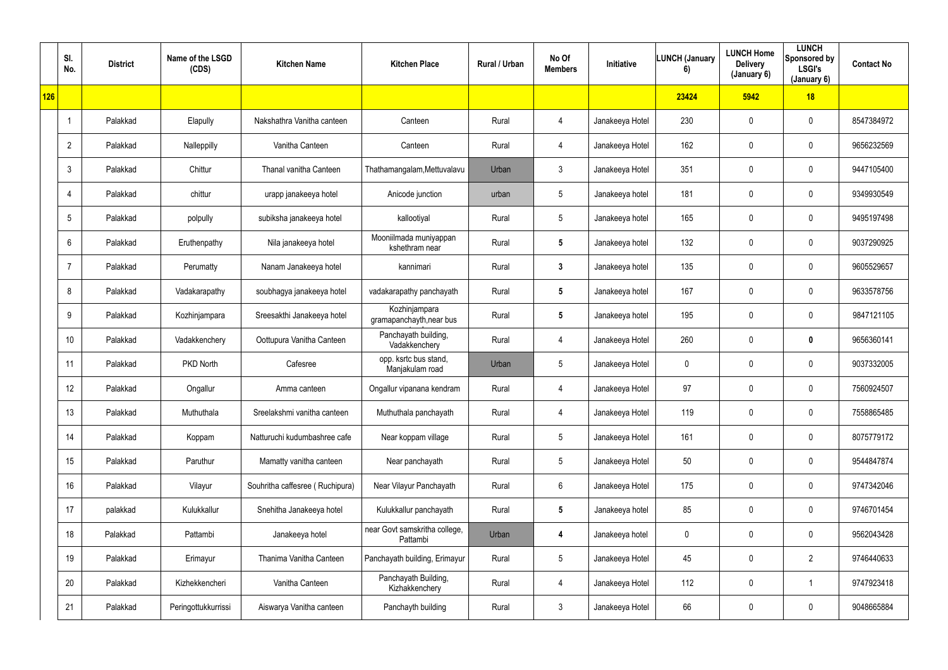|     | SI.<br>No.      | <b>District</b> | Name of the LSGD<br>(CDS) | <b>Kitchen Name</b>             | <b>Kitchen Place</b>                      | Rural / Urban | No Of<br><b>Members</b> | <b>Initiative</b> | <b>LUNCH (January</b><br>6) | <b>LUNCH Home</b><br><b>Delivery</b><br>(January 6) | <b>LUNCH</b><br>Sponsored by<br><b>LSGI's</b><br>(January 6) | <b>Contact No</b> |
|-----|-----------------|-----------------|---------------------------|---------------------------------|-------------------------------------------|---------------|-------------------------|-------------------|-----------------------------|-----------------------------------------------------|--------------------------------------------------------------|-------------------|
| 126 |                 |                 |                           |                                 |                                           |               |                         |                   | 23424                       | 5942                                                | 18                                                           |                   |
|     |                 | Palakkad        | Elapully                  | Nakshathra Vanitha canteen      | Canteen                                   | Rural         | 4                       | Janakeeya Hotel   | 230                         | $\mathbf 0$                                         | $\pmb{0}$                                                    | 8547384972        |
|     | $\overline{2}$  | Palakkad        | Nalleppilly               | Vanitha Canteen                 | Canteen                                   | Rural         | 4                       | Janakeeya Hotel   | 162                         | 0                                                   | $\mathbf 0$                                                  | 9656232569        |
|     | $\mathbf{3}$    | Palakkad        | Chittur                   | Thanal vanitha Canteen          | Thathamangalam, Mettuvalavu               | Urban         | 3                       | Janakeeya Hotel   | 351                         | 0                                                   | $\pmb{0}$                                                    | 9447105400        |
|     | $\overline{4}$  | Palakkad        | chittur                   | urapp janakeeya hotel           | Anicode junction                          | urban         | $5\overline{)}$         | Janakeeya hotel   | 181                         | $\mathbf 0$                                         | $\mathbf 0$                                                  | 9349930549        |
|     | $5\phantom{.0}$ | Palakkad        | polpully                  | subiksha janakeeya hotel        | kallootiyal                               | Rural         | $5\overline{)}$         | Janakeeya hotel   | 165                         | $\mathbf 0$                                         | $\pmb{0}$                                                    | 9495197498        |
|     | 6               | Palakkad        | Eruthenpathy              | Nila janakeeya hotel            | Mooniilmada muniyappan<br>kshethram near  | Rural         | $5\phantom{.0}$         | Janakeeya hotel   | 132                         | $\mathbf 0$                                         | $\mathbf 0$                                                  | 9037290925        |
|     | $\overline{7}$  | Palakkad        | Perumatty                 | Nanam Janakeeya hotel           | kannimari                                 | Rural         | $3\phantom{a}$          | Janakeeya hotel   | 135                         | $\mathbf 0$                                         | $\mathbf 0$                                                  | 9605529657        |
|     | 8               | Palakkad        | Vadakarapathy             | soubhagya janakeeya hotel       | vadakarapathy panchayath                  | Rural         | $5\phantom{.0}$         | Janakeeya hotel   | 167                         | 0                                                   | $\pmb{0}$                                                    | 9633578756        |
|     | 9               | Palakkad        | Kozhinjampara             | Sreesakthi Janakeeya hotel      | Kozhinjampara<br>gramapanchayth, near bus | Rural         | $5\phantom{.0}$         | Janakeeya hotel   | 195                         | 0                                                   | $\pmb{0}$                                                    | 9847121105        |
|     | 10              | Palakkad        | Vadakkenchery             | Oottupura Vanitha Canteen       | Panchayath building,<br>Vadakkenchery     | Rural         | 4                       | Janakeeya Hotel   | 260                         | $\mathbf 0$                                         | $\mathbf 0$                                                  | 9656360141        |
|     | 11              | Palakkad        | PKD North                 | Cafesree                        | opp. ksrtc bus stand,<br>Manjakulam road  | Urban         | $5\phantom{.0}$         | Janakeeya Hotel   | $\mathbf 0$                 | $\mathbf 0$                                         | $\pmb{0}$                                                    | 9037332005        |
|     | 12              | Palakkad        | Ongallur                  | Amma canteen                    | Ongallur vipanana kendram                 | Rural         | 4                       | Janakeeya Hotel   | 97                          | $\mathbf 0$                                         | $\pmb{0}$                                                    | 7560924507        |
|     | 13              | Palakkad        | Muthuthala                | Sreelakshmi vanitha canteen     | Muthuthala panchayath                     | Rural         | 4                       | Janakeeya Hotel   | 119                         | 0                                                   | $\overline{0}$                                               | 7558865485        |
|     | 14              | Palakkad        | Koppam                    | Natturuchi kudumbashree cafe    | Near koppam village                       | Rural         | $5\phantom{.0}$         | Janakeeya Hotel   | 161                         | 0                                                   | $\overline{0}$                                               | 8075779172        |
|     | 15              | Palakkad        | Paruthur                  | Mamatty vanitha canteen         | Near panchayath                           | Rural         | $5\phantom{.0}$         | Janakeeya Hotel   | 50                          | 0                                                   | $\overline{0}$                                               | 9544847874        |
|     | 16              | Palakkad        | Vilayur                   | Souhritha caffesree (Ruchipura) | Near Vilayur Panchayath                   | Rural         | $6\phantom{.}$          | Janakeeya Hotel   | 175                         | 0                                                   | $\overline{0}$                                               | 9747342046        |
|     | 17              | palakkad        | Kulukkallur               | Snehitha Janakeeya hotel        | Kulukkallur panchayath                    | Rural         | $5\phantom{.0}$         | Janakeeya hotel   | 85                          | 0                                                   | $\overline{0}$                                               | 9746701454        |
|     | 18              | Palakkad        | Pattambi                  | Janakeeya hotel                 | near Govt samskritha college,<br>Pattambi | Urban         | $\boldsymbol{4}$        | Janakeeya hotel   | $\mathbf 0$                 | 0                                                   | $\overline{0}$                                               | 9562043428        |
|     | 19              | Palakkad        | Erimayur                  | Thanima Vanitha Canteen         | Panchayath building, Erimayur             | Rural         | $5\phantom{.0}$         | Janakeeya Hotel   | 45                          | 0                                                   | $\overline{2}$                                               | 9746440633        |
|     | 20              | Palakkad        | Kizhekkencheri            | Vanitha Canteen                 | Panchayath Building,<br>Kizhakkenchery    | Rural         | 4                       | Janakeeya Hotel   | 112                         | 0                                                   | $\mathbf{1}$                                                 | 9747923418        |
|     | 21              | Palakkad        | Peringottukkurrissi       | Aiswarya Vanitha canteen        | Panchayth building                        | Rural         | 3                       | Janakeeya Hotel   | 66                          | 0                                                   | $\pmb{0}$                                                    | 9048665884        |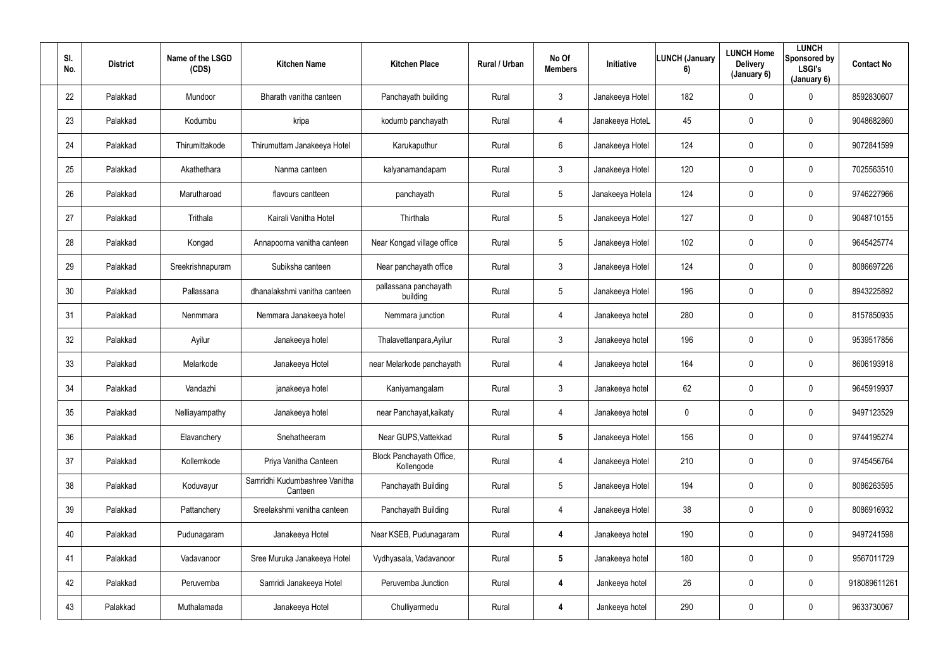| SI.<br>No. | <b>District</b> | Name of the LSGD<br>(CDS) | <b>Kitchen Name</b>                      | <b>Kitchen Place</b>                   | Rural / Urban | No Of<br><b>Members</b> | Initiative       | <b>LUNCH (January</b><br>6) | <b>LUNCH Home</b><br><b>Delivery</b><br>(January 6) | <b>LUNCH</b><br>Sponsored by<br>LSGI's<br>(January 6) | <b>Contact No</b> |
|------------|-----------------|---------------------------|------------------------------------------|----------------------------------------|---------------|-------------------------|------------------|-----------------------------|-----------------------------------------------------|-------------------------------------------------------|-------------------|
| 22         | Palakkad        | Mundoor                   | Bharath vanitha canteen                  | Panchayath building                    | Rural         | 3 <sup>1</sup>          | Janakeeya Hotel  | 182                         | $\mathbf 0$                                         | $\overline{0}$                                        | 8592830607        |
| 23         | Palakkad        | Kodumbu                   | kripa                                    | kodumb panchayath                      | Rural         | 4                       | Janakeeya HoteL  | 45                          | 0                                                   | $\mathbf 0$                                           | 9048682860        |
| 24         | Palakkad        | Thirumittakode            | Thirumuttam Janakeeya Hotel              | Karukaputhur                           | Rural         | $6\overline{6}$         | Janakeeya Hotel  | 124                         | 0                                                   | $\mathbf 0$                                           | 9072841599        |
| 25         | Palakkad        | Akathethara               | Nanma canteen                            | kalyanamandapam                        | Rural         | $\mathfrak{Z}$          | Janakeeya Hotel  | 120                         | 0                                                   | $\mathbf 0$                                           | 7025563510        |
| 26         | Palakkad        | Marutharoad               | flavours cantteen                        | panchayath                             | Rural         | 5 <sup>5</sup>          | Janakeeya Hotela | 124                         | 0                                                   | $\mathbf 0$                                           | 9746227966        |
| 27         | Palakkad        | Trithala                  | Kairali Vanitha Hotel                    | Thirthala                              | Rural         | 5 <sup>5</sup>          | Janakeeya Hotel  | 127                         | $\mathbf 0$                                         | $\mathbf 0$                                           | 9048710155        |
| 28         | Palakkad        | Kongad                    | Annapoorna vanitha canteen               | Near Kongad village office             | Rural         | $5\phantom{.0}$         | Janakeeya Hotel  | 102                         | 0                                                   | $\mathbf 0$                                           | 9645425774        |
| 29         | Palakkad        | Sreekrishnapuram          | Subiksha canteen                         | Near panchayath office                 | Rural         | 3 <sup>1</sup>          | Janakeeya Hotel  | 124                         | 0                                                   | $\mathbf 0$                                           | 8086697226        |
| 30         | Palakkad        | Pallassana                | dhanalakshmi vanitha canteen             | pallassana panchayath<br>building      | Rural         | 5 <sup>5</sup>          | Janakeeya Hotel  | 196                         | 0                                                   | $\mathbf 0$                                           | 8943225892        |
| 31         | Palakkad        | Nenmmara                  | Nemmara Janakeeya hotel                  | Nemmara junction                       | Rural         | 4                       | Janakeeya hotel  | 280                         | 0                                                   | $\mathbf 0$                                           | 8157850935        |
| 32         | Palakkad        | Ayilur                    | Janakeeya hotel                          | Thalavettanpara, Ayilur                | Rural         | 3 <sup>1</sup>          | Janakeeya hotel  | 196                         | 0                                                   | $\mathbf 0$                                           | 9539517856        |
| 33         | Palakkad        | Melarkode                 | Janakeeya Hotel                          | near Melarkode panchayath              | Rural         | 4                       | Janakeeya hotel  | 164                         | $\mathbf 0$                                         | $\mathbf 0$                                           | 8606193918        |
| 34         | Palakkad        | Vandazhi                  | janakeeya hotel                          | Kaniyamangalam                         | Rural         | $\mathbf{3}$            | Janakeeya hotel  | 62                          | 0                                                   | $\mathbf 0$                                           | 9645919937        |
| 35         | Palakkad        | Nelliayampathy            | Janakeeya hotel                          | near Panchayat, kaikaty                | Rural         | 4                       | Janakeeya hotel  | $\mathbf 0$                 | 0                                                   | $\mathbf 0$                                           | 9497123529        |
| 36         | Palakkad        | Elavanchery               | Snehatheeram                             | Near GUPS, Vattekkad                   | Rural         | $5\overline{)}$         | Janakeeya Hotel  | 156                         | 0                                                   | $\mathbf 0$                                           | 9744195274        |
| 37         | Palakkad        | Kollemkode                | Priya Vanitha Canteen                    | Block Panchayath Office,<br>Kollengode | Rural         | $\overline{4}$          | Janakeeya Hotel  | 210                         | 0                                                   | $\mathbf 0$                                           | 9745456764        |
| 38         | Palakkad        | Koduvayur                 | Samridhi Kudumbashree Vanitha<br>Canteen | Panchayath Building                    | Rural         | $5\overline{)}$         | Janakeeya Hotel  | 194                         | 0                                                   | $\mathbf 0$                                           | 8086263595        |
| 39         | Palakkad        | Pattanchery               | Sreelakshmi vanitha canteen              | Panchayath Building                    | Rural         | $\overline{4}$          | Janakeeya Hotel  | 38                          | 0                                                   | $\mathbf 0$                                           | 8086916932        |
| 40         | Palakkad        | Pudunagaram               | Janakeeya Hotel                          | Near KSEB, Pudunagaram                 | Rural         | 4                       | Janakeeya hotel  | 190                         | 0                                                   | $\mathbf 0$                                           | 9497241598        |
| 41         | Palakkad        | Vadavanoor                | Sree Muruka Janakeeya Hotel              | Vydhyasala, Vadavanoor                 | Rural         | $5\overline{)}$         | Janakeeya hotel  | 180                         | 0                                                   | $\mathbf 0$                                           | 9567011729        |
| 42         | Palakkad        | Peruvemba                 | Samridi Janakeeya Hotel                  | Peruvemba Junction                     | Rural         | 4                       | Jankeeya hotel   | 26                          | 0                                                   | $\mathbf 0$                                           | 918089611261      |
| 43         | Palakkad        | Muthalamada               | Janakeeya Hotel                          | Chulliyarmedu                          | Rural         | 4                       | Jankeeya hotel   | 290                         | 0                                                   | $\overline{0}$                                        | 9633730067        |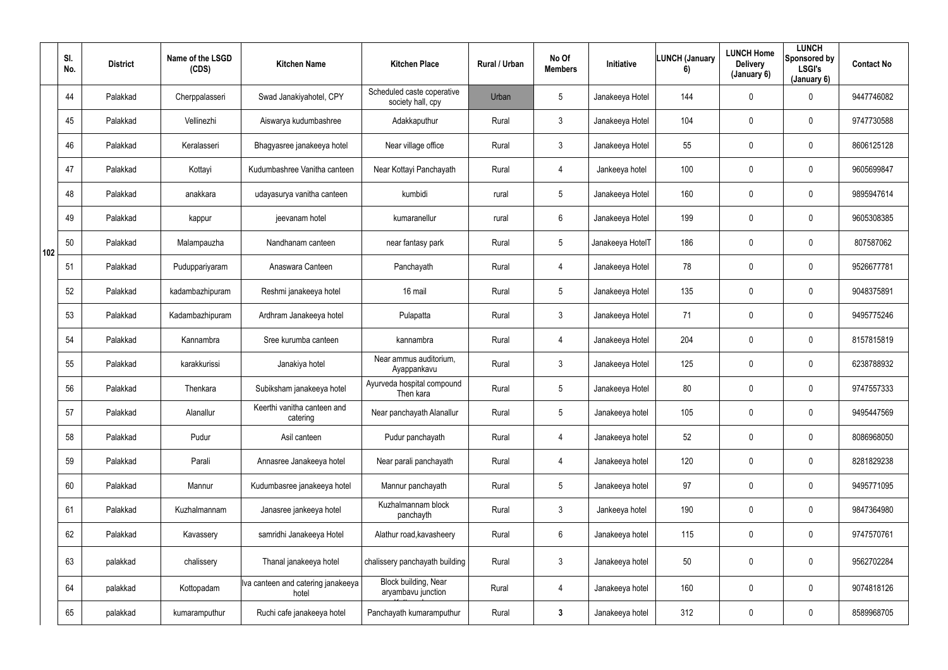|     | SI.<br>No. | <b>District</b> | Name of the LSGD<br>(CDS) | <b>Kitchen Name</b>                         | <b>Kitchen Place</b>                            | Rural / Urban | No Of<br><b>Members</b> | Initiative       | <b>LUNCH (January</b><br>6) | <b>LUNCH Home</b><br><b>Delivery</b><br>(January 6) | <b>LUNCH</b><br>Sponsored by<br>LSGI's<br>(January 6) | <b>Contact No</b> |
|-----|------------|-----------------|---------------------------|---------------------------------------------|-------------------------------------------------|---------------|-------------------------|------------------|-----------------------------|-----------------------------------------------------|-------------------------------------------------------|-------------------|
|     | 44         | Palakkad        | Cherppalasseri            | Swad Janakiyahotel, CPY                     | Scheduled caste coperative<br>society hall, cpy | Urban         | $5\phantom{.0}$         | Janakeeya Hotel  | 144                         | 0                                                   | $\mathbf 0$                                           | 9447746082        |
|     | 45         | Palakkad        | Vellinezhi                | Aiswarya kudumbashree                       | Adakkaputhur                                    | Rural         | $\mathfrak{Z}$          | Janakeeya Hotel  | 104                         | 0                                                   | $\mathbf 0$                                           | 9747730588        |
|     | 46         | Palakkad        | Keralasseri               | Bhagyasree janakeeya hotel                  | Near village office                             | Rural         | $\mathbf{3}$            | Janakeeya Hotel  | 55                          | 0                                                   | $\mathbf 0$                                           | 8606125128        |
|     | 47         | Palakkad        | Kottayi                   | Kudumbashree Vanitha canteen                | Near Kottayi Panchayath                         | Rural         | 4                       | Jankeeya hotel   | 100                         | $\boldsymbol{0}$                                    | $\mathbf 0$                                           | 9605699847        |
|     | 48         | Palakkad        | anakkara                  | udayasurya vanitha canteen                  | kumbidi                                         | rural         | $5\phantom{.0}$         | Janakeeya Hotel  | 160                         | 0                                                   | $\mathbf 0$                                           | 9895947614        |
|     | 49         | Palakkad        | kappur                    | jeevanam hotel                              | kumaranellur                                    | rural         | $6\phantom{.}$          | Janakeeya Hotel  | 199                         | 0                                                   | $\mathbf 0$                                           | 9605308385        |
| 102 | 50         | Palakkad        | Malampauzha               | Nandhanam canteen                           | near fantasy park                               | Rural         | $5\phantom{.0}$         | Janakeeya HotelT | 186                         | 0                                                   | $\mathbf 0$                                           | 807587062         |
|     | 51         | Palakkad        | Puduppariyaram            | Anaswara Canteen                            | Panchayath                                      | Rural         | 4                       | Janakeeya Hotel  | 78                          | 0                                                   | $\mathbf 0$                                           | 9526677781        |
|     | 52         | Palakkad        | kadambazhipuram           | Reshmi janakeeya hotel                      | 16 mail                                         | Rural         | $5\phantom{.0}$         | Janakeeya Hotel  | 135                         | 0                                                   | $\mathbf 0$                                           | 9048375891        |
|     | 53         | Palakkad        | Kadambazhipuram           | Ardhram Janakeeya hotel                     | Pulapatta                                       | Rural         | $\mathfrak{Z}$          | Janakeeya Hotel  | 71                          | 0                                                   | $\mathbf 0$                                           | 9495775246        |
|     | 54         | Palakkad        | Kannambra                 | Sree kurumba canteen                        | kannambra                                       | Rural         | 4                       | Janakeeya Hotel  | 204                         | 0                                                   | $\mathbf 0$                                           | 8157815819        |
|     | 55         | Palakkad        | karakkurissi              | Janakiya hotel                              | Near ammus auditorium,<br>Ayappankavu           | Rural         | $\mathfrak{Z}$          | Janakeeya Hotel  | 125                         | 0                                                   | $\mathbf 0$                                           | 6238788932        |
|     | 56         | Palakkad        | Thenkara                  | Subiksham janakeeya hotel                   | Ayurveda hospital compound<br>Then kara         | Rural         | 5                       | Janakeeya Hotel  | 80                          | 0                                                   | $\overline{0}$                                        | 9747557333        |
|     | 57         | Palakkad        | Alanallur                 | Keerthi vanitha canteen and<br>catering     | Near panchayath Alanallur                       | Rural         | $5\phantom{.0}$         | Janakeeya hotel  | 105                         | $\mathbf 0$                                         | $\mathbf 0$                                           | 9495447569        |
|     | 58         | Palakkad        | Pudur                     | Asil canteen                                | Pudur panchayath                                | Rural         | 4                       | Janakeeya hotel  | 52                          | $\pmb{0}$                                           | $\mathbf 0$                                           | 8086968050        |
|     | 59         | Palakkad        | Parali                    | Annasree Janakeeya hotel                    | Near parali panchayath                          | Rural         | $\overline{4}$          | Janakeeya hotel  | 120                         | $\pmb{0}$                                           | $\mathbf 0$                                           | 8281829238        |
|     | 60         | Palakkad        | Mannur                    | Kudumbasree janakeeya hotel                 | Mannur panchayath                               | Rural         | $5\phantom{.0}$         | Janakeeya hotel  | 97                          | $\mathbf 0$                                         | $\mathbf 0$                                           | 9495771095        |
|     | 61         | Palakkad        | Kuzhalmannam              | Janasree jankeeya hotel                     | Kuzhalmannam block<br>panchayth                 | Rural         | $\mathbf{3}$            | Jankeeya hotel   | 190                         | 0                                                   | $\mathbf 0$                                           | 9847364980        |
|     | 62         | Palakkad        | Kavassery                 | samridhi Janakeeya Hotel                    | Alathur road, kavasheery                        | Rural         | $6\phantom{.}6$         | Janakeeya hotel  | 115                         | $\mathbf 0$                                         | $\mathbf 0$                                           | 9747570761        |
|     | 63         | palakkad        | chalissery                | Thanal janakeeya hotel                      | chalissery panchayath building                  | Rural         | $\mathfrak{Z}$          | Janakeeya hotel  | 50                          | 0                                                   | $\mathbf 0$                                           | 9562702284        |
|     | 64         | palakkad        | Kottopadam                | Iva canteen and catering janakeeya<br>hotel | Block building, Near<br>aryambavu junction      | Rural         | $\overline{4}$          | Janakeeya hotel  | 160                         | 0                                                   | $\mathbf 0$                                           | 9074818126        |
|     | 65         | palakkad        | kumaramputhur             | Ruchi cafe janakeeya hotel                  | Panchayath kumaramputhur                        | Rural         | $\mathbf{3}$            | Janakeeya hotel  | 312                         | 0                                                   | $\mathbf 0$                                           | 8589968705        |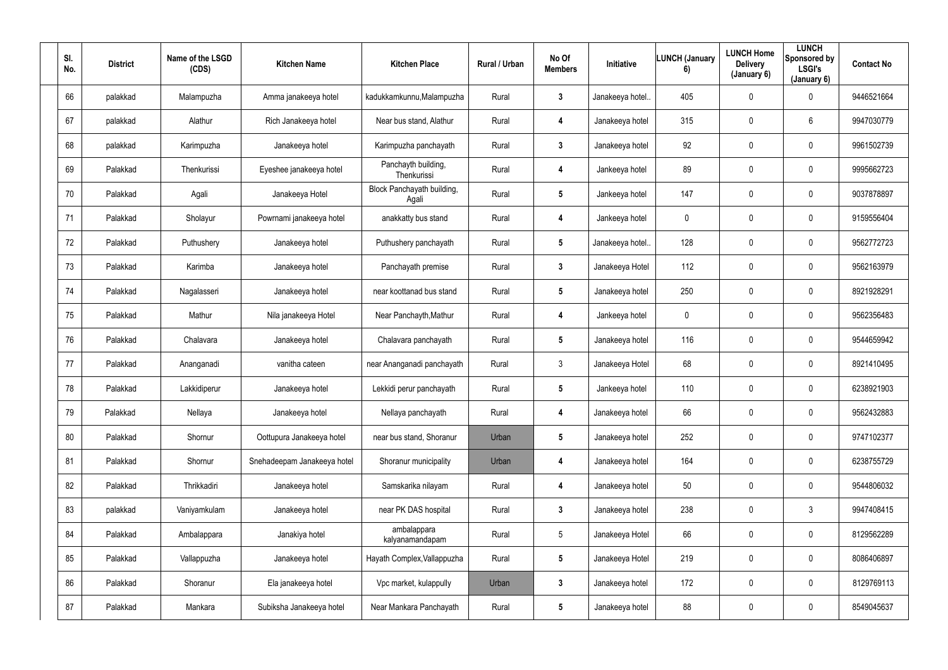| SI.<br>No. | <b>District</b> | Name of the LSGD<br>(CDS) | <b>Kitchen Name</b>         | <b>Kitchen Place</b>                | Rural / Urban | No Of<br><b>Members</b> | Initiative      | <b>LUNCH (January</b><br>6) | <b>LUNCH Home</b><br><b>Delivery</b><br>(January 6) | <b>LUNCH</b><br>Sponsored by<br><b>LSGI's</b><br>(January 6) | <b>Contact No</b> |
|------------|-----------------|---------------------------|-----------------------------|-------------------------------------|---------------|-------------------------|-----------------|-----------------------------|-----------------------------------------------------|--------------------------------------------------------------|-------------------|
| 66         | palakkad        | Malampuzha                | Amma janakeeya hotel        | kadukkamkunnu, Malampuzha           | Rural         | $\mathbf{3}$            | Janakeeya hotel | 405                         | $\mathbf 0$                                         | $\mathbf 0$                                                  | 9446521664        |
| 67         | palakkad        | Alathur                   | Rich Janakeeya hotel        | Near bus stand, Alathur             | Rural         | 4                       | Janakeeya hotel | 315                         | 0                                                   | $6\overline{6}$                                              | 9947030779        |
| 68         | palakkad        | Karimpuzha                | Janakeeya hotel             | Karimpuzha panchayath               | Rural         | $\mathbf{3}$            | Janakeeya hotel | 92                          | 0                                                   | $\overline{0}$                                               | 9961502739        |
| 69         | Palakkad        | Thenkurissi               | Eyeshee janakeeya hotel     | Panchayth building,<br>Thenkurissi  | Rural         | 4                       | Jankeeya hotel  | 89                          | 0                                                   | $\mathbf 0$                                                  | 9995662723        |
| 70         | Palakkad        | Agali                     | Janakeeya Hotel             | Block Panchayath building,<br>Agali | Rural         | $5\phantom{.0}$         | Jankeeya hotel  | 147                         | 0                                                   | $\mathbf 0$                                                  | 9037878897        |
| 71         | Palakkad        | Sholayur                  | Powrnami janakeeya hotel    | anakkatty bus stand                 | Rural         | 4                       | Jankeeya hotel  | $\overline{0}$              | 0                                                   | $\mathbf 0$                                                  | 9159556404        |
| 72         | Palakkad        | Puthushery                | Janakeeya hotel             | Puthushery panchayath               | Rural         | $5\overline{)}$         | Janakeeya hotel | 128                         | 0                                                   | $\mathbf 0$                                                  | 9562772723        |
| 73         | Palakkad        | Karimba                   | Janakeeya hotel             | Panchayath premise                  | Rural         | $\mathbf{3}$            | Janakeeya Hotel | 112                         | 0                                                   | $\mathbf 0$                                                  | 9562163979        |
| 74         | Palakkad        | Nagalasseri               | Janakeeya hotel             | near koottanad bus stand            | Rural         | $5\phantom{.0}$         | Janakeeya hotel | 250                         | 0                                                   | $\mathbf 0$                                                  | 8921928291        |
| 75         | Palakkad        | Mathur                    | Nila janakeeya Hotel        | Near Panchayth, Mathur              | Rural         | 4                       | Jankeeya hotel  | $\mathbf 0$                 | 0                                                   | $\mathbf 0$                                                  | 9562356483        |
| 76         | Palakkad        | Chalavara                 | Janakeeya hotel             | Chalavara panchayath                | Rural         | $5\overline{)}$         | Janakeeya hotel | 116                         | 0                                                   | $\mathbf 0$                                                  | 9544659942        |
| 77         | Palakkad        | Ananganadi                | vanitha cateen              | near Ananganadi panchayath          | Rural         | $\mathbf{3}$            | Janakeeya Hotel | 68                          | 0                                                   | $\mathbf 0$                                                  | 8921410495        |
| 78         | Palakkad        | Lakkidiperur              | Janakeeya hotel             | Lekkidi perur panchayath            | Rural         | $5\phantom{.0}$         | Jankeeya hotel  | 110                         | 0                                                   | $\mathbf 0$                                                  | 6238921903        |
| 79         | Palakkad        | Nellaya                   | Janakeeya hotel             | Nellaya panchayath                  | Rural         | 4                       | Janakeeya hotel | 66                          | 0                                                   | $\mathbf 0$                                                  | 9562432883        |
| 80         | Palakkad        | Shornur                   | Oottupura Janakeeya hotel   | near bus stand, Shoranur            | Urban         | $5\phantom{.0}$         | Janakeeya hotel | 252                         | 0                                                   | $\mathbf 0$                                                  | 9747102377        |
| 81         | Palakkad        | Shornur                   | Snehadeepam Janakeeya hotel | Shoranur municipality               | Urban         | 4                       | Janakeeya hotel | 164                         | 0                                                   | $\mathbf 0$                                                  | 6238755729        |
| 82         | Palakkad        | Thrikkadiri               | Janakeeya hotel             | Samskarika nilayam                  | Rural         | 4                       | Janakeeya hotel | 50                          | 0                                                   | $\mathbf 0$                                                  | 9544806032        |
| 83         | palakkad        | Vaniyamkulam              | Janakeeya hotel             | near PK DAS hospital                | Rural         | $3\phantom{a}$          | Janakeeya hotel | 238                         | 0                                                   | 3                                                            | 9947408415        |
| 84         | Palakkad        | Ambalappara               | Janakiya hotel              | ambalappara<br>kalyanamandapam      | Rural         | $5\phantom{.0}$         | Janakeeya Hotel | 66                          | 0                                                   | $\mathbf 0$                                                  | 8129562289        |
| 85         | Palakkad        | Vallappuzha               | Janakeeya hotel             | Hayath Complex, Vallappuzha         | Rural         | 5 <sub>5</sub>          | Janakeeya Hotel | 219                         | 0                                                   | $\mathbf 0$                                                  | 8086406897        |
| 86         | Palakkad        | Shoranur                  | Ela janakeeya hotel         | Vpc market, kulappully              | Urban         | $\mathbf{3}$            | Janakeeya hotel | 172                         | 0                                                   | $\mathbf 0$                                                  | 8129769113        |
| 87         | Palakkad        | Mankara                   | Subiksha Janakeeya hotel    | Near Mankara Panchayath             | Rural         | $5\phantom{.0}$         | Janakeeya hotel | 88                          | 0                                                   | $\mathbf 0$                                                  | 8549045637        |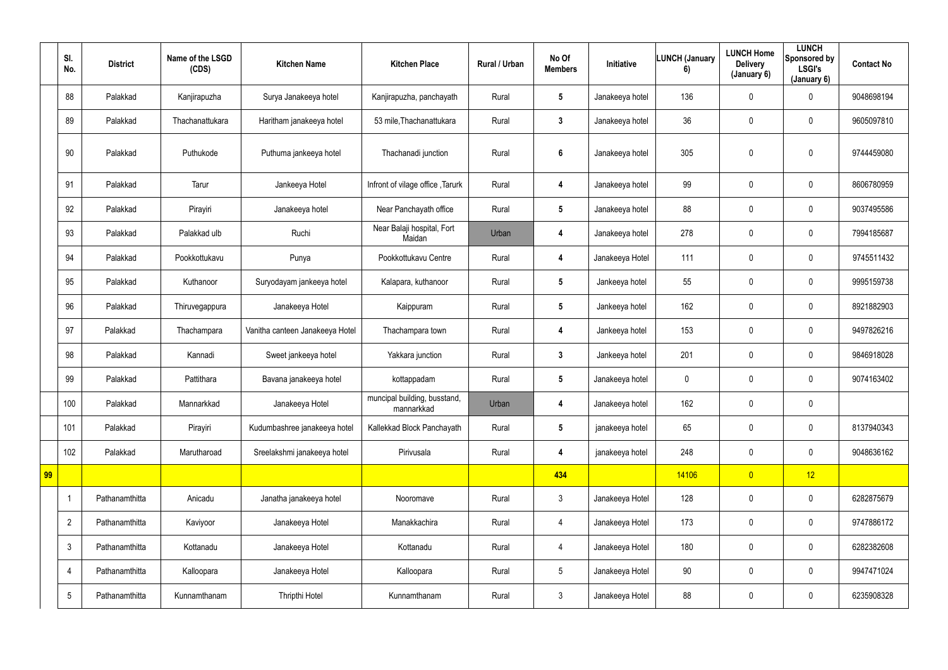|    | SI.<br>No.               | <b>District</b> | Name of the LSGD<br>(CDS) | <b>Kitchen Name</b>             | <b>Kitchen Place</b>                       | Rural / Urban | No Of<br><b>Members</b> | Initiative      | <b>LUNCH (January</b><br>6) | <b>LUNCH Home</b><br><b>Delivery</b><br>(January 6) | <b>LUNCH</b><br><b>Sponsored by</b><br><b>LSGI's</b><br>(January 6) | <b>Contact No</b> |
|----|--------------------------|-----------------|---------------------------|---------------------------------|--------------------------------------------|---------------|-------------------------|-----------------|-----------------------------|-----------------------------------------------------|---------------------------------------------------------------------|-------------------|
|    | 88                       | Palakkad        | Kanjirapuzha              | Surya Janakeeya hotel           | Kanjirapuzha, panchayath                   | Rural         | $5\phantom{.0}$         | Janakeeya hotel | 136                         | $\overline{0}$                                      | $\mathbf 0$                                                         | 9048698194        |
|    | 89                       | Palakkad        | Thachanattukara           | Haritham janakeeya hotel        | 53 mile, Thachanattukara                   | Rural         | $3\phantom{a}$          | Janakeeya hotel | 36                          | $\mathbf 0$                                         | $\overline{0}$                                                      | 9605097810        |
|    | 90                       | Palakkad        | Puthukode                 | Puthuma jankeeya hotel          | Thachanadi junction                        | Rural         | 6                       | Janakeeya hotel | 305                         | $\mathbf 0$                                         | $\boldsymbol{0}$                                                    | 9744459080        |
|    | 91                       | Palakkad        | Tarur                     | Jankeeya Hotel                  | Infront of vilage office, Tarurk           | Rural         | 4                       | Janakeeya hotel | 99                          | $\mathbf 0$                                         | $\overline{0}$                                                      | 8606780959        |
|    | 92                       | Palakkad        | Pirayiri                  | Janakeeya hotel                 | Near Panchayath office                     | Rural         | $5\phantom{.0}$         | Janakeeya hotel | 88                          | $\overline{0}$                                      | $\overline{0}$                                                      | 9037495586        |
|    | 93                       | Palakkad        | Palakkad ulb              | Ruchi                           | Near Balaji hospital, Fort<br>Maidan       | Urban         | 4                       | Janakeeya hotel | 278                         | $\mathbf 0$                                         | $\mathbf 0$                                                         | 7994185687        |
|    | 94                       | Palakkad        | Pookkottukavu             | Punya                           | Pookkottukavu Centre                       | Rural         | 4                       | Janakeeya Hotel | 111                         | $\mathbf 0$                                         | $\pmb{0}$                                                           | 9745511432        |
|    | 95                       | Palakkad        | Kuthanoor                 | Suryodayam jankeeya hotel       | Kalapara, kuthanoor                        | Rural         | $5\phantom{.0}$         | Jankeeya hotel  | 55                          | $\mathbf 0$                                         | $\mathbf 0$                                                         | 9995159738        |
|    | 96                       | Palakkad        | Thiruvegappura            | Janakeeya Hotel                 | Kaippuram                                  | Rural         | $5\phantom{.0}$         | Jankeeya hotel  | 162                         | $\mathbf 0$                                         | $\overline{0}$                                                      | 8921882903        |
|    | 97                       | Palakkad        | Thachampara               | Vanitha canteen Janakeeya Hotel | Thachampara town                           | Rural         | 4                       | Jankeeya hotel  | 153                         | $\boldsymbol{0}$                                    | $\mathbf 0$                                                         | 9497826216        |
|    | 98                       | Palakkad        | Kannadi                   | Sweet jankeeya hotel            | Yakkara junction                           | Rural         | $3\phantom{a}$          | Jankeeya hotel  | 201                         | $\mathbf 0$                                         | $\overline{0}$                                                      | 9846918028        |
|    | 99                       | Palakkad        | Pattithara                | Bavana janakeeya hotel          | kottappadam                                | Rural         | $5\phantom{.0}$         | Janakeeya hotel | $\mathbf 0$                 | $\overline{0}$                                      | $\pmb{0}$                                                           | 9074163402        |
|    | 100                      | Palakkad        | Mannarkkad                | Janakeeya Hotel                 | muncipal building, busstand,<br>mannarkkad | Urban         | 4                       | Janakeeya hotel | 162                         | $\mathbf 0$                                         | $\pmb{0}$                                                           |                   |
|    | 101                      | Palakkad        | Pirayiri                  | Kudumbashree janakeeya hotel    | Kallekkad Block Panchayath                 | Rural         | $5\phantom{.0}$         | janakeeya hotel | 65                          | $\pmb{0}$                                           | $\overline{0}$                                                      | 8137940343        |
|    | 102                      | Palakkad        | Marutharoad               | Sreelakshmi janakeeya hotel     | Pirivusala                                 | Rural         | 4                       | janakeeya hotel | 248                         | $\overline{0}$                                      | $\overline{0}$                                                      | 9048636162        |
| 99 |                          |                 |                           |                                 |                                            |               | 434                     |                 | 14106                       | $\overline{0}$                                      | 12                                                                  |                   |
|    | $\overline{\phantom{a}}$ | Pathanamthitta  | Anicadu                   | Janatha janakeeya hotel         | Nooromave                                  | Rural         | $\mathbf{3}$            | Janakeeya Hotel | 128                         | $\pmb{0}$                                           | $\overline{0}$                                                      | 6282875679        |
|    | $\overline{2}$           | Pathanamthitta  | Kaviyoor                  | Janakeeya Hotel                 | Manakkachira                               | Rural         | $\overline{4}$          | Janakeeya Hotel | 173                         | $\pmb{0}$                                           | $\overline{0}$                                                      | 9747886172        |
|    | $\mathfrak{Z}$           | Pathanamthitta  | Kottanadu                 | Janakeeya Hotel                 | Kottanadu                                  | Rural         | 4                       | Janakeeya Hotel | 180                         | $\pmb{0}$                                           | $\overline{0}$                                                      | 6282382608        |
|    | $\overline{4}$           | Pathanamthitta  | Kalloopara                | Janakeeya Hotel                 | Kalloopara                                 | Rural         | $5\overline{)}$         | Janakeeya Hotel | $90\,$                      | $\pmb{0}$                                           | $\overline{0}$                                                      | 9947471024        |
|    | $5\phantom{.0}$          | Pathanamthitta  | Kunnamthanam              | Thripthi Hotel                  | Kunnamthanam                               | Rural         | $\mathbf{3}$            | Janakeeya Hotel | 88                          | $\pmb{0}$                                           | $\overline{0}$                                                      | 6235908328        |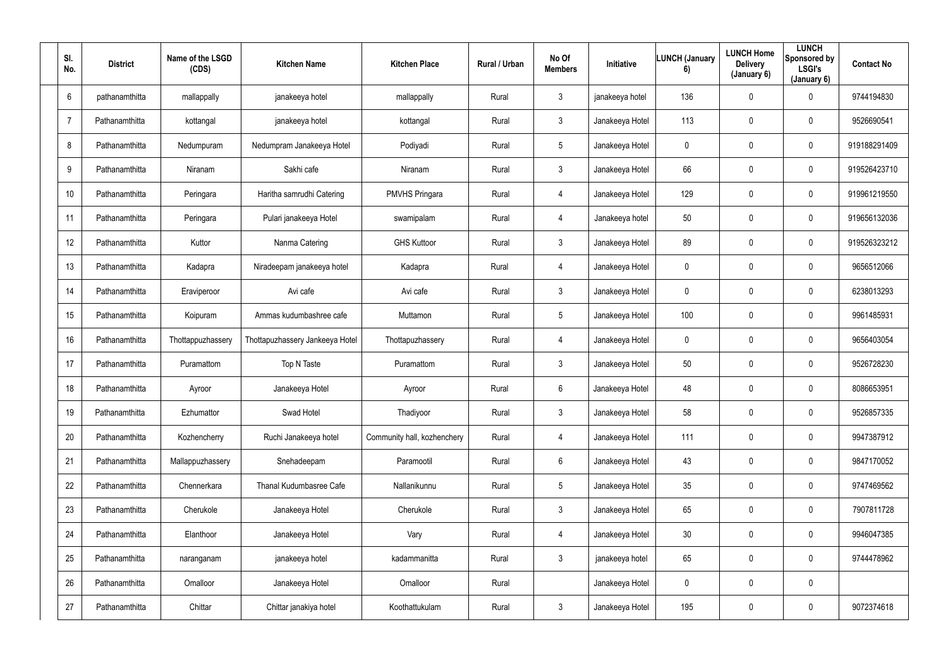| SI.<br>No.      | <b>District</b> | Name of the LSGD<br>(CDS) | <b>Kitchen Name</b>             | <b>Kitchen Place</b>        | Rural / Urban | No Of<br><b>Members</b> | Initiative      | <b>LUNCH (January</b><br>6) | <b>LUNCH Home</b><br><b>Delivery</b><br>(January 6) | <b>LUNCH</b><br>Sponsored by<br><b>LSGI's</b><br>(January 6) | <b>Contact No</b> |
|-----------------|-----------------|---------------------------|---------------------------------|-----------------------------|---------------|-------------------------|-----------------|-----------------------------|-----------------------------------------------------|--------------------------------------------------------------|-------------------|
| $6\overline{6}$ | pathanamthitta  | mallappally               | janakeeya hotel                 | mallappally                 | Rural         | $\mathbf{3}$            | janakeeya hotel | 136                         | $\mathbf 0$                                         | $\mathbf 0$                                                  | 9744194830        |
| $\overline{7}$  | Pathanamthitta  | kottangal                 | janakeeya hotel                 | kottangal                   | Rural         | $\mathbf{3}$            | Janakeeya Hotel | 113                         | 0                                                   | $\mathbf 0$                                                  | 9526690541        |
| 8               | Pathanamthitta  | Nedumpuram                | Nedumpram Janakeeya Hotel       | Podiyadi                    | Rural         | $5\phantom{.0}$         | Janakeeya Hotel | $\pmb{0}$                   | 0                                                   | $\overline{0}$                                               | 919188291409      |
| 9               | Pathanamthitta  | Niranam                   | Sakhi cafe                      | Niranam                     | Rural         | $\mathfrak{Z}$          | Janakeeya Hotel | 66                          | 0                                                   | $\mathbf 0$                                                  | 919526423710      |
| 10              | Pathanamthitta  | Peringara                 | Haritha samrudhi Catering       | <b>PMVHS Pringara</b>       | Rural         | $\overline{4}$          | Janakeeya Hotel | 129                         | 0                                                   | $\mathbf 0$                                                  | 919961219550      |
| 11              | Pathanamthitta  | Peringara                 | Pulari janakeeya Hotel          | swamipalam                  | Rural         | $\overline{4}$          | Janakeeya hotel | 50                          | 0                                                   | $\mathbf 0$                                                  | 919656132036      |
| 12              | Pathanamthitta  | Kuttor                    | Nanma Catering                  | <b>GHS Kuttoor</b>          | Rural         | $\mathbf{3}$            | Janakeeya Hotel | 89                          | 0                                                   | $\mathbf 0$                                                  | 919526323212      |
| 13              | Pathanamthitta  | Kadapra                   | Niradeepam janakeeya hotel      | Kadapra                     | Rural         | $\overline{4}$          | Janakeeya Hotel | $\overline{0}$              | 0                                                   | $\mathbf 0$                                                  | 9656512066        |
| 14              | Pathanamthitta  | Eraviperoor               | Avi cafe                        | Avi cafe                    | Rural         | $\mathbf{3}$            | Janakeeya Hotel | $\mathbf 0$                 | 0                                                   | $\mathbf 0$                                                  | 6238013293        |
| 15              | Pathanamthitta  | Koipuram                  | Ammas kudumbashree cafe         | Muttamon                    | Rural         | $5\phantom{.0}$         | Janakeeya Hotel | 100                         | 0                                                   | $\overline{0}$                                               | 9961485931        |
| 16              | Pathanamthitta  | Thottappuzhassery         | Thottapuzhassery Jankeeya Hotel | Thottapuzhassery            | Rural         | $\overline{4}$          | Janakeeya Hotel | $\mathbf 0$                 | 0                                                   | $\mathbf 0$                                                  | 9656403054        |
| 17              | Pathanamthitta  | Puramattom                | Top N Taste                     | Puramattom                  | Rural         | $\mathbf{3}$            | Janakeeya Hotel | 50                          | 0                                                   | $\mathbf 0$                                                  | 9526728230        |
| 18              | Pathanamthitta  | Ayroor                    | Janakeeya Hotel                 | Ayroor                      | Rural         | 6                       | Janakeeya Hotel | 48                          | 0                                                   | $\overline{0}$                                               | 8086653951        |
| 19              | Pathanamthitta  | Ezhumattor                | Swad Hotel                      | Thadiyoor                   | Rural         | $\mathbf{3}$            | Janakeeya Hotel | 58                          | $\mathbf 0$                                         | $\mathbf 0$                                                  | 9526857335        |
| 20              | Pathanamthitta  | Kozhencherry              | Ruchi Janakeeya hotel           | Community hall, kozhenchery | Rural         | $\overline{4}$          | Janakeeya Hotel | 111                         | $\mathbf 0$                                         | $\mathbf 0$                                                  | 9947387912        |
| 21              | Pathanamthitta  | Mallappuzhassery          | Snehadeepam                     | Paramootil                  | Rural         | $6\overline{6}$         | Janakeeya Hotel | 43                          | 0                                                   | $\mathbf 0$                                                  | 9847170052        |
| 22              | Pathanamthitta  | Chennerkara               | Thanal Kudumbasree Cafe         | Nallanikunnu                | Rural         | $5\overline{)}$         | Janakeeya Hotel | 35                          | 0                                                   | $\mathbf 0$                                                  | 9747469562        |
| 23              | Pathanamthitta  | Cherukole                 | Janakeeya Hotel                 | Cherukole                   | Rural         | $\mathbf{3}$            | Janakeeya Hotel | 65                          | 0                                                   | $\mathbf 0$                                                  | 7907811728        |
| 24              | Pathanamthitta  | Elanthoor                 | Janakeeya Hotel                 | Vary                        | Rural         | $\overline{4}$          | Janakeeya Hotel | 30                          | 0                                                   | $\mathbf 0$                                                  | 9946047385        |
| 25              | Pathanamthitta  | naranganam                | janakeeya hotel                 | kadammanitta                | Rural         | $\mathbf{3}$            | janakeeya hotel | 65                          | 0                                                   | $\mathbf 0$                                                  | 9744478962        |
| 26              | Pathanamthitta  | Omalloor                  | Janakeeya Hotel                 | Omalloor                    | Rural         |                         | Janakeeya Hotel | $\pmb{0}$                   | 0                                                   | $\mathbf 0$                                                  |                   |
| 27              | Pathanamthitta  | Chittar                   | Chittar janakiya hotel          | Koothattukulam              | Rural         | $\mathbf{3}$            | Janakeeya Hotel | 195                         | 0                                                   | $\mathbf 0$                                                  | 9072374618        |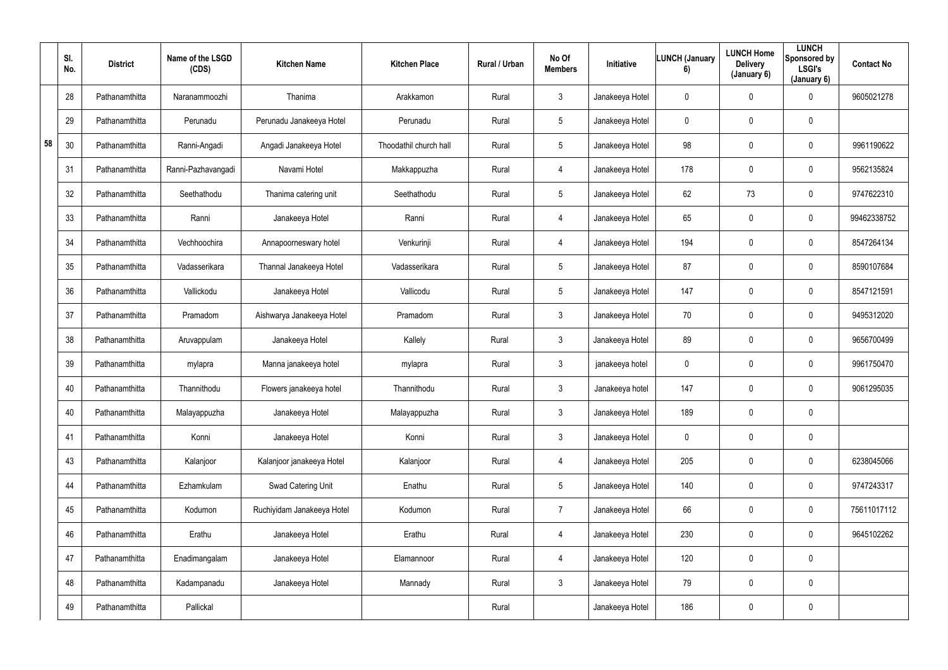|    | SI.<br>No. | <b>District</b> | Name of the LSGD<br>(CDS) | <b>Kitchen Name</b>        | <b>Kitchen Place</b>   | Rural / Urban | No Of<br><b>Members</b> | Initiative      | <b>LUNCH (January</b><br>6) | <b>LUNCH Home</b><br><b>Delivery</b><br>(January 6) | <b>LUNCH</b><br>Sponsored by<br><b>LSGI's</b><br>(January 6) | <b>Contact No</b> |
|----|------------|-----------------|---------------------------|----------------------------|------------------------|---------------|-------------------------|-----------------|-----------------------------|-----------------------------------------------------|--------------------------------------------------------------|-------------------|
|    | 28         | Pathanamthitta  | Naranammoozhi             | Thanima                    | Arakkamon              | Rural         | $\mathbf{3}$            | Janakeeya Hotel | $\mathbf 0$                 | $\mathbf 0$                                         | $\overline{0}$                                               | 9605021278        |
|    | 29         | Pathanamthitta  | Perunadu                  | Perunadu Janakeeya Hotel   | Perunadu               | Rural         | $5\phantom{.0}$         | Janakeeya Hotel | $\mathbf 0$                 | $\mathbf 0$                                         | $\mathbf 0$                                                  |                   |
| 58 | 30         | Pathanamthitta  | Ranni-Angadi              | Angadi Janakeeya Hotel     | Thoodathil church hall | Rural         | $5\phantom{.0}$         | Janakeeya Hotel | 98                          | $\mathbf 0$                                         | $\mathbf 0$                                                  | 9961190622        |
|    | 31         | Pathanamthitta  | Ranni-Pazhavangadi        | Navami Hotel               | Makkappuzha            | Rural         | 4                       | Janakeeya Hotel | 178                         | $\mathbf 0$                                         | $\mathbf 0$                                                  | 9562135824        |
|    | 32         | Pathanamthitta  | Seethathodu               | Thanima catering unit      | Seethathodu            | Rural         | $5\phantom{.0}$         | Janakeeya Hotel | 62                          | 73                                                  | $\overline{0}$                                               | 9747622310        |
|    | 33         | Pathanamthitta  | Ranni                     | Janakeeya Hotel            | Ranni                  | Rural         | 4                       | Janakeeya Hotel | 65                          | 0                                                   | $\mathbf 0$                                                  | 99462338752       |
|    | 34         | Pathanamthitta  | Vechhoochira              | Annapoorneswary hotel      | Venkurinji             | Rural         | 4                       | Janakeeya Hotel | 194                         | $\mathbf 0$                                         | $\overline{0}$                                               | 8547264134        |
|    | 35         | Pathanamthitta  | Vadasserikara             | Thannal Janakeeya Hotel    | Vadasserikara          | Rural         | $5\phantom{.0}$         | Janakeeya Hotel | 87                          | $\mathbf 0$                                         | $\mathbf 0$                                                  | 8590107684        |
|    | 36         | Pathanamthitta  | Vallickodu                | Janakeeya Hotel            | Vallicodu              | Rural         | 5                       | Janakeeya Hotel | 147                         | 0                                                   | $\bf{0}$                                                     | 8547121591        |
|    | 37         | Pathanamthitta  | Pramadom                  | Aishwarya Janakeeya Hotel  | Pramadom               | Rural         | $\mathbf{3}$            | Janakeeya Hotel | 70                          | $\mathbf 0$                                         | $\mathbf 0$                                                  | 9495312020        |
|    | 38         | Pathanamthitta  | Aruvappulam               | Janakeeya Hotel            | Kallely                | Rural         | $\mathbf{3}$            | Janakeeya Hotel | 89                          | $\mathbf 0$                                         | $\mathbf 0$                                                  | 9656700499        |
|    | 39         | Pathanamthitta  | mylapra                   | Manna janakeeya hotel      | mylapra                | Rural         | $\mathbf{3}$            | janakeeya hotel | $\overline{0}$              | $\mathbf 0$                                         | $\mathbf 0$                                                  | 9961750470        |
|    | 40         | Pathanamthitta  | Thannithodu               | Flowers janakeeya hotel    | Thannithodu            | Rural         | $\mathfrak{Z}$          | Janakeeya hotel | 147                         | $\mathbf 0$                                         | $\mathbf 0$                                                  | 9061295035        |
|    | 40         | Pathanamthitta  | Malayappuzha              | Janakeeya Hotel            | Malayappuzha           | Rural         | $\mathfrak{Z}$          | Janakeeya Hotel | 189                         | $\pmb{0}$                                           | $\mathbf 0$                                                  |                   |
|    | 41         | Pathanamthitta  | Konni                     | Janakeeya Hotel            | Konni                  | Rural         | $\mathbf{3}$            | Janakeeya Hotel | $\mathbf 0$                 | $\pmb{0}$                                           | $\overline{0}$                                               |                   |
|    | 43         | Pathanamthitta  | Kalanjoor                 | Kalanjoor janakeeya Hotel  | Kalanjoor              | Rural         | 4                       | Janakeeya Hotel | 205                         | $\pmb{0}$                                           | $\overline{0}$                                               | 6238045066        |
|    | 44         | Pathanamthitta  | Ezhamkulam                | Swad Catering Unit         | Enathu                 | Rural         | $5\phantom{.0}$         | Janakeeya Hotel | 140                         | 0                                                   | $\overline{0}$                                               | 9747243317        |
|    | 45         | Pathanamthitta  | Kodumon                   | Ruchiyidam Janakeeya Hotel | Kodumon                | Rural         | $\overline{7}$          | Janakeeya Hotel | 66                          | 0                                                   | $\overline{0}$                                               | 75611017112       |
|    | 46         | Pathanamthitta  | Erathu                    | Janakeeya Hotel            | Erathu                 | Rural         | 4                       | Janakeeya Hotel | 230                         | $\pmb{0}$                                           | $\overline{0}$                                               | 9645102262        |
|    | 47         | Pathanamthitta  | Enadimangalam             | Janakeeya Hotel            | Elamannoor             | Rural         | 4                       | Janakeeya Hotel | 120                         | $\pmb{0}$                                           | $\overline{0}$                                               |                   |
|    | 48         | Pathanamthitta  | Kadampanadu               | Janakeeya Hotel            | Mannady                | Rural         | $\mathbf{3}$            | Janakeeya Hotel | 79                          | 0                                                   | $\overline{0}$                                               |                   |
|    | 49         | Pathanamthitta  | Pallickal                 |                            |                        | Rural         |                         | Janakeeya Hotel | 186                         | 0                                                   | $\overline{0}$                                               |                   |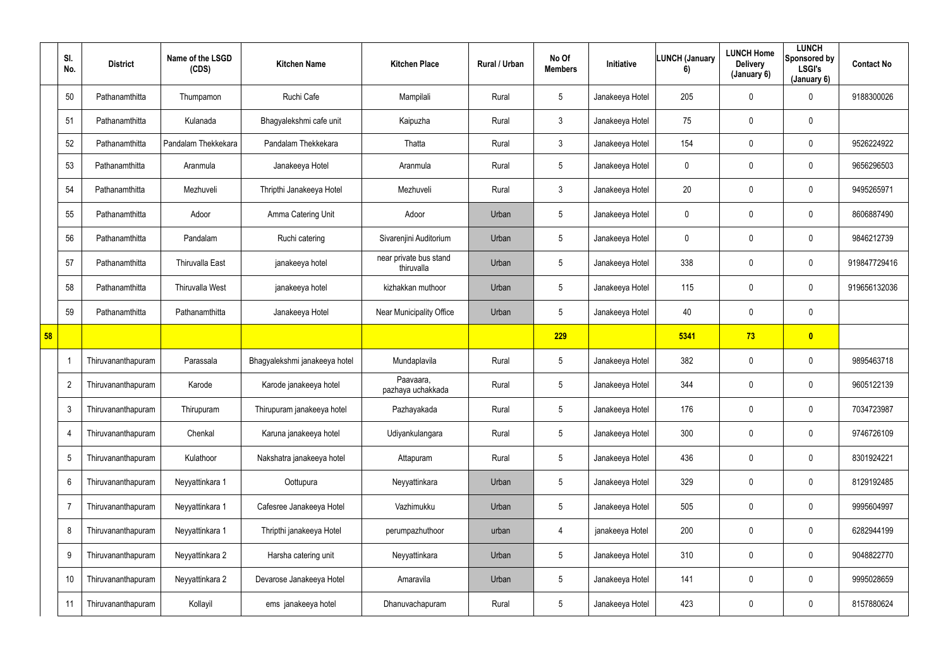|    | SI.<br>No.      | <b>District</b>    | Name of the LSGD<br>(CDS) | <b>Kitchen Name</b>           | <b>Kitchen Place</b>                 | Rural / Urban | No Of<br><b>Members</b> | Initiative      | <b>LUNCH (January</b><br>6) | <b>LUNCH Home</b><br><b>Delivery</b><br>(January 6) | <b>LUNCH</b><br>Sponsored by<br><b>LSGI's</b><br>(January 6) | <b>Contact No</b> |
|----|-----------------|--------------------|---------------------------|-------------------------------|--------------------------------------|---------------|-------------------------|-----------------|-----------------------------|-----------------------------------------------------|--------------------------------------------------------------|-------------------|
|    | 50              | Pathanamthitta     | Thumpamon                 | Ruchi Cafe                    | Mampilali                            | Rural         | $5\phantom{.0}$         | Janakeeya Hotel | 205                         | $\mathbf 0$                                         | $\overline{0}$                                               | 9188300026        |
|    | 51              | Pathanamthitta     | Kulanada                  | Bhagyalekshmi cafe unit       | Kaipuzha                             | Rural         | $\mathbf{3}$            | Janakeeya Hotel | 75                          | $\mathbf 0$                                         | $\mathbf 0$                                                  |                   |
|    | 52              | Pathanamthitta     | Pandalam Thekkekara       | Pandalam Thekkekara           | Thatta                               | Rural         | 3 <sup>1</sup>          | Janakeeya Hotel | 154                         | $\mathbf 0$                                         | $\mathbf 0$                                                  | 9526224922        |
|    | 53              | Pathanamthitta     | Aranmula                  | Janakeeya Hotel               | Aranmula                             | Rural         | $5\phantom{.0}$         | Janakeeya Hotel | $\mathbf 0$                 | $\mathbf 0$                                         | $\bf{0}$                                                     | 9656296503        |
|    | 54              | Pathanamthitta     | Mezhuveli                 | Thripthi Janakeeya Hotel      | Mezhuveli                            | Rural         | $\mathfrak{Z}$          | Janakeeya Hotel | 20                          | $\mathbf 0$                                         | $\mathbf 0$                                                  | 9495265971        |
|    | 55              | Pathanamthitta     | Adoor                     | Amma Catering Unit            | Adoor                                | Urban         | $5\phantom{.0}$         | Janakeeya Hotel | $\mathbf 0$                 | $\mathbf 0$                                         | $\mathbf 0$                                                  | 8606887490        |
|    | 56              | Pathanamthitta     | Pandalam                  | Ruchi catering                | Sivarenjini Auditorium               | Urban         | $5\phantom{.0}$         | Janakeeya Hotel | $\mathbf 0$                 | $\mathbf 0$                                         | $\bf{0}$                                                     | 9846212739        |
|    | 57              | Pathanamthitta     | <b>Thiruvalla East</b>    | janakeeya hotel               | near private bus stand<br>thiruvalla | Urban         | $5\phantom{.0}$         | Janakeeya Hotel | 338                         | 0                                                   | $\bf{0}$                                                     | 919847729416      |
|    | 58              | Pathanamthitta     | Thiruvalla West           | janakeeya hotel               | kizhakkan muthoor                    | Urban         | $5\phantom{.0}$         | Janakeeya Hotel | 115                         | $\mathbf 0$                                         | $\overline{0}$                                               | 919656132036      |
|    | 59              | Pathanamthitta     | Pathanamthitta            | Janakeeya Hotel               | <b>Near Municipality Office</b>      | Urban         | $5\phantom{.0}$         | Janakeeya Hotel | 40                          | 0                                                   | $\bf{0}$                                                     |                   |
| 58 |                 |                    |                           |                               |                                      |               | 229                     |                 | 5341                        | 73                                                  | $\bullet$                                                    |                   |
|    | -1              | Thiruvananthapuram | Parassala                 | Bhagyalekshmi janakeeya hotel | Mundaplavila                         | Rural         | $5\phantom{.0}$         | Janakeeya Hotel | 382                         | 0                                                   | $\bf{0}$                                                     | 9895463718        |
|    | $\overline{2}$  | Thiruvananthapuram | Karode                    | Karode janakeeya hotel        | Paavaara,<br>pazhaya uchakkada       | Rural         | $5\phantom{.0}$         | Janakeeya Hotel | 344                         | $\mathbf 0$                                         | $\overline{0}$                                               | 9605122139        |
|    | $\mathbf{3}$    | Thiruvananthapuram | Thirupuram                | Thirupuram janakeeya hotel    | Pazhayakada                          | Rural         | $5\phantom{.0}$         | Janakeeya Hotel | 176                         | $\mathbf 0$                                         | $\bf{0}$                                                     | 7034723987        |
|    | $\overline{4}$  | Thiruvananthapuram | Chenkal                   | Karuna janakeeya hotel        | Udiyankulangara                      | Rural         | $5\phantom{.0}$         | Janakeeya Hotel | 300                         | 0                                                   | $\overline{0}$                                               | 9746726109        |
|    | $\overline{5}$  | Thiruvananthapuram | Kulathoor                 | Nakshatra janakeeya hotel     | Attapuram                            | Rural         | $5\phantom{.0}$         | Janakeeya Hotel | 436                         | 0                                                   | $\overline{0}$                                               | 8301924221        |
|    | $6\phantom{.}6$ | Thiruvananthapuram | Neyyattinkara 1           | Oottupura                     | Neyyattinkara                        | Urban         | $5\phantom{.0}$         | Janakeeya Hotel | 329                         | 0                                                   | $\pmb{0}$                                                    | 8129192485        |
|    | $\overline{7}$  | Thiruvananthapuram | Neyyattinkara 1           | Cafesree Janakeeya Hotel      | Vazhimukku                           | Urban         | $5\phantom{.0}$         | Janakeeya Hotel | 505                         | 0                                                   | $\boldsymbol{0}$                                             | 9995604997        |
|    | 8               | Thiruvananthapuram | Neyyattinkara 1           | Thripthi janakeeya Hotel      | perumpazhuthoor                      | urban         | 4                       | janakeeya Hotel | 200                         | 0                                                   | $\overline{0}$                                               | 6282944199        |
|    | 9               | Thiruvananthapuram | Neyyattinkara 2           | Harsha catering unit          | Neyyattinkara                        | Urban         | $5\phantom{.0}$         | Janakeeya Hotel | 310                         | 0                                                   | $\boldsymbol{0}$                                             | 9048822770        |
|    | 10              | Thiruvananthapuram | Neyyattinkara 2           | Devarose Janakeeya Hotel      | Amaravila                            | Urban         | $5\phantom{.0}$         | Janakeeya Hotel | 141                         | 0                                                   | $\overline{0}$                                               | 9995028659        |
|    | 11              | Thiruvananthapuram | Kollayil                  | ems janakeeya hotel           | Dhanuvachapuram                      | Rural         | $5\phantom{.0}$         | Janakeeya Hotel | 423                         | 0                                                   | $\pmb{0}$                                                    | 8157880624        |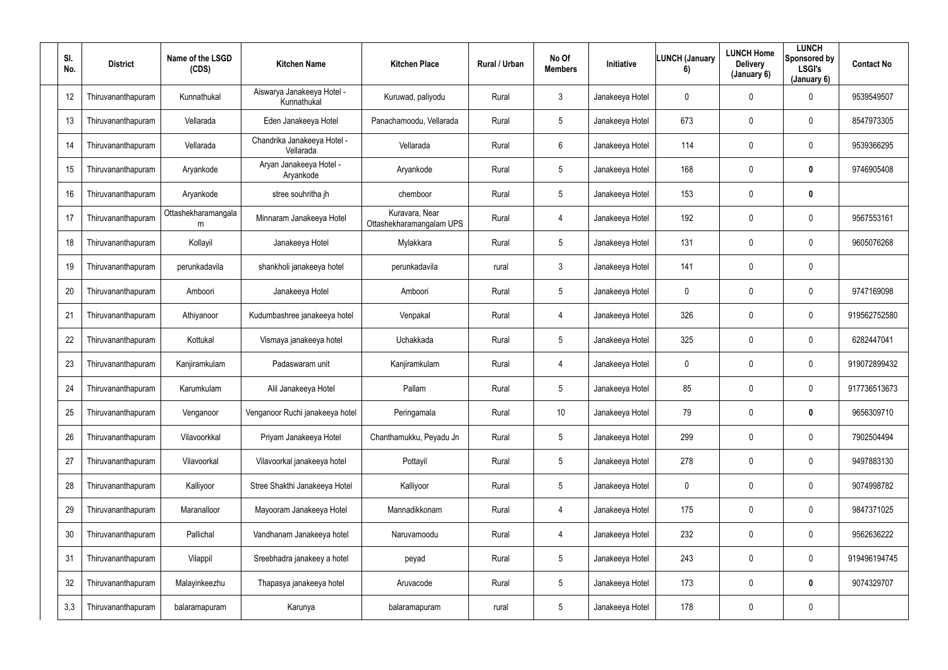| SI.<br>No. | <b>District</b>    | Name of the LSGD<br>(CDS) | <b>Kitchen Name</b>                       | <b>Kitchen Place</b>                       | Rural / Urban | No Of<br><b>Members</b> | Initiative      | <b>LUNCH (January</b><br>6) | <b>LUNCH Home</b><br><b>Delivery</b><br>(January 6) | <b>LUNCH</b><br>Sponsored by<br><b>LSGI's</b><br>(January 6) | <b>Contact No</b> |
|------------|--------------------|---------------------------|-------------------------------------------|--------------------------------------------|---------------|-------------------------|-----------------|-----------------------------|-----------------------------------------------------|--------------------------------------------------------------|-------------------|
| 12         | Thiruvananthapuram | Kunnathukal               | Aiswarya Janakeeya Hotel -<br>Kunnathukal | Kuruwad, paliyodu                          | Rural         | $\mathbf{3}$            | Janakeeya Hotel | $\mathbf 0$                 | 0                                                   | 0                                                            | 9539549507        |
| 13         | Thiruvananthapuram | Vellarada                 | Eden Janakeeya Hotel                      | Panachamoodu, Vellarada                    | Rural         | 5                       | Janakeeya Hotel | 673                         | 0                                                   | $\mathbf 0$                                                  | 8547973305        |
| 14         | Thiruvananthapuram | Vellarada                 | Chandrika Janakeeya Hotel -<br>Vellarada  | Vellarada                                  | Rural         | $6\overline{6}$         | Janakeeya Hotel | 114                         | 0                                                   | $\mathbf 0$                                                  | 9539366295        |
| 15         | Thiruvananthapuram | Aryankode                 | Aryan Janakeeya Hotel -<br>Aryankode      | Aryankode                                  | Rural         | 5                       | Janakeeya Hotel | 168                         | 0                                                   | $\mathbf 0$                                                  | 9746905408        |
| 16         | Thiruvananthapuram | Aryankode                 | stree souhritha jh                        | chemboor                                   | Rural         | 5                       | Janakeeya Hotel | 153                         | 0                                                   | $\mathbf 0$                                                  |                   |
| 17         | Thiruvananthapuram | Ottashekharamangala<br>m  | Minnaram Janakeeya Hotel                  | Kuravara, Near<br>Ottashekharamangalam UPS | Rural         | $\overline{4}$          | Janakeeya Hotel | 192                         | 0                                                   | $\mathbf 0$                                                  | 9567553161        |
| 18         | Thiruvananthapuram | Kollayil                  | Janakeeya Hotel                           | Mylakkara                                  | Rural         | 5                       | Janakeeya Hotel | 131                         | 0                                                   | $\mathbf 0$                                                  | 9605076268        |
| 19         | Thiruvananthapuram | perunkadavila             | shankholi janakeeya hotel                 | perunkadavila                              | rural         | $3\phantom{.0}$         | Janakeeya Hotel | 141                         | 0                                                   | $\mathbf 0$                                                  |                   |
| 20         | Thiruvananthapuram | Amboori                   | Janakeeya Hotel                           | Amboori                                    | Rural         | $5\phantom{.0}$         | Janakeeya Hotel | $\overline{0}$              | 0                                                   | $\mathbf 0$                                                  | 9747169098        |
| 21         | Thiruvananthapuram | Athiyanoor                | Kudumbashree janakeeya hotel              | Venpakal                                   | Rural         | $\overline{4}$          | Janakeeya Hotel | 326                         | 0                                                   | $\mathbf 0$                                                  | 919562752580      |
| 22         | Thiruvananthapuram | Kottukal                  | Vismaya janakeeya hotel                   | Uchakkada                                  | Rural         | $5\phantom{.0}$         | Janakeeya Hotel | 325                         | 0                                                   | $\mathbf 0$                                                  | 6282447041        |
| 23         | Thiruvananthapuram | Kanjiramkulam             | Padaswaram unit                           | Kanjiramkulam                              | Rural         | $\overline{4}$          | Janakeeya Hotel | $\mathbf 0$                 | 0                                                   | $\mathbf 0$                                                  | 919072899432      |
| 24         | Thiruvananthapuram | Karumkulam                | Alil Janakeeya Hotel                      | Pallam                                     | Rural         | 5                       | Janakeeya Hotel | 85                          | $\mathbf 0$                                         | $\mathbf 0$                                                  | 917736513673      |
| 25         | Thiruvananthapuram | Venganoor                 | Venganoor Ruchi janakeeya hotel           | Peringamala                                | Rural         | $10$                    | Janakeeya Hotel | 79                          | 0                                                   | $\mathbf 0$                                                  | 9656309710        |
| 26         | Thiruvananthapuram | Vilavoorkkal              | Priyam Janakeeya Hotel                    | Chanthamukku, Peyadu Jn                    | Rural         | $5\phantom{.0}$         | Janakeeya Hotel | 299                         | 0                                                   | $\overline{0}$                                               | 7902504494        |
| 27         | Thiruvananthapuram | Vilavoorkal               | Vilavoorkal janakeeya hotel               | Pottayil                                   | Rural         | $5\phantom{.0}$         | Janakeeya Hotel | 278                         | 0                                                   | $\mathbf 0$                                                  | 9497883130        |
| 28         | Thiruvananthapuram | Kalliyoor                 | Stree Shakthi Janakeeya Hotel             | Kalliyoor                                  | Rural         | $5\phantom{.0}$         | Janakeeya Hotel | $\pmb{0}$                   | $\mathbf 0$                                         | $\mathbf 0$                                                  | 9074998782        |
| 29         | Thiruvananthapuram | Maranalloor               | Mayooram Janakeeya Hotel                  | Mannadikkonam                              | Rural         | $\overline{4}$          | Janakeeya Hotel | 175                         | 0                                                   | $\mathbf 0$                                                  | 9847371025        |
| 30         | Thiruvananthapuram | Pallichal                 | Vandhanam Janakeeya hotel                 | Naruvamoodu                                | Rural         | $\overline{4}$          | Janakeeya Hotel | 232                         | $\mathbf 0$                                         | $\overline{0}$                                               | 9562636222        |
| 31         | Thiruvananthapuram | Vilappil                  | Sreebhadra janakeey a hotel               | peyad                                      | Rural         | $5\phantom{.0}$         | Janakeeya Hotel | 243                         | 0                                                   | $\overline{0}$                                               | 919496194745      |
| 32         | Thiruvananthapuram | Malayinkeezhu             | Thapasya janakeeya hotel                  | Aruvacode                                  | Rural         | $5\phantom{.0}$         | Janakeeya Hotel | 173                         | 0                                                   | $\mathbf 0$                                                  | 9074329707        |
| 3,3        | Thiruvananthapuram | balaramapuram             | Karunya                                   | balaramapuram                              | rural         | $5\phantom{.0}$         | Janakeeya Hotel | 178                         | $\pmb{0}$                                           | $\overline{0}$                                               |                   |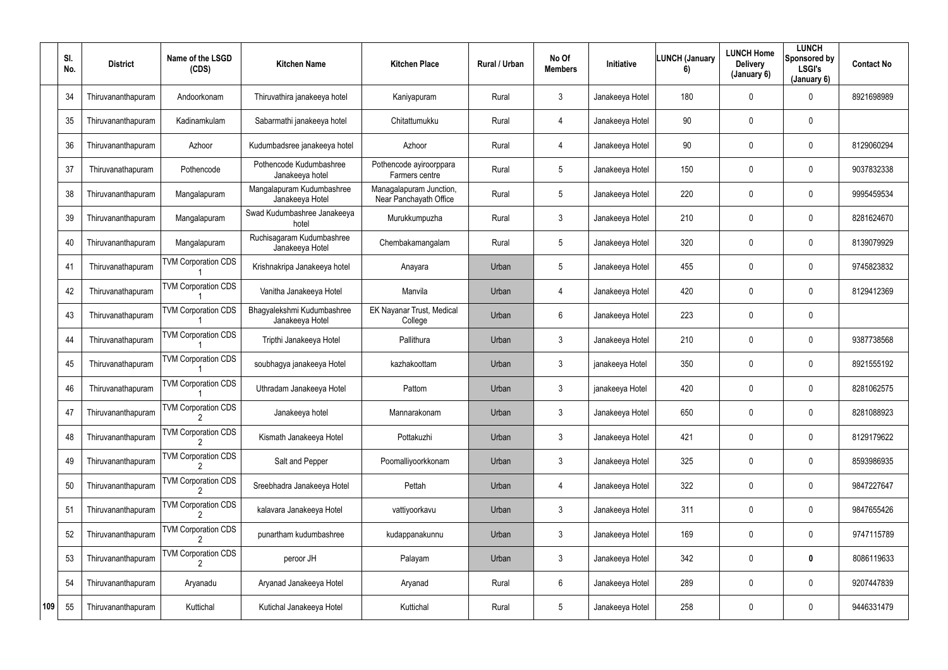|     | SI.<br>No. | <b>District</b>    | Name of the LSGD<br>(CDS)  | <b>Kitchen Name</b>                           | <b>Kitchen Place</b>                              | Rural / Urban | No Of<br><b>Members</b> | <b>Initiative</b> | <b>LUNCH (January</b><br>6) | <b>LUNCH Home</b><br><b>Delivery</b><br>(January 6) | <b>LUNCH</b><br>Sponsored by<br><b>LSGI's</b><br>(January 6) | <b>Contact No</b> |
|-----|------------|--------------------|----------------------------|-----------------------------------------------|---------------------------------------------------|---------------|-------------------------|-------------------|-----------------------------|-----------------------------------------------------|--------------------------------------------------------------|-------------------|
|     | 34         | Thiruvananthapuram | Andoorkonam                | Thiruvathira janakeeya hotel                  | Kaniyapuram                                       | Rural         | $\mathfrak{Z}$          | Janakeeya Hotel   | 180                         | 0                                                   | $\mathbf 0$                                                  | 8921698989        |
|     | 35         | Thiruvananthapuram | Kadinamkulam               | Sabarmathi janakeeya hotel                    | Chitattumukku                                     | Rural         | 4                       | Janakeeya Hotel   | 90                          | 0                                                   | $\overline{0}$                                               |                   |
|     | 36         | Thiruvananthapuram | Azhoor                     | Kudumbadsree janakeeya hotel                  | Azhoor                                            | Rural         | 4                       | Janakeeya Hotel   | 90                          | 0                                                   | $\overline{0}$                                               | 8129060294        |
|     | 37         | Thiruvanathapuram  | Pothencode                 | Pothencode Kudumbashree<br>Janakeeya hotel    | Pothencode ayiroorppara<br>Farmers centre         | Rural         | 5                       | Janakeeya Hotel   | 150                         | 0                                                   | $\overline{0}$                                               | 9037832338        |
|     | 38         | Thiruvananthapuram | Mangalapuram               | Mangalapuram Kudumbashree<br>Janakeeya Hotel  | Managalapuram Junction,<br>Near Panchayath Office | Rural         | 5                       | Janakeeya Hotel   | 220                         | 0                                                   | $\overline{0}$                                               | 9995459534        |
|     | 39         | Thiruvananthapuram | Mangalapuram               | Swad Kudumbashree Janakeeya<br>hotel          | Murukkumpuzha                                     | Rural         | $\mathbf{3}$            | Janakeeya Hotel   | 210                         | 0                                                   | $\mathbf 0$                                                  | 8281624670        |
|     | 40         | Thiruvananthapuram | Mangalapuram               | Ruchisagaram Kudumbashree<br>Janakeeya Hotel  | Chembakamangalam                                  | Rural         | $5\phantom{.0}$         | Janakeeya Hotel   | 320                         | 0                                                   | $\mathbf 0$                                                  | 8139079929        |
|     | 41         | Thiruvanathapuram  | <b>TVM Corporation CDS</b> | Krishnakripa Janakeeya hotel                  | Anayara                                           | Urban         | 5                       | Janakeeya Hotel   | 455                         | 0                                                   | $\mathbf 0$                                                  | 9745823832        |
|     | 42         | Thiruvanathapuram  | <b>TVM Corporation CDS</b> | Vanitha Janakeeya Hotel                       | Manvila                                           | Urban         | 4                       | Janakeeya Hotel   | 420                         | 0                                                   | $\mathbf 0$                                                  | 8129412369        |
|     | 43         | Thiruvanathapuram  | <b>TVM Corporation CDS</b> | Bhagyalekshmi Kudumbashree<br>Janakeeya Hotel | EK Nayanar Trust, Medical<br>College              | Urban         | $6\phantom{.}$          | Janakeeya Hotel   | 223                         | 0                                                   | $\mathbf 0$                                                  |                   |
|     | 44         | Thiruvanathapuram  | <b>TVM Corporation CDS</b> | Tripthi Janakeeya Hotel                       | Pallithura                                        | Urban         | $\mathbf{3}$            | Janakeeya Hotel   | 210                         | 0                                                   | $\mathbf 0$                                                  | 9387738568        |
|     | 45         | Thiruvanathapuram  | <b>TVM Corporation CDS</b> | soubhagya janakeeya Hotel                     | kazhakoottam                                      | Urban         | $\mathbf{3}$            | janakeeya Hotel   | 350                         | 0                                                   | $\overline{0}$                                               | 8921555192        |
|     | 46         | Thiruvanathapuram  | <b>TVM Corporation CDS</b> | Uthradam Janakeeya Hotel                      | Pattom                                            | Urban         | $\mathbf{3}$            | janakeeya Hotel   | 420                         | 0                                                   | $\overline{0}$                                               | 8281062575        |
|     | 47         | Thiruvananthapuram | <b>TVM Corporation CDS</b> | Janakeeya hotel                               | Mannarakonam                                      | Urban         | $3\phantom{.0}$         | Janakeeya Hotel   | 650                         | 0                                                   | $\mathbf 0$                                                  | 8281088923        |
|     | 48         | Thiruvananthapuram | <b>TVM Corporation CDS</b> | Kismath Janakeeya Hotel                       | Pottakuzhi                                        | Urban         | $\mathfrak{Z}$          | Janakeeya Hotel   | 421                         | 0                                                   | $\mathbf 0$                                                  | 8129179622        |
|     | 49         | Thiruvananthapuram | <b>TVM Corporation CDS</b> | Salt and Pepper                               | Poomalliyoorkkonam                                | Urban         | $3\phantom{.0}$         | Janakeeya Hotel   | 325                         | 0                                                   | $\mathbf 0$                                                  | 8593986935        |
|     | 50         | Thiruvananthapuram | <b>TVM Corporation CDS</b> | Sreebhadra Janakeeya Hotel                    | Pettah                                            | Urban         | $\overline{4}$          | Janakeeya Hotel   | 322                         | 0                                                   | $\mathbf 0$                                                  | 9847227647        |
|     | 51         | Thiruvananthapuram | <b>TVM Corporation CDS</b> | kalavara Janakeeya Hotel                      | vattiyoorkavu                                     | Urban         | $3\phantom{.0}$         | Janakeeya Hotel   | 311                         | 0                                                   | $\mathbf 0$                                                  | 9847655426        |
|     | 52         | Thiruvananthapuram | <b>TVM Corporation CDS</b> | punartham kudumbashree                        | kudappanakunnu                                    | Urban         | 3 <sup>1</sup>          | Janakeeya Hotel   | 169                         | 0                                                   | $\overline{0}$                                               | 9747115789        |
|     | 53         | Thiruvananthapuram | <b>TVM Corporation CDS</b> | peroor JH                                     | Palayam                                           | Urban         | 3 <sup>1</sup>          | Janakeeya Hotel   | 342                         | 0                                                   | $\mathbf 0$                                                  | 8086119633        |
|     | 54         | Thiruvananthapuram | Aryanadu                   | Aryanad Janakeeya Hotel                       | Aryanad                                           | Rural         | 6                       | Janakeeya Hotel   | 289                         | 0                                                   | $\mathbf 0$                                                  | 9207447839        |
| 109 | 55         | Thiruvananthapuram | Kuttichal                  | Kutichal Janakeeya Hotel                      | Kuttichal                                         | Rural         | $5\phantom{.0}$         | Janakeeya Hotel   | 258                         | 0                                                   | $\overline{0}$                                               | 9446331479        |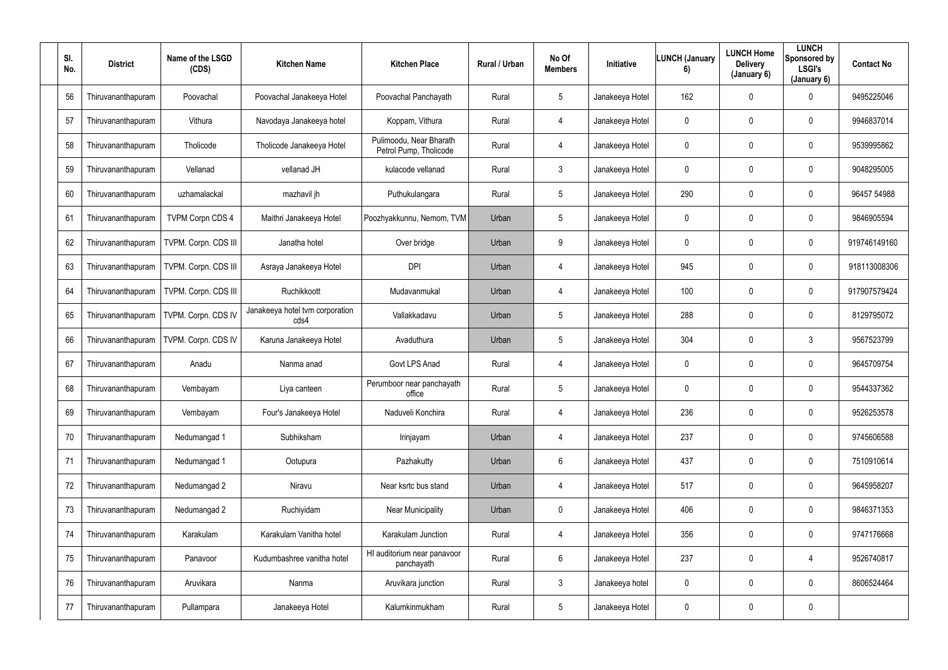| SI.<br>No. | <b>District</b>    | Name of the LSGD<br>(CDS) | <b>Kitchen Name</b>                     | <b>Kitchen Place</b>                              | Rural / Urban | No Of<br><b>Members</b> | Initiative      | <b>LUNCH (January</b><br>6) | <b>LUNCH Home</b><br><b>Delivery</b><br>(January 6) | <b>LUNCH</b><br>Sponsored by<br><b>LSGI's</b><br>(January 6) | <b>Contact No</b> |
|------------|--------------------|---------------------------|-----------------------------------------|---------------------------------------------------|---------------|-------------------------|-----------------|-----------------------------|-----------------------------------------------------|--------------------------------------------------------------|-------------------|
| 56         | Thiruvananthapuram | Poovachal                 | Poovachal Janakeeya Hotel               | Poovachal Panchayath                              | Rural         | $5\phantom{.0}$         | Janakeeya Hotel | 162                         | 0                                                   | $\mathbf 0$                                                  | 9495225046        |
| 57         | Thiruvananthapuram | Vithura                   | Navodaya Janakeeya hotel                | Koppam, Vithura                                   | Rural         | $\overline{4}$          | Janakeeya Hotel | $\mathbf 0$                 | 0                                                   | $\mathbf 0$                                                  | 9946837014        |
| 58         | Thiruvananthapuram | Tholicode                 | Tholicode Janakeeya Hotel               | Pulimoodu, Near Bharath<br>Petrol Pump, Tholicode | Rural         | $\overline{4}$          | Janakeeya Hotel | $\pmb{0}$                   | 0                                                   | $\overline{0}$                                               | 9539995862        |
| 59         | Thiruvananthapuram | Vellanad                  | vellanad JH                             | kulacode vellanad                                 | Rural         | $\mathfrak{Z}$          | Janakeeya Hotel | $\mathbf 0$                 | 0                                                   | $\overline{0}$                                               | 9048295005        |
| 60         | Thiruvananthapuram | uzhamalackal              | mazhavil jh                             | Puthukulangara                                    | Rural         | $5\phantom{.0}$         | Janakeeya Hotel | 290                         | 0                                                   | $\mathbf 0$                                                  | 96457 54988       |
| 61         | Thiruvananthapuram | <b>TVPM Corpn CDS 4</b>   | Maithri Janakeeya Hotel                 | Poozhyakkunnu, Nemom, TVM                         | Urban         | $5\phantom{.0}$         | Janakeeya Hotel | $\mathbf 0$                 | 0                                                   | $\mathbf 0$                                                  | 9846905594        |
| 62         | Thiruvananthapuram | TVPM. Corpn. CDS III      | Janatha hotel                           | Over bridge                                       | Urban         | 9                       | Janakeeya Hotel | $\mathbf 0$                 | 0                                                   | $\mathbf 0$                                                  | 919746149160      |
| 63         | Thiruvananthapuram | TVPM. Corpn. CDS III      | Asraya Janakeeya Hotel                  | <b>DPI</b>                                        | Urban         | $\overline{4}$          | Janakeeya Hotel | 945                         | 0                                                   | $\mathbf 0$                                                  | 918113008306      |
| 64         | Thiruvananthapuram | TVPM. Corpn. CDS III      | Ruchikkoott                             | Mudavanmukal                                      | Urban         | $\overline{4}$          | Janakeeya Hotel | 100                         | 0                                                   | $\mathbf 0$                                                  | 917907579424      |
| 65         | Thiruvananthapuram | TVPM. Corpn. CDS IV       | Janakeeya hotel tvm corporation<br>cds4 | Vallakkadavu                                      | Urban         | $5\phantom{.0}$         | Janakeeya Hotel | 288                         | 0                                                   | $\overline{0}$                                               | 8129795072        |
| 66         | Thiruvananthapuram | TVPM. Corpn. CDS IV       | Karuna Janakeeya Hotel                  | Avaduthura                                        | Urban         | $5\overline{)}$         | Janakeeya Hotel | 304                         | 0                                                   | $\mathbf{3}$                                                 | 9567523799        |
| 67         | Thiruvananthapuram | Anadu                     | Nanma anad                              | Govt LPS Anad                                     | Rural         | $\overline{4}$          | Janakeeya Hotel | $\mathbf 0$                 | 0                                                   | $\mathbf 0$                                                  | 9645709754        |
| 68         | Thiruvananthapuram | Vembayam                  | Liya canteen                            | Perumboor near panchayath<br>office               | Rural         | $5\phantom{.0}$         | Janakeeya Hotel | $\mathbf 0$                 | 0                                                   | $\overline{0}$                                               | 9544337362        |
| 69         | Thiruvananthapuram | Vembayam                  | Four's Janakeeya Hotel                  | Naduveli Konchira                                 | Rural         | $\overline{4}$          | Janakeeya Hotel | 236                         | 0                                                   | $\mathbf 0$                                                  | 9526253578        |
| 70         | Thiruvananthapuram | Nedumangad 1              | Subhiksham                              | Irinjayam                                         | Urban         | $\overline{4}$          | Janakeeya Hotel | 237                         | 0                                                   | $\mathbf 0$                                                  | 9745606588        |
| 71         | Thiruvananthapuram | Nedumangad 1              | Ootupura                                | Pazhakutty                                        | Urban         | $6\phantom{.0}$         | Janakeeya Hotel | 437                         | 0                                                   | $\mathbf 0$                                                  | 7510910614        |
| 72         | Thiruvananthapuram | Nedumangad 2              | Niravu                                  | Near ksrtc bus stand                              | Urban         | $\overline{4}$          | Janakeeya Hotel | 517                         | 0                                                   | $\mathbf 0$                                                  | 9645958207        |
| 73         | Thiruvananthapuram | Nedumangad 2              | Ruchiyidam                              | <b>Near Municipality</b>                          | Urban         | $\overline{0}$          | Janakeeya Hotel | 406                         | 0                                                   | $\mathbf 0$                                                  | 9846371353        |
| 74         | Thiruvananthapuram | Karakulam                 | Karakulam Vanitha hotel                 | Karakulam Junction                                | Rural         | $\overline{4}$          | Janakeeya Hotel | 356                         | 0                                                   | $\overline{0}$                                               | 9747176668        |
| 75         | Thiruvananthapuram | Panavoor                  | Kudumbashree vanitha hotel              | HI auditorium near panavoor<br>panchayath         | Rural         | $6\phantom{.0}$         | Janakeeya Hotel | 237                         | 0                                                   | 4                                                            | 9526740817        |
| 76         | Thiruvananthapuram | Aruvikara                 | Nanma                                   | Aruvikara junction                                | Rural         | $\mathbf{3}$            | Janakeeya hotel | $\overline{0}$              | 0                                                   | $\mathbf 0$                                                  | 8606524464        |
| 77         | Thiruvananthapuram | Pullampara                | Janakeeya Hotel                         | Kalumkinmukham                                    | Rural         | $5\phantom{.0}$         | Janakeeya Hotel | $\overline{0}$              | 0                                                   | $\mathbf 0$                                                  |                   |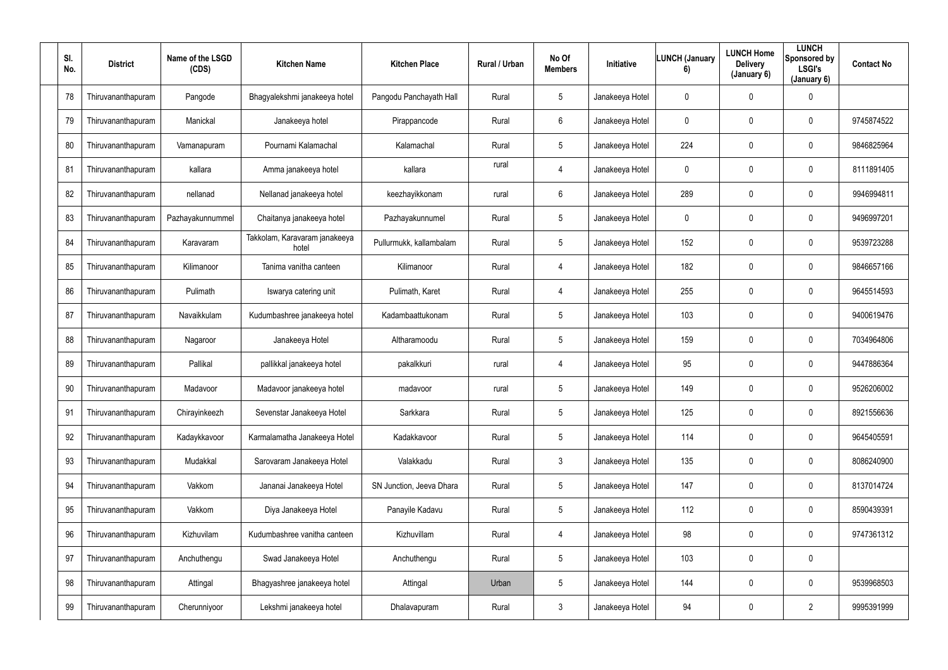| SI.<br>No. | <b>District</b>    | Name of the LSGD<br>(CDS) | <b>Kitchen Name</b>                    | <b>Kitchen Place</b>     | Rural / Urban | No Of<br><b>Members</b> | Initiative      | <b>LUNCH (January</b><br>6) | <b>LUNCH Home</b><br><b>Delivery</b><br>(January 6) | <b>LUNCH</b><br>Sponsored by<br><b>LSGI's</b><br>(January 6) | <b>Contact No</b> |
|------------|--------------------|---------------------------|----------------------------------------|--------------------------|---------------|-------------------------|-----------------|-----------------------------|-----------------------------------------------------|--------------------------------------------------------------|-------------------|
| 78         | Thiruvananthapuram | Pangode                   | Bhagyalekshmi janakeeya hotel          | Pangodu Panchayath Hall  | Rural         | $5\phantom{.0}$         | Janakeeya Hotel | $\mathbf 0$                 | 0                                                   | $\overline{0}$                                               |                   |
| 79         | Thiruvananthapuram | Manickal                  | Janakeeya hotel                        | Pirappancode             | Rural         | $6^{\circ}$             | Janakeeya Hotel | $\mathbf 0$                 | 0                                                   | $\mathbf 0$                                                  | 9745874522        |
| 80         | Thiruvananthapuram | Vamanapuram               | Pournami Kalamachal                    | Kalamachal               | Rural         | $5\phantom{.0}$         | Janakeeya Hotel | 224                         | 0                                                   | $\mathbf 0$                                                  | 9846825964        |
| 81         | Thiruvananthapuram | kallara                   | Amma janakeeya hotel                   | kallara                  | rural         | $\overline{4}$          | Janakeeya Hotel | $\mathbf 0$                 | 0                                                   | $\mathbf 0$                                                  | 8111891405        |
| 82         | Thiruvananthapuram | nellanad                  | Nellanad janakeeya hotel               | keezhayikkonam           | rural         | $6\phantom{.}$          | Janakeeya Hotel | 289                         | 0                                                   | $\mathbf 0$                                                  | 9946994811        |
| 83         | Thiruvananthapuram | Pazhayakunnummel          | Chaitanya janakeeya hotel              | Pazhayakunnumel          | Rural         | $5\phantom{.0}$         | Janakeeya Hotel | $\overline{0}$              | 0                                                   | $\mathbf 0$                                                  | 9496997201        |
| 84         | Thiruvananthapuram | Karavaram                 | Takkolam, Karavaram janakeeya<br>hotel | Pullurmukk, kallambalam  | Rural         | $5\phantom{.0}$         | Janakeeya Hotel | 152                         | 0                                                   | $\overline{0}$                                               | 9539723288        |
| 85         | Thiruvananthapuram | Kilimanoor                | Tanima vanitha canteen                 | Kilimanoor               | Rural         | $\overline{4}$          | Janakeeya Hotel | 182                         | 0                                                   | $\mathbf 0$                                                  | 9846657166        |
| 86         | Thiruvananthapuram | Pulimath                  | Iswarya catering unit                  | Pulimath, Karet          | Rural         | $\overline{4}$          | Janakeeya Hotel | 255                         | 0                                                   | $\mathbf 0$                                                  | 9645514593        |
| 87         | Thiruvananthapuram | Navaikkulam               | Kudumbashree janakeeya hotel           | Kadambaattukonam         | Rural         | $5\phantom{.0}$         | Janakeeya Hotel | 103                         | 0                                                   | $\overline{0}$                                               | 9400619476        |
| 88         | Thiruvananthapuram | Nagaroor                  | Janakeeya Hotel                        | Altharamoodu             | Rural         | $5\overline{)}$         | Janakeeya Hotel | 159                         | 0                                                   | $\mathbf 0$                                                  | 7034964806        |
| 89         | Thiruvananthapuram | Pallikal                  | pallikkal janakeeya hotel              | pakalkkuri               | rural         | 4                       | Janakeeya Hotel | 95                          | 0                                                   | $\mathbf 0$                                                  | 9447886364        |
| 90         | Thiruvananthapuram | Madavoor                  | Madavoor janakeeya hotel               | madavoor                 | rural         | $5\phantom{.0}$         | Janakeeya Hotel | 149                         | 0                                                   | $\overline{0}$                                               | 9526206002        |
| 91         | Thiruvananthapuram | Chirayinkeezh             | Sevenstar Janakeeya Hotel              | Sarkkara                 | Rural         | $5\phantom{.0}$         | Janakeeya Hotel | 125                         | 0                                                   | $\mathbf 0$                                                  | 8921556636        |
| 92         | Thiruvananthapuram | Kadaykkavoor              | Karmalamatha Janakeeya Hotel           | Kadakkavoor              | Rural         | $5\overline{)}$         | Janakeeya Hotel | 114                         | $\mathbf 0$                                         | $\mathbf 0$                                                  | 9645405591        |
| 93         | Thiruvananthapuram | Mudakkal                  | Sarovaram Janakeeya Hotel              | Valakkadu                | Rural         | $\mathfrak{Z}$          | Janakeeya Hotel | 135                         | 0                                                   | $\mathbf 0$                                                  | 8086240900        |
| 94         | Thiruvananthapuram | Vakkom                    | Jananai Janakeeya Hotel                | SN Junction, Jeeva Dhara | Rural         | $5\phantom{.0}$         | Janakeeya Hotel | 147                         | 0                                                   | $\mathbf 0$                                                  | 8137014724        |
| 95         | Thiruvananthapuram | Vakkom                    | Diya Janakeeya Hotel                   | Panayile Kadavu          | Rural         | $5\phantom{.0}$         | Janakeeya Hotel | 112                         | 0                                                   | $\mathbf 0$                                                  | 8590439391        |
| 96         | Thiruvananthapuram | Kizhuvilam                | Kudumbashree vanitha canteen           | Kizhuvillam              | Rural         | $\overline{4}$          | Janakeeya Hotel | 98                          | 0                                                   | $\mathbf 0$                                                  | 9747361312        |
| 97         | Thiruvananthapuram | Anchuthengu               | Swad Janakeeya Hotel                   | Anchuthengu              | Rural         | $5\phantom{.0}$         | Janakeeya Hotel | 103                         | 0                                                   | $\mathbf 0$                                                  |                   |
| 98         | Thiruvananthapuram | Attingal                  | Bhagyashree janakeeya hotel            | Attingal                 | Urban         | $5\overline{)}$         | Janakeeya Hotel | 144                         | 0                                                   | $\mathbf 0$                                                  | 9539968503        |
| 99         | Thiruvananthapuram | Cherunniyoor              | Lekshmi janakeeya hotel                | Dhalavapuram             | Rural         | $\mathbf{3}$            | Janakeeya Hotel | 94                          | 0                                                   | $\overline{2}$                                               | 9995391999        |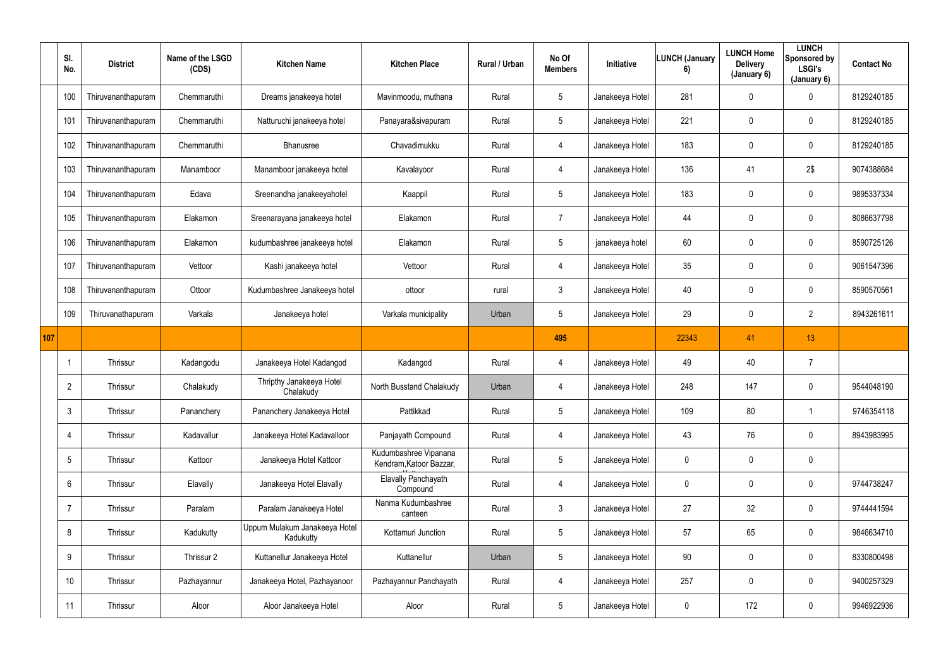|     | SI.<br>No.      | <b>District</b>    | Name of the LSGD<br>(CDS) | <b>Kitchen Name</b>                        | <b>Kitchen Place</b>                             | Rural / Urban | No Of<br><b>Members</b> | Initiative      | <b>LUNCH (January</b><br>6) | <b>LUNCH Home</b><br><b>Delivery</b><br>(January 6) | <b>LUNCH</b><br>Sponsored by<br><b>LSGI's</b><br>(January 6) | <b>Contact No</b> |
|-----|-----------------|--------------------|---------------------------|--------------------------------------------|--------------------------------------------------|---------------|-------------------------|-----------------|-----------------------------|-----------------------------------------------------|--------------------------------------------------------------|-------------------|
|     | 100             | Thiruvananthapuram | Chemmaruthi               | Dreams janakeeya hotel                     | Mavinmoodu, muthana                              | Rural         | 5                       | Janakeeya Hotel | 281                         | $\mathbf 0$                                         | $\mathbf 0$                                                  | 8129240185        |
|     | 101             | Thiruvananthapuram | Chemmaruthi               | Natturuchi janakeeya hotel                 | Panayara&sivapuram                               | Rural         | $5\phantom{.0}$         | Janakeeya Hotel | 221                         | $\mathbf 0$                                         | $\pmb{0}$                                                    | 8129240185        |
|     | 102             | Thiruvananthapuram | Chemmaruthi               | Bhanusree                                  | Chavadimukku                                     | Rural         | 4                       | Janakeeya Hotel | 183                         | 0                                                   | $\mathbf 0$                                                  | 8129240185        |
|     | 103             | Thiruvananthapuram | Manamboor                 | Manamboor janakeeya hotel                  | Kavalayoor                                       | Rural         | 4                       | Janakeeya Hotel | 136                         | 41                                                  | 2\$                                                          | 9074388684        |
|     | 104             | Thiruvananthapuram | Edava                     | Sreenandha janakeeyahotel                  | Kaappil                                          | Rural         | 5                       | Janakeeya Hotel | 183                         | 0                                                   | $\mathbf 0$                                                  | 9895337334        |
|     | 105             | Thiruvananthapuram | Elakamon                  | Sreenarayana janakeeya hotel               | Elakamon                                         | Rural         | $\overline{7}$          | Janakeeya Hotel | 44                          | $\mathbf{0}$                                        | $\mathbf 0$                                                  | 8086637798        |
|     | 106             | Thiruvananthapuram | Elakamon                  | kudumbashree janakeeya hotel               | Elakamon                                         | Rural         | $5\phantom{.0}$         | janakeeya hotel | 60                          | $\mathbf 0$                                         | $\mathbf 0$                                                  | 8590725126        |
|     | 107             | Thiruvananthapuram | Vettoor                   | Kashi janakeeya hotel                      | Vettoor                                          | Rural         | 4                       | Janakeeya Hotel | 35                          | $\mathbf 0$                                         | $\pmb{0}$                                                    | 9061547396        |
|     | 108             | Thiruvananthapuram | Ottoor                    | Kudumbashree Janakeeya hotel               | ottoor                                           | rural         | $\mathfrak{Z}$          | Janakeeya Hotel | 40                          | 0                                                   | $\pmb{0}$                                                    | 8590570561        |
|     | 109             | Thiruvanathapuram  | Varkala                   | Janakeeya hotel                            | Varkala municipality                             | Urban         | 5                       | Janakeeya Hotel | 29                          | $\mathbf 0$                                         | $\overline{2}$                                               | 8943261611        |
| 107 |                 |                    |                           |                                            |                                                  |               | 495                     |                 | 22343                       | 41                                                  | 13                                                           |                   |
|     |                 | Thrissur           | Kadangodu                 | Janakeeya Hotel Kadangod                   | Kadangod                                         | Rural         | 4                       | Janakeeya Hotel | 49                          | 40                                                  |                                                              |                   |
|     | $\overline{2}$  | Thrissur           | Chalakudy                 | Thripthy Janakeeya Hotel<br>Chalakudy      | North Busstand Chalakudy                         | Urban         | 4                       | Janakeeya Hotel | 248                         | 147                                                 | $\mathbf 0$                                                  | 9544048190        |
|     | $\mathbf{3}$    | Thrissur           | Pananchery                | Pananchery Janakeeya Hotel                 | Pattikkad                                        | Rural         | 5 <sup>5</sup>          | Janakeeya Hotel | 109                         | 80                                                  | $\mathbf 1$                                                  | 9746354118        |
|     | $\overline{4}$  | Thrissur           | Kadavallur                | Janakeeya Hotel Kadavalloor                | Panjayath Compound                               | Rural         | $\overline{4}$          | Janakeeya Hotel | 43                          | 76                                                  | $\overline{0}$                                               | 8943983995        |
|     | $5\phantom{.0}$ | Thrissur           | Kattoor                   | Janakeeya Hotel Kattoor                    | Kudumbashree Vipanana<br>Kendram, Katoor Bazzar, | Rural         | $5\overline{)}$         | Janakeeya Hotel | $\mathbf 0$                 | 0                                                   | $\overline{0}$                                               |                   |
|     | $6\overline{6}$ | Thrissur           | Elavally                  | Janakeeya Hotel Elavally                   | <b>Elavally Panchayath</b><br>Compound           | Rural         | 4                       | Janakeeya Hotel | $\mathbf 0$                 | $\mathbf 0$                                         | $\overline{0}$                                               | 9744738247        |
|     |                 | Thrissur           | Paralam                   | Paralam Janakeeya Hotel                    | Nanma Kudumbashree<br>canteen                    | Rural         | $\mathfrak{Z}$          | Janakeeya Hotel | 27                          | 32                                                  | $\overline{0}$                                               | 9744441594        |
|     | 8               | Thrissur           | Kadukutty                 | Uppum Mulakum Janakeeya Hotel<br>Kadukutty | Kottamuri Junction                               | Rural         | $5\overline{)}$         | Janakeeya Hotel | 57                          | 65                                                  | $\overline{0}$                                               | 9846634710        |
|     | 9               | Thrissur           | Thrissur 2                | Kuttanellur Janakeeya Hotel                | Kuttanellur                                      | Urban         | $5\phantom{.0}$         | Janakeeya Hotel | 90                          | 0                                                   | $\overline{0}$                                               | 8330800498        |
|     | 10              | Thrissur           | Pazhayannur               | Janakeeya Hotel, Pazhayanoor               | Pazhayannur Panchayath                           | Rural         | 4                       | Janakeeya Hotel | 257                         | 0                                                   | $\overline{0}$                                               | 9400257329        |
|     | 11              | Thrissur           | Aloor                     | Aloor Janakeeya Hotel                      | Aloor                                            | Rural         | $5\phantom{.0}$         | Janakeeya Hotel | $\mathbf 0$                 | 172                                                 | $\overline{0}$                                               | 9946922936        |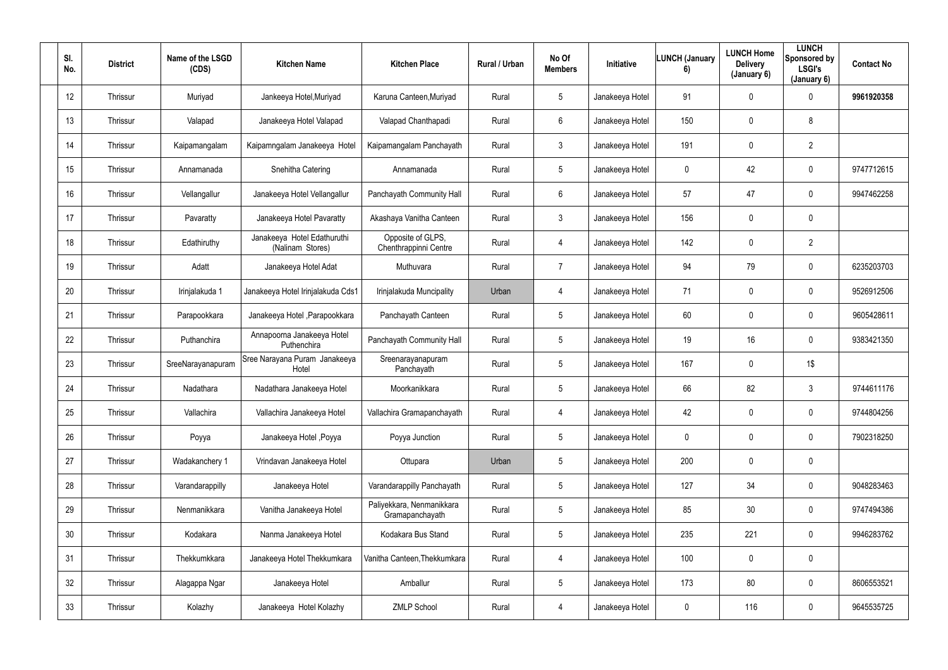| SI.<br>No. | <b>District</b> | Name of the LSGD<br>(CDS) | <b>Kitchen Name</b>                             | <b>Kitchen Place</b>                         | Rural / Urban | No Of<br><b>Members</b> | Initiative      | <b>LUNCH (January</b><br>6) | <b>LUNCH Home</b><br><b>Delivery</b><br>(January 6) | <b>LUNCH</b><br>Sponsored by<br><b>LSGI's</b><br>(January 6) | <b>Contact No</b> |
|------------|-----------------|---------------------------|-------------------------------------------------|----------------------------------------------|---------------|-------------------------|-----------------|-----------------------------|-----------------------------------------------------|--------------------------------------------------------------|-------------------|
| 12         | Thrissur        | Muriyad                   | Jankeeya Hotel, Muriyad                         | Karuna Canteen, Muriyad                      | Rural         | $5\overline{)}$         | Janakeeya Hotel | 91                          | $\mathbf 0$                                         | $\mathbf 0$                                                  | 9961920358        |
| 13         | Thrissur        | Valapad                   | Janakeeya Hotel Valapad                         | Valapad Chanthapadi                          | Rural         | $6\phantom{.}6$         | Janakeeya Hotel | 150                         | 0                                                   | 8                                                            |                   |
| 14         | Thrissur        | Kaipamangalam             | Kaipamngalam Janakeeya Hotel                    | Kaipamangalam Panchayath                     | Rural         | $\mathfrak{Z}$          | Janakeeya Hotel | 191                         | 0                                                   | $\overline{2}$                                               |                   |
| 15         | Thrissur        | Annamanada                | Snehitha Catering                               | Annamanada                                   | Rural         | $5\overline{)}$         | Janakeeya Hotel | $\mathbf 0$                 | 42                                                  | $\mathbf 0$                                                  | 9747712615        |
| 16         | Thrissur        | Vellangallur              | Janakeeya Hotel Vellangallur                    | Panchayath Community Hall                    | Rural         | $6\overline{6}$         | Janakeeya Hotel | 57                          | 47                                                  | $\mathbf 0$                                                  | 9947462258        |
| 17         | Thrissur        | Pavaratty                 | Janakeeya Hotel Pavaratty                       | Akashaya Vanitha Canteen                     | Rural         | 3 <sup>1</sup>          | Janakeeya Hotel | 156                         | 0                                                   | $\overline{0}$                                               |                   |
| 18         | Thrissur        | Edathiruthy               | Janakeeya Hotel Edathuruthi<br>(Nalinam Stores) | Opposite of GLPS,<br>Chenthrappinni Centre   | Rural         | 4                       | Janakeeya Hotel | 142                         | 0                                                   | $\overline{2}$                                               |                   |
| 19         | Thrissur        | Adatt                     | Janakeeya Hotel Adat                            | Muthuvara                                    | Rural         | $\overline{7}$          | Janakeeya Hotel | 94                          | 79                                                  | $\mathbf 0$                                                  | 6235203703        |
| 20         | Thrissur        | Irinjalakuda 1            | Janakeeya Hotel Irinjalakuda Cds1               | Irinjalakuda Muncipality                     | Urban         | 4                       | Janakeeya Hotel | 71                          | 0                                                   | $\overline{0}$                                               | 9526912506        |
| 21         | Thrissur        | Parapookkara              | Janakeeya Hotel, Parapookkara                   | Panchayath Canteen                           | Rural         | $5\overline{)}$         | Janakeeya Hotel | 60                          | 0                                                   | $\mathbf 0$                                                  | 9605428611        |
| 22         | Thrissur        | Puthanchira               | Annapoorna Janakeeya Hotel<br>Puthenchira       | Panchayath Community Hall                    | Rural         | $5\overline{)}$         | Janakeeya Hotel | 19                          | 16                                                  | $\mathbf 0$                                                  | 9383421350        |
| 23         | Thrissur        | SreeNarayanapuram         | Sree Narayana Puram Janakeeya<br>Hotel          | Sreenarayanapuram<br>Panchayath              | Rural         | $5\phantom{.0}$         | Janakeeya Hotel | 167                         | 0                                                   | 1\$                                                          |                   |
| 24         | Thrissur        | Nadathara                 | Nadathara Janakeeya Hotel                       | Moorkanikkara                                | Rural         | $5\phantom{.0}$         | Janakeeya Hotel | 66                          | 82                                                  | $\mathbf{3}$                                                 | 9744611176        |
| 25         | Thrissur        | Vallachira                | Vallachira Janakeeya Hotel                      | Vallachira Gramapanchayath                   | Rural         | $\overline{4}$          | Janakeeya Hotel | 42                          | $\mathbf 0$                                         | $\mathbf 0$                                                  | 9744804256        |
| 26         | Thrissur        | Poyya                     | Janakeeya Hotel, Poyya                          | Poyya Junction                               | Rural         | $5\phantom{.0}$         | Janakeeya Hotel | $\pmb{0}$                   | 0                                                   | $\mathbf 0$                                                  | 7902318250        |
| 27         | Thrissur        | Wadakanchery 1            | Vrindavan Janakeeya Hotel                       | Ottupara                                     | Urban         | $5\overline{)}$         | Janakeeya Hotel | 200                         | 0                                                   | $\mathbf 0$                                                  |                   |
| 28         | Thrissur        | Varandarappilly           | Janakeeya Hotel                                 | Varandarappilly Panchayath                   | Rural         | $5\phantom{.0}$         | Janakeeya Hotel | 127                         | 34                                                  | $\mathbf 0$                                                  | 9048283463        |
| 29         | Thrissur        | Nenmanikkara              | Vanitha Janakeeya Hotel                         | Paliyekkara, Nenmanikkara<br>Gramapanchayath | Rural         | $5\overline{)}$         | Janakeeya Hotel | 85                          | 30 <sup>°</sup>                                     | $\mathbf 0$                                                  | 9747494386        |
| 30         | Thrissur        | Kodakara                  | Nanma Janakeeya Hotel                           | Kodakara Bus Stand                           | Rural         | $5\phantom{.0}$         | Janakeeya Hotel | 235                         | 221                                                 | $\mathbf 0$                                                  | 9946283762        |
| 31         | Thrissur        | Thekkumkkara              | Janakeeya Hotel Thekkumkara                     | Vanitha Canteen, Thekkumkara                 | Rural         | $\overline{4}$          | Janakeeya Hotel | 100                         | 0                                                   | $\mathbf 0$                                                  |                   |
| 32         | Thrissur        | Alagappa Ngar             | Janakeeya Hotel                                 | Amballur                                     | Rural         | 5 <sup>5</sup>          | Janakeeya Hotel | 173                         | 80                                                  | $\mathbf 0$                                                  | 8606553521        |
| 33         | Thrissur        | Kolazhy                   | Janakeeya Hotel Kolazhy                         | <b>ZMLP School</b>                           | Rural         | 4                       | Janakeeya Hotel | $\boldsymbol{0}$            | 116                                                 | $\mathbf 0$                                                  | 9645535725        |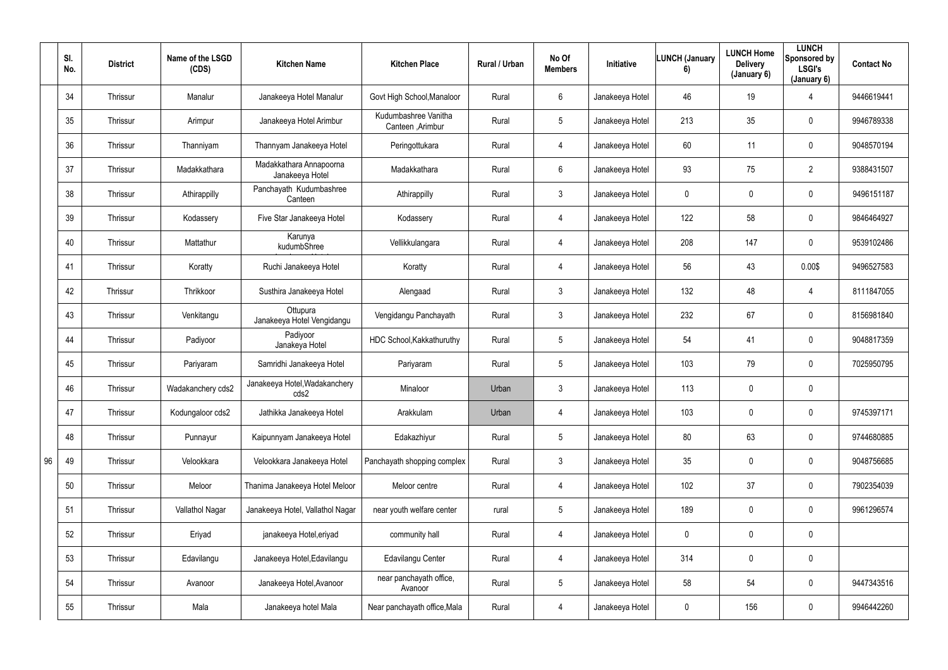|    | SI.<br>No. | <b>District</b> | Name of the LSGD<br>(CDS) | <b>Kitchen Name</b>                        | <b>Kitchen Place</b>                     | Rural / Urban | No Of<br><b>Members</b> | Initiative      | <b>LUNCH (January</b><br>6) | <b>LUNCH Home</b><br><b>Delivery</b><br>(January 6) | <b>LUNCH</b><br>Sponsored by<br><b>LSGI's</b><br>(January 6) | <b>Contact No</b> |
|----|------------|-----------------|---------------------------|--------------------------------------------|------------------------------------------|---------------|-------------------------|-----------------|-----------------------------|-----------------------------------------------------|--------------------------------------------------------------|-------------------|
|    | 34         | Thrissur        | Manalur                   | Janakeeya Hotel Manalur                    | Govt High School, Manaloor               | Rural         | 6                       | Janakeeya Hotel | 46                          | 19                                                  |                                                              | 9446619441        |
|    | 35         | Thrissur        | Arimpur                   | Janakeeya Hotel Arimbur                    | Kudumbashree Vanitha<br>Canteen, Arimbur | Rural         | $5\phantom{.0}$         | Janakeeya Hotel | 213                         | 35                                                  | $\mathbf 0$                                                  | 9946789338        |
|    | 36         | Thrissur        | Thanniyam                 | Thannyam Janakeeya Hotel                   | Peringottukara                           | Rural         | $\overline{4}$          | Janakeeya Hotel | 60                          | 11                                                  | $\mathbf 0$                                                  | 9048570194        |
|    | 37         | Thrissur        | Madakkathara              | Madakkathara Annapoorna<br>Janakeeya Hotel | Madakkathara                             | Rural         | $6\phantom{.}$          | Janakeeya Hotel | 93                          | 75                                                  | $2^{\circ}$                                                  | 9388431507        |
|    | 38         | Thrissur        | Athirappilly              | Panchayath Kudumbashree<br>Canteen         | Athirappilly                             | Rural         | $\mathfrak{Z}$          | Janakeeya Hotel | $\mathbf 0$                 | $\mathbf 0$                                         | $\mathbf 0$                                                  | 9496151187        |
|    | 39         | Thrissur        | Kodassery                 | Five Star Janakeeya Hotel                  | Kodassery                                | Rural         | $\overline{4}$          | Janakeeya Hotel | 122                         | 58                                                  | $\mathbf 0$                                                  | 9846464927        |
|    | 40         | Thrissur        | Mattathur                 | Karunya<br>kudumbShree                     | Vellikkulangara                          | Rural         | 4                       | Janakeeya Hotel | 208                         | 147                                                 | $\overline{0}$                                               | 9539102486        |
|    | 41         | Thrissur        | Koratty                   | Ruchi Janakeeya Hotel                      | Koratty                                  | Rural         | 4                       | Janakeeya Hotel | 56                          | 43                                                  | 0.00\$                                                       | 9496527583        |
|    | 42         | Thrissur        | Thrikkoor                 | Susthira Janakeeya Hotel                   | Alengaad                                 | Rural         | $\mathfrak{Z}$          | Janakeeya Hotel | 132                         | 48                                                  | 4                                                            | 8111847055        |
|    | 43         | Thrissur        | Venkitangu                | Ottupura<br>Janakeeya Hotel Vengidangu     | Vengidangu Panchayath                    | Rural         | $\mathfrak{Z}$          | Janakeeya Hotel | 232                         | 67                                                  | $\mathbf 0$                                                  | 8156981840        |
|    | 44         | Thrissur        | Padiyoor                  | Padiyoor<br>Janakeya Hotel                 | HDC School, Kakkathuruthy                | Rural         | $5\phantom{.0}$         | Janakeeya Hotel | 54                          | 41                                                  | $\mathbf 0$                                                  | 9048817359        |
|    | 45         | Thrissur        | Pariyaram                 | Samridhi Janakeeya Hotel                   | Pariyaram                                | Rural         | $5\phantom{.0}$         | Janakeeya Hotel | 103                         | 79                                                  | $\mathbf 0$                                                  | 7025950795        |
|    | 46         | Thrissur        | Wadakanchery cds2         | Janakeeya Hotel, Wadakanchery<br>cds2      | Minaloor                                 | Urban         | 3                       | Janakeeya Hotel | 113                         | $\mathbf 0$                                         | $\mathbf 0$                                                  |                   |
|    | 47         | Thrissur        | Kodungaloor cds2          | Jathikka Janakeeya Hotel                   | Arakkulam                                | Urban         | 4                       | Janakeeya Hotel | 103                         | $\mathbf 0$                                         | $\overline{0}$                                               | 9745397171        |
|    | 48         | Thrissur        | Punnayur                  | Kaipunnyam Janakeeya Hotel                 | Edakazhiyur                              | Rural         | $5\phantom{.0}$         | Janakeeya Hotel | 80                          | 63                                                  | $\overline{0}$                                               | 9744680885        |
| 96 | 49         | Thrissur        | Velookkara                | Velookkara Janakeeya Hotel                 | Panchayath shopping complex              | Rural         | $\mathfrak{Z}$          | Janakeeya Hotel | 35                          | 0                                                   | $\overline{0}$                                               | 9048756685        |
|    | 50         | Thrissur        | Meloor                    | Thanima Janakeeya Hotel Meloor             | Meloor centre                            | Rural         | $\overline{4}$          | Janakeeya Hotel | 102                         | 37                                                  | $\overline{0}$                                               | 7902354039        |
|    | 51         | Thrissur        | Vallathol Nagar           | Janakeeya Hotel, Vallathol Nagar           | near youth welfare center                | rural         | $5\phantom{.0}$         | Janakeeya Hotel | 189                         | 0                                                   | $\overline{0}$                                               | 9961296574        |
|    | 52         | Thrissur        | Eriyad                    | janakeeya Hotel, eriyad                    | community hall                           | Rural         | 4                       | Janakeeya Hotel | $\mathbf 0$                 | 0                                                   | $\overline{0}$                                               |                   |
|    | 53         | Thrissur        | Edavilangu                | Janakeeya Hotel, Edavilangu                | Edavilangu Center                        | Rural         | $\overline{4}$          | Janakeeya Hotel | 314                         | 0                                                   | $\overline{0}$                                               |                   |
|    | 54         | Thrissur        | Avanoor                   | Janakeeya Hotel, Avanoor                   | near panchayath office,<br>Avanoor       | Rural         | $5\phantom{.0}$         | Janakeeya Hotel | 58                          | 54                                                  | $\overline{0}$                                               | 9447343516        |
|    | 55         | Thrissur        | Mala                      | Janakeeya hotel Mala                       | Near panchayath office, Mala             | Rural         | $\overline{4}$          | Janakeeya Hotel | $\mathbf 0$                 | 156                                                 | $\pmb{0}$                                                    | 9946442260        |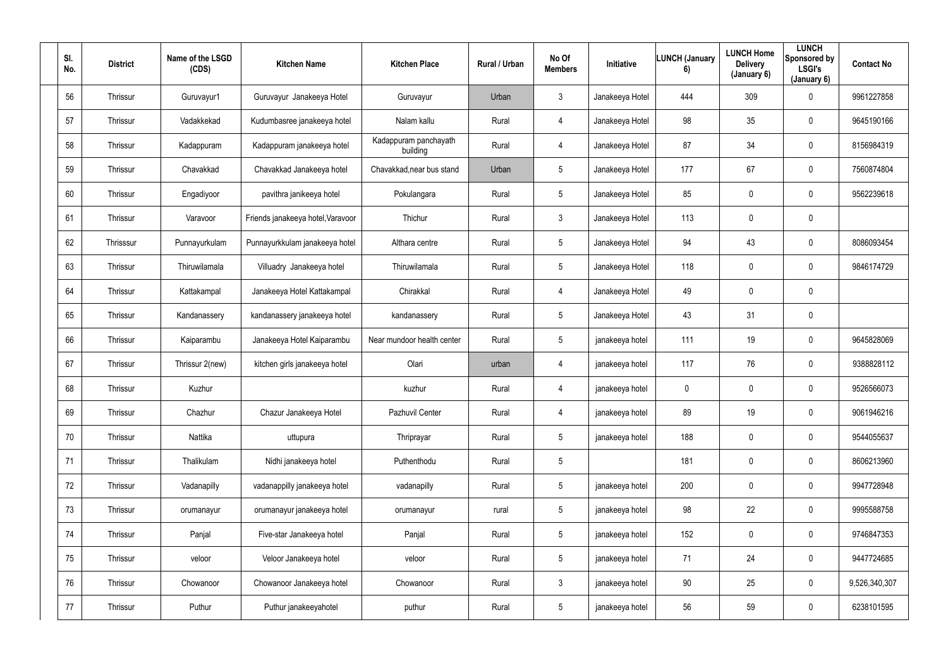| SI.<br>No. | <b>District</b> | Name of the LSGD<br>(CDS) | <b>Kitchen Name</b>               | <b>Kitchen Place</b>              | Rural / Urban | No Of<br><b>Members</b> | Initiative      | <b>LUNCH (January</b><br>6) | <b>LUNCH Home</b><br><b>Delivery</b><br>(January 6) | <b>LUNCH</b><br>Sponsored by<br><b>LSGI's</b><br>(January 6) | <b>Contact No</b> |
|------------|-----------------|---------------------------|-----------------------------------|-----------------------------------|---------------|-------------------------|-----------------|-----------------------------|-----------------------------------------------------|--------------------------------------------------------------|-------------------|
| 56         | Thrissur        | Guruvayur1                | Guruvayur Janakeeya Hotel         | Guruvayur                         | Urban         | 3 <sup>1</sup>          | Janakeeya Hotel | 444                         | 309                                                 | $\mathbf 0$                                                  | 9961227858        |
| 57         | Thrissur        | Vadakkekad                | Kudumbasree janakeeya hotel       | Nalam kallu                       | Rural         | 4                       | Janakeeya Hotel | 98                          | 35                                                  | $\mathbf 0$                                                  | 9645190166        |
| 58         | Thrissur        | Kadappuram                | Kadappuram janakeeya hotel        | Kadappuram panchayath<br>building | Rural         | $\overline{4}$          | Janakeeya Hotel | 87                          | 34                                                  | $\mathbf 0$                                                  | 8156984319        |
| 59         | Thrissur        | Chavakkad                 | Chavakkad Janakeeya hotel         | Chavakkad, near bus stand         | Urban         | 5                       | Janakeeya Hotel | 177                         | 67                                                  | $\mathbf 0$                                                  | 7560874804        |
| 60         | Thrissur        | Engadiyoor                | pavithra janikeeya hotel          | Pokulangara                       | Rural         | $5\phantom{.0}$         | Janakeeya Hotel | 85                          | 0                                                   | $\mathbf 0$                                                  | 9562239618        |
| 61         | Thrissur        | Varavoor                  | Friends janakeeya hotel, Varavoor | Thichur                           | Rural         | $3\phantom{.0}$         | Janakeeya Hotel | 113                         | 0                                                   | $\mathbf 0$                                                  |                   |
| 62         | Thrisssur       | Punnayurkulam             | Punnayurkkulam janakeeya hotel    | Althara centre                    | Rural         | $5\phantom{.0}$         | Janakeeya Hotel | 94                          | 43                                                  | $\mathbf 0$                                                  | 8086093454        |
| 63         | Thrissur        | Thiruwilamala             | Villuadry Janakeeya hotel         | Thiruwilamala                     | Rural         | $5\phantom{.0}$         | Janakeeya Hotel | 118                         | 0                                                   | $\mathbf 0$                                                  | 9846174729        |
| 64         | Thrissur        | Kattakampal               | Janakeeya Hotel Kattakampal       | Chirakkal                         | Rural         | 4                       | Janakeeya Hotel | 49                          | 0                                                   | $\mathbf 0$                                                  |                   |
| 65         | Thrissur        | Kandanassery              | kandanassery janakeeya hotel      | kandanassery                      | Rural         | $5\phantom{.0}$         | Janakeeya Hotel | 43                          | 31                                                  | $\mathbf 0$                                                  |                   |
| 66         | Thrissur        | Kaiparambu                | Janakeeya Hotel Kaiparambu        | Near mundoor health center        | Rural         | $5\overline{)}$         | janakeeya hotel | 111                         | 19                                                  | $\mathbf 0$                                                  | 9645828069        |
| 67         | Thrissur        | Thrissur 2(new)           | kitchen girls janakeeya hotel     | Olari                             | urban         | 4                       | janakeeya hotel | 117                         | 76                                                  | $\mathbf 0$                                                  | 9388828112        |
| 68         | Thrissur        | Kuzhur                    |                                   | kuzhur                            | Rural         | 4                       | janakeeya hotel | $\mathbf 0$                 | 0                                                   | $\overline{0}$                                               | 9526566073        |
| 69         | Thrissur        | Chazhur                   | Chazur Janakeeya Hotel            | Pazhuvil Center                   | Rural         | 4                       | janakeeya hotel | 89                          | 19                                                  | $\mathbf 0$                                                  | 9061946216        |
| 70         | Thrissur        | Nattika                   | uttupura                          | Thriprayar                        | Rural         | $5\phantom{.0}$         | janakeeya hotel | 188                         | $\pmb{0}$                                           | $\overline{0}$                                               | 9544055637        |
| 71         | Thrissur        | Thalikulam                | Nidhi janakeeya hotel             | Puthenthodu                       | Rural         | $5\phantom{.0}$         |                 | 181                         | $\pmb{0}$                                           | $\mathbf 0$                                                  | 8606213960        |
| 72         | Thrissur        | Vadanapilly               | vadanappilly janakeeya hotel      | vadanapilly                       | Rural         | $5\phantom{.0}$         | janakeeya hotel | 200                         | 0                                                   | $\mathbf 0$                                                  | 9947728948        |
| 73         | Thrissur        | orumanayur                | orumanayur janakeeya hotel        | orumanayur                        | rural         | $5\phantom{.0}$         | janakeeya hotel | 98                          | 22                                                  | $\overline{0}$                                               | 9995588758        |
| 74         | Thrissur        | Panjal                    | Five-star Janakeeya hotel         | Panjal                            | Rural         | $5\phantom{.0}$         | janakeeya hotel | 152                         | $\pmb{0}$                                           | $\overline{0}$                                               | 9746847353        |
| 75         | Thrissur        | veloor                    | Veloor Janakeeya hotel            | veloor                            | Rural         | $5\phantom{.0}$         | janakeeya hotel | 71                          | 24                                                  | $\overline{0}$                                               | 9447724685        |
| 76         | Thrissur        | Chowanoor                 | Chowanoor Janakeeya hotel         | Chowanoor                         | Rural         | $3\phantom{.0}$         | janakeeya hotel | 90                          | 25                                                  | $\mathbf 0$                                                  | 9,526,340,307     |
| 77         | Thrissur        | Puthur                    | Puthur janakeeyahotel             | puthur                            | Rural         | $5\phantom{.0}$         | janakeeya hotel | 56                          | 59                                                  | $\overline{0}$                                               | 6238101595        |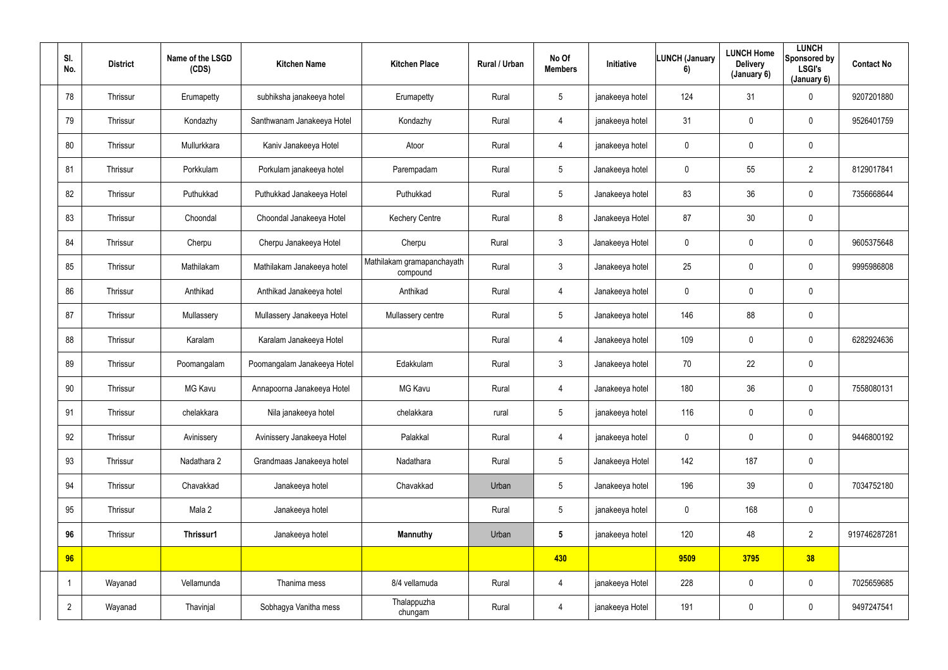| SI.<br>No.     | <b>District</b> | Name of the LSGD<br>(CDS) | <b>Kitchen Name</b>         | <b>Kitchen Place</b>                   | Rural / Urban | No Of<br><b>Members</b> | Initiative      | <b>LUNCH (January</b><br>6) | <b>LUNCH Home</b><br><b>Delivery</b><br>(January 6) | <b>LUNCH</b><br>Sponsored by<br><b>LSGI's</b><br>(January 6) | <b>Contact No</b> |
|----------------|-----------------|---------------------------|-----------------------------|----------------------------------------|---------------|-------------------------|-----------------|-----------------------------|-----------------------------------------------------|--------------------------------------------------------------|-------------------|
| 78             | Thrissur        | Erumapetty                | subhiksha janakeeya hotel   | Erumapetty                             | Rural         | $5\phantom{.0}$         | janakeeya hotel | 124                         | 31                                                  | $\mathbf 0$                                                  | 9207201880        |
| 79             | Thrissur        | Kondazhy                  | Santhwanam Janakeeya Hotel  | Kondazhy                               | Rural         | 4                       | janakeeya hotel | 31                          | $\mathbf 0$                                         | $\mathbf 0$                                                  | 9526401759        |
| 80             | Thrissur        | Mullurkkara               | Kaniv Janakeeya Hotel       | Atoor                                  | Rural         | 4                       | janakeeya hotel | $\pmb{0}$                   | $\mathbf 0$                                         | $\overline{0}$                                               |                   |
| 81             | Thrissur        | Porkkulam                 | Porkulam janakeeya hotel    | Parempadam                             | Rural         | 5                       | Janakeeya hotel | 0                           | 55                                                  | $\overline{2}$                                               | 8129017841        |
| 82             | Thrissur        | Puthukkad                 | Puthukkad Janakeeya Hotel   | Puthukkad                              | Rural         | $5\phantom{.0}$         | Janakeeya hotel | 83                          | 36                                                  | $\overline{0}$                                               | 7356668644        |
| 83             | Thrissur        | Choondal                  | Choondal Janakeeya Hotel    | <b>Kechery Centre</b>                  | Rural         | 8                       | Janakeeya Hotel | 87                          | 30                                                  | $\overline{0}$                                               |                   |
| 84             | Thrissur        | Cherpu                    | Cherpu Janakeeya Hotel      | Cherpu                                 | Rural         | $\mathfrak{Z}$          | Janakeeya Hotel | $\mathbf 0$                 | $\mathbf 0$                                         | $\mathbf 0$                                                  | 9605375648        |
| 85             | Thrissur        | Mathilakam                | Mathilakam Janakeeya hotel  | Mathilakam gramapanchayath<br>compound | Rural         | $\mathfrak{Z}$          | Janakeeya hotel | 25                          | $\mathbf 0$                                         | $\mathbf 0$                                                  | 9995986808        |
| 86             | Thrissur        | Anthikad                  | Anthikad Janakeeya hotel    | Anthikad                               | Rural         | 4                       | Janakeeya hotel | $\mathbf 0$                 | $\mathbf 0$                                         | $\mathbf 0$                                                  |                   |
| 87             | Thrissur        | Mullassery                | Mullassery Janakeeya Hotel  | Mullassery centre                      | Rural         | 5                       | Janakeeya hotel | 146                         | 88                                                  | $\overline{0}$                                               |                   |
| 88             | Thrissur        | Karalam                   | Karalam Janakeeya Hotel     |                                        | Rural         | 4                       | Janakeeya hotel | 109                         | $\overline{0}$                                      | $\overline{0}$                                               | 6282924636        |
| 89             | Thrissur        | Poomangalam               | Poomangalam Janakeeya Hotel | Edakkulam                              | Rural         | $\mathfrak{Z}$          | Janakeeya hotel | 70                          | 22                                                  | $\overline{0}$                                               |                   |
| 90             | Thrissur        | MG Kavu                   | Annapoorna Janakeeya Hotel  | <b>MG Kavu</b>                         | Rural         | 4                       | Janakeeya hotel | 180                         | 36                                                  | $\pmb{0}$                                                    | 7558080131        |
| 91             | Thrissur        | chelakkara                | Nila janakeeya hotel        | chelakkara                             | rural         | $5\phantom{.0}$         | janakeeya hotel | 116                         | $\mathbf 0$                                         | $\pmb{0}$                                                    |                   |
| 92             | Thrissur        | Avinissery                | Avinissery Janakeeya Hotel  | Palakkal                               | Rural         | 4                       | janakeeya hotel | $\mathbf 0$                 | $\pmb{0}$                                           | $\overline{0}$                                               | 9446800192        |
| 93             | Thrissur        | Nadathara 2               | Grandmaas Janakeeya hotel   | Nadathara                              | Rural         | $5\phantom{.0}$         | Janakeeya Hotel | 142                         | 187                                                 | $\overline{0}$                                               |                   |
| 94             | Thrissur        | Chavakkad                 | Janakeeya hotel             | Chavakkad                              | Urban         | $5\overline{)}$         | Janakeeya hotel | 196                         | 39                                                  | $\mathbf 0$                                                  | 7034752180        |
| 95             | Thrissur        | Mala 2                    | Janakeeya hotel             |                                        | Rural         | $5\phantom{.0}$         | janakeeya hotel | $\mathbf 0$                 | 168                                                 | $\overline{0}$                                               |                   |
| 96             | Thrissur        | Thrissur1                 | Janakeeya hotel             | <b>Mannuthy</b>                        | Urban         | $5\phantom{.0}$         | janakeeya hotel | 120                         | 48                                                  | $\overline{2}$                                               | 919746287281      |
| 96             |                 |                           |                             |                                        |               | 430                     |                 | 9509                        | 3795                                                | 38                                                           |                   |
|                | Wayanad         | Vellamunda                | Thanima mess                | 8/4 vellamuda                          | Rural         | $\overline{4}$          | janakeeya Hotel | 228                         | $\pmb{0}$                                           | $\overline{0}$                                               | 7025659685        |
| $\overline{2}$ | Wayanad         | Thavinjal                 | Sobhagya Vanitha mess       | Thalappuzha<br>chungam                 | Rural         | 4                       | janakeeya Hotel | 191                         | $\pmb{0}$                                           | $\mathbf 0$                                                  | 9497247541        |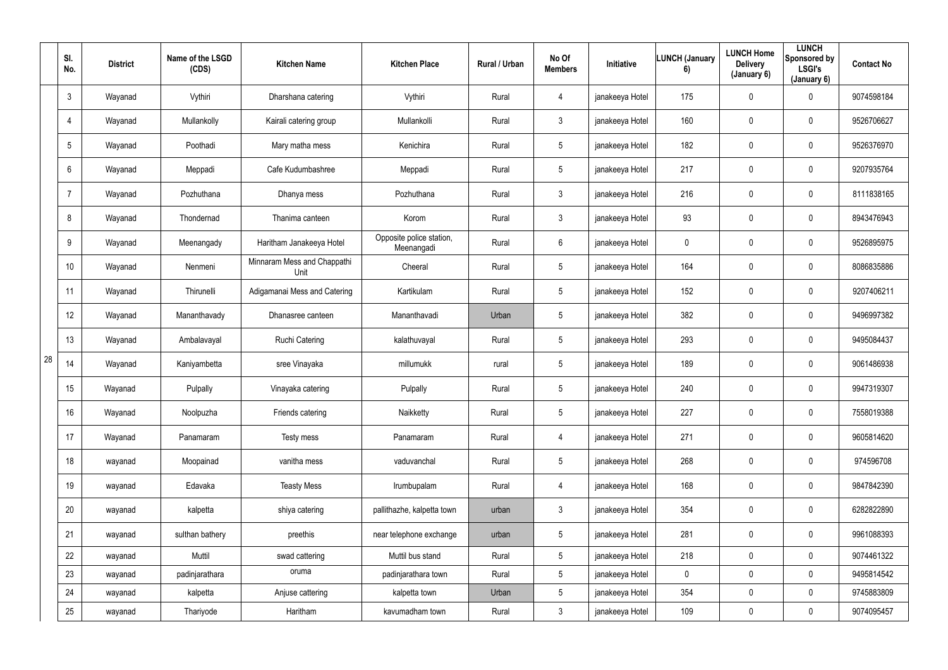|    | SI.<br>No.      | <b>District</b> | Name of the LSGD<br>(CDS) | <b>Kitchen Name</b>                 | <b>Kitchen Place</b>                   | Rural / Urban | No Of<br><b>Members</b> | Initiative      | LUNCH (January<br>6) | <b>LUNCH Home</b><br><b>Delivery</b><br>(January 6) | <b>LUNCH</b><br>Sponsored by<br><b>LSGI's</b><br>(January 6) | <b>Contact No</b> |
|----|-----------------|-----------------|---------------------------|-------------------------------------|----------------------------------------|---------------|-------------------------|-----------------|----------------------|-----------------------------------------------------|--------------------------------------------------------------|-------------------|
|    | $\mathbf{3}$    | Wayanad         | Vythiri                   | Dharshana catering                  | Vythiri                                | Rural         | 4                       | janakeeya Hotel | 175                  | 0                                                   | $\mathbf 0$                                                  | 9074598184        |
|    | 4               | Wayanad         | Mullankolly               | Kairali catering group              | Mullankolli                            | Rural         | $3\phantom{.0}$         | janakeeya Hotel | 160                  | 0                                                   | $\mathbf 0$                                                  | 9526706627        |
|    | $5\phantom{.0}$ | Wayanad         | Poothadi                  | Mary matha mess                     | Kenichira                              | Rural         | $5\phantom{.0}$         | janakeeya Hotel | 182                  | 0                                                   | $\mathbf 0$                                                  | 9526376970        |
|    | $6\phantom{.}$  | Wayanad         | Meppadi                   | Cafe Kudumbashree                   | Meppadi                                | Rural         | $5\phantom{.0}$         | janakeeya Hotel | 217                  | 0                                                   | $\mathbf 0$                                                  | 9207935764        |
|    | $\overline{7}$  | Wayanad         | Pozhuthana                | Dhanya mess                         | Pozhuthana                             | Rural         | $3\phantom{.0}$         | janakeeya Hotel | 216                  | 0                                                   | $\mathbf 0$                                                  | 8111838165        |
|    | 8               | Wayanad         | Thondernad                | Thanima canteen                     | Korom                                  | Rural         | $\mathbf{3}$            | janakeeya Hotel | 93                   | 0                                                   | $\mathbf 0$                                                  | 8943476943        |
|    | 9               | Wayanad         | Meenangady                | Haritham Janakeeya Hotel            | Opposite police station,<br>Meenangadi | Rural         | $6^{\circ}$             | janakeeya Hotel | $\mathbf 0$          | 0                                                   | $\mathbf 0$                                                  | 9526895975        |
|    | 10 <sup>°</sup> | Wayanad         | Nenmeni                   | Minnaram Mess and Chappathi<br>Unit | Cheeral                                | Rural         | $5\phantom{.0}$         | janakeeya Hotel | 164                  | 0                                                   | $\mathbf 0$                                                  | 8086835886        |
|    | 11              | Wayanad         | Thirunelli                | Adigamanai Mess and Catering        | Kartikulam                             | Rural         | $5\phantom{.0}$         | janakeeya Hotel | 152                  | 0                                                   | $\mathbf 0$                                                  | 9207406211        |
|    | 12              | Wayanad         | Mananthavady              | Dhanasree canteen                   | Mananthavadi                           | Urban         | $5\overline{)}$         | janakeeya Hotel | 382                  | 0                                                   | $\mathbf 0$                                                  | 9496997382        |
|    | 13              | Wayanad         | Ambalavayal               | <b>Ruchi Catering</b>               | kalathuvayal                           | Rural         | $5\overline{)}$         | janakeeya Hotel | 293                  | 0                                                   | $\mathbf 0$                                                  | 9495084437        |
| 28 | 14              | Wayanad         | Kaniyambetta              | sree Vinayaka                       | millumukk                              | rural         | $5\phantom{.0}$         | janakeeya Hotel | 189                  | 0                                                   | $\mathbf 0$                                                  | 9061486938        |
|    | 15              | Wayanad         | Pulpally                  | Vinayaka catering                   | Pulpally                               | Rural         | $5\phantom{.0}$         | janakeeya Hotel | 240                  | 0                                                   | $\mathbf 0$                                                  | 9947319307        |
|    | 16 <sup>°</sup> | Wayanad         | Noolpuzha                 | Friends catering                    | Naikketty                              | Rural         | $5\phantom{.0}$         | janakeeya Hotel | 227                  | $\mathbf 0$                                         | $\mathbf 0$                                                  | 7558019388        |
|    | 17              | Wayanad         | Panamaram                 | Testy mess                          | Panamaram                              | Rural         | $\overline{4}$          | janakeeya Hotel | 271                  | 0                                                   | $\mathbf 0$                                                  | 9605814620        |
|    | 18              | wayanad         | Moopainad                 | vanitha mess                        | vaduvanchal                            | Rural         | $5\phantom{.0}$         | janakeeya Hotel | 268                  | 0                                                   | $\mathbf 0$                                                  | 974596708         |
|    | 19              | wayanad         | Edavaka                   | <b>Teasty Mess</b>                  | Irumbupalam                            | Rural         | $\overline{4}$          | janakeeya Hotel | 168                  | 0                                                   | $\mathbf 0$                                                  | 9847842390        |
|    | 20              | wayanad         | kalpetta                  | shiya catering                      | pallithazhe, kalpetta town             | urban         | $3\phantom{.0}$         | janakeeya Hotel | 354                  | 0                                                   | $\mathbf 0$                                                  | 6282822890        |
|    | 21              | wayanad         | sulthan bathery           | preethis                            | near telephone exchange                | urban         | $5\phantom{.0}$         | janakeeya Hotel | 281                  | 0                                                   | $\overline{0}$                                               | 9961088393        |
|    | 22              | wayanad         | Muttil                    | swad cattering                      | Muttil bus stand                       | Rural         | 5 <sub>5</sub>          | janakeeya Hotel | 218                  | 0                                                   | $\mathbf 0$                                                  | 9074461322        |
|    | 23              | wayanad         | padinjarathara            | oruma                               | padinjarathara town                    | Rural         | 5 <sub>5</sub>          | janakeeya Hotel | $\mathbf 0$          | 0                                                   | $\mathbf 0$                                                  | 9495814542        |
|    | 24              | wayanad         | kalpetta                  | Anjuse cattering                    | kalpetta town                          | Urban         | 5 <sub>5</sub>          | janakeeya Hotel | 354                  | 0                                                   | $\mathbf 0$                                                  | 9745883809        |
|    | 25              | wayanad         | Thariyode                 | Haritham                            | kavumadham town                        | Rural         | 3 <sup>7</sup>          | janakeeya Hotel | 109                  | 0                                                   | $\mathbf 0$                                                  | 9074095457        |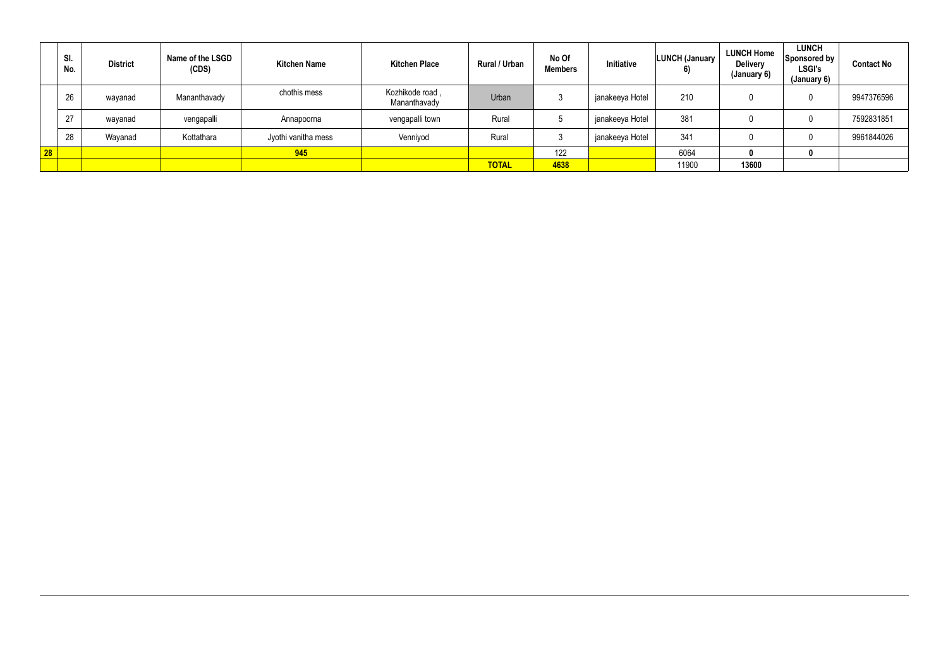|              | SI.<br>No. | <b>District</b> | Name of the LSGD<br>(CDS) | <b>Kitchen Name</b> | <b>Kitchen Place</b>            | <b>Rural / Urban</b> | No Of<br><b>Members</b> | <b>Initiative</b> | <b>LUNCH (January</b><br>6) | <b>LUNCH Home</b><br><b>Delivery</b><br>(January 6) | <b>LUNCH</b><br>Sponsored by<br><b>LSGI's</b><br>(January 6) | <b>Contact No</b> |
|--------------|------------|-----------------|---------------------------|---------------------|---------------------------------|----------------------|-------------------------|-------------------|-----------------------------|-----------------------------------------------------|--------------------------------------------------------------|-------------------|
|              | 26         | wayanad         | Mananthavady              | chothis mess        | Kozhikode road,<br>Mananthavady | Urban                |                         | janakeeya Hotel   | 210                         |                                                     |                                                              | 9947376596        |
|              | 27         | wayanad         | vengapalli                | Annapoorna          | vengapalli town                 | Rural                |                         | janakeeya Hotel   | 381                         |                                                     |                                                              | 7592831851        |
|              | 28         | Wayanad         | Kottathara                | Jyothi vanitha mess | Venniyod                        | Rural                |                         | janakeeya Hotel   | 341                         |                                                     |                                                              | 9961844026        |
| $\boxed{28}$ |            |                 |                           | 945                 |                                 |                      | 122                     |                   | 6064                        |                                                     |                                                              |                   |
|              |            |                 |                           |                     |                                 | <b>TOTAL</b>         | 4638                    |                   | 11900                       | 13600                                               |                                                              |                   |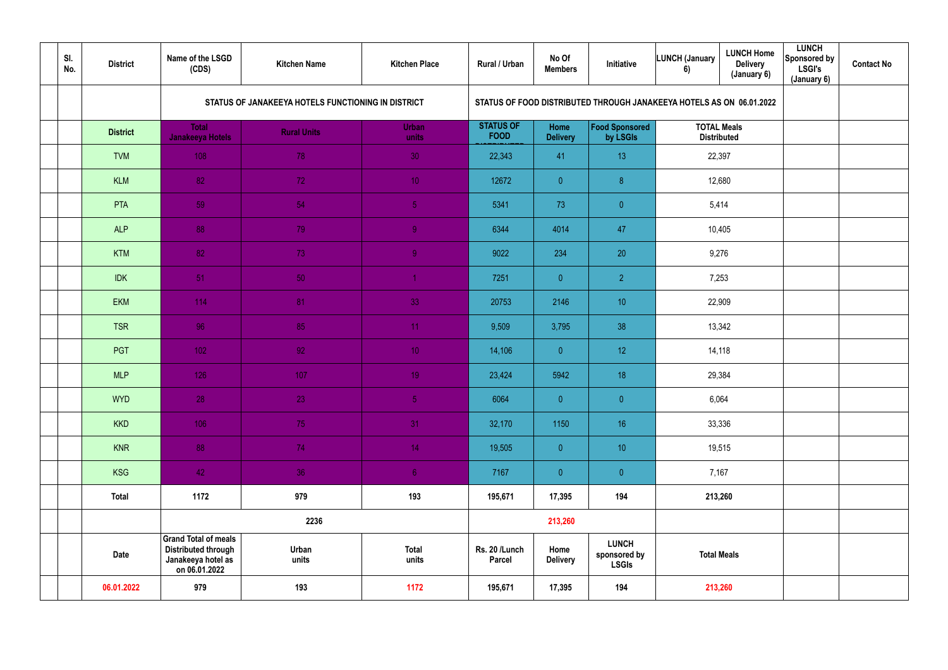| SI.<br>No. | <b>District</b> | Name of the LSGD<br>(CDS)                                                                        | <b>Kitchen Name</b>                                | <b>Kitchen Place</b>  | Rural / Urban                   | No Of<br><b>Members</b> | Initiative                                                           | LUNCH (January<br>6)                     | <b>LUNCH Home</b><br><b>Delivery</b><br>(January 6) | <b>LUNCH</b><br><b>Sponsored by</b><br><b>LSGI's</b><br>(January 6) | <b>Contact No</b> |
|------------|-----------------|--------------------------------------------------------------------------------------------------|----------------------------------------------------|-----------------------|---------------------------------|-------------------------|----------------------------------------------------------------------|------------------------------------------|-----------------------------------------------------|---------------------------------------------------------------------|-------------------|
|            |                 |                                                                                                  | STATUS OF JANAKEEYA HOTELS FUNCTIONING IN DISTRICT |                       |                                 |                         | STATUS OF FOOD DISTRIBUTED THROUGH JANAKEEYA HOTELS AS ON 06.01.2022 |                                          |                                                     |                                                                     |                   |
|            | <b>District</b> | <b>Total</b><br>Janakeeya Hotels                                                                 | <b>Rural Units</b>                                 | <b>Urban</b><br>units | <b>STATUS OF</b><br><b>FOOD</b> | Home<br><b>Delivery</b> | Food Sponsored<br>by LSGIs                                           | <b>TOTAL Meals</b><br><b>Distributed</b> |                                                     |                                                                     |                   |
|            | <b>TVM</b>      | 108                                                                                              | 78                                                 | 30                    | 22,343                          | 41                      | 13                                                                   | 22,397                                   |                                                     |                                                                     |                   |
|            | <b>KLM</b>      | 82                                                                                               | 72                                                 | 10 <sup>°</sup>       | 12672                           | $\overline{0}$          | $\boldsymbol{\delta}$                                                | 12,680                                   |                                                     |                                                                     |                   |
|            | PTA             | 59                                                                                               | 54                                                 | 5 <sub>5</sub>        | 5341                            | 73                      | $\overline{0}$                                                       | 5,414                                    |                                                     |                                                                     |                   |
|            | <b>ALP</b>      | 88                                                                                               | 79                                                 | 9                     | 6344                            | 4014                    | 47                                                                   | 10,405                                   |                                                     |                                                                     |                   |
|            | <b>KTM</b>      | 82                                                                                               | 73                                                 | $\overline{9}$        | 9022                            | 234                     | 20                                                                   | 9,276                                    |                                                     |                                                                     |                   |
|            | <b>IDK</b>      | 51                                                                                               | 50                                                 |                       | 7251                            | $\overline{0}$          | $\overline{2}$                                                       | 7,253                                    |                                                     |                                                                     |                   |
|            | <b>EKM</b>      | 114                                                                                              | 81                                                 | 33                    | 20753                           | 2146                    | 10 <sup>°</sup>                                                      | 22,909                                   |                                                     |                                                                     |                   |
|            | <b>TSR</b>      | 96                                                                                               | 85                                                 | 11 <sub>1</sub>       | 9,509                           | 3,795                   | 38                                                                   | 13,342                                   |                                                     |                                                                     |                   |
|            | PGT             | 102                                                                                              | 92 <sub>1</sub>                                    | 10 <sub>1</sub>       | 14,106                          | $\overline{0}$          | 12                                                                   | 14,118                                   |                                                     |                                                                     |                   |
|            | <b>MLP</b>      | 126                                                                                              | 107                                                | 19 <sup>°</sup>       | 23,424                          | 5942                    | 18                                                                   | 29,384                                   |                                                     |                                                                     |                   |
|            | <b>WYD</b>      | 28                                                                                               | 23                                                 | 5 <sub>1</sub>        | 6064                            | $\overline{0}$          | $\pmb{0}$                                                            | 6,064                                    |                                                     |                                                                     |                   |
|            | <b>KKD</b>      | 106                                                                                              | 75                                                 | 31                    | 32,170                          | 1150                    | 16 <sup>°</sup>                                                      | 33,336                                   |                                                     |                                                                     |                   |
|            | <b>KNR</b>      | 88                                                                                               | 74                                                 | 14 <sub>1</sub>       | 19,505                          | $\overline{0}$          | 10 <sup>°</sup>                                                      | 19,515                                   |                                                     |                                                                     |                   |
|            | <b>KSG</b>      | 42                                                                                               | 36                                                 | 6 <sub>1</sub>        | 7167                            | $\overline{0}$          | $\overline{0}$                                                       | 7,167                                    |                                                     |                                                                     |                   |
|            | <b>Total</b>    | 1172                                                                                             | 979                                                | 193                   | 195,671                         | 17,395                  | 194                                                                  | 213,260                                  |                                                     |                                                                     |                   |
|            |                 |                                                                                                  | 2236                                               |                       |                                 | 213,260                 |                                                                      |                                          |                                                     |                                                                     |                   |
|            | <b>Date</b>     | <b>Grand Total of meals</b><br><b>Distributed through</b><br>Janakeeya hotel as<br>on 06.01.2022 | Urban<br>units                                     | <b>Total</b><br>units | Rs. 20 /Lunch<br><b>Parcel</b>  | Home<br><b>Delivery</b> | <b>LUNCH</b><br>sponsored by<br><b>LSGIs</b>                         | <b>Total Meals</b>                       |                                                     |                                                                     |                   |
|            | 06.01.2022      | 979                                                                                              | 193                                                | 1172                  | 195,671                         | 17,395                  | 194                                                                  | 213,260                                  |                                                     |                                                                     |                   |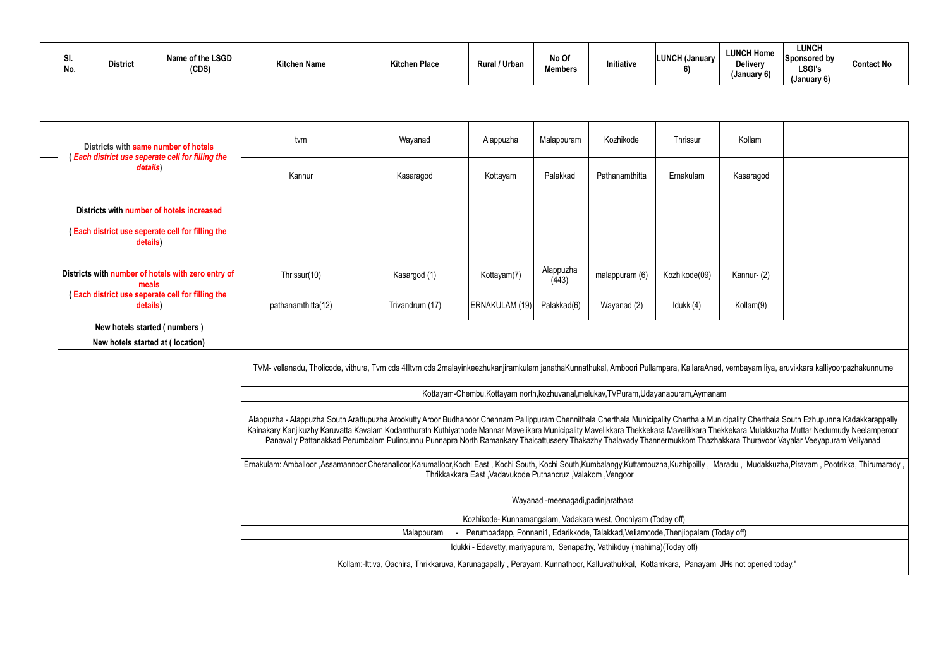| וט.<br>No. | <b>District</b> | Name of the LSGD<br>(CDS) | <b>Kitchen Name</b> | <b>Kitchen Place</b> | Rural / Urban | No Of<br><b>Members</b> | <b>Initiative</b> | <b>LUNCH (January</b><br>$\bullet$ | <b>LUNCH Home</b><br><b>Delivery</b><br>(January 6) | LUNCH<br>Sponsored by<br><b>LSGI's</b><br>(January 6) | <b>Contact No</b> |
|------------|-----------------|---------------------------|---------------------|----------------------|---------------|-------------------------|-------------------|------------------------------------|-----------------------------------------------------|-------------------------------------------------------|-------------------|
|------------|-----------------|---------------------------|---------------------|----------------------|---------------|-------------------------|-------------------|------------------------------------|-----------------------------------------------------|-------------------------------------------------------|-------------------|

| Districts with same number of hotels                         | tvm                                                                                                                                                                                                                                                                                                                                                                                | Wayanad                                                                                                                                                                 | Alappuzha                                                                            | Malappuram                         | Kozhikode      | Thrissur      | Kollam     |  |
|--------------------------------------------------------------|------------------------------------------------------------------------------------------------------------------------------------------------------------------------------------------------------------------------------------------------------------------------------------------------------------------------------------------------------------------------------------|-------------------------------------------------------------------------------------------------------------------------------------------------------------------------|--------------------------------------------------------------------------------------|------------------------------------|----------------|---------------|------------|--|
| (Each district use seperate cell for filling the<br>details) | Kannur                                                                                                                                                                                                                                                                                                                                                                             | Kasaragod                                                                                                                                                               | Kottayam                                                                             | Palakkad                           | Pathanamthitta | Ernakulam     | Kasaragod  |  |
| Districts with number of hotels increased                    |                                                                                                                                                                                                                                                                                                                                                                                    |                                                                                                                                                                         |                                                                                      |                                    |                |               |            |  |
| (Each district use seperate cell for filling the<br>details) |                                                                                                                                                                                                                                                                                                                                                                                    |                                                                                                                                                                         |                                                                                      |                                    |                |               |            |  |
| Districts with number of hotels with zero entry of<br>meals  | Thrissur(10)                                                                                                                                                                                                                                                                                                                                                                       | Kasargod (1)                                                                                                                                                            | Kottayam(7)                                                                          | Alappuzha<br>(443)                 | malappuram (6) | Kozhikode(09) | Kannur-(2) |  |
| (Each district use seperate cell for filling the<br>details) | pathanamthitta(12)                                                                                                                                                                                                                                                                                                                                                                 | Trivandrum (17)                                                                                                                                                         | ERNAKULAM (19)                                                                       | Palakkad(6)                        | Wayanad (2)    | Idukki(4)     | Kollam(9)  |  |
| New hotels started (numbers)                                 |                                                                                                                                                                                                                                                                                                                                                                                    |                                                                                                                                                                         |                                                                                      |                                    |                |               |            |  |
| New hotels started at (location)                             |                                                                                                                                                                                                                                                                                                                                                                                    |                                                                                                                                                                         |                                                                                      |                                    |                |               |            |  |
|                                                              | TVM- vellanadu, Tholicode, vithura, Tvm cds 4Iltvm cds 2malayinkeezhukanjiramkulam janathaKunnathukal, Amboori Pullampara, KallaraAnad, vembayam liya, aruvikkara kalliyoorpazhakunnumel                                                                                                                                                                                           |                                                                                                                                                                         |                                                                                      |                                    |                |               |            |  |
|                                                              |                                                                                                                                                                                                                                                                                                                                                                                    |                                                                                                                                                                         | Kottayam-Chembu, Kottayam north, kozhuvanal, melukav, TVPuram, Udayanapuram, Aymanam |                                    |                |               |            |  |
|                                                              | Alappuzha - Alappuzha South Arattupuzha Arookutty Aroor Budhanoor Chennam Pallippuram Chennithala Cherthala Municipality Cherthala Municipality Cherthala South Ezhupunna Kadakkarappally<br>Kainakary Kanjikuzhy Karuvatta Kavalam Kodamthurath Kuthiyathode Mannar Mavelikara Municipality Mavelikkara Thekkekara Mavelikkara Thekkekara Mulakkuzha Muttar Nedumudy Neelamperoor | Panavally Pattanakkad Perumbalam Pulincunnu Punnapra North Ramankary Thaicattussery Thakazhy Thalavady Thannermukkom Thazhakkara Thuravoor Vayalar Veeyapuram Veliyanad |                                                                                      |                                    |                |               |            |  |
|                                                              | Ernakulam: Amballoor ,Assamannoor,Cheranalloor,Karumalloor,Kochi East, Kochi South,Kochi South,Kumbalangy,Kuttampuzha,Kuzhippilly, Maradu, Mudakkuzha,Piravam, Pootrikka, Thirumarady,                                                                                                                                                                                             |                                                                                                                                                                         | Thrikkakkara East, Vadavukode Puthancruz, Valakom, Vengoor                           |                                    |                |               |            |  |
|                                                              |                                                                                                                                                                                                                                                                                                                                                                                    |                                                                                                                                                                         |                                                                                      | Wayanad -meenagadi, padinjarathara |                |               |            |  |
|                                                              |                                                                                                                                                                                                                                                                                                                                                                                    |                                                                                                                                                                         | Kozhikode- Kunnamangalam, Vadakara west, Onchiyam (Today off)                        |                                    |                |               |            |  |
|                                                              |                                                                                                                                                                                                                                                                                                                                                                                    | Malappuram                                                                                                                                                              | Perumbadapp, Ponnani1, Edarikkode, Talakkad, Veliamcode, Thenjippalam (Today off)    |                                    |                |               |            |  |
|                                                              |                                                                                                                                                                                                                                                                                                                                                                                    |                                                                                                                                                                         | Idukki - Edavetty, mariyapuram, Senapathy, Vathikduy (mahima)(Today off)             |                                    |                |               |            |  |
|                                                              |                                                                                                                                                                                                                                                                                                                                                                                    | Kollam:-Ittiva, Oachira, Thrikkaruva, Karunagapally, Perayam, Kunnathoor, Kalluvathukkal, Kottamkara, Panayam JHs not opened today."                                    |                                                                                      |                                    |                |               |            |  |

| Kollam                                                                                                                                                       |                                                      |
|--------------------------------------------------------------------------------------------------------------------------------------------------------------|------------------------------------------------------|
| Kasaragod                                                                                                                                                    |                                                      |
|                                                                                                                                                              |                                                      |
|                                                                                                                                                              |                                                      |
| Kannur-(2)                                                                                                                                                   |                                                      |
| Kollam(9)                                                                                                                                                    |                                                      |
|                                                                                                                                                              |                                                      |
| ad, vembayam liya, aruvikkara kalliyoorpazhakunnumel                                                                                                         |                                                      |
| าam                                                                                                                                                          |                                                      |
| unicipality Cherthala South Ezhupunna Kadakkarappally<br>hekkekara Mulakkuzha Muttar Nedumudy Neelamperoor<br>hakkara Thuravoor Vayalar Veeyapuram Veliyanad |                                                      |
|                                                                                                                                                              | Maradu, Mudakkuzha, Piravam, Pootrikka, Thirumarady, |
|                                                                                                                                                              |                                                      |
|                                                                                                                                                              |                                                      |
| Today off)                                                                                                                                                   |                                                      |
|                                                                                                                                                              |                                                      |
| JHs not opened today."                                                                                                                                       |                                                      |